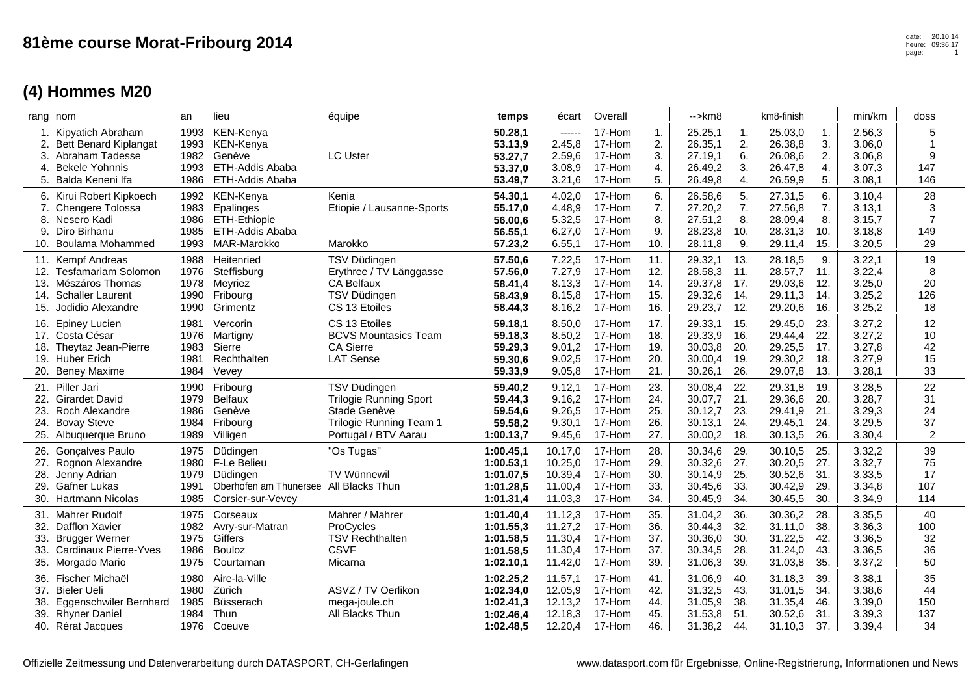| 1. Kipyatich Abraham<br>2. Bett Benard Kiplangat<br>3. Abraham Tadesse<br>4. Bekele Yohnnis<br>5. Balda Keneni Ifa   | 1993<br>1993<br>1982<br>1993<br>1986 | KEN-Kenya<br><b>KEN-Kenya</b><br>Genève<br>ETH-Addis Ababa<br>ETH-Addis Ababa                      | <b>LC Uster</b>                                                                                                  | 50.28,1<br>53.13,9<br>53.27,7<br>53.37,0<br>53.49,7           | ------<br>2.45,8<br>2.59,6<br>3.08,9<br>3.21,6      | 17-Hom<br>17-Hom<br>17-Hom<br>17-Hom<br>17-Hom | 1.<br>2.<br>3.<br>4.<br>5.      | 25.25,1<br>26.35,1<br>27.19,1<br>26.49,2<br>26.49,8 | 1.<br>2.<br>6.<br>3.<br>4.      | 25.03,0<br>26.38,8<br>26.08,6<br>26.47,8<br>26.59,9 | 1.<br>3.<br>2.<br>4.<br>5.      | 2.56,3<br>3.06,0<br>3.06,8<br>3.07,3<br>3.08,1 | 5<br>9<br>147<br>146                   |
|----------------------------------------------------------------------------------------------------------------------|--------------------------------------|----------------------------------------------------------------------------------------------------|------------------------------------------------------------------------------------------------------------------|---------------------------------------------------------------|-----------------------------------------------------|------------------------------------------------|---------------------------------|-----------------------------------------------------|---------------------------------|-----------------------------------------------------|---------------------------------|------------------------------------------------|----------------------------------------|
| 6. Kirui Robert Kipkoech<br>7. Chengere Tolossa<br>8. Nesero Kadi<br>9. Diro Birhanu<br>10. Boulama Mohammed         | 1992<br>1983<br>1986<br>1985<br>1993 | KEN-Kenya<br>Epalinges<br>ETH-Ethiopie<br>ETH-Addis Ababa<br>MAR-Marokko                           | Kenia<br>Etiopie / Lausanne-Sports<br>Marokko                                                                    | 54.30,1<br>55.17,0<br>56.00,6<br>56.55,1<br>57.23,2           | 4.02,0<br>4.48,9<br>5.32,5<br>6.27,0<br>6.55,1      | 17-Hom<br>17-Hom<br>17-Hom<br>17-Hom<br>17-Hom | 6.<br>7.<br>8.<br>9.<br>10.     | 26.58,6<br>27.20,2<br>27.51,2<br>28.23,8<br>28.11,8 | 5.<br>7.<br>8.<br>10.<br>9.     | 27.31,5<br>27.56,8<br>28.09,4<br>28.31,3<br>29.11,4 | 6.<br>7.<br>8.<br>10.<br>15.    | 3.10,4<br>3.13,1<br>3.15,7<br>3.18,8<br>3.20,5 | 28<br>3<br>7<br>149<br>29              |
| 11. Kempf Andreas<br>12. Tesfamariam Solomon<br>13. Mészáros Thomas<br>14. Schaller Laurent<br>15. Jodidio Alexandre | 1988<br>1976<br>1978<br>1990<br>1990 | Heitenried<br>Steffisburg<br>Meyriez<br>Fribourg<br>Grimentz                                       | TSV Düdingen<br>Erythree / TV Länggasse<br><b>CA Belfaux</b><br>TSV Düdingen<br>CS 13 Etoiles                    | 57.50,6<br>57.56,0<br>58.41,4<br>58.43,9<br>58.44,3           | 7.22,5<br>7.27,9<br>8.13,3<br>8.15,8<br>8.16,2      | 17-Hom<br>17-Hom<br>17-Hom<br>17-Hom<br>17-Hom | 11.<br>12.<br>14.<br>15.<br>16. | 29.32,1<br>28.58,3<br>29.37,8<br>29.32,6<br>29.23,7 | 13.<br>11.<br>17.<br>14.<br>12. | 28.18,5<br>28.57,7<br>29.03,6<br>29.11,3<br>29.20,6 | 9.<br>11.<br>12.<br>14.<br>16.  | 3.22,1<br>3.22,4<br>3.25,0<br>3.25,2<br>3.25,2 | 19<br>8<br>20<br>126<br>18             |
| 16. Epiney Lucien<br>17. Costa César<br>18. Theytaz Jean-Pierre<br>19. Huber Erich<br>20. Beney Maxime               | 1981<br>1976<br>1983<br>1981<br>1984 | Vercorin<br>Martigny<br>Sierre<br>Rechthalten<br>Vevey                                             | CS 13 Etoiles<br><b>BCVS Mountasics Team</b><br><b>CA Sierre</b><br><b>LAT Sense</b>                             | 59.18,1<br>59.18,3<br>59.29,3<br>59.30,6<br>59.33,9           | 8.50,0<br>8.50,2<br>9.01,2<br>9.02,5<br>9.05,8      | 17-Hom<br>17-Hom<br>17-Hom<br>17-Hom<br>17-Hom | 17.<br>18.<br>19.<br>20.<br>21. | 29.33,1<br>29.33,9<br>30.03,8<br>30.00,4<br>30.26,1 | 15.<br>16.<br>20.<br>19.<br>26. | 29.45,0<br>29.44,4<br>29.25,5<br>29.30,2<br>29.07,8 | 23.<br>22.<br>17.<br>18.<br>13. | 3.27,2<br>3.27,2<br>3.27,8<br>3.27,9<br>3.28,1 | 12<br>10<br>42<br>15<br>33             |
| 21. Piller Jari<br>22. Girardet David<br>23. Roch Alexandre<br>24. Bovay Steve<br>25. Albuquerque Bruno              | 1990<br>1979<br>1986<br>1984<br>1989 | Fribourg<br><b>Belfaux</b><br>Genève<br>Fribourg<br>Villigen                                       | TSV Düdingen<br><b>Trilogie Running Sport</b><br>Stade Genève<br>Trilogie Running Team 1<br>Portugal / BTV Aarau | 59.40,2<br>59.44,3<br>59.54,6<br>59.58,2<br>1:00.13,7         | 9.12,1<br>9.16,2<br>9.26,5<br>9.30,1<br>9.45,6      | 17-Hom<br>17-Hom<br>17-Hom<br>17-Hom<br>17-Hom | 23.<br>24.<br>25.<br>26.<br>27. | 30.08,4<br>30.07,7<br>30.12,7<br>30.13,1<br>30.00,2 | 22.<br>21.<br>23.<br>24.<br>18. | 29.31,8<br>29.36,6<br>29.41,9<br>29.45,1<br>30.13,5 | 19.<br>20.<br>21.<br>24.<br>26. | 3.28,5<br>3.28,7<br>3.29,3<br>3.29,5<br>3.30,4 | 22<br>31<br>24<br>37<br>$\overline{c}$ |
| 26. Gonçalves Paulo<br>27. Rognon Alexandre<br>28. Jenny Adrian<br>29. Gafner Lukas<br>30. Hartmann Nicolas          | 1975<br>1980<br>1979<br>1991<br>1985 | Düdingen<br>F-Le Belieu<br>Düdingen<br>Oberhofen am Thunersee All Blacks Thun<br>Corsier-sur-Vevey | "Os Tugas"<br>TV Wünnewil                                                                                        | 1:00.45,1<br>1:00.53,1<br>1:01.07.5<br>1:01.28,5<br>1:01.31,4 | 10.17,0<br>10.25,0<br>10.39,4<br>11.00,4<br>11.03,3 | 17-Hom<br>17-Hom<br>17-Hom<br>17-Hom<br>17-Hom | 28.<br>29.<br>30.<br>33.<br>34. | 30.34,6<br>30.32,6<br>30.14,9<br>30.45,6<br>30.45,9 | 29.<br>27.<br>25.<br>33.<br>34. | 30.10,5<br>30.20,5<br>30.52,6<br>30.42,9<br>30.45,5 | 25.<br>27.<br>31.<br>29.<br>30. | 3.32,2<br>3.32,7<br>3.33,5<br>3.34,8<br>3.34,9 | 39<br>75<br>17<br>107<br>114           |
| 31. Mahrer Rudolf<br>32. Dafflon Xavier<br>33. Brügger Werner<br>33. Cardinaux Pierre-Yves<br>35. Morgado Mario      | 1975<br>1982<br>1975<br>1986<br>1975 | Corseaux<br>Avry-sur-Matran<br>Giffers<br><b>Bouloz</b><br>Courtaman                               | Mahrer / Mahrer<br>ProCycles<br><b>TSV Rechthalten</b><br><b>CSVF</b><br>Micarna                                 | 1:01.40,4<br>1:01.55,3<br>1:01.58,5<br>1:01.58,5<br>1:02.10,1 | 11.12,3<br>11.27,2<br>11.30,4<br>11.30,4<br>11.42,0 | 17-Hom<br>17-Hom<br>17-Hom<br>17-Hom<br>17-Hom | 35.<br>36.<br>37.<br>37.<br>39. | 31.04,2<br>30.44,3<br>30.36,0<br>30.34,5<br>31.06,3 | 36.<br>32.<br>30.<br>28.<br>39. | 30.36,2<br>31.11,0<br>31.22,5<br>31.24,0<br>31.03,8 | 28.<br>38.<br>42.<br>43.<br>35. | 3.35,5<br>3.36,3<br>3.36,5<br>3.36,5<br>3.37,2 | 40<br>100<br>32<br>36<br>50            |
| 36. Fischer Michaël<br>37. Bieler Ueli<br>38. Eggenschwiler Bernhard<br>39. Rhyner Daniel<br>40. Rérat Jacques       | 1980<br>1980<br>1985<br>1984<br>1976 | Aire-la-Ville<br>Zürich<br>Büsserach<br>Thun<br>Coeuve                                             | ASVZ / TV Oerlikon<br>mega-joule.ch<br>All Blacks Thun                                                           | 1:02.25,2<br>1:02.34,0<br>1:02.41,3<br>1:02.46,4<br>1:02.48,5 | 11.57,1<br>12.05,9<br>12.13,2<br>12.18,3<br>12.20,4 | 17-Hom<br>17-Hom<br>17-Hom<br>17-Hom<br>17-Hom | 41.<br>42.<br>44.<br>45.<br>46. | 31.06,9<br>31.32,5<br>31.05,9<br>31.53,8<br>31.38,2 | 40.<br>43.<br>38.<br>51.<br>44. | 31.18,3<br>31.01,5<br>31.35,4<br>30.52,6<br>31.10,3 | 39.<br>34.<br>46.<br>31.<br>37. | 3.38,1<br>3.38,6<br>3.39,0<br>3.39,3<br>3.39,4 | 35<br>44<br>150<br>137<br>34           |

rang nom an lieu équipe **temps** écart | Overall | -->km8 | km8-finish | min/km | doss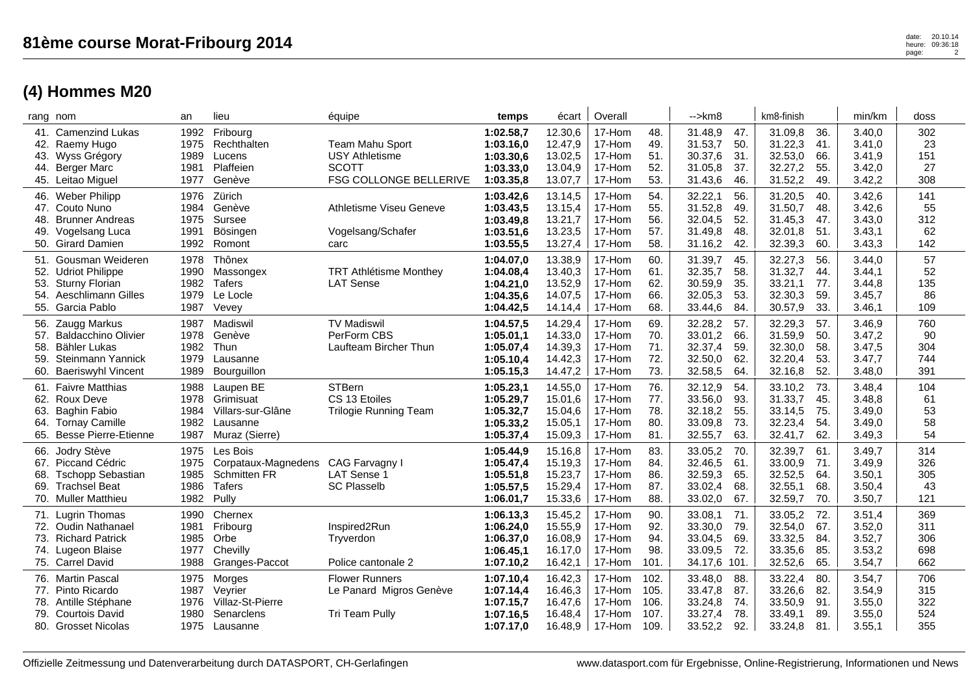|                                 | rang nom                                                                                                          | an                                   | lieu                                                                      | équipe                                                                             | temps                                                         | écart                                               | Overall                                        |                                      | $\rightarrow$ km $8$                                |                                  | km8-finish                                          |                                 | min/km                                         | doss                            |
|---------------------------------|-------------------------------------------------------------------------------------------------------------------|--------------------------------------|---------------------------------------------------------------------------|------------------------------------------------------------------------------------|---------------------------------------------------------------|-----------------------------------------------------|------------------------------------------------|--------------------------------------|-----------------------------------------------------|----------------------------------|-----------------------------------------------------|---------------------------------|------------------------------------------------|---------------------------------|
| 41.<br>42.<br>43.<br>44.        | <b>Camenzind Lukas</b><br>Raemy Hugo<br>Wyss Grégory<br><b>Berger Marc</b><br>45. Leitao Miguel                   | 1992<br>1975<br>1989<br>1981<br>1977 | Fribourg<br>Rechthalten<br>Lucens<br>Plaffeien<br>Genève                  | <b>Team Mahu Sport</b><br>USY Athletisme<br><b>SCOTT</b><br>FSG COLLONGE BELLERIVE | 1:02.58,7<br>1:03.16,0<br>1:03.30,6<br>1:03.33,0<br>1:03.35,8 | 12.30,6<br>12.47,9<br>13.02,5<br>13.04,9<br>13.07,7 | 17-Hom<br>17-Hom<br>17-Hom<br>17-Hom<br>17-Hom | 48.<br>49.<br>51.<br>52.<br>53.      | 31.48,9<br>31.53,7<br>30.37,6<br>31.05,8<br>31.43,6 | 47.<br>50.<br>31.<br>37.<br>46.  | 31.09,8<br>31.22,3<br>32.53,0<br>32.27,2<br>31.52,2 | 36.<br>41.<br>66.<br>55.<br>49. | 3.40,0<br>3.41,0<br>3.41,9<br>3.42,0<br>3.42,2 | 302<br>23<br>151<br>27<br>308   |
| 48.<br>49.                      | 46. Weber Philipp<br>47. Couto Nuno<br><b>Brunner Andreas</b><br>Vogelsang Luca<br>50. Girard Damien              | 1976<br>1984<br>1975<br>1991<br>1992 | Zürich<br>Genève<br><b>Sursee</b><br>Bösingen<br>Romont                   | Athletisme Viseu Geneve<br>Vogelsang/Schafer<br>carc                               | 1:03.42,6<br>1:03.43,5<br>1:03.49,8<br>1:03.51,6<br>1:03.55,5 | 13.14,5<br>13.15,4<br>13.21,7<br>13.23,5<br>13.27,4 | 17-Hom<br>17-Hom<br>17-Hom<br>17-Hom<br>17-Hom | 54.<br>55.<br>56.<br>57.<br>58.      | 32.22,1<br>31.52,8<br>32.04,5<br>31.49,8<br>31.16,2 | 56.<br>49.<br>52.<br>48.<br>42.  | 31.20,5<br>31.50,7<br>31.45,3<br>32.01,8<br>32.39,3 | 40.<br>48.<br>47.<br>51.<br>60. | 3.42,6<br>3.42,6<br>3.43,0<br>3.43,1<br>3.43,3 | 141<br>55<br>312<br>62<br>142   |
| 52.<br>53.<br>55.               | 51. Gousman Weideren<br><b>Udriot Philippe</b><br><b>Sturny Florian</b><br>54. Aeschlimann Gilles<br>Garcia Pablo | 1978<br>1990<br>1982<br>1979<br>1987 | Thônex<br>Massongex<br><b>Tafers</b><br>Le Locle<br>Vevey                 | <b>TRT Athlétisme Monthey</b><br><b>LAT Sense</b>                                  | 1:04.07,0<br>1:04.08,4<br>1:04.21,0<br>1:04.35,6<br>1:04.42,5 | 13.38,9<br>13.40,3<br>13.52,9<br>14.07,5<br>14.14,4 | 17-Hom<br>17-Hom<br>17-Hom<br>17-Hom<br>17-Hom | 60.<br>61.<br>62.<br>66.<br>68.      | 31.39,7<br>32.35,7<br>30.59,9<br>32.05,3<br>33.44,6 | 45.<br>58.<br>35.<br>53.<br>84.  | 32.27,3<br>31.32,7<br>33.21,1<br>32.30,3<br>30.57,9 | 56.<br>44.<br>77.<br>59.<br>33. | 3.44,0<br>3.44,1<br>3.44,8<br>3.45,7<br>3.46,1 | 57<br>52<br>135<br>86<br>109    |
| 56.<br>57.<br>58.<br>59.<br>60. | Zaugg Markus<br><b>Baldacchino Olivier</b><br>Bähler Lukas<br>Steinmann Yannick<br><b>Baeriswyhl Vincent</b>      | 1987<br>1978<br>1982<br>1979<br>1989 | Madiswil<br>Genève<br>Thun<br>Lausanne<br>Bourguillon                     | <b>TV Madiswil</b><br>PerForm CBS<br>Laufteam Bircher Thun                         | 1:04.57,5<br>1:05.01,1<br>1:05.07,4<br>1:05.10,4<br>1:05.15,3 | 14.29,4<br>14.33,0<br>14.39,3<br>14.42,3<br>14.47,2 | 17-Hom<br>17-Hom<br>17-Hom<br>17-Hom<br>17-Hom | 69.<br>70.<br>71.<br>72.<br>73.      | 32.28,2<br>33.01,2<br>32.37,4<br>32.50,0<br>32.58,5 | 57.<br>66.<br>59.<br>62.<br>64.  | 32.29,3<br>31.59,9<br>32.30,0<br>32.20,4<br>32.16,8 | 57.<br>50.<br>58.<br>53.<br>52. | 3.46,9<br>3.47,2<br>3.47,5<br>3.47,7<br>3.48,0 | 760<br>90<br>304<br>744<br>391  |
| 63.<br>64.<br>65.               | 61. Faivre Matthias<br>62. Roux Deve<br>Baghin Fabio<br><b>Tornay Camille</b><br><b>Besse Pierre-Etienne</b>      | 1988<br>1978<br>1984<br>1982<br>1987 | Laupen BE<br>Grimisuat<br>Villars-sur-Glâne<br>Lausanne<br>Muraz (Sierre) | <b>STBern</b><br>CS 13 Etoiles<br><b>Trilogie Running Team</b>                     | 1:05.23.1<br>1:05.29,7<br>1:05.32,7<br>1:05.33,2<br>1:05.37,4 | 14.55,0<br>15.01,6<br>15.04,6<br>15.05,1<br>15.09,3 | 17-Hom<br>17-Hom<br>17-Hom<br>17-Hom<br>17-Hom | 76.<br>77.<br>78.<br>80.<br>81.      | 32.12,9<br>33.56,0<br>32.18,2<br>33.09,8<br>32.55,7 | 54.<br>93.<br>55.<br>73.<br>63.  | 33.10,2<br>31.33,7<br>33.14,5<br>32.23,4<br>32.41,7 | 73.<br>45.<br>75.<br>54.<br>62. | 3.48,4<br>3.48,8<br>3.49,0<br>3.49,0<br>3.49,3 | 104<br>61<br>53<br>58<br>54     |
| 66.<br>68.<br>69.               | Jodry Stève<br>67. Piccand Cédric<br><b>Tschopp Sebastian</b><br><b>Trachsel Beat</b><br>70. Muller Matthieu      | 1975<br>1975<br>1985<br>1986<br>1982 | Les Bois<br>Corpataux-Magnedens<br>Schmitten FR<br>Tafers<br>Pully        | CAG Farvagny I<br>LAT Sense 1<br><b>SC Plasselb</b>                                | 1:05.44,9<br>1:05.47,4<br>1:05.51,8<br>1:05.57,5<br>1:06.01,7 | 15.16,8<br>15.19,3<br>15.23,7<br>15.29,4<br>15.33,6 | 17-Hom<br>17-Hom<br>17-Hom<br>17-Hom<br>17-Hom | 83.<br>84.<br>86.<br>87.<br>88.      | 33.05,2<br>32.46,5<br>32.59,3<br>33.02,4<br>33.02,0 | 70.<br>61.<br>65.<br>68.<br>67.  | 32.39,7<br>33.00,9<br>32.52,5<br>32.55,1<br>32.59,7 | 61.<br>71.<br>64.<br>68.<br>70. | 3.49,7<br>3.49,9<br>3.50,1<br>3.50,4<br>3.50,7 | 314<br>326<br>305<br>43<br>121  |
| 71.<br>73.<br>74.               | Lugrin Thomas<br>72. Oudin Nathanael<br><b>Richard Patrick</b><br>Lugeon Blaise<br>75. Carrel David               | 1990<br>1981<br>1985<br>1977<br>1988 | Chernex<br>Fribourg<br>Orbe<br>Chevilly<br>Granges-Paccot                 | Inspired <sub>2Run</sub><br>Tryverdon<br>Police cantonale 2                        | 1:06.13,3<br>1:06.24,0<br>1:06.37,0<br>1:06.45,1<br>1:07.10,2 | 15.45,2<br>15.55,9<br>16.08,9<br>16.17,0<br>16.42,1 | 17-Hom<br>17-Hom<br>17-Hom<br>17-Hom<br>17-Hom | 90.<br>92.<br>94.<br>98.<br>101.     | 33.08,1<br>33.30,0<br>33.04,5<br>33.09,5<br>34.17,6 | 71.<br>79.<br>69.<br>72.<br>101. | 33.05,2<br>32.54,0<br>33.32,5<br>33.35,6<br>32.52,6 | 72.<br>67.<br>84.<br>85.<br>65. | 3.51,4<br>3.52,0<br>3.52,7<br>3.53,2<br>3.54,7 | 369<br>311<br>306<br>698<br>662 |
| 76.<br>78.<br>79.               | <b>Martin Pascal</b><br>77. Pinto Ricardo<br>Antille Stéphane<br><b>Courtois David</b><br>80. Grosset Nicolas     | 1975<br>1987<br>1976<br>1980<br>1975 | Morges<br>Veyrier<br>Villaz-St-Pierre<br>Senarclens<br>Lausanne           | <b>Flower Runners</b><br>Le Panard Migros Genève<br>Tri Team Pully                 | 1:07.10,4<br>1:07.14,4<br>1:07.15,7<br>1:07.16,5<br>1:07.17,0 | 16.42,3<br>16.46,3<br>16.47,6<br>16.48.4<br>16.48,9 | 17-Hom<br>17-Hom<br>17-Hom<br>17-Hom<br>17-Hom | 102.<br>105.<br>106.<br>107.<br>109. | 33.48,0<br>33.47,8<br>33.24,8<br>33.27,4<br>33.52,2 | 88.<br>87.<br>74.<br>78.<br>92.  | 33.22,4<br>33.26,6<br>33.50,9<br>33.49,1<br>33.24,8 | 80.<br>82.<br>91.<br>89.<br>81. | 3.54,7<br>3.54,9<br>3.55,0<br>3.55,0<br>3.55,1 | 706<br>315<br>322<br>524<br>355 |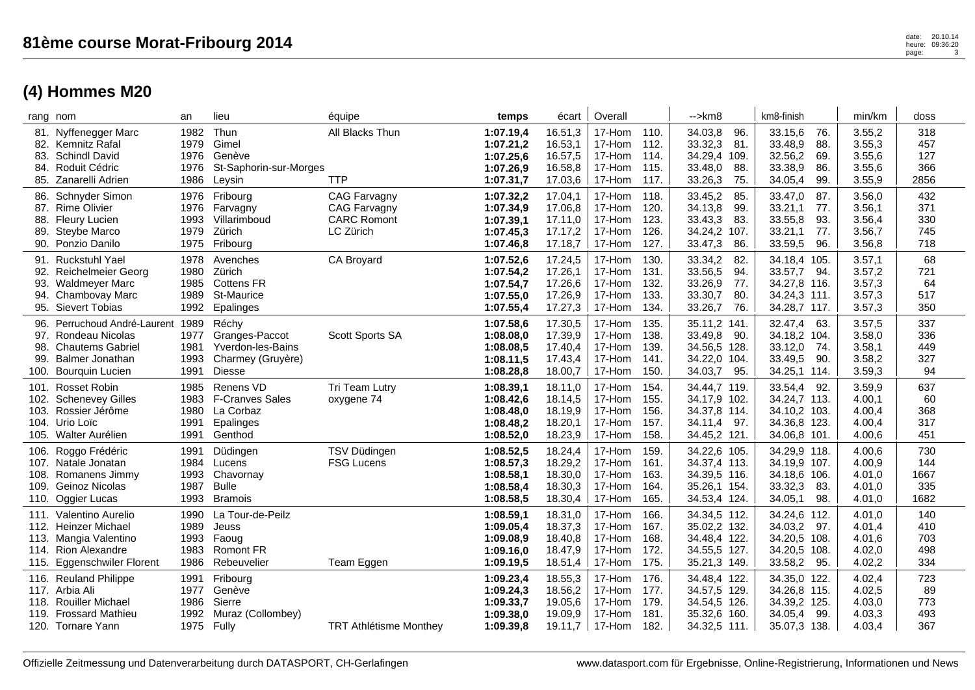|                                  | rang nom                                                                                                                 | an                                   | lieu                                                                               | équipe                                                                        | temps                                                         | écart                                               | Overall                                        |                                      | $\rightarrow$ km $\beta$                                                               | km8-finish                                                                             | min/km                                         | doss                              |
|----------------------------------|--------------------------------------------------------------------------------------------------------------------------|--------------------------------------|------------------------------------------------------------------------------------|-------------------------------------------------------------------------------|---------------------------------------------------------------|-----------------------------------------------------|------------------------------------------------|--------------------------------------|----------------------------------------------------------------------------------------|----------------------------------------------------------------------------------------|------------------------------------------------|-----------------------------------|
| 82.<br>83.<br>84.<br>85.         | 81. Nyffenegger Marc<br>Kemnitz Rafal<br><b>Schindl David</b><br>Roduit Cédric<br>Zanarelli Adrien                       | 1982<br>1979<br>1976<br>1976<br>1986 | Thun<br>Gimel<br>Genève<br>St-Saphorin-sur-Morges<br>Leysin                        | All Blacks Thun<br><b>TTP</b>                                                 | 1:07.19,4<br>1:07.21,2<br>1:07.25,6<br>1:07.26,9<br>1:07.31,7 | 16.51,3<br>16.53,1<br>16.57,5<br>16.58,8<br>17.03,6 | 17-Hom<br>17-Hom<br>17-Hom<br>17-Hom<br>17-Hom | 110.<br>112.<br>114.<br>115.<br>117. | 34.03,8<br>96.<br>33.32,3<br>81.<br>34.29,4 109.<br>33.48,0<br>88.<br>33.26,3<br>75.   | 33.15,6<br>76.<br>33.48,9<br>88.<br>32.56,2<br>69.<br>33.38,9<br>86.<br>34.05,4<br>99. | 3.55,2<br>3.55,3<br>3.55,6<br>3.55,6<br>3.55,9 | 318<br>457<br>127<br>366<br>2856  |
| 86.<br>87.<br>88.<br>89.<br>90.  | Schnyder Simon<br><b>Rime Olivier</b><br><b>Fleury Lucien</b><br>Steybe Marco<br>Ponzio Danilo                           | 1976<br>1976<br>1993<br>1979<br>1975 | Fribourg<br>Farvagny<br>Villarimboud<br>Zürich<br>Fribourg                         | <b>CAG Farvagny</b><br><b>CAG Farvagny</b><br><b>CARC Romont</b><br>LC Zürich | 1:07.32,2<br>1:07.34,9<br>1:07.39,1<br>1:07.45,3<br>1:07.46,8 | 17.04,1<br>17.06,8<br>17.11.0<br>17.17,2<br>17.18,7 | 17-Hom<br>17-Hom<br>17-Hom<br>17-Hom<br>17-Hom | 118.<br>120.<br>123.<br>126.<br>127. | 33.45,2<br>85.<br>34.13,8<br>99.<br>33.43,3<br>83.<br>34.24,2 107.<br>33.47,3<br>86.   | 33.47,0<br>87.<br>33.21,1<br>77.<br>33.55,8<br>93.<br>33.21,1<br>77.<br>33.59,5<br>96. | 3.56,0<br>3.56,1<br>3.56,4<br>3.56,7<br>3.56,8 | 432<br>371<br>330<br>745<br>718   |
| 92.<br>93.<br>94.<br>95.         | 91. Ruckstuhl Yael<br><b>Reichelmeier Georg</b><br><b>Waldmeyer Marc</b><br>Chambovay Marc<br><b>Sievert Tobias</b>      | 1978<br>1980<br>1985<br>1989<br>1992 | Avenches<br>Zürich<br><b>Cottens FR</b><br>St-Maurice<br>Epalinges                 | CA Broyard                                                                    | 1:07.52,6<br>1:07.54,2<br>1:07.54,7<br>1:07.55,0<br>1:07.55,4 | 17.24,5<br>17.26,1<br>17.26,6<br>17.26,9<br>17.27,3 | 17-Hom<br>17-Hom<br>17-Hom<br>17-Hom<br>17-Hom | 130.<br>131.<br>132.<br>133.<br>134. | 33.34,2<br>82.<br>33.56,5<br>94.<br>33.26,9<br>77.<br>33.30,7<br>80.<br>33.26,7<br>76. | 34.18,4 105.<br>33.57,7<br>94.<br>34.27,8 116.<br>34.24,3 111.<br>34.28,7 117.         | 3.57,1<br>3.57,2<br>3.57,3<br>3.57,3<br>3.57,3 | 68<br>721<br>64<br>517<br>350     |
| 96.<br>97.<br>98.<br>99.<br>100. | Perruchoud André-Laurent 1989<br>Rondeau Nicolas<br><b>Chautems Gabriel</b><br>Balmer Jonathan<br><b>Bourquin Lucien</b> | 1977<br>1981<br>1993<br>1991         | Réchy<br>Granges-Paccot<br>Yverdon-les-Bains<br>Charmey (Gruyère)<br><b>Diesse</b> | Scott Sports SA                                                               | 1:07.58,6<br>1:08.08,0<br>1:08.08,5<br>1:08.11,5<br>1:08.28,8 | 17.30,5<br>17.39,9<br>17.40,4<br>17.43,4<br>18.00,7 | 17-Hom<br>17-Hom<br>17-Hom<br>17-Hom<br>17-Hom | 135.<br>138.<br>139.<br>141.<br>150. | 35.11,2 141.<br>33.49,8<br>90.<br>34.56,5 128.<br>34.22,0 104.<br>34.03,7<br>95.       | 32.47,4<br>63.<br>34.18,2 104.<br>33.12,0<br>74.<br>90.<br>33.49,5<br>34.25,1 114.     | 3.57,5<br>3.58,0<br>3.58.1<br>3.58,2<br>3.59,3 | 337<br>336<br>449<br>327<br>94    |
| 101.<br>102.<br>103.<br>104.     | <b>Rosset Robin</b><br><b>Schenevey Gilles</b><br>Rossier Jérôme<br>Urio Loïc<br>105. Walter Aurélien                    | 1985<br>1983<br>1980<br>1991<br>1991 | Renens VD<br><b>F-Cranves Sales</b><br>La Corbaz<br>Epalinges<br>Genthod           | Tri Team Lutry<br>oxygene 74                                                  | 1:08.39,1<br>1:08.42,6<br>1:08.48,0<br>1:08.48,2<br>1:08.52,0 | 18.11,0<br>18.14.5<br>18.19,9<br>18.20,1<br>18.23,9 | 17-Hom<br>17-Hom<br>17-Hom<br>17-Hom<br>17-Hom | 154.<br>155.<br>156.<br>157.<br>158. | 34.44,7 119.<br>34.17,9 102.<br>34.37,8 114.<br>34.11,4<br>97.<br>34.45,2 121.         | 33.54,4<br>92.<br>34.24,7 113.<br>34.10,2 103.<br>34.36,8 123.<br>34.06,8 101.         | 3.59,9<br>4.00.1<br>4.00,4<br>4.00,4<br>4.00,6 | 637<br>60<br>368<br>317<br>451    |
| 106.<br>108.<br>109.<br>110.     | Roggo Frédéric<br>107. Natale Jonatan<br>Romanens Jimmy<br>Geinoz Nicolas<br>Oggier Lucas                                | 1991<br>1984<br>1993<br>1987<br>1993 | Düdingen<br>Lucens<br>Chavornay<br><b>Bulle</b><br><b>Bramois</b>                  | TSV Düdingen<br><b>FSG Lucens</b>                                             | 1:08.52,5<br>1:08.57,3<br>1:08.58,1<br>1:08.58,4<br>1:08.58,5 | 18.24,4<br>18.29,2<br>18.30,0<br>18.30,3<br>18.30,4 | 17-Hom<br>17-Hom<br>17-Hom<br>17-Hom<br>17-Hom | 159.<br>161.<br>163.<br>164.<br>165. | 34.22,6 105.<br>34.37,4 113.<br>34.39,5 116.<br>35.26,1 154.<br>34.53,4 124.           | 34.29,9 118.<br>34.19,9 107.<br>34.18,6 106.<br>33.32,3<br>83.<br>34.05,1<br>98.       | 4.00,6<br>4.00,9<br>4.01,0<br>4.01,0<br>4.01,0 | 730<br>144<br>1667<br>335<br>1682 |
| 111.<br>113.<br>114.<br>115.     | Valentino Aurelio<br>112. Heinzer Michael<br>Mangia Valentino<br>Rion Alexandre<br><b>Eggenschwiler Florent</b>          | 1990<br>1989<br>1993<br>1983<br>1986 | La Tour-de-Peilz<br>Jeuss<br>Faoug<br><b>Romont FR</b><br>Rebeuvelier              | Team Eggen                                                                    | 1:08.59,1<br>1:09.05,4<br>1:09.08,9<br>1:09.16,0<br>1:09.19,5 | 18.31,0<br>18.37,3<br>18.40,8<br>18.47,9<br>18.51,4 | 17-Hom<br>17-Hom<br>17-Hom<br>17-Hom<br>17-Hom | 166.<br>167.<br>168.<br>172.<br>175. | 34.34,5 112.<br>35.02,2 132.<br>34.48,4 122.<br>34.55,5 127.<br>35.21,3 149.           | 34.24,6 112.<br>34.03,2<br>97.<br>34.20,5 108.<br>34.20,5<br>108.<br>33.58,2<br>95.    | 4.01,0<br>4.01,4<br>4.01,6<br>4.02,0<br>4.02,2 | 140<br>410<br>703<br>498<br>334   |
| 116.<br>119.                     | <b>Reuland Philippe</b><br>117. Arbia Ali<br>118. Rouiller Michael<br><b>Frossard Mathieu</b><br>120. Tornare Yann       | 1991<br>1977<br>1986<br>1992<br>1975 | Fribourg<br>Genève<br>Sierre<br>Muraz (Collombey)<br>Fully                         | <b>TRT Athlétisme Monthey</b>                                                 | 1:09.23,4<br>1:09.24,3<br>1:09.33,7<br>1:09.38,0<br>1:09.39,8 | 18.55,3<br>18.56,2<br>19.05,6<br>19.09,9<br>19.11,7 | 17-Hom<br>17-Hom<br>17-Hom<br>17-Hom<br>17-Hom | 176.<br>177.<br>179.<br>181.<br>182. | 34.48,4 122.<br>34.57,5 129.<br>34.54,5 126.<br>35.32,6 160.<br>34.32,5 111.           | 34.35.0 122.<br>34.26,8 115.<br>34.39,2 125.<br>34.05,4<br>99.<br>35.07,3 138.         | 4.02,4<br>4.02,5<br>4.03,0<br>4.03,3<br>4.03,4 | 723<br>89<br>773<br>493<br>367    |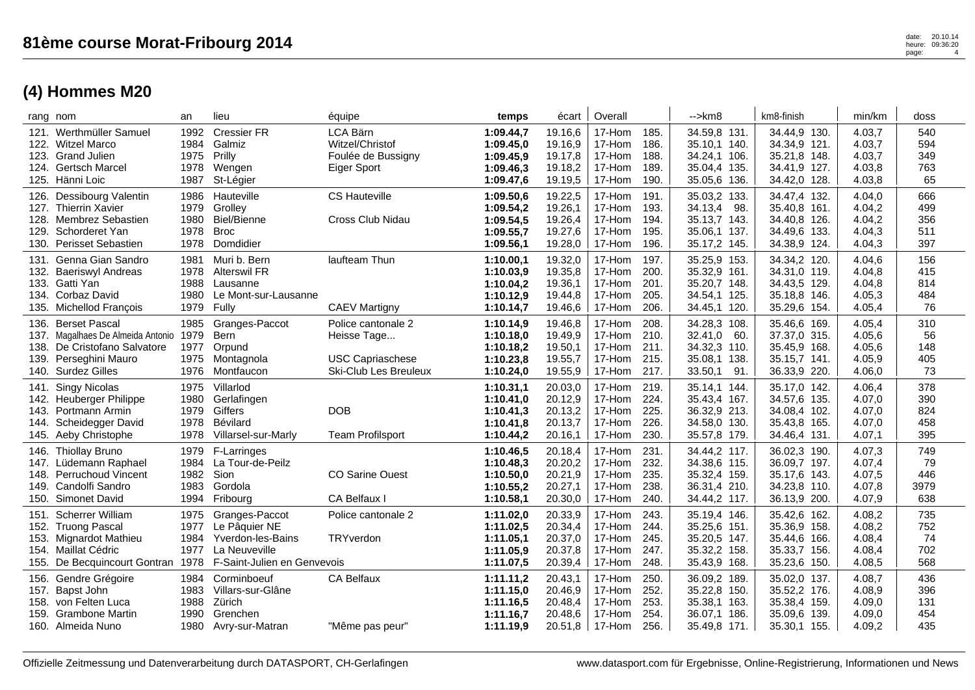|                                      | rang nom                                                                                                                      | an                                   | lieu                                                                                                 | équipe                                                                                | temps                                                         | écart                                               | Overall                                                                                | -->km8                                                                           | km8-finish                                                                      | min/km                                         | doss                            |
|--------------------------------------|-------------------------------------------------------------------------------------------------------------------------------|--------------------------------------|------------------------------------------------------------------------------------------------------|---------------------------------------------------------------------------------------|---------------------------------------------------------------|-----------------------------------------------------|----------------------------------------------------------------------------------------|----------------------------------------------------------------------------------|---------------------------------------------------------------------------------|------------------------------------------------|---------------------------------|
| 122.<br>125.                         | 121. Werthmüller Samuel<br>Witzel Marco<br>123. Grand Julien<br>124. Gertsch Marcel<br>Hänni Loic                             | 1992<br>1984<br>1975<br>1978<br>1987 | <b>Cressier FR</b><br>Galmiz<br>Prilly<br>Wengen<br>St-Légier                                        | LCA Bärn<br>Witzel/Christof<br>Foulée de Bussigny<br>Eiger Sport                      | 1:09.44,7<br>1:09.45,0<br>1:09.45,9<br>1:09.46,3<br>1:09.47,6 | 19.16,6<br>19.16,9<br>19.17,8<br>19.18,2<br>19.19,5 | 17-Hom<br>185.<br>17-Hom<br>186.<br>17-Hom<br>188.<br>17-Hom<br>189.<br>190.<br>17-Hom | 34.59,8 131<br>35.10,1 140.<br>34.24,1 106.<br>35.04,4 135.<br>35.05,6 136.      | 34.44,9 130.<br>34.34,9 121.<br>35.21,8 148.<br>34.41,9 127.<br>34.42,0<br>128. | 4.03,7<br>4.03,7<br>4.03,7<br>4.03,8<br>4.03,8 | 540<br>594<br>349<br>763<br>65  |
| 126.<br>127.<br>129.<br>130.         | <b>Dessibourg Valentin</b><br><b>Thierrin Xavier</b><br>128. Membrez Sebastien<br>Schorderet Yan<br><b>Perisset Sebastien</b> | 1986<br>1979<br>1980<br>1978<br>1978 | Hauteville<br>Grolley<br>Biel/Bienne<br><b>Broc</b><br>Domdidier                                     | <b>CS Hauteville</b><br><b>Cross Club Nidau</b>                                       | 1:09.50,6<br>1:09.54,2<br>1:09.54,5<br>1:09.55,7<br>1:09.56,1 | 19.22,5<br>19.26,1<br>19.26,4<br>19.27,6<br>19.28,0 | 17-Hom<br>191.<br>193.<br>17-Hom<br>17-Hom<br>194.<br>17-Hom<br>195.<br>196.<br>17-Hom | 35.03,2 133.<br>34.13,4<br>98.<br>35.13,7 143.<br>35.06,1 137.<br>35.17,2 145.   | 34.47,4 132.<br>35.40,8 161.<br>34.40,8 126.<br>34.49,6 133.<br>34.38,9 124.    | 4.04,0<br>4.04,2<br>4.04,2<br>4.04,3<br>4.04,3 | 666<br>499<br>356<br>511<br>397 |
| 131.<br>132.                         | Genna Gian Sandro<br><b>Baeriswyl Andreas</b><br>133. Gatti Yan<br>134. Corbaz David<br>135. Michellod François               | 1981<br>1978<br>1988<br>1980<br>1979 | Muri b. Bern<br><b>Alterswil FR</b><br>Lausanne<br>Le Mont-sur-Lausanne<br>Fully                     | laufteam Thun<br><b>CAEV Martigny</b>                                                 | 1:10.00,1<br>1:10.03,9<br>1:10.04,2<br>1:10.12,9<br>1:10.14,7 | 19.32,0<br>19.35,8<br>19.36,1<br>19.44,8<br>19.46,6 | 17-Hom<br>197.<br>200.<br>17-Hom<br>17-Hom<br>201.<br>17-Hom<br>205.<br>206.<br>17-Hom | 35.25,9 153.<br>35.32,9 161.<br>35.20,7 148.<br>34.54,1 125.<br>34.45,1 120.     | 34.34,2 120.<br>34.31,0 119.<br>34.43,5 129.<br>35.18,8 146.<br>35.29,6 154.    | 4.04,6<br>4.04,8<br>4.04,8<br>4.05,3<br>4.05,4 | 156<br>415<br>814<br>484<br>76  |
| 136.<br>137.<br>138.<br>139.<br>140. | <b>Berset Pascal</b><br>Magalhaes De Almeida Antonio<br>De Cristofano Salvatore<br>Perseghini Mauro<br><b>Surdez Gilles</b>   | 1985<br>1979<br>1977<br>1975<br>1976 | Granges-Paccot<br><b>Bern</b><br>Orpund<br>Montagnola<br>Montfaucon                                  | Police cantonale 2<br>Heisse Tage<br><b>USC Capriaschese</b><br>Ski-Club Les Breuleux | 1:10.14,9<br>1:10.18,0<br>1:10.18,2<br>1:10.23,8<br>1:10.24,0 | 19.46,8<br>19.49,9<br>19.50,1<br>19.55,7<br>19.55,9 | 17-Hom<br>208.<br>17-Hom<br>210.<br>211.<br>17-Hom<br>215.<br>17-Hom<br>17-Hom<br>217. | 34.28,3 108.<br>60.<br>32.41,0<br>34.32,3 110.<br>35.08,1 138.<br>33.50,1<br>91. | 35.46,6 169.<br>37.37,0 315.<br>35.45,9 168.<br>35.15,7 141.<br>36.33,9 220.    | 4.05,4<br>4.05,6<br>4.05,6<br>4.05,9<br>4.06,0 | 310<br>56<br>148<br>405<br>73   |
| 141.<br>143.<br>144.                 | <b>Singy Nicolas</b><br>142. Heuberger Philippe<br>Portmann Armin<br>Scheidegger David<br>145. Aeby Christophe                | 1975<br>1980<br>1979<br>1978<br>1978 | Villarlod<br>Gerlafingen<br>Giffers<br>Bévilard<br>Villarsel-sur-Marly                               | <b>DOB</b><br><b>Team Profilsport</b>                                                 | 1:10.31,1<br>1:10.41,0<br>1:10.41,3<br>1:10.41.8<br>1:10.44,2 | 20.03,0<br>20.12,9<br>20.13,2<br>20.13,7<br>20.16,1 | 17-Hom<br>219.<br>17-Hom<br>224.<br>225.<br>17-Hom<br>17-Hom<br>226.<br>230.<br>17-Hom | 35.14,1 144.<br>35.43,4 167.<br>36.32,9 213.<br>34.58,0 130.<br>35.57,8 179.     | 35.17,0 142.<br>34.57,6 135.<br>34.08,4 102.<br>35.43,8 165.<br>34.46,4 131.    | 4.06,4<br>4.07,0<br>4.07,0<br>4.07,0<br>4.07,1 | 378<br>390<br>824<br>458<br>395 |
| 146.<br>148.<br>149.                 | <b>Thiollay Bruno</b><br>147. Lüdemann Raphael<br>Perruchoud Vincent<br>Candolfi Sandro<br>150. Simonet David                 | 1979<br>1984<br>1982<br>1983<br>1994 | F-Larringes<br>La Tour-de-Peilz<br>Sion<br>Gordola<br>Fribourg                                       | <b>CO Sarine Ouest</b><br>CA Belfaux                                                  | 1:10.46,5<br>1:10.48,3<br>1:10.50,0<br>1:10.55,2<br>1:10.58,1 | 20.18,4<br>20.20,2<br>20.21,9<br>20.27,1<br>20.30,0 | 17-Hom<br>231.<br>17-Hom<br>232.<br>235.<br>17-Hom<br>238.<br>17-Hom<br>17-Hom<br>240. | 34.44,2 117.<br>34.38,6 115.<br>35.32,4 159.<br>36.31,4 210.<br>34.44,2 117.     | 36.02,3 190.<br>36.09,7 197.<br>35.17,6 143.<br>34.23,8 110.<br>36.13,9 200.    | 4.07,3<br>4.07,4<br>4.07,5<br>4.07,8<br>4.07,9 | 749<br>79<br>446<br>3979<br>638 |
| 151.<br>152.<br>153.<br>154.         | <b>Scherrer William</b><br><b>Truong Pascal</b><br>Mignardot Mathieu<br>Maillat Cédric<br>155. De Becquincourt Gontran 1978   | 1975<br>1977<br>1984<br>1977         | Granges-Paccot<br>Le Pâquier NE<br>Yverdon-les-Bains<br>La Neuveville<br>F-Saint-Julien en Genvevois | Police cantonale 2<br>TRYverdon                                                       | 1:11.02,0<br>1:11.02,5<br>1:11.05.1<br>1:11.05,9<br>1:11.07,5 | 20.33,9<br>20.34,4<br>20.37,0<br>20.37,8<br>20.39,4 | 17-Hom<br>243.<br>17-Hom<br>244.<br>17-Hom<br>245.<br>247.<br>17-Hom<br>17-Hom<br>248. | 35.19,4 146.<br>35.25,6 151.<br>35.20,5 147.<br>35.32,2 158.<br>35.43,9 168.     | 35.42,6 162.<br>35.36,9 158.<br>35.44,6 166.<br>35.33,7 156.<br>35.23,6 150.    | 4.08,2<br>4.08,2<br>4.08,4<br>4.08,4<br>4.08,5 | 735<br>752<br>74<br>702<br>568  |
| 156.<br>157.<br>158.<br>159.         | Gendre Grégoire<br>Bapst John<br>von Felten Luca<br>Grambone Martin<br>160. Almeida Nuno                                      | 1984<br>1983<br>1988<br>1990<br>1980 | Corminboeuf<br>Villars-sur-Glâne<br>Zürich<br>Grenchen<br>Avry-sur-Matran                            | <b>CA Belfaux</b><br>"Même pas peur"                                                  | 1:11.11,2<br>1:11.15,0<br>1:11.16,5<br>1:11.16,7<br>1:11.19,9 | 20.43,1<br>20.46,9<br>20.48,4<br>20.48,6<br>20.51,8 | 17-Hom<br>250.<br>17-Hom<br>252.<br>253.<br>17-Hom<br>17-Hom<br>254.<br>256.<br>17-Hom | 36.09,2 189.<br>35.22,8 150.<br>35.38,1 163.<br>36.07,1 186.<br>35.49,8 171.     | 35.02,0 137.<br>35.52,2 176.<br>35.38,4 159.<br>35.09,6 139.<br>35.30,1 155.    | 4.08,7<br>4.08,9<br>4.09,0<br>4.09,0<br>4.09,2 | 436<br>396<br>131<br>454<br>435 |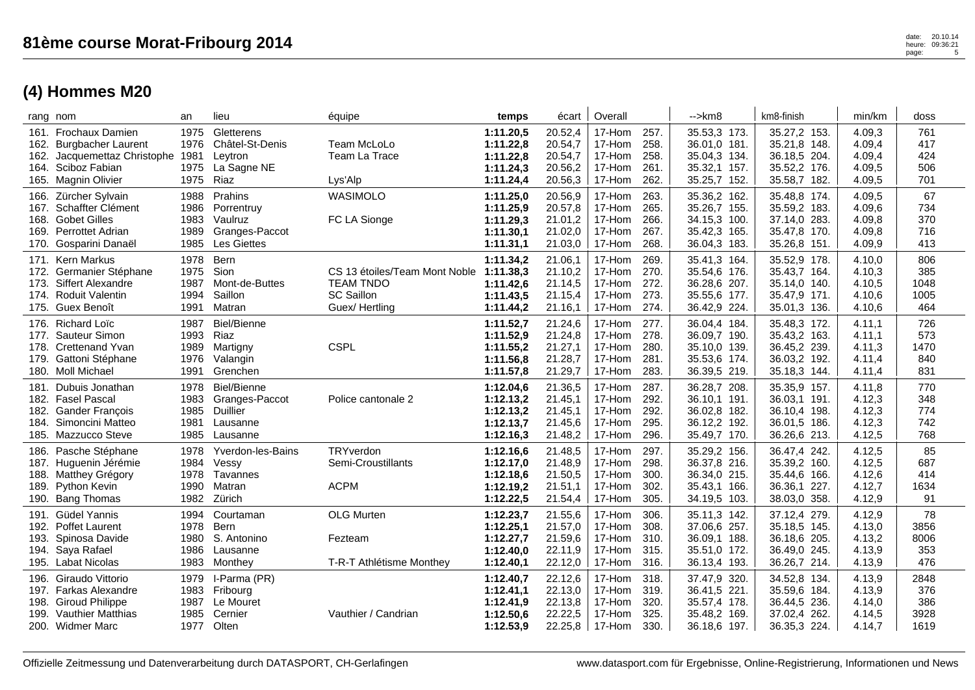|      | rang nom                          | an   | lieu               | équipe                        | temps     | écart   | Overall |      | $\rightarrow$ km $8$ | km8-finish   | min/km | doss |
|------|-----------------------------------|------|--------------------|-------------------------------|-----------|---------|---------|------|----------------------|--------------|--------|------|
| 161. | <b>Frochaux Damien</b>            | 1975 | Gletterens         |                               | 1:11.20,5 | 20.52,4 | 17-Hom  | 257. | 35.53,3 173.         | 35.27,2 153. | 4.09,3 | 761  |
| 162. | <b>Burgbacher Laurent</b>         | 1976 | Châtel-St-Denis    | Team McLoLo                   | 1:11.22,8 | 20.54,7 | 17-Hom  | 258. | 36.01,0 181.         | 35.21,8 148. | 4.09,4 | 417  |
|      | 162. Jacquemettaz Christophe 1981 |      | Leytron            | Team La Trace                 | 1:11.22,8 | 20.54,7 | 17-Hom  | 258. | 35.04,3 134.         | 36.18,5 204. | 4.09,4 | 424  |
|      | 164. Sciboz Fabian                | 1975 | La Sagne NE        |                               | 1:11.24,3 | 20.56,2 | 17-Hom  | 261. | 35.32,1<br>157.      | 35.52,2 176. | 4.09,5 | 506  |
|      | 165. Magnin Olivier               | 1975 | Riaz               | Lys'Alp                       | 1:11.24,4 | 20.56,3 | 17-Hom  | 262. | 35.25,7<br>152.      | 35.58,7 182. | 4.09,5 | 701  |
|      | 166. Zürcher Sylvain              | 1988 | Prahins            | WASIMOLO                      | 1:11.25,0 | 20.56,9 | 17-Hom  | 263. | 35.36,2 162.         | 35.48,8 174. | 4.09,5 | 67   |
| 167. | Schaffter Clément                 | 1986 | Porrentruy         |                               | 1:11.25,9 | 20.57,8 | 17-Hom  | 265. | 35.26,7<br>155.      | 35.59,2 183. | 4.09,6 | 734  |
|      | 168. Gobet Gilles                 | 1983 | Vaulruz            | FC LA Sionge                  | 1:11.29,3 | 21.01,2 | 17-Hom  | 266. | 34.15,3 100.         | 37.14,0 283. | 4.09,8 | 370  |
|      | 169. Perrottet Adrian             | 1989 | Granges-Paccot     |                               | 1:11.30,1 | 21.02,0 | 17-Hom  | 267. | 35.42,3 165.         | 35.47,8 170. | 4.09,8 | 716  |
| 170. | Gosparini Danaël                  | 1985 | <b>Les Giettes</b> |                               | 1:11.31,1 | 21.03,0 | 17-Hom  | 268. | 36.04,3<br>183.      | 35.26,8 151. | 4.09,9 | 413  |
|      | 171. Kern Markus                  | 1978 | Bern               |                               | 1:11.34,2 | 21.06,1 | 17-Hom  | 269. | 35.41,3 164.         | 35.52,9 178. | 4.10,0 | 806  |
| 172. | Germanier Stéphane                | 1975 | Sion               | CS 13 étoiles/Team Mont Noble | 1:11.38,3 | 21.10,2 | 17-Hom  | 270. | 35.54,6<br>176.      | 35.43,7 164. | 4.10,3 | 385  |
|      | 173. Siffert Alexandre            | 1987 | Mont-de-Buttes     | <b>TEAM TNDO</b>              | 1:11.42.6 | 21.14,5 | 17-Hom  | 272. | 36.28,6 207.         | 35.14,0 140. | 4.10,5 | 1048 |
|      | 174. Roduit Valentin              | 1994 | Saillon            | <b>SC Saillon</b>             | 1:11.43,5 | 21.15,4 | 17-Hom  | 273. | 35.55,6 177.         | 35.47,9 171. | 4.10,6 | 1005 |
|      | 175. Guex Benoît                  | 1991 | Matran             | Guex/Hertling                 | 1:11.44,2 | 21.16,1 | 17-Hom  | 274. | 36.42,9<br>224.      | 35.01,3 136. | 4.10,6 | 464  |
|      | 176. Richard Loïc                 | 1987 | Biel/Bienne        |                               | 1:11.52,7 | 21.24,6 | 17-Hom  | 277. | 36.04,4 184.         | 35.48,3 172. | 4.11,1 | 726  |
| 177. | Sauteur Simon                     | 1993 | Riaz               |                               | 1:11.52,9 | 21.24,8 | 17-Hom  | 278. | 190.<br>36.09,7      | 35.43,2 163. | 4.11,1 | 573  |
|      | 178. Crettenand Yvan              | 1989 | Martigny           | <b>CSPL</b>                   | 1:11.55.2 | 21.27,1 | 17-Hom  | 280. | 35.10,0 139.         | 36.45,2 239. | 4.11,3 | 1470 |
| 179. | Gattoni Stéphane                  | 1976 | Valangin           |                               | 1:11.56,8 | 21.28,7 | 17-Hom  | 281. | 35.53,6 174.         | 36.03,2 192. | 4.11,4 | 840  |
|      | 180. Moll Michael                 | 1991 | Grenchen           |                               | 1:11.57,8 | 21.29,7 | 17-Hom  | 283. | 36.39,5 219.         | 35.18,3 144. | 4.11,4 | 831  |
|      | 181. Dubuis Jonathan              | 1978 | <b>Biel/Bienne</b> |                               | 1:12.04,6 | 21.36,5 | 17-Hom  | 287. | 36.28,7 208.         | 35.35,9 157. | 4.11,8 | 770  |
|      | 182. Fasel Pascal                 | 1983 | Granges-Paccot     | Police cantonale 2            | 1:12.13,2 | 21.45,1 | 17-Hom  | 292. | 36.10,1<br>191.      | 36.03,1 191. | 4.12,3 | 348  |
|      | 182. Gander François              | 1985 | <b>Duillier</b>    |                               | 1:12.13,2 | 21.45.1 | 17-Hom  | 292. | 36.02,8 182.         | 36.10,4 198. | 4.12,3 | 774  |
| 184. | Simoncini Matteo                  | 1981 | Lausanne           |                               | 1:12.13,7 | 21.45,6 | 17-Hom  | 295. | 36.12,2<br>192.      | 36.01,5 186. | 4.12,3 | 742  |
|      | 185. Mazzucco Steve               | 1985 | Lausanne           |                               | 1:12.16,3 | 21.48,2 | 17-Hom  | 296. | 35.49,7<br>170.      | 36.26,6 213. | 4.12,5 | 768  |
| 186. | Pasche Stéphane                   | 1978 | Yverdon-les-Bains  | TRYverdon                     | 1:12.16,6 | 21.48,5 | 17-Hom  | 297. | 35.29,2 156.         | 36.47,4 242. | 4.12,5 | 85   |
| 187. | Huguenin Jérémie                  | 1984 | Vessy              | Semi-Croustillants            | 1:12.17,0 | 21.48,9 | 17-Hom  | 298. | 36.37,8 216.         | 35.39,2 160. | 4.12,5 | 687  |
|      | 188. Matthey Grégory              | 1978 | Tavannes           |                               | 1:12.18,6 | 21.50,5 | 17-Hom  | 300. | 36.34,0 215.         | 35.44,6 166. | 4.12,6 | 414  |
| 189. | Python Kevin                      | 1990 | Matran             | <b>ACPM</b>                   | 1:12.19,2 | 21.51,1 | 17-Hom  | 302. | 35.43,1 166.         | 36.36,1 227. | 4.12,7 | 1634 |
| 190. | <b>Bang Thomas</b>                | 1982 | Zürich             |                               | 1:12.22,5 | 21.54,4 | 17-Hom  | 305. | 34.19,5<br>103.      | 38.03,0 358. | 4.12,9 | 91   |
|      | 191. Güdel Yannis                 | 1994 | Courtaman          | OLG Murten                    | 1:12.23,7 | 21.55,6 | 17-Hom  | 306. | 35.11,3 142.         | 37.12,4 279. | 4.12,9 | 78   |
|      | 192. Poffet Laurent               | 1978 | <b>Bern</b>        |                               | 1:12.25,1 | 21.57,0 | 17-Hom  | 308. | 37.06,6<br>257.      | 35.18,5 145. | 4.13,0 | 3856 |
| 193. | Spinosa Davide                    | 1980 | S. Antonino        | Fezteam                       | 1:12.27,7 | 21.59,6 | 17-Hom  | 310. | 36.09,1 188.         | 36.18,6 205. | 4.13,2 | 8006 |
|      | 194. Saya Rafael                  | 1986 | Lausanne           |                               | 1:12.40,0 | 22.11,9 | 17-Hom  | 315. | 35.51,0 172.         | 36.49,0 245. | 4.13,9 | 353  |
|      | 195. Labat Nicolas                | 1983 | Monthey            | T-R-T Athlétisme Monthey      | 1:12.40,1 | 22.12,0 | 17-Hom  | 316. | 36.13,4<br>193.      | 36.26,7 214. | 4.13,9 | 476  |
|      | 196. Giraudo Vittorio             | 1979 | I-Parma (PR)       |                               | 1:12.40,7 | 22.12,6 | 17-Hom  | 318. | 37.47,9<br>320.      | 34.52,8 134. | 4.13,9 | 2848 |
|      | 197. Farkas Alexandre             | 1983 | Fribourg           |                               | 1:12.41,1 | 22.13,0 | 17-Hom  | 319. | 221.<br>36.41,5      | 35.59,6 184. | 4.13,9 | 376  |
| 198. | <b>Giroud Philippe</b>            | 1987 | Le Mouret          |                               | 1:12.41,9 | 22.13,8 | 17-Hom  | 320. | 35.57,4 178.         | 36.44,5 236. | 4.14,0 | 386  |
| 199. | Vauthier Matthias                 | 1985 | Cernier            | Vauthier / Candrian           | 1:12.50,6 | 22.22,5 | 17-Hom  | 325. | 35.48,2<br>169.      | 37.02,4 262. | 4.14,5 | 3928 |
|      | 200. Widmer Marc                  | 1977 | Olten              |                               | 1:12.53,9 | 22.25,8 | 17-Hom  | 330. | 36.18,6 197.         | 36.35,3 224. | 4.14,7 | 1619 |
|      |                                   |      |                    |                               |           |         |         |      |                      |              |        |      |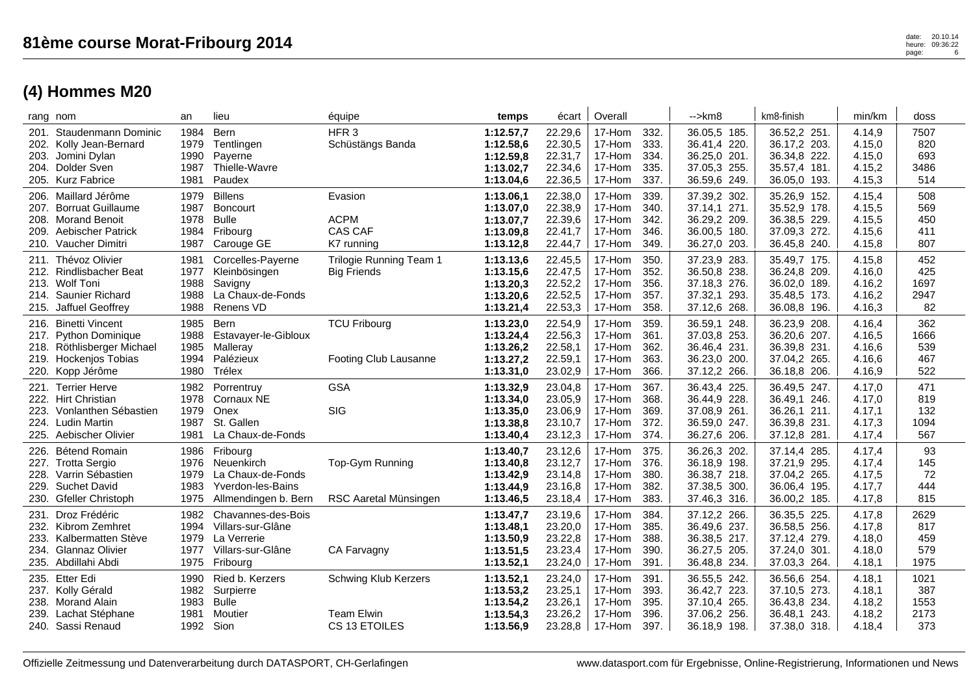| rang nom                                                                                                                           | an                                   | lieu                                                                                     | équipe                                                            | temps                                                         | écart                                               | Overall                                        |                                      | $\rightarrow$ km $\beta$                                                              | km8-finish                                                                   | min/km                                         | doss                               |
|------------------------------------------------------------------------------------------------------------------------------------|--------------------------------------|------------------------------------------------------------------------------------------|-------------------------------------------------------------------|---------------------------------------------------------------|-----------------------------------------------------|------------------------------------------------|--------------------------------------|---------------------------------------------------------------------------------------|------------------------------------------------------------------------------|------------------------------------------------|------------------------------------|
| 201. Staudenmann Dominic<br>202. Kolly Jean-Bernard<br>Jomini Dylan<br>203.<br>204. Dolder Sven<br>205. Kurz Fabrice               | 1984<br>1979<br>1990<br>1987<br>1981 | Bern<br>Tentlingen<br>Payerne<br>Thielle-Wavre<br>Paudex                                 | HFR <sub>3</sub><br>Schüstängs Banda                              | 1:12.57,7<br>1:12.58,6<br>1:12.59,8<br>1:13.02,7<br>1:13.04,6 | 22.29,6<br>22.30,5<br>22.31,7<br>22.34,6<br>22.36,5 | 17-Hom<br>17-Hom<br>17-Hom<br>17-Hom<br>17-Hom | 332.<br>333.<br>334.<br>335.<br>337. | 36.05,5 185.<br>220.<br>36.41,4<br>36.25,0<br>201.<br>37.05,3 255.<br>36.59,6 249.    | 36.52,2 251.<br>36.17,2 203.<br>36.34,8 222.<br>35.57,4 181.<br>36.05,0 193. | 4.14,9<br>4.15,0<br>4.15,0<br>4.15,2<br>4.15,3 | 7507<br>820<br>693<br>3486<br>514  |
| 206. Maillard Jérôme<br><b>Borruat Guillaume</b><br>207.<br>208. Morand Benoit<br>209. Aebischer Patrick<br>210. Vaucher Dimitri   | 1979<br>1987<br>1978<br>1984<br>1987 | <b>Billens</b><br><b>Boncourt</b><br><b>Bulle</b><br>Fribourg<br>Carouge GE              | Evasion<br><b>ACPM</b><br><b>CAS CAF</b><br>K7 running            | 1:13.06,1<br>1:13.07,0<br>1:13.07,7<br>1:13.09,8<br>1:13.12,8 | 22.38,0<br>22.38,9<br>22.39,6<br>22.41,7<br>22.44,7 | 17-Hom<br>17-Hom<br>17-Hom<br>17-Hom<br>17-Hom | 339.<br>340.<br>342.<br>346.<br>349. | 37.39,2 302.<br>37.14,1<br>271.<br>36.29,2 209.<br>36.00,5 180.<br>36.27,0<br>203.    | 35.26,9 152.<br>35.52,9 178.<br>36.38,5 229.<br>37.09,3 272.<br>36.45,8 240. | 4.15,4<br>4.15,5<br>4.15,5<br>4.15,6<br>4.15,8 | 508<br>569<br>450<br>411<br>807    |
| 211. Thévoz Olivier<br>212. Rindlisbacher Beat<br>213. Wolf Toni<br>214. Saunier Richard<br>215. Jaffuel Geoffrey                  | 1981<br>1977<br>1988<br>1988<br>1988 | Corcelles-Payerne<br>Kleinbösingen<br>Savigny<br>La Chaux-de-Fonds<br>Renens VD          | Trilogie Running Team 1<br><b>Big Friends</b>                     | 1:13.13,6<br>1:13.15,6<br>1:13.20,3<br>1:13.20,6<br>1:13.21,4 | 22.45,5<br>22.47,5<br>22.52,2<br>22.52,5<br>22.53,3 | 17-Hom<br>17-Hom<br>17-Hom<br>17-Hom<br>17-Hom | 350.<br>352.<br>356.<br>357.<br>358. | 37.23,9 283.<br>36.50,8 238.<br>37.18,3 276.<br>37.32,1 293.<br>37.12,6<br>268.       | 35.49,7 175.<br>36.24,8 209.<br>36.02,0 189.<br>35.48,5 173.<br>36.08,8 196. | 4.15,8<br>4.16,0<br>4.16,2<br>4.16,2<br>4.16,3 | 452<br>425<br>1697<br>2947<br>82   |
| 216. Binetti Vincent<br>217. Python Dominique<br>218. Röthlisberger Michael<br>219. Hockenjos Tobias<br>220. Kopp Jérôme           | 1985<br>1988<br>1985<br>1994<br>1980 | Bern<br>Estavayer-le-Gibloux<br>Malleray<br>Palézieux<br>Trélex                          | <b>TCU Fribourg</b><br>Footing Club Lausanne                      | 1:13.23,0<br>1:13.24,4<br>1:13.26,2<br>1:13.27,2<br>1:13.31,0 | 22.54,9<br>22.56,3<br>22.58,1<br>22.59,1<br>23.02,9 | 17-Hom<br>17-Hom<br>17-Hom<br>17-Hom<br>17-Hom | 359.<br>361.<br>362.<br>363.<br>366. | 36.59,1 248.<br>37.03,8 253.<br>36.46,4 231.<br>36.23,0 200.<br>37.12,2 266.          | 36.23,9 208.<br>36.20,6 207.<br>36.39,8 231.<br>37.04,2 265.<br>36.18,8 206. | 4.16,4<br>4.16,5<br>4.16,6<br>4.16,6<br>4.16,9 | 362<br>1666<br>539<br>467<br>522   |
| 221. Terrier Herve<br><b>Hirt Christian</b><br>222.<br>Vonlanthen Sébastien<br>223.<br>224. Ludin Martin<br>225. Aebischer Olivier | 1982<br>1978<br>1979<br>1987<br>1981 | Porrentruy<br>Cornaux NE<br>Onex<br>St. Gallen<br>La Chaux-de-Fonds                      | <b>GSA</b><br>SIG                                                 | 1:13.32,9<br>1:13.34,0<br>1:13.35,0<br>1:13.38,8<br>1:13.40,4 | 23.04,8<br>23.05,9<br>23.06,9<br>23.10,7<br>23.12,3 | 17-Hom<br>17-Hom<br>17-Hom<br>17-Hom<br>17-Hom | 367.<br>368.<br>369.<br>372.<br>374. | 36.43,4 225.<br>36.44,9<br>228.<br>37.08,9<br>261.<br>36.59,0 247.<br>36.27,6<br>206. | 36.49,5 247.<br>36.49,1 246.<br>36.26,1 211.<br>36.39,8 231.<br>37.12,8 281. | 4.17,0<br>4.17,0<br>4.17,1<br>4.17,3<br>4.17,4 | 471<br>819<br>132<br>1094<br>567   |
| 226. Bétend Romain<br>227. Trotta Sergio<br>228. Varrin Sébastien<br>229. Suchet David<br>230. Gfeller Christoph                   | 1986<br>1976<br>1979<br>1983<br>1975 | Fribourg<br>Neuenkirch<br>La Chaux-de-Fonds<br>Yverdon-les-Bains<br>Allmendingen b. Bern | Top-Gym Running<br>RSC Aaretal Münsingen                          | 1:13.40,7<br>1:13.40,8<br>1:13.42,9<br>1:13.44,9<br>1:13.46,5 | 23.12,6<br>23.12,7<br>23.14,8<br>23.16,8<br>23.18,4 | 17-Hom<br>17-Hom<br>17-Hom<br>17-Hom<br>17-Hom | 375.<br>376.<br>380.<br>382.<br>383. | 36.26,3 202.<br>36.18,9<br>198.<br>36.38,7 218.<br>37.38,5 300.<br>37.46,3 316.       | 37.14,4 285.<br>37.21,9 295.<br>37.04,2 265.<br>36.06,4 195.<br>36.00,2 185. | 4.17,4<br>4.17,4<br>4.17,5<br>4.17,7<br>4.17,8 | 93<br>145<br>72<br>444<br>815      |
| 231. Droz Frédéric<br>232. Kibrom Zemhret<br>233. Kalbermatten Stève<br>234. Glannaz Olivier<br>235. Abdillahi Abdi                | 1982<br>1994<br>1979<br>1977<br>1975 | Chavannes-des-Bois<br>Villars-sur-Glâne<br>La Verrerie<br>Villars-sur-Glâne<br>Fribourg  | CA Farvagny                                                       | 1:13.47,7<br>1:13.48,1<br>1:13.50,9<br>1:13.51,5<br>1:13.52,1 | 23.19,6<br>23.20,0<br>23.22,8<br>23.23,4<br>23.24,0 | 17-Hom<br>17-Hom<br>17-Hom<br>17-Hom<br>17-Hom | 384.<br>385.<br>388.<br>390.<br>391. | 37.12,2 266.<br>36.49,6 237.<br>36.38,5 217.<br>36.27,5 205.<br>36.48,8<br>234        | 36.35,5 225.<br>36.58,5 256.<br>37.12,4 279.<br>37.24,0 301.<br>37.03,3 264. | 4.17,8<br>4.17,8<br>4.18,0<br>4.18,0<br>4.18,1 | 2629<br>817<br>459<br>579<br>1975  |
| 235. Etter Edi<br>237. Kolly Gérald<br>238. Morand Alain<br>239.<br>Lachat Stéphane<br>240. Sassi Renaud                           | 1990<br>1982<br>1983<br>1981<br>1992 | Ried b. Kerzers<br>Surpierre<br><b>Bulle</b><br>Moutier<br>Sion                          | <b>Schwing Klub Kerzers</b><br><b>Team Elwin</b><br>CS 13 ETOILES | 1:13.52,1<br>1:13.53,2<br>1:13.54,2<br>1:13.54,3<br>1:13.56,9 | 23.24,0<br>23.25,1<br>23.26,1<br>23.26,2<br>23.28,8 | 17-Hom<br>17-Hom<br>17-Hom<br>17-Hom<br>17-Hom | 391<br>393.<br>395.<br>396.<br>397.  | 36.55,5 242.<br>36.42,7 223.<br>37.10,4 265.<br>37.06,2 256.<br>36.18,9<br>198.       | 36.56,6 254.<br>37.10,5 273.<br>36.43,8 234.<br>36.48,1 243.<br>37.38,0 318. | 4.18,1<br>4.18,1<br>4.18,2<br>4.18,2<br>4.18,4 | 1021<br>387<br>1553<br>2173<br>373 |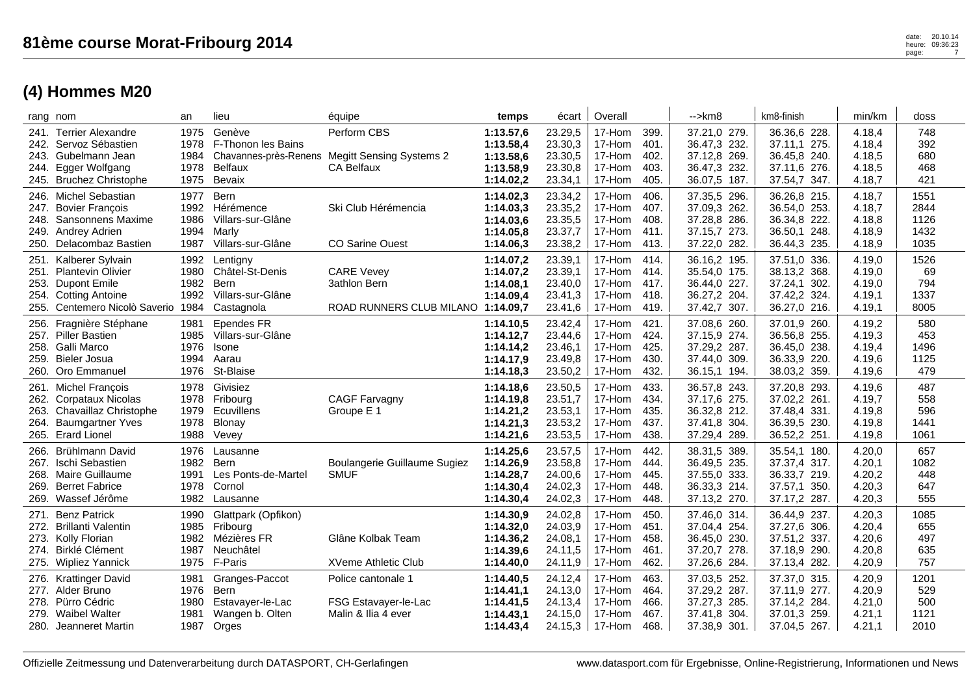|                      | rang nom                                                                                                                      | an                                   | lieu                                                                              | équipe                                                              | temps                                                         | écart                                               | Overall                                        |                                      | $\rightarrow$ km $\beta$                                                        | km8-finish                                                                   | min/km                                         | doss                                 |
|----------------------|-------------------------------------------------------------------------------------------------------------------------------|--------------------------------------|-----------------------------------------------------------------------------------|---------------------------------------------------------------------|---------------------------------------------------------------|-----------------------------------------------------|------------------------------------------------|--------------------------------------|---------------------------------------------------------------------------------|------------------------------------------------------------------------------|------------------------------------------------|--------------------------------------|
| 243.<br>244.<br>245. | 241. Terrier Alexandre<br>242. Servoz Sébastien<br>Gubelmann Jean<br>Egger Wolfgang<br><b>Bruchez Christophe</b>              | 1975<br>1978<br>1984<br>1978<br>1975 | Genève<br>F-Thonon les Bains<br>Chavannes-près-Renens<br><b>Belfaux</b><br>Bevaix | Perform CBS<br><b>Megitt Sensing Systems 2</b><br><b>CA Belfaux</b> | 1:13.57,6<br>1:13.58,4<br>1:13.58,6<br>1:13.58,9<br>1:14.02,2 | 23.29,5<br>23.30,3<br>23.30,5<br>23.30,8<br>23.34,1 | 17-Hom<br>17-Hom<br>17-Hom<br>17-Hom<br>17-Hom | 399.<br>401.<br>402.<br>403.<br>405. | 37.21,0 279.<br>36.47,3 232.<br>37.12,8 269.<br>36.47,3 232.<br>36.07,5 187.    | 36.36,6 228.<br>37.11,1 275.<br>36.45,8 240.<br>37.11,6 276.<br>37.54,7 347. | 4.18,4<br>4.18,4<br>4.18,5<br>4.18,5<br>4.18,7 | 748<br>392<br>680<br>468<br>421      |
| 247.<br>248.<br>249. | 246. Michel Sebastian<br><b>Bovier François</b><br><b>Sansonnens Maxime</b><br>Andrey Adrien<br>250. Delacombaz Bastien       | 1977<br>1992<br>1986<br>1994<br>1987 | Bern<br>Hérémence<br>Villars-sur-Glâne<br>Marlv<br>Villars-sur-Glâne              | Ski Club Hérémencia<br><b>CO Sarine Ouest</b>                       | 1:14.02,3<br>1:14.03,3<br>1:14.03,6<br>1:14.05,8<br>1:14.06,3 | 23.34,2<br>23.35,2<br>23.35,5<br>23.37,7<br>23.38,2 | 17-Hom<br>17-Hom<br>17-Hom<br>17-Hom<br>17-Hom | 406.<br>407.<br>408.<br>411.<br>413. | 37.35,5 296.<br>37.09,3 262.<br>37.28,8 286.<br>37.15,7 273.<br>37.22,0 282.    | 36.26,8 215.<br>36.54.0 253.<br>36.34,8 222.<br>36.50,1 248.<br>36.44,3 235. | 4.18,7<br>4.18,7<br>4.18,8<br>4.18,9<br>4.18,9 | 1551<br>2844<br>1126<br>1432<br>1035 |
|                      | 251. Kalberer Sylvain<br>251. Plantevin Olivier<br>253. Dupont Emile<br>254. Cotting Antoine<br>255. Centemero Nicolò Saverio | 1992<br>1980<br>1982<br>1992<br>1984 | Lentigny<br>Châtel-St-Denis<br>Bern<br>Villars-sur-Glâne<br>Castagnola            | <b>CARE Vevey</b><br>3athlon Bern<br>ROAD RUNNERS CLUB MILANO       | 1:14.07,2<br>1:14.07,2<br>1:14.08,1<br>1:14.09,4<br>1:14.09,7 | 23.39,1<br>23.39,1<br>23.40,0<br>23.41,3<br>23.41,6 | 17-Hom<br>17-Hom<br>17-Hom<br>17-Hom<br>17-Hom | 414.<br>414.<br>417.<br>418.<br>419. | 36.16,2 195.<br>35.54,0 175.<br>36.44,0 227.<br>36.27,2 204.<br>37.42,7<br>307. | 37.51,0 336.<br>38.13,2 368.<br>37.24,1 302.<br>37.42,2 324.<br>36.27,0 216. | 4.19,0<br>4.19,0<br>4.19,0<br>4.19,1<br>4.19,1 | 1526<br>69<br>794<br>1337<br>8005    |
| 256.                 | Fragnière Stéphane<br>257. Piller Bastien<br>258. Galli Marco<br>259. Bieler Josua<br>260. Oro Emmanuel                       | 1981<br>1985<br>1976<br>1994<br>1976 | Ependes FR<br>Villars-sur-Glâne<br>Isone<br>Aarau<br>St-Blaise                    |                                                                     | 1:14.10,5<br>1:14.12,7<br>1:14.14,2<br>1:14.17,9<br>1:14.18,3 | 23.42,4<br>23.44,6<br>23.46,1<br>23.49,8<br>23.50,2 | 17-Hom<br>17-Hom<br>17-Hom<br>17-Hom<br>17-Hom | 421.<br>424.<br>425.<br>430.<br>432. | 37.08,6 260.<br>37.15,9 274.<br>37.29,2 287.<br>37.44,0 309.<br>36.15,1 194.    | 37.01,9 260.<br>36.56,8 255.<br>36.45.0 238.<br>36.33,9 220.<br>38.03,2 359. | 4.19,2<br>4.19,3<br>4.19,4<br>4.19,6<br>4.19,6 | 580<br>453<br>1496<br>1125<br>479    |
| 263.<br>264.         | 261. Michel François<br>262. Corpataux Nicolas<br>Chavaillaz Christophe<br><b>Baumgartner Yves</b><br>265. Erard Lionel       | 1978<br>1978<br>1979<br>1978<br>1988 | Givisiez<br>Fribourg<br>Ecuvillens<br><b>Blonay</b><br>Vevey                      | <b>CAGF Farvagny</b><br>Groupe E 1                                  | 1:14.18,6<br>1:14.19,8<br>1:14.21,2<br>1:14.21,3<br>1:14.21,6 | 23.50,5<br>23.51,7<br>23.53,1<br>23.53,2<br>23.53,5 | 17-Hom<br>17-Hom<br>17-Hom<br>17-Hom<br>17-Hom | 433.<br>434.<br>435.<br>437.<br>438. | 36.57,8 243.<br>37.17,6 275.<br>36.32,8 212.<br>37.41,8 304.<br>37.29,4 289.    | 37.20,8 293.<br>37.02,2 261.<br>37.48,4 331.<br>36.39,5 230.<br>36.52,2 251. | 4.19,6<br>4.19,7<br>4.19,8<br>4.19,8<br>4.19,8 | 487<br>558<br>596<br>1441<br>1061    |
| 266.<br>268.<br>269. | Brühlmann David<br>267. Ischi Sebastien<br><b>Maire Guillaume</b><br><b>Berret Fabrice</b><br>269. Wassef Jérôme              | 1976<br>1982<br>1991<br>1978<br>1982 | Lausanne<br>Bern<br>Les Ponts-de-Martel<br>Cornol<br>Lausanne                     | Boulangerie Guillaume Sugiez<br><b>SMUF</b>                         | 1:14.25,6<br>1:14.26,9<br>1:14.28,7<br>1:14.30,4<br>1:14.30,4 | 23.57,5<br>23.58,8<br>24.00,6<br>24.02,3<br>24.02,3 | 17-Hom<br>17-Hom<br>17-Hom<br>17-Hom<br>17-Hom | 442.<br>444.<br>445.<br>448.<br>448. | 38.31,5 389.<br>36.49,5 235.<br>37.55,0 333.<br>36.33,3 214.<br>37.13,2 270.    | 35.54,1 180.<br>37.37,4 317.<br>36.33,7 219.<br>37.57,1 350.<br>37.17,2 287. | 4.20,0<br>4.20,1<br>4.20,2<br>4.20,3<br>4.20,3 | 657<br>1082<br>448<br>647<br>555     |
| 271.<br>272.<br>273. | <b>Benz Patrick</b><br><b>Brillanti Valentin</b><br><b>Kolly Florian</b><br>274. Birklé Clément<br>275. Wipliez Yannick       | 1990<br>1985<br>1982<br>1987<br>1975 | Glattpark (Opfikon)<br>Fribourg<br>Mézières FR<br>Neuchâtel<br>F-Paris            | Glâne Kolbak Team<br><b>XVeme Athletic Club</b>                     | 1:14.30,9<br>1:14.32,0<br>1:14.36,2<br>1:14.39,6<br>1:14.40,0 | 24.02,8<br>24.03,9<br>24.08,1<br>24.11,5<br>24.11,9 | 17-Hom<br>17-Hom<br>17-Hom<br>17-Hom<br>17-Hom | 450.<br>451.<br>458.<br>461.<br>462. | 37.46,0 314.<br>37.04,4 254.<br>36.45,0 230.<br>37.20,7 278.<br>37.26,6 284.    | 36.44.9 237.<br>37.27,6 306.<br>37.51,2 337.<br>37.18,9 290.<br>37.13,4 282. | 4.20,3<br>4.20,4<br>4.20,6<br>4.20,8<br>4.20,9 | 1085<br>655<br>497<br>635<br>757     |
|                      | 276. Krattinger David<br>277. Alder Bruno<br>278. Pürro Cédric<br>279. Waibel Walter<br>280. Jeanneret Martin                 | 1981<br>1976<br>1980<br>1981<br>1987 | Granges-Paccot<br><b>Bern</b><br>Estavayer-le-Lac<br>Wangen b. Olten<br>Orges     | Police cantonale 1<br>FSG Estavayer-le-Lac<br>Malin & Ilia 4 ever   | 1:14.40,5<br>1:14.41,1<br>1:14.41,5<br>1:14.43,1<br>1:14.43,4 | 24.12,4<br>24.13,0<br>24.13,4<br>24.15,0<br>24.15,3 | 17-Hom<br>17-Hom<br>17-Hom<br>17-Hom<br>17-Hom | 463.<br>464.<br>466.<br>467.<br>468. | 37.03,5 252.<br>37.29,2 287.<br>37.27,3 285.<br>37.41,8 304.<br>37.38,9 301.    | 37.37,0 315.<br>37.11,9 277.<br>37.14,2 284.<br>37.01,3 259.<br>37.04,5 267. | 4.20,9<br>4.20,9<br>4.21,0<br>4.21,1<br>4.21,1 | 1201<br>529<br>500<br>1121<br>2010   |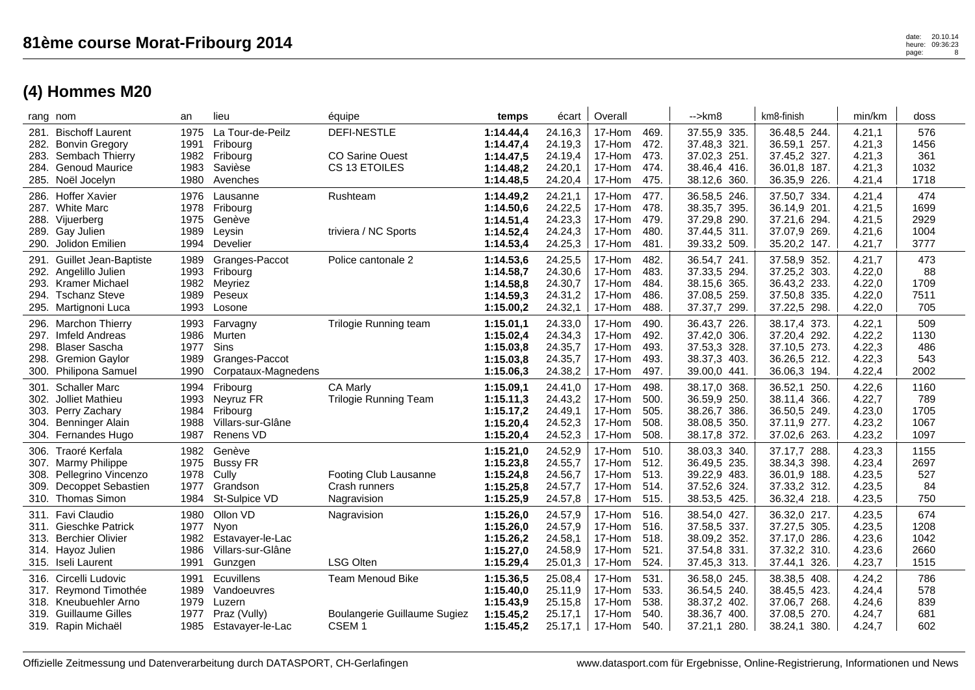|      | rang nom                                                                                                                 | an                                   | lieu                                                                    | équipe                                                                       | temps                                                                      | écart                                               | Overall                                        |                                      | -->km8                                                                       | km8-finish                                                                      | min/km                                         | doss                                |
|------|--------------------------------------------------------------------------------------------------------------------------|--------------------------------------|-------------------------------------------------------------------------|------------------------------------------------------------------------------|----------------------------------------------------------------------------|-----------------------------------------------------|------------------------------------------------|--------------------------------------|------------------------------------------------------------------------------|---------------------------------------------------------------------------------|------------------------------------------------|-------------------------------------|
|      | 281. Bischoff Laurent<br>282. Bonvin Gregory<br>283. Sembach Thierry<br>284. Genoud Maurice<br>285. Noël Jocelyn         | 1975<br>1991<br>1982<br>1983<br>1980 | La Tour-de-Peilz<br>Fribourg<br>Fribourg<br>Savièse<br>Avenches         | DEFI-NESTLE<br><b>CO Sarine Ouest</b><br>CS 13 ETOILES                       | 1:14.44,4<br>1:14.47,4<br>1:14.47,5<br>1:14.48,2                           | 24.16,3<br>24.19,3<br>24.19,4<br>24.20,1<br>24.20,4 | 17-Hom<br>17-Hom<br>17-Hom<br>17-Hom<br>17-Hom | 469.<br>472.<br>473.<br>474.<br>475. | 37.55,9 335.<br>37.48,3 321.<br>37.02,3 251.<br>38.46,4 416.<br>38.12,6 360. | 36.48,5 244.<br>36.59,1 257.<br>37.45,2 327.<br>36.01,8<br>187.<br>36.35,9 226. | 4.21,1<br>4.21,3<br>4.21,3<br>4.21,3<br>4.21,4 | 576<br>1456<br>361<br>1032<br>1718  |
|      | 286. Hoffer Xavier<br>287. White Marc<br>288. Vijuerberg<br>289. Gay Julien<br>290. Jolidon Emilien                      | 1976<br>1978<br>1975<br>1989<br>1994 | Lausanne<br>Fribourg<br>Genève<br>Leysin<br>Develier                    | Rushteam<br>triviera / NC Sports                                             | 1:14.48,5<br>1:14.49,2<br>1:14.50,6<br>1:14.51.4<br>1:14.52,4<br>1:14.53,4 | 24.21,1<br>24.22,5<br>24.23,3<br>24.24,3<br>24.25,3 | 17-Hom<br>17-Hom<br>17-Hom<br>17-Hom<br>17-Hom | 477.<br>478.<br>479.<br>480.<br>481. | 36.58,5 246.<br>38.35,7 395.<br>37.29,8 290.<br>37.44,5 311.<br>39.33,2 509. | 37.50,7 334.<br>36.14,9 201.<br>37.21,6 294.<br>37.07,9 269.<br>35.20,2 147.    | 4.21,4<br>4.21,5<br>4.21,5<br>4.21,6<br>4.21,7 | 474<br>1699<br>2929<br>1004<br>3777 |
|      | 291. Guillet Jean-Baptiste<br>292. Angelillo Julien<br>293. Kramer Michael<br>294. Tschanz Steve<br>295. Martignoni Luca | 1989<br>1993<br>1982<br>1989<br>1993 | Granges-Paccot<br>Fribourg<br>Meyriez<br>Peseux<br>Losone               | Police cantonale 2                                                           | 1:14.53,6<br>1:14.58,7<br>1:14.58,8<br>1:14.59,3<br>1:15.00,2              | 24.25,5<br>24.30,6<br>24.30,7<br>24.31,2<br>24.32,1 | 17-Hom<br>17-Hom<br>17-Hom<br>17-Hom<br>17-Hom | 482.<br>483.<br>484.<br>486.<br>488. | 36.54,7 241.<br>37.33,5 294.<br>38.15,6 365.<br>37.08,5 259.<br>37.37,7 299. | 37.58,9 352.<br>37.25,2 303.<br>36.43,2 233.<br>37.50,8 335.<br>37.22,5 298.    | 4.21,7<br>4.22,0<br>4.22,0<br>4.22,0<br>4.22,0 | 473<br>88<br>1709<br>7511<br>705    |
| 297. | 296. Marchon Thierry<br>Imfeld Andreas<br>298. Blaser Sascha<br>298. Gremion Gaylor<br>300. Philipona Samuel             | 1993<br>1986<br>1977<br>1989<br>1990 | Farvagny<br>Murten<br>Sins<br>Granges-Paccot<br>Corpataux-Magnedens     | Trilogie Running team                                                        | 1:15.01,1<br>1:15.02,4<br>1:15.03,8<br>1:15.03,8<br>1:15.06,3              | 24.33,0<br>24.34,3<br>24.35,7<br>24.35,7<br>24.38,2 | 17-Hom<br>17-Hom<br>17-Hom<br>17-Hom<br>17-Hom | 490.<br>492.<br>493.<br>493.<br>497. | 36.43,7 226.<br>37.42,0 306.<br>37.53,3 328.<br>38.37,3 403.<br>39.00,0 441. | 38.17,4 373.<br>37.20,4 292.<br>37.10,5 273.<br>36.26,5 212.<br>36.06,3 194.    | 4.22,1<br>4.22,2<br>4.22,3<br>4.22,3<br>4.22,4 | 509<br>1130<br>486<br>543<br>2002   |
| 302. | 301. Schaller Marc<br>Jolliet Mathieu<br>303. Perry Zachary<br>304. Benninger Alain<br>304. Fernandes Hugo               | 1994<br>1993<br>1984<br>1988<br>1987 | Fribourg<br>Neyruz FR<br>Fribourg<br>Villars-sur-Glâne<br>Renens VD     | <b>CA Marly</b><br><b>Trilogie Running Team</b>                              | 1:15.09,1<br>1:15.11,3<br>1:15.17,2<br>1:15.20,4<br>1:15.20,4              | 24.41,0<br>24.43,2<br>24.49,1<br>24.52,3<br>24.52,3 | 17-Hom<br>17-Hom<br>17-Hom<br>17-Hom<br>17-Hom | 498.<br>500.<br>505.<br>508.<br>508. | 38.17,0 368.<br>36.59,9 250.<br>38.26,7 386.<br>38.08,5 350.<br>38.17,8 372. | 36.52,1 250.<br>38.11,4 366.<br>36.50,5 249.<br>37.11,9 277.<br>37.02,6 263.    | 4.22,6<br>4.22,7<br>4.23,0<br>4.23,2<br>4.23,2 | 1160<br>789<br>1705<br>1067<br>1097 |
| 309. | 306. Traoré Kerfala<br>307. Marmy Philippe<br>308. Pellegrino Vincenzo<br>Decoppet Sebastien<br>310. Thomas Simon        | 1982<br>1975<br>1978<br>1977<br>1984 | Genève<br><b>Bussy FR</b><br>Cully<br>Grandson<br>St-Sulpice VD         | Footing Club Lausanne<br>Crash runners<br>Nagravision                        | 1:15.21,0<br>1:15.23,8<br>1:15.24,8<br>1:15.25,8<br>1:15.25,9              | 24.52,9<br>24.55,7<br>24.56,7<br>24.57,7<br>24.57,8 | 17-Hom<br>17-Hom<br>17-Hom<br>17-Hom<br>17-Hom | 510.<br>512.<br>513.<br>514.<br>515. | 38.03,3 340.<br>36.49,5 235.<br>39.22,9 483.<br>37.52,6 324.<br>38.53,5 425. | 37.17,7 288.<br>38.34,3 398.<br>36.01,9 188.<br>37.33,2 312.<br>36.32,4 218.    | 4.23,3<br>4.23,4<br>4.23,5<br>4.23,5<br>4.23,5 | 1155<br>2697<br>527<br>84<br>750    |
|      | 311. Favi Claudio<br>311. Gieschke Patrick<br>313. Berchier Olivier<br>314. Hayoz Julien<br>315. Iseli Laurent           | 1980<br>1977<br>1982<br>1986<br>1991 | Ollon VD<br>Nyon<br>Estavayer-le-Lac<br>Villars-sur-Glâne<br>Gunzgen    | Nagravision<br><b>LSG Olten</b>                                              | 1:15.26,0<br>1:15.26,0<br>1:15.26,2<br>1:15.27,0<br>1:15.29,4              | 24.57,9<br>24.57,9<br>24.58,1<br>24.58,9<br>25.01,3 | 17-Hom<br>17-Hom<br>17-Hom<br>17-Hom<br>17-Hom | 516.<br>516.<br>518.<br>521.<br>524. | 38.54,0 427.<br>37.58,5 337.<br>38.09,2 352.<br>37.54,8 331.<br>37.45,3 313. | 36.32,0 217.<br>37.27,5 305.<br>37.17,0 286.<br>37.32,2 310.<br>37.44,1<br>326. | 4.23,5<br>4.23,5<br>4.23,6<br>4.23,6<br>4.23,7 | 674<br>1208<br>1042<br>2660<br>1515 |
|      | 316. Circelli Ludovic<br>317. Reymond Timothée<br>318. Kneubuehler Arno<br>319. Guillaume Gilles<br>319. Rapin Michaël   | 1991<br>1989<br>1979<br>1977<br>1985 | Ecuvillens<br>Vandoeuvres<br>Luzern<br>Praz (Vully)<br>Estavayer-le-Lac | <b>Team Menoud Bike</b><br>Boulangerie Guillaume Sugiez<br>CSEM <sub>1</sub> | 1:15.36,5<br>1:15.40,0<br>1:15.43,9<br>1:15.45,2<br>1:15.45,2              | 25.08,4<br>25.11,9<br>25.15,8<br>25.17,1<br>25.17,1 | 17-Hom<br>17-Hom<br>17-Hom<br>17-Hom<br>17-Hom | 531.<br>533.<br>538.<br>540.<br>540. | 36.58,0 245.<br>36.54,5 240.<br>38.37,2 402.<br>38.36,7 400.<br>37.21,1 280. | 38.38,5 408.<br>38.45,5 423.<br>37.06,7 268.<br>37.08,5<br>270.<br>38.24,1 380. | 4.24,2<br>4.24,4<br>4.24,6<br>4.24,7<br>4.24,7 | 786<br>578<br>839<br>681<br>602     |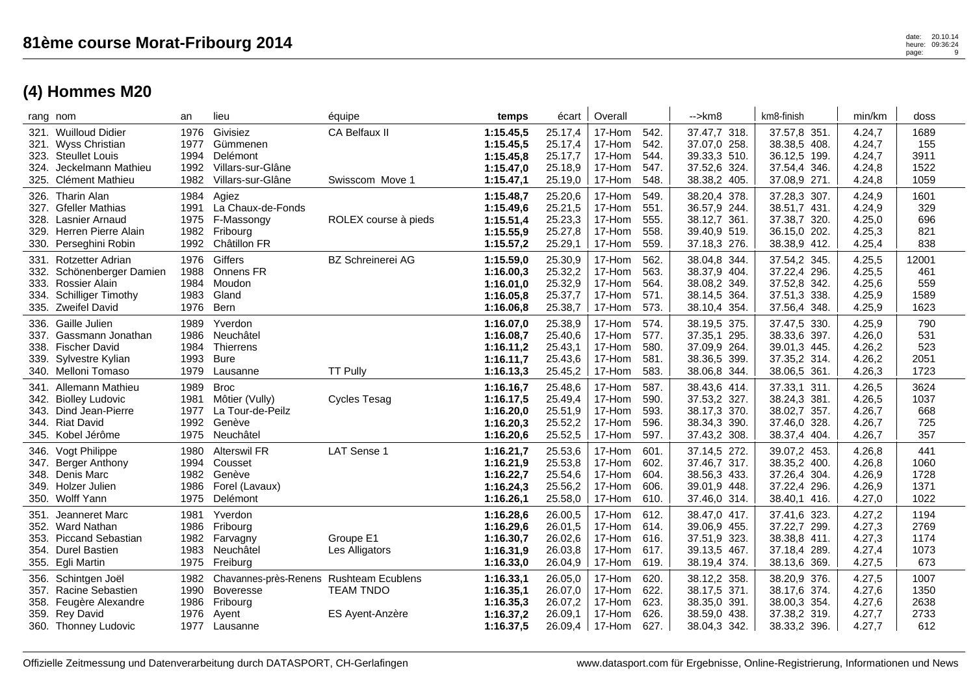| 324. | 323. Steullet Louis<br>Jeckelmann Mathieu<br>325. Clément Mathieu                                                         | 1994<br>1992<br>1982                 | Delémont<br>Villars-sur-Glâne<br>Villars-sur-Glâne                                           | Swisscom Move 1                     | 1:15.45,8<br>1:15.47,0<br>1:15.47,1                           | 25.17,7<br>25.18,9<br>25.19,0                       | 17-Hom<br>17-Hom<br>17-Hom                     | 544.<br>547.<br>548.                 | 39.33,3 510.<br>37.52,6 324.<br>38.38,2 405.                                 | 36.12,5 199.<br>37.54,4 346.<br>37.08,9 271.                                    | 4.24,7<br>4.24,8<br>4.24,8                     | 3911<br>1522<br>1059                |
|------|---------------------------------------------------------------------------------------------------------------------------|--------------------------------------|----------------------------------------------------------------------------------------------|-------------------------------------|---------------------------------------------------------------|-----------------------------------------------------|------------------------------------------------|--------------------------------------|------------------------------------------------------------------------------|---------------------------------------------------------------------------------|------------------------------------------------|-------------------------------------|
|      | 326. Tharin Alan<br>327. Gfeller Mathias<br>328. Lasnier Arnaud<br>329. Herren Pierre Alain<br>330. Perseghini Robin      | 1984<br>1991<br>1975<br>1982<br>1992 | Agiez<br>La Chaux-de-Fonds<br>F-Massongy<br>Fribourg<br>Châtillon FR                         | ROLEX course à pieds                | 1:15.48,7<br>1:15.49,6<br>1:15.51,4<br>1:15.55,9<br>1:15.57,2 | 25.20,6<br>25.21,5<br>25.23,3<br>25.27,8<br>25.29,1 | 17-Hom<br>17-Hom<br>17-Hom<br>17-Hom<br>17-Hom | 549.<br>551.<br>555.<br>558.<br>559. | 38.20,4 378.<br>36.57,9 244.<br>38.12,7 361.<br>39.40,9 519.<br>37.18,3 276. | 37.28,3 307.<br>38.51,7 431.<br>37.38,7 320.<br>36.15,0 202.<br>38.38,9 412.    | 4.24,9<br>4.24,9<br>4.25,0<br>4.25,3<br>4.25,4 | 1601<br>329<br>696<br>821<br>838    |
|      | 331. Rotzetter Adrian<br>332. Schönenberger Damien<br>333. Rossier Alain<br>334. Schilliger Timothy<br>335. Zweifel David | 1976<br>1988<br>1984<br>1983<br>1976 | Giffers<br><b>Onnens FR</b><br>Moudon<br>Gland<br>Bern                                       | <b>BZ Schreinerei AG</b>            | 1:15.59,0<br>1:16.00,3<br>1:16.01,0<br>1:16.05.8<br>1:16.06.8 | 25.30,9<br>25.32,2<br>25.32,9<br>25.37,7<br>25.38,7 | 17-Hom<br>17-Hom<br>17-Hom<br>17-Hom<br>17-Hom | 562.<br>563.<br>564.<br>571.<br>573. | 38.04,8 344.<br>38.37,9 404.<br>38.08,2 349.<br>38.14,5 364.<br>38.10,4 354. | 37.54,2 345.<br>37.22,4 296.<br>37.52,8 342.<br>37.51,3 338.<br>37.56,4 348.    | 4.25,5<br>4.25,5<br>4.25,6<br>4.25,9<br>4.25,9 | 12001<br>461<br>559<br>1589<br>1623 |
|      | 336. Gaille Julien<br>337. Gassmann Jonathan<br>338. Fischer David<br>339. Sylvestre Kylian<br>340. Melloni Tomaso        | 1989<br>1986<br>1984<br>1993<br>1979 | Yverdon<br>Neuchâtel<br>Thierrens<br><b>Bure</b><br>Lausanne                                 | <b>TT Pully</b>                     | 1:16.07,0<br>1:16.08.7<br>1:16.11.2<br>1:16.11,7<br>1:16.13,3 | 25.38,9<br>25.40,6<br>25.43,1<br>25.43,6<br>25.45,2 | 17-Hom<br>17-Hom<br>17-Hom<br>17-Hom<br>17-Hom | 574.<br>577.<br>580.<br>581.<br>583. | 38.19,5 375.<br>37.35,1 295.<br>37.09,9 264.<br>38.36,5 399.<br>38.06,8 344. | 37.47,5 330.<br>38.33,6 397.<br>39.01,3 445.<br>37.35,2 314.<br>38.06,5 361.    | 4.25,9<br>4.26,0<br>4.26,2<br>4.26,2<br>4.26,3 | 790<br>531<br>523<br>2051<br>1723   |
|      | 341. Allemann Mathieu<br>342. Biolley Ludovic<br>343. Dind Jean-Pierre<br>344. Riat David<br>345. Kobel Jérôme            | 1989<br>1981<br>1977<br>1992<br>1975 | <b>Broc</b><br>Môtier (Vully)<br>La Tour-de-Peilz<br>Genève<br>Neuchâtel                     | <b>Cycles Tesag</b>                 | 1:16.16,7<br>1:16.17,5<br>1:16.20,0<br>1:16.20,3<br>1:16.20,6 | 25.48,6<br>25.49,4<br>25.51,9<br>25.52,2<br>25.52,5 | 17-Hom<br>17-Hom<br>17-Hom<br>17-Hom<br>17-Hom | 587.<br>590.<br>593.<br>596.<br>597. | 38.43,6 414.<br>37.53,2 327.<br>38.17,3 370.<br>38.34,3 390.<br>37.43,2 308. | 37.33,1 311.<br>38.24,3 381.<br>38.02,7 357.<br>37.46,0 328.<br>38.37,4<br>404. | 4.26,5<br>4.26,5<br>4.26,7<br>4.26,7<br>4.26,7 | 3624<br>1037<br>668<br>725<br>357   |
| 346. | Vogt Philippe<br>347. Berger Anthony<br>348. Denis Marc<br>349. Holzer Julien<br>350. Wolff Yann                          | 1980<br>1994<br>1982<br>1986<br>1975 | <b>Alterswil FR</b><br>Cousset<br>Genève<br>Forel (Lavaux)<br>Delémont                       | LAT Sense 1                         | 1:16.21,7<br>1:16.21,9<br>1:16.22,7<br>1:16.24,3<br>1:16.26.1 | 25.53,6<br>25.53,8<br>25.54,6<br>25.56,2<br>25.58,0 | 17-Hom<br>17-Hom<br>17-Hom<br>17-Hom<br>17-Hom | 601.<br>602.<br>604.<br>606.<br>610. | 37.14,5 272.<br>37.46,7 317.<br>38.56,3 433.<br>39.01,9 448.<br>37.46,0 314. | 39.07,2 453.<br>38.35,2 400.<br>37.26,4 304.<br>37.22,4<br>296.<br>38.40,1 416. | 4.26,8<br>4.26,8<br>4.26,9<br>4.26,9<br>4.27,0 | 441<br>1060<br>1728<br>1371<br>1022 |
| 351. | Jeanneret Marc<br>352. Ward Nathan<br>353. Piccand Sebastian<br>354. Durel Bastien<br>355. Egli Martin                    | 1981<br>1986<br>1982<br>1983<br>1975 | Yverdon<br>Fribourg<br>Farvagny<br>Neuchâtel<br>Freiburg                                     | Groupe E1<br>Les Alligators         | 1:16.28,6<br>1:16.29,6<br>1:16.30,7<br>1:16.31,9<br>1:16.33,0 | 26.00,5<br>26.01,5<br>26.02,6<br>26.03,8<br>26.04,9 | 17-Hom<br>17-Hom<br>17-Hom<br>17-Hom<br>17-Hom | 612.<br>614.<br>616.<br>617.<br>619. | 38.47,0 417.<br>39.06,9 455.<br>37.51,9 323.<br>39.13,5 467.<br>38.19,4 374. | 37.41,6 323.<br>37.22,7 299.<br>38.38,8 411.<br>37.18,4 289.<br>38.13,6 369.    | 4.27,2<br>4.27,3<br>4.27,3<br>4.27,4<br>4.27,5 | 1194<br>2769<br>1174<br>1073<br>673 |
|      | 356. Schintgen Joël<br>357. Racine Sebastien<br>358. Feugère Alexandre<br>359. Rey David<br>360. Thonney Ludovic          | 1982<br>1990<br>1986<br>1976<br>1977 | Chavannes-près-Renens Rushteam Ecublens<br><b>Boveresse</b><br>Fribourg<br>Ayent<br>Lausanne | <b>TEAM TNDO</b><br>ES Ayent-Anzère | 1:16.33,1<br>1:16.35,1<br>1:16.35,3<br>1:16.37,2<br>1:16.37,5 | 26.05,0<br>26.07,0<br>26.07,2<br>26.09,1<br>26.09,4 | 17-Hom<br>17-Hom<br>17-Hom<br>17-Hom<br>17-Hom | 620.<br>622.<br>623.<br>626.<br>627. | 38.12,2 358.<br>38.17,5 371.<br>38.35,0 391.<br>38.59,0 438.<br>38.04,3 342. | 38.20,9 376.<br>38.17,6 374.<br>38.00,3 354.<br>37.38,2 319.<br>38.33,2 396.    | 4.27,5<br>4.27,6<br>4.27,6<br>4.27,7<br>4.27,7 | 1007<br>1350<br>2638<br>2733<br>612 |

rang nom an lieu équipe **temps** écart | Overall | -->km8 | km8-finish | min/km | doss 321. Wuilloud Didier 1976 Givisiez CA Belfaux II **1:15.45,5** 25.17,4 17-Hom 542. 37.47,7 318. 37.57,8 351. 4.24,7 1689 321. Wyss Christian 1977 Gümmenen **1:15.45,5** 25.17,4 | 17-Hom 542. | 37.07,0 258. | 38.38,5 408. | 4.24,7 | 155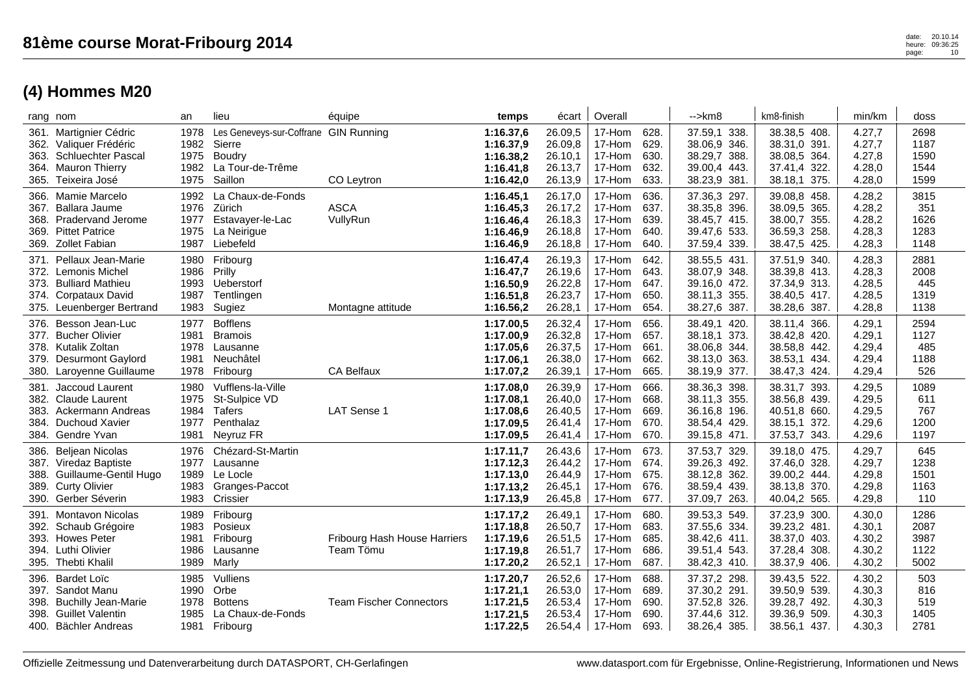| rang nom                     |                                                                                                                           | an                                   | lieu                                                                                     | équipe                                    | temps                                                         | écart                                               | Overall                                                                                | $\rightarrow$ km $\beta$                                                        | km8-finish                                                                               | min/km                                         | doss                                 |
|------------------------------|---------------------------------------------------------------------------------------------------------------------------|--------------------------------------|------------------------------------------------------------------------------------------|-------------------------------------------|---------------------------------------------------------------|-----------------------------------------------------|----------------------------------------------------------------------------------------|---------------------------------------------------------------------------------|------------------------------------------------------------------------------------------|------------------------------------------------|--------------------------------------|
| 362.<br>363.<br>364.<br>365. | 361. Martignier Cédric<br>Valiquer Frédéric<br><b>Schluechter Pascal</b><br><b>Mauron Thierry</b><br>Teixeira José        | 1978<br>1982<br>1975<br>1982<br>1975 | Les Geneveys-sur-Coffrane GIN Running<br>Sierre<br>Boudry<br>La Tour-de-Trême<br>Saillon | CO Leytron                                | 1:16.37,6<br>1:16.37,9<br>1:16.38,2<br>1:16.41,8<br>1:16.42,0 | 26.09,5<br>26.09,8<br>26.10,1<br>26.13,7<br>26.13,9 | 17-Hom<br>628.<br>17-Hom<br>629.<br>17-Hom<br>630.<br>632.<br>17-Hom<br>17-Hom<br>633. | 37.59,1 338.<br>38.06,9 346.<br>38.29,7 388.<br>39.00,4 443.<br>38.23,9 381.    | 38.38,5 408.<br>38.31,0 391.<br>38.08,5 364.<br>37.41,4<br>322.<br>38.18,1<br>375.       | 4.27,7<br>4.27,7<br>4.27,8<br>4.28,0<br>4.28,0 | 2698<br>1187<br>1590<br>1544<br>1599 |
|                              | 366. Mamie Marcelo<br>367. Ballara Jaume<br>368. Pradervand Jerome<br>369. Pittet Patrice<br>369. Zollet Fabian           | 1992<br>1976<br>1977<br>1975<br>1987 | La Chaux-de-Fonds<br>Zürich<br>Estavayer-le-Lac<br>La Neirique<br>Liebefeld              | <b>ASCA</b><br>VullyRun                   | 1:16.45,1<br>1:16.45,3<br>1:16.46,4<br>1:16.46,9<br>1:16.46,9 | 26.17,0<br>26.17,2<br>26.18,3<br>26.18,8<br>26.18,8 | 17-Hom<br>636.<br>17-Hom<br>637.<br>639.<br>17-Hom<br>17-Hom<br>640.<br>17-Hom<br>640. | 37.36,3 297.<br>38.35,8 396.<br>38.45,7 415.<br>39.47,6 533.<br>37.59,4 339.    | 39.08,8 458.<br>38.09,5 365.<br>38.00,7 355.<br>36.59,3 258.<br>38.47,5 425.             | 4.28,2<br>4.28,2<br>4.28,2<br>4.28,3<br>4.28,3 | 3815<br>351<br>1626<br>1283<br>1148  |
| 371.<br>374.                 | Pellaux Jean-Marie<br>372. Lemonis Michel<br>373. Bulliard Mathieu<br><b>Corpataux David</b><br>375. Leuenberger Bertrand | 1980<br>1986<br>1993<br>1987<br>1983 | Fribourg<br>Prilly<br>Ueberstorf<br>Tentlingen<br>Sugiez                                 | Montagne attitude                         | 1:16.47,4<br>1:16.47,7<br>1:16.50.9<br>1:16.51,8<br>1:16.56,2 | 26.19,3<br>26.19.6<br>26.22,8<br>26.23,7<br>26.28,1 | 17-Hom<br>642.<br>17-Hom<br>643.<br>17-Hom<br>647.<br>17-Hom<br>650.<br>17-Hom<br>654. | 38.55,5 431.<br>38.07,9 348.<br>39.16,0 472.<br>38.11,3 355.<br>38.27,6 387.    | 37.51,9<br>340.<br>38.39,8 413.<br>37.34,9 313.<br>38.40,5 417.<br>38.28,6 387.          | 4.28,3<br>4.28,3<br>4.28,5<br>4.28,5<br>4.28,8 | 2881<br>2008<br>445<br>1319<br>1138  |
| 376.<br>379.                 | Besson Jean-Luc<br>377. Bucher Olivier<br>378. Kutalik Zoltan<br><b>Desurmont Gaylord</b><br>380. Laroyenne Guillaume     | 1977<br>1981<br>1978<br>1981<br>1978 | <b>Bofflens</b><br><b>Bramois</b><br>Lausanne<br>Neuchâtel<br>Fribourg                   | <b>CA Belfaux</b>                         | 1:17.00,5<br>1:17.00,9<br>1:17.05,6<br>1:17.06,1<br>1:17.07,2 | 26.32,4<br>26.32,8<br>26.37,5<br>26.38,0<br>26.39,1 | 17-Hom<br>656.<br>17-Hom<br>657.<br>17-Hom<br>661.<br>662.<br>17-Hom<br>665.<br>17-Hom | 38.49,1<br>420.<br>38.18,1 373.<br>38.06,8 344.<br>38.13,0 363.<br>38.19,9 377. | 38.11,4 366.<br>38.42,8 420.<br>38.58,8 442.<br>38.53,1 434.<br>38.47,3 424.             | 4.29,1<br>4.29,1<br>4.29,4<br>4.29,4<br>4.29,4 | 2594<br>1127<br>485<br>1188<br>526   |
| 381.<br>382.<br>383.<br>384. | Jaccoud Laurent<br><b>Claude Laurent</b><br>Ackermann Andreas<br>Duchoud Xavier<br>384. Gendre Yvan                       | 1980<br>1975<br>1984<br>1977<br>1981 | Vufflens-la-Ville<br>St-Sulpice VD<br>Tafers<br>Penthalaz<br>Neyruz FR                   | <b>LAT Sense 1</b>                        | 1:17.08,0<br>1:17.08,1<br>1:17.08,6<br>1:17.09,5<br>1:17.09,5 | 26.39,9<br>26.40,0<br>26.40,5<br>26.41,4<br>26.41,4 | 17-Hom<br>666.<br>17-Hom<br>668.<br>17-Hom<br>669.<br>670.<br>17-Hom<br>670.<br>17-Hom | 38.36,3 398.<br>38.11,3 355.<br>36.16,8 196.<br>38.54,4 429.<br>39.15,8 471.    | 38.31,7<br>393.<br>38.56,8 439.<br>40.51,8<br>660.<br>38.15,1<br>372.<br>37.53,7 343.    | 4.29,5<br>4.29,5<br>4.29,5<br>4.29,6<br>4.29,6 | 1089<br>611<br>767<br>1200<br>1197   |
| 386.<br>387.<br>388.<br>389. | <b>Beljean Nicolas</b><br>Viredaz Baptiste<br>Guillaume-Gentil Hugo<br><b>Curty Olivier</b><br>390. Gerber Séverin        | 1976<br>1977<br>1989<br>1983<br>1983 | Chézard-St-Martin<br>Lausanne<br>Le Locle<br>Granges-Paccot<br>Crissier                  |                                           | 1:17.11,7<br>1:17.12,3<br>1:17.13,0<br>1:17.13,2<br>1:17.13,9 | 26.43,6<br>26.44,2<br>26.44,9<br>26.45,1<br>26.45,8 | 17-Hom<br>673.<br>17-Hom<br>674.<br>17-Hom<br>675.<br>17-Hom<br>676.<br>17-Hom<br>677. | 37.53,7 329.<br>39.26,3 492.<br>38.12,8 362.<br>38.59,4 439.<br>37.09,7 263.    | 39.18,0 475.<br>37.46,0 328.<br>39.00,2 444.<br>38.13,8<br>370.<br>40.04,2 565.          | 4.29,7<br>4.29,7<br>4.29,8<br>4.29,8<br>4.29,8 | 645<br>1238<br>1501<br>1163<br>110   |
| 391.<br>392.<br>393.<br>395. | <b>Montavon Nicolas</b><br>Schaub Grégoire<br><b>Howes Peter</b><br>394. Luthi Olivier<br><b>Thebti Khalil</b>            | 1989<br>1983<br>1981<br>1986<br>1989 | Fribourg<br>Posieux<br>Fribourg<br>Lausanne<br>Marly                                     | Fribourg Hash House Harriers<br>Team Tömu | 1:17.17,2<br>1:17.18,8<br>1:17.19,6<br>1:17.19,8<br>1:17.20,2 | 26.49,1<br>26.50,7<br>26.51,5<br>26.51,7<br>26.52,1 | 17-Hom<br>680.<br>17-Hom<br>683.<br>17-Hom<br>685.<br>17-Hom<br>686.<br>687.<br>17-Hom | 39.53,3 549.<br>37.55,6 334.<br>38.42,6 411.<br>39.51,4 543.<br>38.42,3 410.    | 37.23,9<br>300.<br>39.23,2 481.<br>38.37,0<br>403.<br>37.28,4<br>308.<br>38.37,9<br>406. | 4.30,0<br>4.30,1<br>4.30,2<br>4.30,2<br>4.30,2 | 1286<br>2087<br>3987<br>1122<br>5002 |
| 396.<br>397.                 | <b>Bardet Loïc</b><br>Sandot Manu<br>398. Buchilly Jean-Marie<br>398. Guillet Valentin<br>400. Bächler Andreas            | 1985<br>1990<br>1978<br>1985<br>1981 | Vulliens<br>Orbe<br><b>Bottens</b><br>La Chaux-de-Fonds<br>Fribourg                      | <b>Team Fischer Connectors</b>            | 1:17.20,7<br>1:17.21,1<br>1:17.21,5<br>1:17.21,5<br>1:17.22,5 | 26.52,6<br>26.53,0<br>26.53,4<br>26.53.4<br>26.54,4 | 17-Hom<br>688.<br>689.<br>17-Hom<br>17-Hom<br>690.<br>17-Hom<br>690.<br>693.<br>17-Hom | 37.37,2 298.<br>37.30,2 291.<br>37.52,8 326.<br>37.44,6 312.<br>38.26,4 385.    | 39.43,5<br>522.<br>39.50,9 539.<br>39.28,7 492.<br>39.36,9<br>509.<br>38.56,1 437.       | 4.30,2<br>4.30,3<br>4.30,3<br>4.30,3<br>4.30,3 | 503<br>816<br>519<br>1405<br>2781    |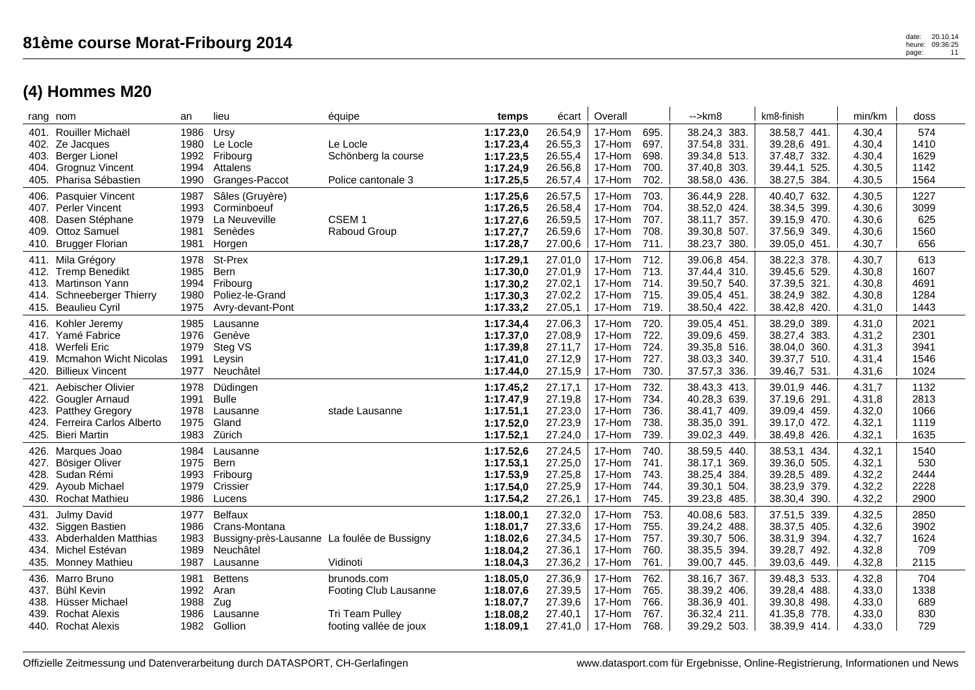|      | rang nom                     | an           | lieu                                         | équipe                 | temps     | écart   | Overall          |              | -->km8       | km8-finish      | min/km           | doss        |
|------|------------------------------|--------------|----------------------------------------------|------------------------|-----------|---------|------------------|--------------|--------------|-----------------|------------------|-------------|
|      | 401. Rouiller Michaël        | 1986         | Ursy                                         |                        | 1:17.23,0 | 26.54,9 | 17-Hom           | 695.         | 38.24,3 383. | 38.58,7 441.    | 4.30,4           | 574         |
|      | 402. Ze Jacques              | 1980         | Le Locle                                     | Le Locle               | 1:17.23,4 | 26.55,3 | 17-Hom           | 697.         | 37.54,8 331. | 39.28,6 491.    | 4.30,4           | 1410        |
| 403. | Berger Lionel                | 1992         | Fribourg                                     | Schönberg la course    | 1:17.23,5 | 26.55,4 | 17-Hom           | 698.         | 39.34,8 513. | 37.48,7 332.    | 4.30,4           | 1629        |
|      | 404. Grognuz Vincent         | 1994         | Attalens                                     |                        | 1:17.24,9 | 26.56,8 | 17-Hom           | 700.         | 37.40,8 303. | 39.44,1 525.    | 4.30,5           | 1142        |
|      | 405. Pharisa Sébastien       | 1990         | Granges-Paccot                               | Police cantonale 3     | 1:17.25,5 | 26.57,4 | 17-Hom           | 702.         | 38.58,0 436. | 38.27,5 384.    | 4.30,5           | 1564        |
|      | 406. Pasquier Vincent        | 1987         | Sâles (Gruyère)                              |                        | 1:17.25,6 | 26.57,5 | 17-Hom           | 703.         | 36.44,9 228. | 40.40,7 632.    | 4.30,5           | 1227        |
|      | 407. Perler Vincent          | 1993         | Corminboeuf                                  |                        | 1:17.26,5 | 26.58,4 | 17-Hom           | 704.         | 38.52,0 424. | 38.34,5 399.    | 4.30,6           | 3099        |
|      | 408. Dasen Stéphane          | 1979         | La Neuveville                                | CSEM <sub>1</sub>      | 1:17.27,6 | 26.59,5 | 17-Hom           | 707.         | 38.11,7 357. | 39.15,9 470.    | 4.30,6           | 625         |
|      | 409. Ottoz Samuel            | 1981         | Senèdes                                      | Raboud Group           | 1:17.27,7 | 26.59,6 | 17-Hom           | 708.         | 39.30,8 507. | 37.56,9 349.    | 4.30,6           | 1560        |
|      | 410. Brugger Florian         | 1981         | Horgen                                       |                        | 1:17.28,7 | 27.00,6 | 17-Hom           | 711.         | 38.23,7 380. | 39.05,0<br>451. | 4.30,7           | 656         |
|      |                              |              |                                              |                        |           |         |                  |              |              |                 |                  |             |
|      | 411. Mila Grégory            | 1978<br>1985 | St-Prex<br>Bern                              |                        | 1:17.29,1 | 27.01,0 | 17-Hom<br>17-Hom | 712.<br>713. | 39.06,8 454. | 38.22,3 378.    | 4.30,7<br>4.30,8 | 613<br>1607 |
|      | 412. Tremp Benedikt          |              |                                              |                        | 1:17.30,0 | 27.01,9 |                  |              | 37.44,4 310. | 39.45,6 529.    |                  |             |
|      | 413. Martinson Yann          | 1994         | Fribourg                                     |                        | 1:17.30,2 | 27.02,1 | 17-Hom           | 714.         | 39.50,7 540. | 37.39,5 321.    | 4.30,8           | 4691        |
|      | 414. Schneeberger Thierry    | 1980         | Poliez-le-Grand                              |                        | 1:17.30,3 | 27.02,2 | 17-Hom           | 715.         | 39.05,4 451. | 38.24,9 382.    | 4.30,8           | 1284        |
|      | 415. Beaulieu Cyril          | 1975         | Avry-devant-Pont                             |                        | 1:17.33,2 | 27.05,1 | 17-Hom           | 719.         | 38.50,4 422. | 38.42,8 420.    | 4.31,0           | 1443        |
|      | 416. Kohler Jeremy           | 1985         | Lausanne                                     |                        | 1:17.34,4 | 27.06,3 | 17-Hom           | 720.         | 39.05,4 451. | 38.29,0 389.    | 4.31,0           | 2021        |
|      | 417. Yamé Fabrice            | 1976         | Genève                                       |                        | 1:17.37,0 | 27.08,9 | 17-Hom           | 722.         | 39.09,6 459. | 38.27,4 383.    | 4.31,2           | 2301        |
|      | 418. Werfeli Eric            | 1979         | Steg VS                                      |                        | 1:17.39,8 | 27.11,7 | 17-Hom           | 724.         | 39.35,8 516. | 38.04,0 360.    | 4.31,3           | 3941        |
|      | 419. Mcmahon Wicht Nicolas   | 1991         | Leysin                                       |                        | 1:17.41,0 | 27.12,9 | 17-Hom           | 727.         | 38.03,3 340. | 39.37,7 510.    | 4.31,4           | 1546        |
|      | 420. Billieux Vincent        | 1977         | Neuchâtel                                    |                        | 1:17.44,0 | 27.15,9 | 17-Hom           | 730.         | 37.57,3 336. | 39.46,7 531.    | 4.31,6           | 1024        |
|      | 421. Aebischer Olivier       | 1978         | Düdingen                                     |                        | 1:17.45,2 | 27.17,1 | 17-Hom           | 732.         | 38.43,3 413. | 39.01,9 446.    | 4.31,7           | 1132        |
| 422. | Gougler Arnaud               | 1991         | <b>Bulle</b>                                 |                        | 1:17.47,9 | 27.19,8 | 17-Hom           | 734.         | 40.28,3 639. | 37.19,6 291.    | 4.31,8           | 2813        |
| 423. | <b>Patthey Gregory</b>       | 1978         | Lausanne                                     | stade Lausanne         | 1:17.51,1 | 27.23,0 | 17-Hom           | 736.         | 38.41,7 409. | 39.09,4 459.    | 4.32,0           | 1066        |
|      | 424. Ferreira Carlos Alberto | 1975         | Gland                                        |                        | 1:17.52,0 | 27.23,9 | 17-Hom           | 738.         | 38.35,0 391. | 39.17,0 472.    | 4.32,1           | 1119        |
|      | 425. Bieri Martin            | 1983         | Zürich                                       |                        | 1:17.52,1 | 27.24,0 | 17-Hom           | 739.         | 39.02,3 449. | 38.49,8 426.    | 4.32,1           | 1635        |
|      | 426. Marques Joao            | 1984         | Lausanne                                     |                        | 1:17.52,6 | 27.24,5 | 17-Hom           | 740.         | 38.59,5 440. | 38.53,1 434.    | 4.32,1           | 1540        |
|      | 427. Bösiger Oliver          | 1975         | Bern                                         |                        | 1:17.53,1 | 27.25,0 | 17-Hom           | 741.         | 38.17,1 369. | 39.36,0 505.    | 4.32,1           | 530         |
|      | 428. Sudan Rémi              | 1993         | Fribourg                                     |                        | 1:17.53,9 | 27.25,8 | 17-Hom           | 743.         | 38.25,4 384. | 39.28,5 489.    | 4.32,2           | 2444        |
|      | 429. Ayoub Michael           | 1979         | Crissier                                     |                        | 1:17.54,0 | 27.25,9 | 17-Hom           | 744.         | 39.30,1 504. | 38.23,9 379.    | 4.32,2           | 2228        |
|      | 430. Rochat Mathieu          | 1986         | Lucens                                       |                        | 1:17.54,2 | 27.26,1 | 17-Hom           | 745.         | 39.23,8 485. | 38.30,4 390.    | 4.32,2           | 2900        |
|      | 431. Julmy David             | 1977         | <b>Belfaux</b>                               |                        | 1:18.00,1 | 27.32,0 | 17-Hom           | 753.         | 40.08,6 583. | 37.51,5 339.    | 4.32,5           | 2850        |
|      | 432. Siggen Bastien          | 1986         | Crans-Montana                                |                        | 1:18.01,7 | 27.33,6 | 17-Hom           | 755.         | 39.24,2 488. | 38.37,5 405.    | 4.32,6           | 3902        |
|      | 433. Abderhalden Matthias    | 1983         | Bussigny-près-Lausanne La foulée de Bussigny |                        | 1:18.02,6 | 27.34,5 | 17-Hom           | 757.         | 39.30,7 506. | 38.31,9 394.    | 4.32,7           | 1624        |
|      | 434. Michel Estévan          | 1989         | Neuchâtel                                    |                        | 1:18.04,2 | 27.36,1 | 17-Hom           | 760.         | 38.35,5 394. | 39.28,7 492.    | 4.32,8           | 709         |
|      | 435. Monney Mathieu          | 1987         | Lausanne                                     | Vidinoti               | 1:18.04,3 | 27.36,2 | 17-Hom           | 761.         | 39.00,7 445. | 39.03,6 449.    | 4.32,8           | 2115        |
|      | 436. Marro Bruno             | 1981         | <b>Bettens</b>                               | brunods.com            | 1:18.05,0 | 27.36,9 | 17-Hom           | 762.         | 38.16,7 367. | 39.48,3 533.    | 4.32,8           | 704         |
|      | 437. Bühl Kevin              | 1992         | Aran                                         | Footing Club Lausanne  | 1:18.07,6 | 27.39,5 | 17-Hom           | 765.         | 38.39,2 406. | 39.28,4 488.    | 4.33,0           | 1338        |
|      | 438. Hüsser Michael          | 1988         | Zug                                          |                        | 1:18.07,7 | 27.39,6 | 17-Hom           | 766.         | 38.36,9 401. | 39.30,8 498.    | 4.33,0           | 689         |
|      | 439. Rochat Alexis           | 1986         | Lausanne                                     | Tri Team Pulley        | 1:18.08,2 | 27.40,1 | 17-Hom           | 767.         | 36.32,4 211. | 41.35,8 778.    | 4.33,0           | 830         |
|      | 440. Rochat Alexis           | 1982         | Gollion                                      | footing vallée de joux | 1:18.09,1 | 27.41,0 | 17-Hom           | 768.         | 39.29,2 503. | 38.39,9 414.    | 4.33,0           | 729         |
|      |                              |              |                                              |                        |           |         |                  |              |              |                 |                  |             |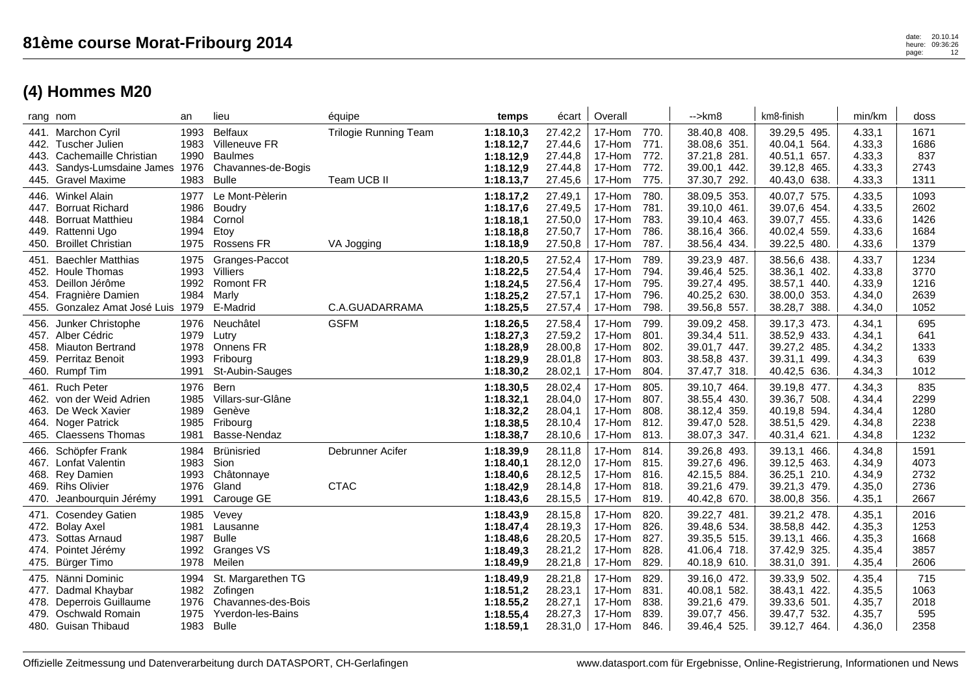|                                      | rang nom                                                                                                                      | an                                   | lieu                                                                                             | équipe                                      | temps                                                         | écart                                               | Overall                                                                                | $\rightarrow$ km $\beta$                                                     | km8-finish                                                                      | min/km                                         | doss                                 |
|--------------------------------------|-------------------------------------------------------------------------------------------------------------------------------|--------------------------------------|--------------------------------------------------------------------------------------------------|---------------------------------------------|---------------------------------------------------------------|-----------------------------------------------------|----------------------------------------------------------------------------------------|------------------------------------------------------------------------------|---------------------------------------------------------------------------------|------------------------------------------------|--------------------------------------|
| 443.                                 | 441. Marchon Cyril<br>442. Tuscher Julien<br>443. Cachemaille Christian<br>Sandys-Lumsdaine James 1976<br>445. Gravel Maxime  | 1993<br>1983<br>1990<br>1983         | <b>Belfaux</b><br>Villeneuve FR<br><b>Baulmes</b><br>Chavannes-de-Bogis<br><b>Bulle</b>          | <b>Trilogie Running Team</b><br>Team UCB II | 1:18.10,3<br>1:18.12,7<br>1:18.12,9<br>1:18.12,9<br>1:18.13,7 | 27.42,2<br>27.44,6<br>27.44,8<br>27.44,8<br>27.45,6 | 17-Hom<br>770.<br>17-Hom<br>771.<br>17-Hom<br>772.<br>17-Hom<br>772.<br>775.<br>17-Hom | 38.40,8 408.<br>38.08,6 351.<br>37.21,8 281.<br>39.00,1 442.<br>37.30,7 292. | 39.29,5 495.<br>40.04,1 564.<br>40.51,1 657.<br>39.12,8 465.<br>40.43,0 638.    | 4.33,1<br>4.33,3<br>4.33,3<br>4.33,3<br>4.33,3 | 1671<br>1686<br>837<br>2743<br>1311  |
| 447.<br>448.<br>449.<br>450.         | 446. Winkel Alain<br><b>Borruat Richard</b><br><b>Borruat Matthieu</b><br>Rattenni Ugo<br><b>Broillet Christian</b>           | 1977<br>1986<br>1984<br>1994<br>1975 | Le Mont-Pèlerin<br><b>Boudry</b><br>Cornol<br>Etov<br><b>Rossens FR</b>                          | VA Jogging                                  | 1:18.17,2<br>1:18.17,6<br>1:18.18,1<br>1:18.18,8<br>1:18.18,9 | 27.49,1<br>27.49,5<br>27.50,0<br>27.50,7<br>27.50,8 | 17-Hom<br>780.<br>17-Hom<br>781.<br>783.<br>17-Hom<br>17-Hom<br>786.<br>17-Hom<br>787. | 38.09,5 353.<br>39.10,0 461.<br>39.10,4 463.<br>38.16,4 366.<br>38.56,4 434. | 40.07,7 575.<br>39.07,6 454.<br>39.07,7 455.<br>40.02,4 559.<br>39.22,5 480.    | 4.33,5<br>4.33,5<br>4.33,6<br>4.33,6<br>4.33,6 | 1093<br>2602<br>1426<br>1684<br>1379 |
| 451.<br>454.                         | <b>Baechler Matthias</b><br>452. Houle Thomas<br>453. Deillon Jérôme<br>Fragnière Damien<br>455. Gonzalez Amat José Luis 1979 | 1975<br>1993<br>1992<br>1984         | Granges-Paccot<br>Villiers<br><b>Romont FR</b><br>Marly<br>E-Madrid                              | C.A.GUADARRAMA                              | 1:18.20,5<br>1:18.22,5<br>1:18.24,5<br>1:18.25,2<br>1:18.25,5 | 27.52,4<br>27.54,4<br>27.56,4<br>27.57,1<br>27.57,4 | 17-Hom<br>789.<br>17-Hom<br>794.<br>17-Hom<br>795.<br>17-Hom<br>796.<br>17-Hom<br>798. | 39.23,9 487.<br>39.46,4 525.<br>39.27,4 495.<br>40.25,2 630.<br>39.56,8 557. | 38.56,6 438.<br>38.36.1 402.<br>38.57,1 440.<br>38.00,0<br>353.<br>38.28,7 388. | 4.33,7<br>4.33,8<br>4.33,9<br>4.34,0<br>4.34,0 | 1234<br>3770<br>1216<br>2639<br>1052 |
| 456.<br>459.                         | Junker Christophe<br>457. Alber Cédric<br>458. Miauton Bertrand<br>Perritaz Benoit<br>460. Rumpf Tim                          | 1976<br>1979<br>1978<br>1993<br>1991 | Neuchâtel<br>Lutry<br>Onnens <sub>FR</sub><br>Fribourg<br>St-Aubin-Sauges                        | <b>GSFM</b>                                 | 1:18.26,5<br>1:18.27,3<br>1:18.28,9<br>1:18.29,9<br>1:18.30,2 | 27.58,4<br>27.59,2<br>28.00,8<br>28.01,8<br>28.02,1 | 17-Hom<br>799.<br>17-Hom<br>801.<br>17-Hom<br>802.<br>17-Hom<br>803.<br>804.<br>17-Hom | 39.09,2 458.<br>39.34,4 511.<br>39.01,7 447.<br>38.58,8 437.<br>37.47,7 318. | 39.17,3 473.<br>38.52,9 433.<br>39.27,2 485.<br>39.31,1 499.<br>40.42,5 636.    | 4.34,1<br>4.34,1<br>4.34,2<br>4.34,3<br>4.34,3 | 695<br>641<br>1333<br>639<br>1012    |
| 461.<br>463.                         | <b>Ruch Peter</b><br>462. von der Weid Adrien<br>De Weck Xavier<br>464. Noger Patrick<br>465. Claessens Thomas                | 1976<br>1985<br>1989<br>1985<br>1981 | Bern<br>Villars-sur-Glâne<br>Genève<br>Fribourg<br>Basse-Nendaz                                  |                                             | 1:18.30,5<br>1:18.32,1<br>1:18.32,2<br>1:18.38,5<br>1:18.38,7 | 28.02,4<br>28.04,0<br>28.04,1<br>28.10,4<br>28.10,6 | 17-Hom<br>805.<br>17-Hom<br>807.<br>17-Hom<br>808.<br>17-Hom<br>812.<br>813.<br>17-Hom | 39.10,7 464.<br>38.55,4 430.<br>38.12,4 359.<br>39.47,0 528.<br>38.07,3 347. | 39.19,8 477.<br>39.36,7 508.<br>40.19,8<br>594.<br>38.51,5 429.<br>40.31,4 621. | 4.34,3<br>4.34,4<br>4.34,4<br>4.34,8<br>4.34,8 | 835<br>2299<br>1280<br>2238<br>1232  |
| 466.<br>467.<br>468.<br>469.<br>470. | Schöpfer Frank<br>Lonfat Valentin<br><b>Rey Damien</b><br><b>Rihs Olivier</b><br>Jeanbourquin Jérémy                          | 1984<br>1983<br>1993<br>1976<br>1991 | <b>Brünisried</b><br>Sion<br>Châtonnaye<br>Gland<br>Carouge GE                                   | Debrunner Acifer<br><b>CTAC</b>             | 1:18.39,9<br>1:18.40,1<br>1:18.40,6<br>1:18.42,9<br>1:18.43,6 | 28.11,8<br>28.12,0<br>28.12,5<br>28.14,8<br>28.15,5 | 17-Hom<br>814.<br>17-Hom<br>815.<br>17-Hom<br>816.<br>17-Hom<br>818.<br>17-Hom<br>819. | 39.26,8 493.<br>39.27,6 496.<br>42.15,5 884.<br>39.21,6 479.<br>40.42,8 670. | 39.13,1 466.<br>39.12,5 463.<br>36.25,1 210.<br>39.21,3 479.<br>38.00,8 356.    | 4.34,8<br>4.34,9<br>4.34,9<br>4.35,0<br>4.35,1 | 1591<br>4073<br>2732<br>2736<br>2667 |
| 471.<br>473.<br>474.<br>475.         | <b>Cosendey Gatien</b><br>472. Bolay Axel<br>Sottas Arnaud<br>Pointet Jérémy<br>Bürger Timo                                   | 1985<br>1981<br>1987<br>1992<br>1978 | Vevey<br>Lausanne<br><b>Bulle</b><br>Granges VS<br>Meilen                                        |                                             | 1:18.43,9<br>1:18.47,4<br>1:18.48,6<br>1:18.49,3<br>1:18.49,9 | 28.15,8<br>28.19,3<br>28.20,5<br>28.21,2<br>28.21,8 | 17-Hom<br>820.<br>17-Hom<br>826.<br>17-Hom<br>827.<br>828.<br>17-Hom<br>829.<br>17-Hom | 39.22,7 481.<br>39.48,6 534.<br>39.35,5 515.<br>41.06,4 718.<br>40.18,9 610. | 39.21,2 478.<br>38.58,8 442.<br>39.13,1 466.<br>37.42,9 325.<br>38.31,0 391.    | 4.35,1<br>4.35,3<br>4.35,3<br>4.35,4<br>4.35,4 | 2016<br>1253<br>1668<br>3857<br>2606 |
| 475.<br>477.<br>478.                 | Nänni Dominic<br>Dadmal Khaybar<br>Deperrois Guillaume<br>479. Oschwald Romain<br>480. Guisan Thibaud                         | 1994<br>1982<br>1976<br>1975<br>1983 | St. Margarethen TG<br>Zofingen<br>Chavannes-des-Bois<br><b>Yverdon-les-Bains</b><br><b>Bulle</b> |                                             | 1:18.49,9<br>1:18.51,2<br>1:18.55,2<br>1:18.55,4<br>1:18.59,1 | 28.21,8<br>28.23,1<br>28.27,1<br>28.27,3<br>28.31,0 | 17-Hom<br>829.<br>17-Hom<br>831.<br>17-Hom<br>838.<br>17-Hom<br>839.<br>846.<br>17-Hom | 39.16,0 472.<br>40.08,1 582.<br>39.21,6 479.<br>39.07,7 456.<br>39.46,4 525. | 39.33,9 502.<br>38.43,1 422.<br>39.33,6 501.<br>39.47,7<br>532.<br>39.12,7 464. | 4.35,4<br>4.35,5<br>4.35,7<br>4.35,7<br>4.36,0 | 715<br>1063<br>2018<br>595<br>2358   |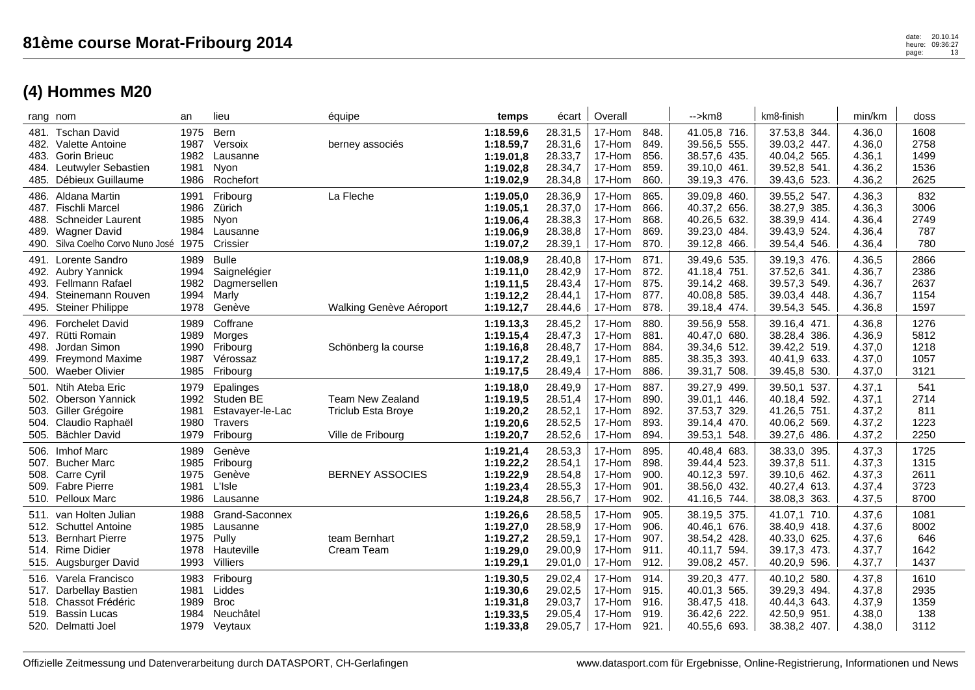| 481. | Tschan David<br>482. Valette Antoine<br>483. Gorin Brieuc<br>484. Leutwyler Sebastien<br>485. Débieux Guillaume                    | 1975<br>1987<br>1982<br>1981<br>1986 | Bern<br>Versoix<br>Lausanne<br>Nvon<br>Rochefort                  | berney associés                                                    | 1:18.59.6<br>1:18.59,7<br>1:19.01,8<br>1:19.02,8<br>1:19.02,9 | 28.31,5<br>28.31,6<br>28.33,7<br>28.34,7<br>28.34,8 | 17-Hom<br>17-Hom<br>17-Hom<br>17-Hom<br>17-Hom | 848.<br>849<br>856.<br>859.<br>860.  | 41.05,8 716.<br>39.56,5 555.<br>38.57,6 435.<br>39.10.0 461.<br>39.19,3 476.    | 37.53,8 344.<br>39.03,2 447.<br>40.04,2 565.<br>39.52,8 541.<br>39.43,6 523.    | 4.36,0<br>4.36,0<br>4.36,1<br>4.36,2<br>4.36,2 | 1608<br>2758<br>1499<br>1536<br>2625 |
|------|------------------------------------------------------------------------------------------------------------------------------------|--------------------------------------|-------------------------------------------------------------------|--------------------------------------------------------------------|---------------------------------------------------------------|-----------------------------------------------------|------------------------------------------------|--------------------------------------|---------------------------------------------------------------------------------|---------------------------------------------------------------------------------|------------------------------------------------|--------------------------------------|
|      | 486. Aldana Martin<br>487. Fischli Marcel<br>488. Schneider Laurent<br>489. Wagner David<br>490. Silva Coelho Corvo Nuno José 1975 | 1991<br>1986<br>1985<br>1984         | Fribourg<br>Zürich<br>Nyon<br>Lausanne<br>Crissier                | La Fleche                                                          | 1:19.05,0<br>1:19.05,1<br>1:19.06,4<br>1:19.06,9<br>1:19.07,2 | 28.36,9<br>28.37,0<br>28.38,3<br>28.38,8<br>28.39,1 | 17-Hom<br>17-Hom<br>17-Hom<br>17-Hom<br>17-Hom | 865.<br>866.<br>868.<br>869.<br>870. | 39.09,8 460.<br>40.37,2 656.<br>40.26,5 632.<br>39.23,0 484.<br>39.12,8 466.    | 39.55,2 547.<br>38.27,9 385.<br>38.39,9 414.<br>39.43,9 524.<br>39.54,4 546.    | 4.36,3<br>4.36,3<br>4.36,4<br>4.36,4<br>4.36,4 | 832<br>3006<br>2749<br>787<br>780    |
| 493. | 491. Lorente Sandro<br>492. Aubry Yannick<br>Fellmann Rafael<br>494. Steinemann Rouven<br>495. Steiner Philippe                    | 1989<br>1994<br>1982<br>1994<br>1978 | <b>Bulle</b><br>Saignelégier<br>Dagmersellen<br>Marly<br>Genève   | Walking Genève Aéroport                                            | 1:19.08.9<br>1:19.11,0<br>1:19.11,5<br>1:19.12,2<br>1:19.12,7 | 28.40,8<br>28.42,9<br>28.43,4<br>28.44,1<br>28.44,6 | 17-Hom<br>17-Hom<br>17-Hom<br>17-Hom<br>17-Hom | 871.<br>872.<br>875.<br>877.<br>878. | 39.49,6 535.<br>41.18,4 751.<br>39.14,2 468.<br>40.08,8 585.<br>39.18,4 474.    | 39.19,3 476.<br>37.52,6 341.<br>39.57,3 549.<br>39.03,4 448.<br>39.54,3 545.    | 4.36,5<br>4.36,7<br>4.36,7<br>4.36,7<br>4.36,8 | 2866<br>2386<br>2637<br>1154<br>1597 |
|      | 496. Forchelet David<br>497. Rütti Romain<br>498. Jordan Simon<br>499. Freymond Maxime<br>500. Waeber Olivier                      | 1989<br>1989<br>1990<br>1987<br>1985 | Coffrane<br>Morges<br>Fribourg<br>Vérossaz<br>Fribourg            | Schönberg la course                                                | 1:19.13,3<br>1:19.15,4<br>1:19.16,8<br>1:19.17,2<br>1:19.17,5 | 28.45,2<br>28.47,3<br>28.48,7<br>28.49,1<br>28.49,4 | 17-Hom<br>17-Hom<br>17-Hom<br>17-Hom<br>17-Hom | 880.<br>881.<br>884.<br>885.<br>886. | 39.56,9 558.<br>40.47,0 680.<br>39.34,6 512.<br>38.35,3 393.<br>39.31,7 508.    | 39.16,4 471.<br>38.28,4 386.<br>39.42,2 519.<br>40.41,9 633.<br>39.45,8 530.    | 4.36,8<br>4.36,9<br>4.37,0<br>4.37,0<br>4.37,0 | 1276<br>5812<br>1218<br>1057<br>3121 |
|      | 501. Ntih Ateba Eric<br>502. Oberson Yannick<br>503. Giller Grégoire<br>504. Claudio Raphaël<br>505. Bächler David                 | 1979<br>1992<br>1981<br>1980<br>1979 | Epalinges<br>Studen BE<br>Estavayer-le-Lac<br>Travers<br>Fribourg | Team New Zealand<br><b>Triclub Esta Broye</b><br>Ville de Fribourg | 1:19.18,0<br>1:19.19,5<br>1:19.20,2<br>1:19.20,6<br>1:19.20,7 | 28.49,9<br>28.51,4<br>28.52,1<br>28.52,5<br>28.52,6 | 17-Hom<br>17-Hom<br>17-Hom<br>17-Hom<br>17-Hom | 887.<br>890.<br>892.<br>893.<br>894. | 39.27,9 499.<br>39.01,1 446.<br>37.53,7 329.<br>39.14,4 470.<br>39.53,1<br>548. | 39.50,1 537.<br>40.18,4 592.<br>41.26,5 751.<br>40.06,2 569.<br>39.27,6 486.    | 4.37,1<br>4.37,1<br>4.37,2<br>4.37,2<br>4.37,2 | 541<br>2714<br>811<br>1223<br>2250   |
|      | 506. Imhof Marc<br>507. Bucher Marc<br>508. Carre Cyril<br>509. Fabre Pierre<br>510. Pelloux Marc                                  | 1989<br>1985<br>1975<br>1981<br>1986 | Genève<br>Fribourg<br>Genève<br>L'Isle<br>Lausanne                | <b>BERNEY ASSOCIES</b>                                             | 1:19.21,4<br>1:19.22,2<br>1:19.22,9<br>1:19.23,4<br>1:19.24,8 | 28.53,3<br>28.54,1<br>28.54,8<br>28.55,3<br>28.56,7 | 17-Hom<br>17-Hom<br>17-Hom<br>17-Hom<br>17-Hom | 895.<br>898.<br>900.<br>901.<br>902. | 40.48,4 683.<br>39.44,4 523.<br>40.12,3 597.<br>38.56,0 432.<br>41.16,5 744.    | 38.33,0 395.<br>39.37,8 511.<br>39.10,6 462.<br>40.27,4 613.<br>38.08,3 363.    | 4.37,3<br>4.37,3<br>4.37,3<br>4.37,4<br>4.37,5 | 1725<br>1315<br>2611<br>3723<br>8700 |
|      | 511. van Holten Julian<br>512. Schuttel Antoine<br>513. Bernhart Pierre<br>514. Rime Didier<br>515. Augsburger David               | 1988<br>1985<br>1975<br>1978<br>1993 | Grand-Saconnex<br>Lausanne<br>Pully<br>Hauteville<br>Villiers     | team Bernhart<br>Cream Team                                        | 1:19.26,6<br>1:19.27,0<br>1:19.27,2<br>1:19.29,0<br>1:19.29,1 | 28.58,5<br>28.58,9<br>28.59,1<br>29.00,9<br>29.01,0 | 17-Hom<br>17-Hom<br>17-Hom<br>17-Hom<br>17-Hom | 905.<br>906.<br>907.<br>911.<br>912. | 38.19,5 375.<br>40.46,1 676.<br>38.54,2 428.<br>40.11,7<br>594.<br>39.08,2 457. | 41.07,1 710.<br>38.40,9 418.<br>40.33,0 625.<br>39.17,3<br>473.<br>40.20,9 596. | 4.37,6<br>4.37,6<br>4.37,6<br>4.37,7<br>4.37,7 | 1081<br>8002<br>646<br>1642<br>1437  |
| 517. | 516. Varela Francisco<br>Darbellay Bastien<br>518. Chassot Frédéric<br>519. Bassin Lucas<br>520. Delmatti Joel                     | 1983<br>1981<br>1989<br>1984<br>1979 | Fribourg<br>Liddes<br><b>Broc</b><br>Neuchâtel<br>Veytaux         |                                                                    | 1:19.30,5<br>1:19.30,6<br>1:19.31,8<br>1:19.33,5<br>1:19.33,8 | 29.02,4<br>29.02,5<br>29.03,7<br>29.05,4<br>29.05,7 | 17-Hom<br>17-Hom<br>17-Hom<br>17-Hom<br>17-Hom | 914.<br>915.<br>916.<br>919.<br>921. | 39.20,3 477.<br>40.01,3 565.<br>38.47,5 418.<br>36.42,6 222.<br>40.55,6 693.    | 40.10,2 580.<br>39.29,3 494.<br>40.44,3 643.<br>42.50,9 951.<br>38.38,2 407.    | 4.37,8<br>4.37,8<br>4.37,9<br>4.38,0<br>4.38,0 | 1610<br>2935<br>1359<br>138<br>3112  |
|      |                                                                                                                                    |                                      |                                                                   |                                                                    |                                                               |                                                     |                                                |                                      |                                                                                 |                                                                                 |                                                |                                      |

rang nom an lieu équipe **temps** écart | Overall | -->km8 | km8-finish | min/km | doss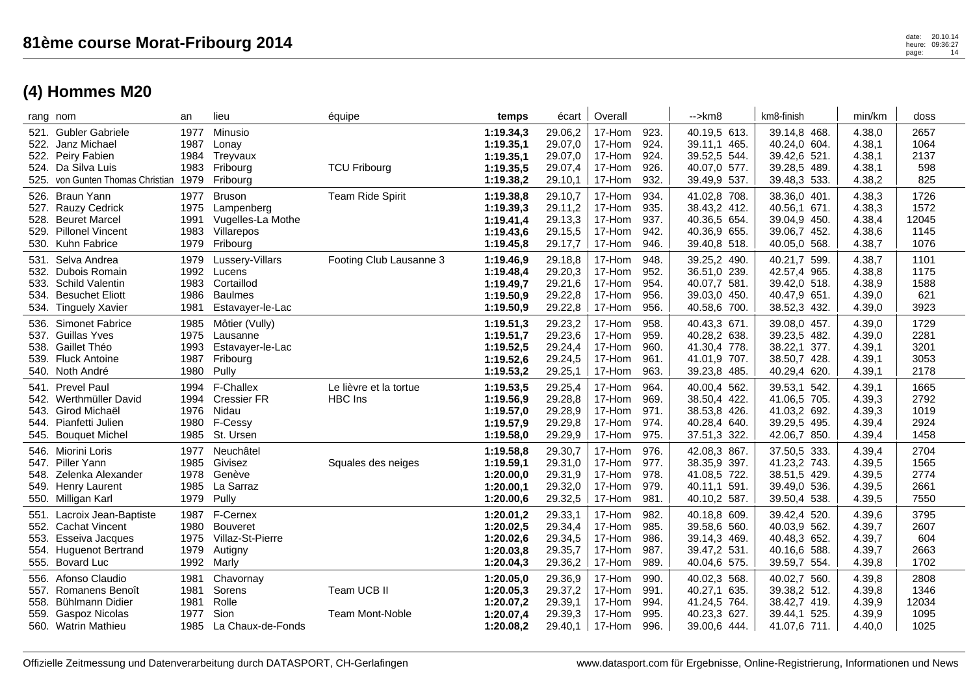|                              | rang nom                                                                                                                   | an                                   | lieu                                                                          | équipe                                | temps                                                         | écart                                               | Overall                                        |                                      | $\rightarrow$ km $\beta$                                                     | km8-finish                                                                      | min/km                                         | doss                                  |
|------------------------------|----------------------------------------------------------------------------------------------------------------------------|--------------------------------------|-------------------------------------------------------------------------------|---------------------------------------|---------------------------------------------------------------|-----------------------------------------------------|------------------------------------------------|--------------------------------------|------------------------------------------------------------------------------|---------------------------------------------------------------------------------|------------------------------------------------|---------------------------------------|
| 521.<br>522.                 | <b>Gubler Gabriele</b><br>Janz Michael<br>522. Peiry Fabien<br>524. Da Silva Luis<br>525. von Gunten Thomas Christian 1979 | 1977<br>1987<br>1984<br>1983         | Minusio<br>Lonay<br>Treyvaux<br>Fribourg<br>Fribourg                          | <b>TCU Fribourg</b>                   | 1:19.34,3<br>1:19.35,1<br>1:19.35,1<br>1:19.35,5<br>1:19.38,2 | 29.06,2<br>29.07,0<br>29.07,0<br>29.07,4<br>29.10,1 | 17-Hom<br>17-Hom<br>17-Hom<br>17-Hom<br>17-Hom | 923.<br>924.<br>924.<br>926.<br>932. | 40.19,5 613.<br>39.11,1 465.<br>39.52,5 544.<br>40.07,0 577.<br>39.49,9 537. | 39.14,8 468.<br>40.24,0 604.<br>39.42,6 521.<br>39.28,5 489.<br>39.48,3 533.    | 4.38,0<br>4.38,1<br>4.38,1<br>4.38,1<br>4.38,2 | 2657<br>1064<br>2137<br>598<br>825    |
|                              | 526. Braun Yann<br>527. Rauzy Cedrick<br>528. Beuret Marcel<br>529. Pillonel Vincent<br>530. Kuhn Fabrice                  | 1977<br>1975<br>1991<br>1983<br>1979 | Bruson<br>Lampenberg<br>Vugelles-La Mothe<br>Villarepos<br>Fribourg           | <b>Team Ride Spirit</b>               | 1:19.38,8<br>1:19.39,3<br>1:19.41,4<br>1:19.43,6<br>1:19.45,8 | 29.10,7<br>29.11,2<br>29.13,3<br>29.15,5<br>29.17,7 | 17-Hom<br>17-Hom<br>17-Hom<br>17-Hom<br>17-Hom | 934.<br>935.<br>937.<br>942.<br>946. | 41.02,8 708.<br>38.43,2 412.<br>40.36,5 654.<br>40.36,9 655.<br>39.40,8 518. | 38.36,0 401.<br>40.56,1 671.<br>39.04,9 450.<br>39.06,7 452.<br>40.05,0 568.    | 4.38,3<br>4.38,3<br>4.38,4<br>4.38,6<br>4.38,7 | 1726<br>1572<br>12045<br>1145<br>1076 |
| 531.<br>532.<br>534.<br>534. | Selva Andrea<br>Dubois Romain<br>533. Schild Valentin<br><b>Besuchet Eliott</b><br><b>Tinguely Xavier</b>                  | 1979<br>1992<br>1983<br>1986<br>1981 | Lussery-Villars<br>Lucens<br>Cortaillod<br><b>Baulmes</b><br>Estavayer-le-Lac | Footing Club Lausanne 3               | 1:19.46,9<br>1:19.48,4<br>1:19.49,7<br>1:19.50,9<br>1:19.50,9 | 29.18,8<br>29.20,3<br>29.21,6<br>29.22,8<br>29.22,8 | 17-Hom<br>17-Hom<br>17-Hom<br>17-Hom<br>17-Hom | 948.<br>952.<br>954.<br>956.<br>956. | 39.25,2 490.<br>36.51,0 239.<br>40.07,7 581.<br>39.03,0 450.<br>40.58,6 700. | 40.21,7 599.<br>42.57,4 965.<br>39.42,0 518.<br>40.47,9 651.<br>38.52,3 432.    | 4.38,7<br>4.38,8<br>4.38,9<br>4.39,0<br>4.39,0 | 1101<br>1175<br>1588<br>621<br>3923   |
| 537.                         | 536. Simonet Fabrice<br><b>Guillas Yves</b><br>538. Gaillet Théo<br>539. Fluck Antoine<br>540. Noth André                  | 1985<br>1975<br>1993<br>1987<br>1980 | Môtier (Vully)<br>Lausanne<br>Estavayer-le-Lac<br>Fribourg<br>Pully           |                                       | 1:19.51,3<br>1:19.51,7<br>1:19.52,5<br>1:19.52,6<br>1:19.53,2 | 29.23,2<br>29.23,6<br>29.24,4<br>29.24,5<br>29.25,1 | 17-Hom<br>17-Hom<br>17-Hom<br>17-Hom<br>17-Hom | 958.<br>959.<br>960.<br>961.<br>963. | 40.43,3 671.<br>40.28,2 638.<br>41.30,4 778.<br>41.01,9 707.<br>39.23,8 485. | 39.08,0 457.<br>39.23,5 482.<br>38.22,1 377.<br>38.50,7 428.<br>40.29,4 620.    | 4.39,0<br>4.39,0<br>4.39,1<br>4.39,1<br>4.39,1 | 1729<br>2281<br>3201<br>3053<br>2178  |
| 542.<br>544.<br>545.         | 541. Prevel Paul<br>Werthmüller David<br>543. Girod Michaël<br>Pianfetti Julien<br><b>Bouquet Michel</b>                   | 1994<br>1994<br>1976<br>1980<br>1985 | <b>F-Challex</b><br><b>Cressier FR</b><br>Nidau<br>F-Cessy<br>St. Ursen       | Le lièvre et la tortue<br>HBC Ins     | 1:19.53,5<br>1:19.56,9<br>1:19.57,0<br>1:19.57,9<br>1:19.58,0 | 29.25,4<br>29.28,8<br>29.28,9<br>29.29,8<br>29.29,9 | 17-Hom<br>17-Hom<br>17-Hom<br>17-Hom<br>17-Hom | 964.<br>969.<br>971.<br>974.<br>975. | 40.00,4 562.<br>38.50,4 422.<br>38.53,8 426.<br>40.28,4 640.<br>37.51,3 322. | 39.53,1 542.<br>41.06,5 705.<br>41.03,2 692.<br>39.29,5 495.<br>42.06,7 850.    | 4.39,1<br>4.39,3<br>4.39,3<br>4.39,4<br>4.39,4 | 1665<br>2792<br>1019<br>2924<br>1458  |
|                              | 546. Miorini Loris<br>547. Piller Yann<br>548. Zelenka Alexander<br>549. Henry Laurent<br>550. Milligan Karl               | 1977<br>1985<br>1978<br>1985<br>1979 | Neuchâtel<br>Givisez<br>Genève<br>La Sarraz<br>Pully                          | Squales des neiges                    | 1:19.58,8<br>1:19.59,1<br>1:20.00,0<br>1:20.00,1<br>1:20.00,6 | 29.30,7<br>29.31,0<br>29.31,9<br>29.32,0<br>29.32,5 | 17-Hom<br>17-Hom<br>17-Hom<br>17-Hom<br>17-Hom | 976.<br>977.<br>978.<br>979.<br>981. | 42.08,3 867.<br>38.35,9 397.<br>41.08,5 722.<br>40.11,1 591<br>40.10,2 587.  | 37.50,5 333.<br>41.23,2 743.<br>38.51,5 429.<br>39.49,0 536.<br>39.50,4 538.    | 4.39,4<br>4.39,5<br>4.39,5<br>4.39,5<br>4.39,5 | 2704<br>1565<br>2774<br>2661<br>7550  |
| 551.<br>553.<br>554.         | Lacroix Jean-Baptiste<br>552. Cachat Vincent<br>Esseiva Jacques<br><b>Huguenot Bertrand</b><br>555. Bovard Luc             | 1987<br>1980<br>1975<br>1979<br>1992 | F-Cernex<br><b>Bouveret</b><br>Villaz-St-Pierre<br>Autigny<br>Marly           |                                       | 1:20.01,2<br>1:20.02,5<br>1:20.02,6<br>1:20.03,8<br>1:20.04,3 | 29.33,1<br>29.34,4<br>29.34,5<br>29.35,7<br>29.36,2 | 17-Hom<br>17-Hom<br>17-Hom<br>17-Hom<br>17-Hom | 982.<br>985.<br>986.<br>987.<br>989. | 40.18,8 609<br>39.58,6 560.<br>39.14,3 469.<br>39.47,2 531.<br>40.04,6 575.  | 39.42,4 520.<br>40.03,9 562.<br>40.48,3 652.<br>40.16,6 588.<br>39.59,7 554.    | 4.39,6<br>4.39,7<br>4.39,7<br>4.39,7<br>4.39,8 | 3795<br>2607<br>604<br>2663<br>1702   |
| 556.<br>558.<br>559.         | Afonso Claudio<br>557. Romanens Benoît<br>Bühlmann Didier<br>Gaspoz Nicolas<br>560. Watrin Mathieu                         | 1981<br>1981<br>1981<br>1977<br>1985 | Chavornay<br>Sorens<br>Rolle<br>Sion<br>La Chaux-de-Fonds                     | Team UCB II<br><b>Team Mont-Noble</b> | 1:20.05,0<br>1:20.05,3<br>1:20.07,2<br>1:20.07,4<br>1:20.08.2 | 29.36,9<br>29.37.2<br>29.39,1<br>29.39,3<br>29.40,1 | 17-Hom<br>17-Hom<br>17-Hom<br>17-Hom<br>17-Hom | 990.<br>991.<br>994.<br>995.<br>996. | 40.02,3 568.<br>40.27,1 635.<br>41.24,5 764.<br>40.23,3 627.<br>39.00,6 444. | 40.02,7 560.<br>39.38,2 512.<br>38.42,7 419.<br>525.<br>39.44,1<br>41.07,6 711. | 4.39,8<br>4.39.8<br>4.39,9<br>4.39,9<br>4.40,0 | 2808<br>1346<br>12034<br>1095<br>1025 |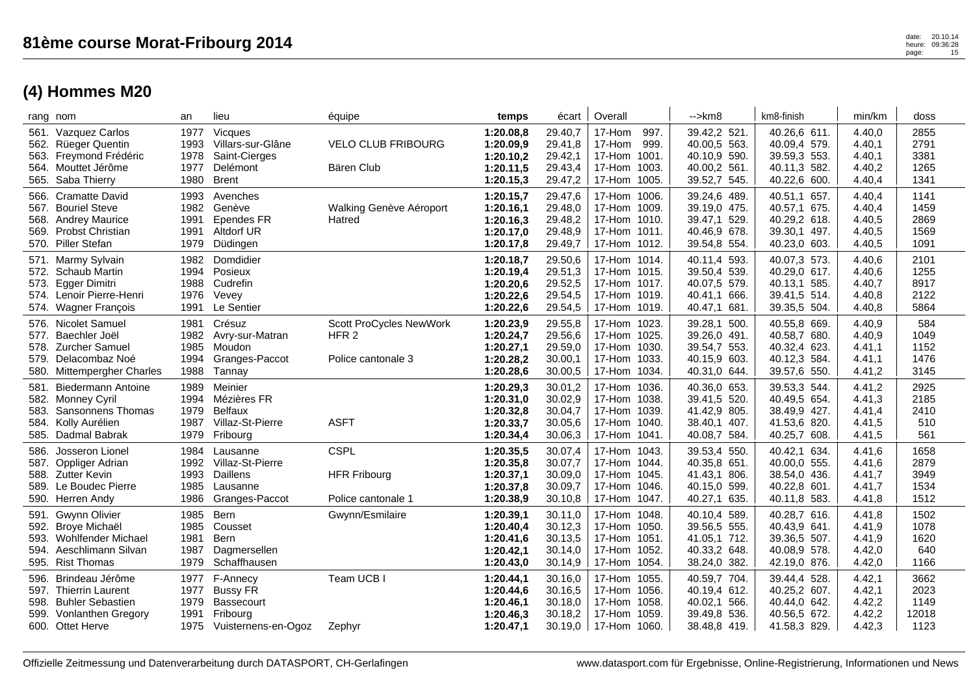|                      | rang nom                                                                                                             | an                                   | lieu                                                                         | équipe                                                                   | temps                                                         | écart                                               | Overall                                                                                  | $\rightarrow$ km $\beta$                                                     | km8-finish                                                                   | min/km                                         | doss                                  |
|----------------------|----------------------------------------------------------------------------------------------------------------------|--------------------------------------|------------------------------------------------------------------------------|--------------------------------------------------------------------------|---------------------------------------------------------------|-----------------------------------------------------|------------------------------------------------------------------------------------------|------------------------------------------------------------------------------|------------------------------------------------------------------------------|------------------------------------------------|---------------------------------------|
| 561.<br>565.         | Vazquez Carlos<br>562. Rüeger Quentin<br>563. Freymond Frédéric<br>564. Mouttet Jérôme<br>Saba Thierry               | 1977<br>1993<br>1978<br>1977<br>1980 | Vicques<br>Villars-sur-Glâne<br>Saint-Cierges<br>Delémont<br><b>Brent</b>    | <b>VELO CLUB FRIBOURG</b><br>Bären Club                                  | 1:20.08,8<br>1:20.09,9<br>1:20.10,2<br>1:20.11,5<br>1:20.15,3 | 29.40,7<br>29.41,8<br>29.42,1<br>29.43,4<br>29.47,2 | 17-Hom<br>997.<br>999.<br>17-Hom<br>17-Hom 1001.<br>17-Hom<br>1003.<br>1005.<br>17-Hom   | 39.42,2 521<br>40.00,5 563.<br>40.10,9 590.<br>40.00,2 561.<br>39.52,7 545.  | 40.26,6 611.<br>40.09,4 579.<br>39.59,3 553.<br>40.11,3 582.<br>40.22,6 600. | 4.40.0<br>4.40,1<br>4.40,1<br>4.40,2<br>4.40,4 | 2855<br>2791<br>3381<br>1265<br>1341  |
| 567.                 | 566. Cramatte David<br><b>Bouriel Steve</b><br>568. Andrey Maurice<br>569. Probst Christian<br>570. Piller Stefan    | 1993<br>1982<br>1991<br>1991<br>1979 | Avenches<br>Genève<br>Ependes FR<br>Altdorf UR<br>Düdingen                   | Walking Genève Aéroport<br>Hatred                                        | 1:20.15,7<br>1:20.16,1<br>1:20.16,3<br>1:20.17,0<br>1:20.17,8 | 29.47,6<br>29.48.0<br>29.48,2<br>29.48,9<br>29.49,7 | 17-Hom 1006.<br>17-Hom 1009.<br>17-Hom 1010.<br>17-Hom 1011.<br>17-Hom 1012.             | 39.24,6 489<br>39.19,0 475.<br>39.47,1 529.<br>40.46,9 678.<br>39.54,8 554.  | 40.51,1 657.<br>40.57,1 675.<br>40.29,2 618.<br>39.30,1 497.<br>40.23,0 603. | 4.40,4<br>4.40.4<br>4.40,5<br>4.40,5<br>4.40,5 | 1141<br>1459<br>2869<br>1569<br>1091  |
| 572.<br>573.<br>574. | 571. Marmy Sylvain<br>Schaub Martin<br>Egger Dimitri<br>574. Lenoir Pierre-Henri<br><b>Wagner François</b>           | 1982<br>1994<br>1988<br>1976<br>1991 | Domdidier<br>Posieux<br>Cudrefin<br>Vevey<br>Le Sentier                      |                                                                          | 1:20.18,7<br>1:20.19,4<br>1:20.20,6<br>1:20.22,6<br>1:20.22,6 | 29.50,6<br>29.51,3<br>29.52,5<br>29.54,5<br>29.54,5 | 17-Hom 1014.<br>17-Hom 1015.<br>17-Hom 1017.<br>17-Hom 1019.<br>17-Hom 1019.             | 40.11,4 593.<br>39.50,4 539.<br>40.07,5 579.<br>40.41,1 666.<br>40.47,1 681. | 40.07,3 573.<br>40.29,0 617.<br>40.13,1 585.<br>39.41,5 514.<br>39.35,5 504. | 4.40,6<br>4.40,6<br>4.40,7<br>4.40,8<br>4.40,8 | 2101<br>1255<br>8917<br>2122<br>5864  |
| 577.                 | 576. Nicolet Samuel<br>Baechler Joël<br>578. Zurcher Samuel<br>579. Delacombaz Noé<br>580. Mittempergher Charles     | 1981<br>1982<br>1985<br>1994<br>1988 | Crésuz<br>Avry-sur-Matran<br>Moudon<br>Granges-Paccot<br>Tannay              | <b>Scott ProCycles NewWork</b><br>HFR <sub>2</sub><br>Police cantonale 3 | 1:20.23,9<br>1:20.24,7<br>1:20.27,1<br>1:20.28,2<br>1:20.28,6 | 29.55,8<br>29.56,6<br>29.59,0<br>30.00,1<br>30.00,5 | 17-Hom 1023.<br>17-Hom 1025.<br>17-Hom 1030.<br>17-Hom 1033.<br>17-Hom<br>1034.          | 39.28,1 500.<br>39.26,0 491.<br>39.54,7 553.<br>40.15,9 603.<br>40.31,0 644. | 40.55,8 669.<br>40.58,7 680.<br>40.32,4 623.<br>40.12,3 584.<br>39.57,6 550. | 4.40,9<br>4.40,9<br>4.41,1<br>4.41,1<br>4.41,2 | 584<br>1049<br>1152<br>1476<br>3145   |
| 581.<br>583.         | Biedermann Antoine<br>582. Monney Cyril<br><b>Sansonnens Thomas</b><br>584. Kolly Aurélien<br>585. Dadmal Babrak     | 1989<br>1994<br>1979<br>1987<br>1979 | Meinier<br>Mézières FR<br><b>Belfaux</b><br>Villaz-St-Pierre<br>Fribourg     | <b>ASFT</b>                                                              | 1:20.29,3<br>1:20.31,0<br>1:20.32,8<br>1:20.33,7<br>1:20.34,4 | 30.01,2<br>30.02,9<br>30.04.7<br>30.05,6<br>30.06,3 | 17-Hom<br>1036.<br>1038.<br>17-Hom<br>17-Hom 1039.<br>17-Hom<br>1040.<br>17-Hom<br>1041. | 40.36,0 653.<br>39.41,5 520.<br>41.42,9 805.<br>38.40,1 407.<br>40.08,7 584. | 39.53,3 544.<br>40.49,5 654.<br>38.49,9 427.<br>41.53,6 820.<br>40.25,7 608. | 4.41,2<br>4.41,3<br>4.41.4<br>4.41,5<br>4.41,5 | 2925<br>2185<br>2410<br>510<br>561    |
| 586.                 | Josseron Lionel<br>587. Oppliger Adrian<br>588. Zutter Kevin<br>589. Le Boudec Pierre<br>590. Herren Andy            | 1984<br>1992<br>1993<br>1985<br>1986 | Lausanne<br>Villaz-St-Pierre<br>Daillens<br>Lausanne<br>Granges-Paccot       | <b>CSPL</b><br><b>HFR Fribourg</b><br>Police cantonale 1                 | 1:20.35,5<br>1:20.35,8<br>1:20.37,1<br>1:20.37,8<br>1:20.38,9 | 30.07,4<br>30.07,7<br>30.09,0<br>30.09,7<br>30.10,8 | 17-Hom<br>1043.<br>17-Hom 1044.<br>17-Hom 1045.<br>17-Hom<br>1046.<br>17-Hom 1047.       | 39.53,4 550.<br>40.35,8 651.<br>41.43,1 806.<br>40.15,0 599.<br>40.27,1 635. | 40.42,1 634.<br>40.00,0 555.<br>38.54,0 436.<br>40.22,8 601.<br>40.11,8 583. | 4.41,6<br>4.41,6<br>4.41,7<br>4.41,7<br>4.41,8 | 1658<br>2879<br>3949<br>1534<br>1512  |
| 591.<br>594.         | <b>Gwynn Olivier</b><br>592. Broye Michaël<br>593. Wohlfender Michael<br>Aeschlimann Silvan<br>595. Rist Thomas      | 1985<br>1985<br>1981<br>1987<br>1979 | <b>Bern</b><br>Cousset<br>Bern<br>Dagmersellen<br>Schaffhausen               | Gwynn/Esmilaire                                                          | 1:20.39,1<br>1:20.40,4<br>1:20.41,6<br>1:20.42,1<br>1:20.43,0 | 30.11,0<br>30.12,3<br>30.13,5<br>30.14,0<br>30.14,9 | 17-Hom<br>1048.<br>17-Hom 1050.<br>17-Hom 1051.<br>17-Hom<br>1052.<br>17-Hom 1054.       | 40.10,4 589<br>39.56,5 555.<br>41.05,1 712.<br>40.33,2 648.<br>38.24,0 382.  | 40.28,7 616.<br>40.43,9 641.<br>39.36,5 507.<br>40.08,9 578.<br>42.19,0 876. | 4.41,8<br>4.41,9<br>4.41,9<br>4.42,0<br>4.42,0 | 1502<br>1078<br>1620<br>640<br>1166   |
| 596.<br>598.<br>599. | Brindeau Jérôme<br>597. Thierrin Laurent<br><b>Buhler Sebastien</b><br><b>Vonlanthen Gregory</b><br>600. Ottet Herve | 1977<br>1977<br>1979<br>1991<br>1975 | F-Annecy<br><b>Bussy FR</b><br>Bassecourt<br>Fribourg<br>Vuisternens-en-Ogoz | Team UCB I<br>Zephyr                                                     | 1:20.44,1<br>1:20.44,6<br>1:20.46,1<br>1:20.46,3<br>1:20.47,1 | 30.16,0<br>30.16,5<br>30.18,0<br>30.18,2<br>30.19,0 | 1055.<br>17-Hom<br>17-Hom 1056.<br>17-Hom<br>1058.<br>17-Hom<br>1059.<br>17-Hom 1060.    | 40.59,7 704.<br>40.19,4 612.<br>40.02,1 566.<br>39.49,8 536.<br>38.48,8 419. | 39.44,4 528.<br>40.25,2 607.<br>40.44,0 642.<br>40.56,5 672.<br>41.58,3 829. | 4.42,1<br>4.42,1<br>4.42,2<br>4.42,2<br>4.42,3 | 3662<br>2023<br>1149<br>12018<br>1123 |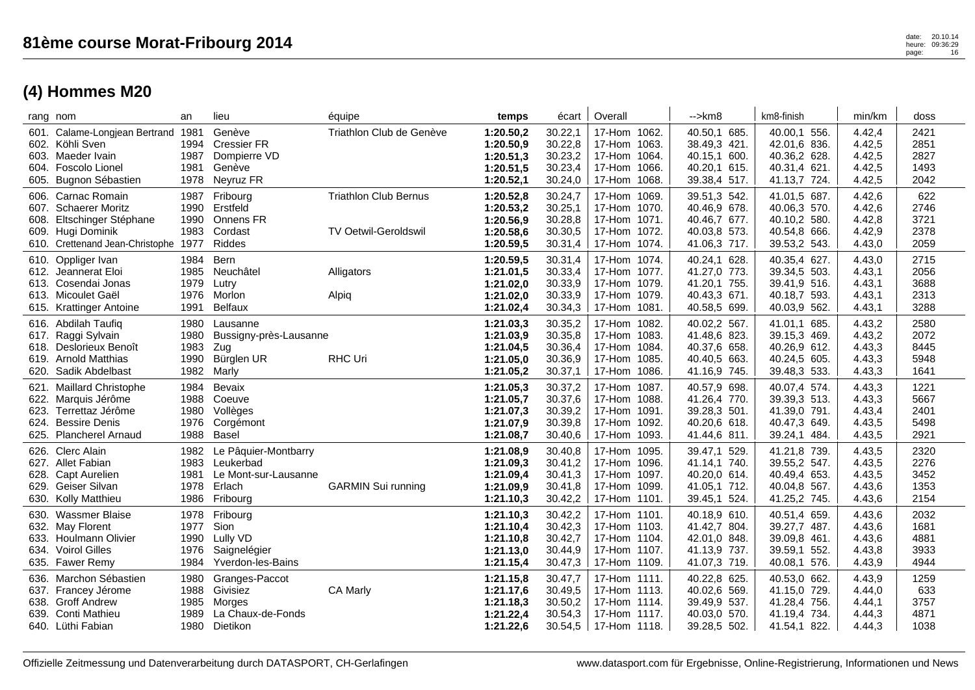|                      | rang nom                                                                                                                             | an                                   | lieu                                                                            | équipe                                                      | temps                                                         | écart                                               | Overall                                                                                | -->km8                                                                       | km8-finish                                                                   | min/km                                         | doss                                 |
|----------------------|--------------------------------------------------------------------------------------------------------------------------------------|--------------------------------------|---------------------------------------------------------------------------------|-------------------------------------------------------------|---------------------------------------------------------------|-----------------------------------------------------|----------------------------------------------------------------------------------------|------------------------------------------------------------------------------|------------------------------------------------------------------------------|------------------------------------------------|--------------------------------------|
| 604.<br>605.         | 601. Calame-Longjean Bertrand 1981<br>602. Köhli Sven<br>603. Maeder Ivain<br>Foscolo Lionel<br>Bugnon Sébastien                     | 1994<br>1987<br>1981<br>1978         | Genève<br><b>Cressier FR</b><br>Dompierre VD<br>Genève<br>Neyruz FR             | Triathlon Club de Genève                                    | 1:20.50,2<br>1:20.50,9<br>1:20.51,3<br>1:20.51,5<br>1:20.52,1 | 30.22,1<br>30.22,8<br>30.23,2<br>30.23,4<br>30.24,0 | 17-Hom 1062.<br>17-Hom 1063.<br>17-Hom 1064.<br>17-Hom 1066.<br>17-Hom 1068.           | 40.50,1 685.<br>38.49,3 421.<br>40.15,1 600.<br>40.20,1 615.<br>39.38,4 517. | 40.00,1 556.<br>42.01,6 836.<br>40.36,2 628.<br>40.31,4 621.<br>41.13,7 724. | 4.42,4<br>4.42,5<br>4.42,5<br>4.42,5<br>4.42,5 | 2421<br>2851<br>2827<br>1493<br>2042 |
|                      | 606. Carnac Romain<br>607. Schaerer Moritz<br>608. Eltschinger Stéphane<br>609. Hugi Dominik<br>610. Crettenand Jean-Christophe 1977 | 1987<br>1990<br>1990<br>1983         | Fribourg<br>Erstfeld<br><b>Onnens FR</b><br>Cordast<br>Riddes                   | <b>Triathlon Club Bernus</b><br><b>TV Oetwil-Geroldswil</b> | 1:20.52,8<br>1:20.53,2<br>1:20.56,9<br>1:20.58,6<br>1:20.59,5 | 30.24,7<br>30.25,1<br>30.28,8<br>30.30,5<br>30.31,4 | 17-Hom 1069.<br>17-Hom 1070.<br>17-Hom 1071.<br>17-Hom 1072.<br>17-Hom 1074.           | 39.51,3 542.<br>40.46,9 678.<br>40.46,7 677.<br>40.03,8 573.<br>41.06,3 717. | 41.01,5 687.<br>40.06,3 570.<br>40.10,2 580.<br>40.54,8 666.<br>39.53,2 543. | 4.42,6<br>4.42,6<br>4.42,8<br>4.42,9<br>4.43,0 | 622<br>2746<br>3721<br>2378<br>2059  |
| 612.                 | 610. Oppliger Ivan<br>Jeannerat Eloi<br>613. Cosendai Jonas<br>613. Micoulet Gaël<br>615. Krattinger Antoine                         | 1984<br>1985<br>1979<br>1976<br>1991 | Bern<br>Neuchâtel<br>Lutry<br>Morlon<br><b>Belfaux</b>                          | Alligators<br>Alpiq                                         | 1:20.59,5<br>1:21.01,5<br>1:21.02.0<br>1:21.02,0<br>1:21.02,4 | 30.31,4<br>30.33,4<br>30.33,9<br>30.33,9<br>30.34,3 | 17-Hom 1074.<br>17-Hom 1077.<br>17-Hom 1079.<br>17-Hom 1079.<br>17-Hom 1081.           | 40.24,1 628.<br>41.27,0 773.<br>41.20,1 755.<br>40.43,3 671.<br>40.58,5 699. | 40.35,4 627.<br>39.34,5 503.<br>39.41,9 516.<br>40.18,7 593.<br>40.03,9 562. | 4.43,0<br>4.43,1<br>4.43,1<br>4.43,1<br>4.43,1 | 2715<br>2056<br>3688<br>2313<br>3288 |
|                      | 616. Abdilah Taufiq<br>617. Raggi Sylvain<br>618. Deslorieux Benoît<br>619. Arnold Matthias<br>620. Sadik Abdelbast                  | 1980<br>1980<br>1983<br>1990<br>1982 | Lausanne<br>Bussigny-près-Lausanne<br>Zug<br>Bürglen UR<br>Marly                | <b>RHC Uri</b>                                              | 1:21.03,3<br>1:21.03,9<br>1:21.04,5<br>1:21.05,0<br>1:21.05,2 | 30.35,2<br>30.35,8<br>30.36,4<br>30.36,9<br>30.37,1 | 17-Hom 1082.<br>17-Hom 1083.<br>17-Hom 1084.<br>17-Hom 1085.<br>17-Hom 1086.           | 40.02,2 567.<br>41.48,6 823.<br>40.37,6 658.<br>40.40,5 663.<br>41.16,9 745. | 41.01,1 685.<br>39.15,3 469.<br>40.26,9 612.<br>40.24,5 605.<br>39.48,3 533. | 4.43,2<br>4.43,2<br>4.43,3<br>4.43,3<br>4.43,3 | 2580<br>2072<br>8445<br>5948<br>1641 |
| 621.<br>623.<br>624. | <b>Maillard Christophe</b><br>622. Marquis Jérôme<br>Terrettaz Jérôme<br><b>Bessire Denis</b><br>625. Plancherel Arnaud              | 1984<br>1988<br>1980<br>1976<br>1988 | Bevaix<br>Coeuve<br>Vollèges<br>Corgémont<br><b>Basel</b>                       |                                                             | 1:21.05,3<br>1:21.05,7<br>1:21.07,3<br>1:21.07,9<br>1:21.08,7 | 30.37,2<br>30.37,6<br>30.39,2<br>30.39,8<br>30.40,6 | 17-Hom 1087.<br>17-Hom 1088.<br>17-Hom 1091.<br>17-Hom 1092.<br>17-Hom 1093.           | 40.57,9 698.<br>41.26,4 770.<br>39.28,3 501.<br>40.20,6 618.<br>41.44,6 811. | 40.07,4 574.<br>39.39,3 513.<br>41.39,0 791.<br>40.47,3 649.<br>39.24,1 484. | 4.43,3<br>4.43,3<br>4.43,4<br>4.43,5<br>4.43,5 | 1221<br>5667<br>2401<br>5498<br>2921 |
|                      | 626. Clerc Alain<br>627. Allet Fabian<br>628. Capt Aurelien<br>629. Geiser Silvan<br>630. Kolly Matthieu                             | 1982<br>1983<br>1981<br>1978<br>1986 | Le Pâquier-Montbarry<br>Leukerbad<br>Le Mont-sur-Lausanne<br>Erlach<br>Fribourg | <b>GARMIN Sui running</b>                                   | 1:21.08,9<br>1:21.09,3<br>1:21.09,4<br>1:21.09.9<br>1:21.10,3 | 30.40,8<br>30.41,2<br>30.41,3<br>30.41,8<br>30.42,2 | 17-Hom 1095.<br>17-Hom 1096.<br>17-Hom 1097.<br>17-Hom 1099.<br>17-Hom 1101.           | 39.47,1 529.<br>41.14,1 740.<br>40.20,0 614.<br>41.05.1 712.<br>39.45,1 524. | 41.21,8 739.<br>39.55,2 547.<br>40.49,4 653.<br>40.04,8 567.<br>41.25,2 745. | 4.43,5<br>4.43,5<br>4.43,5<br>4.43,6<br>4.43,6 | 2320<br>2276<br>3452<br>1353<br>2154 |
| 630.                 | <b>Wassmer Blaise</b><br>632. May Florent<br>633. Houlmann Olivier<br>634. Voirol Gilles<br>635. Fawer Remy                          | 1978<br>1977<br>1990<br>1976<br>1984 | Fribourg<br>Sion<br>Lully VD<br>Saignelégier<br>Yverdon-les-Bains               |                                                             | 1:21.10,3<br>1:21.10,4<br>1:21.10,8<br>1:21.13,0<br>1:21.15,4 | 30.42,2<br>30.42,3<br>30.42,7<br>30.44,9<br>30.47,3 | 17-Hom 1101.<br>17-Hom 1103.<br>17-Hom 1104.<br>17-Hom 1107.<br>17-Hom 1109.           | 40.18,9 610.<br>41.42,7 804.<br>42.01,0 848.<br>41.13,9 737.<br>41.07,3 719. | 40.51,4 659.<br>39.27,7 487.<br>39.09,8 461.<br>39.59,1 552.<br>40.08,1 576. | 4.43,6<br>4.43,6<br>4.43,6<br>4.43,8<br>4.43,9 | 2032<br>1681<br>4881<br>3933<br>4944 |
| 639.                 | 636. Marchon Sébastien<br>637. Francey Jérome<br>638. Groff Andrew<br>Conti Mathieu<br>640. Lüthi Fabian                             | 1980<br>1988<br>1985<br>1989         | Granges-Paccot<br>Givisiez<br>Morges<br>La Chaux-de-Fonds<br>1980 Dietikon      | <b>CA Marly</b>                                             | 1:21.15,8<br>1:21.17.6<br>1:21.18,3<br>1:21.22,4<br>1:21.22,6 | 30.47,7<br>30.49,5<br>30.50,2<br>30.54,3            | 17-Hom 1111.<br>17-Hom 1113.<br>17-Hom 1114.<br>17-Hom 1117.<br>30.54,5   17-Hom 1118. | 40.22,8 625.<br>40.02,6 569.<br>39.49,9 537.<br>40.03,0 570.<br>39.28,5 502. | 40.53,0 662.<br>41.15,0 729.<br>41.28,4 756.<br>41.19,4 734.<br>41.54,1 822. | 4.43,9<br>4.44,0<br>4.44,1<br>4.44,3<br>4.44,3 | 1259<br>633<br>3757<br>4871<br>1038  |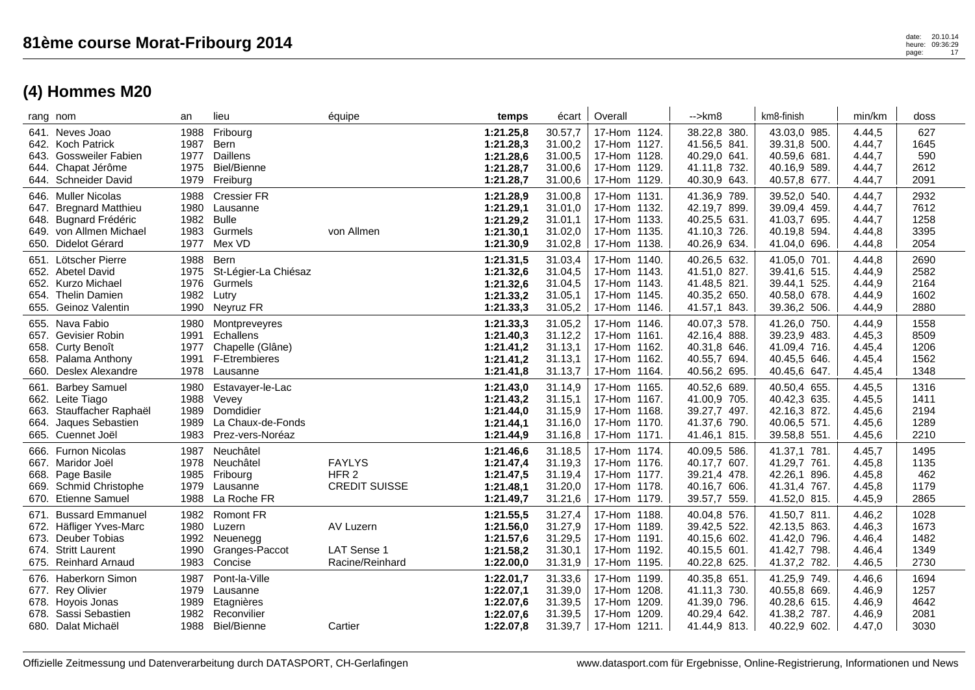| rang nom             |                                                                                                                            | an                                   | lieu                                                                               | équipe                                                    | temps                                                         | écart                                               | Overall                                                                         | $\rightarrow$ km $\beta$                                                     | km8-finish                                                                      | min/km                                         | doss                                 |
|----------------------|----------------------------------------------------------------------------------------------------------------------------|--------------------------------------|------------------------------------------------------------------------------------|-----------------------------------------------------------|---------------------------------------------------------------|-----------------------------------------------------|---------------------------------------------------------------------------------|------------------------------------------------------------------------------|---------------------------------------------------------------------------------|------------------------------------------------|--------------------------------------|
|                      | 641. Neves Joao<br>642. Koch Patrick<br>643. Gossweiler Fabien<br>644. Chapat Jérôme<br>644. Schneider David               | 1988<br>1987<br>1977<br>1975<br>1979 | Fribourg<br>Bern<br>Daillens<br><b>Biel/Bienne</b><br>Freiburg                     |                                                           | 1:21.25,8<br>1:21.28,3<br>1:21.28,6<br>1:21.28,7<br>1:21.28,7 | 30.57,7<br>31.00,2<br>31.00,5<br>31.00,6<br>31.00,6 | 17-Hom 1124.<br>17-Hom 1127.<br>17-Hom 1128.<br>17-Hom 1129.<br>17-Hom 1129.    | 38.22,8 380.<br>41.56,5 841.<br>40.29,0 641.<br>41.11,8 732.<br>40.30,9 643. | 43.03,0 985.<br>39.31,8 500.<br>40.59,6 681.<br>40.16,9 589.<br>40.57,8<br>677. | 4.44.5<br>4.44,7<br>4.44,7<br>4.44,7<br>4.44,7 | 627<br>1645<br>590<br>2612<br>2091   |
| 647.                 | 646. Muller Nicolas<br><b>Bregnard Matthieu</b><br>648. Bugnard Frédéric<br>649. von Allmen Michael<br>650. Didelot Gérard | 1988<br>1980<br>1982<br>1983<br>1977 | <b>Cressier FR</b><br>Lausanne<br><b>Bulle</b><br>Gurmels<br>Mex VD                | von Allmen                                                | 1:21.28,9<br>1:21.29,1<br>1:21.29,2<br>1:21.30,1<br>1:21.30,9 | 31.00,8<br>31.01,0<br>31.01,1<br>31.02,0<br>31.02,8 | 17-Hom 1131.<br>17-Hom 1132.<br>17-Hom 1133.<br>17-Hom 1135.<br>17-Hom 1138.    | 41.36,9 789.<br>42.19,7 899.<br>40.25,5 631.<br>41.10,3 726.<br>40.26,9 634. | 39.52,0 540.<br>39.09,4 459.<br>41.03,7 695.<br>40.19,8<br>594.<br>41.04,0 696. | 4.44,7<br>4.44,7<br>4.44,7<br>4.44,8<br>4.44,8 | 2932<br>7612<br>1258<br>3395<br>2054 |
|                      | 651. Lötscher Pierre<br>652. Abetel David<br>652. Kurzo Michael<br>654. Thelin Damien<br>655. Geinoz Valentin              | 1988<br>1975<br>1976<br>1982<br>1990 | Bern<br>St-Légier-La Chiésaz<br>Gurmels<br>Lutry<br>Neyruz FR                      |                                                           | 1:21.31,5<br>1:21.32,6<br>1:21.32.6<br>1:21.33,2<br>1:21.33,3 | 31.03,4<br>31.04,5<br>31.04,5<br>31.05,1<br>31.05,2 | 17-Hom 1140.<br>17-Hom 1143.<br>17-Hom 1143.<br>17-Hom 1145.<br>17-Hom 1146.    | 40.26,5 632.<br>41.51,0 827.<br>41.48,5 821.<br>40.35,2 650.<br>41.57,1 843. | 41.05,0 701.<br>39.41,6 515.<br>39.44,1 525.<br>40.58,0 678.<br>39.36,2 506.    | 4.44,8<br>4.44,9<br>4.44,9<br>4.44,9<br>4.44,9 | 2690<br>2582<br>2164<br>1602<br>2880 |
|                      | 655. Nava Fabio<br>657. Gevisier Robin<br>658. Curty Benoît<br>658. Palama Anthony<br>660. Deslex Alexandre                | 1980<br>1991<br>1977<br>1991<br>1978 | Montpreveyres<br>Echallens<br>Chapelle (Glâne)<br><b>F-Etrembieres</b><br>Lausanne |                                                           | 1:21.33,3<br>1:21.40,3<br>1:21.41,2<br>1:21.41,2<br>1:21.41,8 | 31.05,2<br>31.12,2<br>31.13,1<br>31.13,1<br>31.13,7 | 17-Hom 1146.<br>17-Hom 1161.<br>17-Hom 1162.<br>17-Hom 1162.<br>17-Hom 1164.    | 40.07,3 578.<br>42.16,4 888.<br>40.31,8 646.<br>40.55,7 694.<br>40.56,2 695. | 41.26,0 750.<br>39.23,9 483.<br>41.09,4 716.<br>40.45,5 646.<br>40.45,6 647.    | 4.44,9<br>4.45,3<br>4.45,4<br>4.45,4<br>4.45,4 | 1558<br>8509<br>1206<br>1562<br>1348 |
| 661.<br>664.         | <b>Barbey Samuel</b><br>662. Leite Tiago<br>663. Stauffacher Raphaël<br>Jaques Sebastien<br>665. Cuennet Joël              | 1980<br>1988<br>1989<br>1989<br>1983 | Estavayer-le-Lac<br>Vevey<br>Domdidier<br>La Chaux-de-Fonds<br>Prez-vers-Noréaz    |                                                           | 1:21.43,0<br>1:21.43,2<br>1:21.44,0<br>1:21.44,1<br>1:21.44,9 | 31.14,9<br>31.15.1<br>31.15,9<br>31.16,0<br>31.16,8 | 17-Hom 1165.<br>17-Hom 1167.<br>17-Hom 1168.<br>17-Hom 1170.<br>17-Hom 1171.    | 40.52,6 689.<br>41.00,9 705.<br>39.27,7 497.<br>41.37,6 790.<br>41.46,1 815. | 40.50,4 655.<br>40.42,3 635.<br>42.16,3 872.<br>40.06,5<br>571.<br>39.58,8 551. | 4.45,5<br>4.45,5<br>4.45,6<br>4.45,6<br>4.45,6 | 1316<br>1411<br>2194<br>1289<br>2210 |
| 666.<br>668.<br>669. | <b>Furnon Nicolas</b><br>667. Maridor Joël<br>Page Basile<br>Schmid Christophe<br>670. Etienne Samuel                      | 1987<br>1978<br>1985<br>1979<br>1988 | Neuchâtel<br>Neuchâtel<br>Fribourg<br>Lausanne<br>La Roche FR                      | <b>FAYLYS</b><br>HFR <sub>2</sub><br><b>CREDIT SUISSE</b> | 1:21.46,6<br>1:21.47,4<br>1:21.47,5<br>1:21.48,1<br>1:21.49,7 | 31.18,5<br>31.19,3<br>31.19,4<br>31.20,0<br>31.21,6 | 17-Hom 1174.<br>17-Hom 1176.<br>17-Hom 1177.<br>17-Hom 1178.<br>17-Hom 1179.    | 40.09,5 586.<br>40.17,7 607.<br>39.21,4 478.<br>40.16,7 606.<br>39.57,7 559. | 41.37,1 781.<br>41.29,7 761.<br>42.26,1 896.<br>41.31,4<br>767.<br>41.52,0 815. | 4.45,7<br>4.45,8<br>4.45,8<br>4.45,8<br>4.45,9 | 1495<br>1135<br>462<br>1179<br>2865  |
| 671.<br>674.         | <b>Bussard Emmanuel</b><br>672. Häfliger Yves-Marc<br>673. Deuber Tobias<br><b>Stritt Laurent</b><br>675. Reinhard Arnaud  | 1982<br>1980<br>1992<br>1990<br>1983 | Romont FR<br>Luzern<br>Neuenegg<br>Granges-Paccot<br>Concise                       | AV Luzern<br>LAT Sense 1<br>Racine/Reinhard               | 1:21.55,5<br>1:21.56,0<br>1:21.57,6<br>1:21.58,2<br>1:22.00,0 | 31.27,4<br>31.27,9<br>31.29,5<br>31.30,1<br>31.31,9 | 17-Hom 1188.<br>17-Hom 1189.<br>17-Hom 1191.<br>17-Hom 1192.<br>17-Hom 1195.    | 40.04,8 576.<br>39.42,5 522.<br>40.15,6 602.<br>40.15,5 601.<br>40.22,8 625. | 41.50.7 811.<br>42.13,5 863.<br>41.42,0 796.<br>41.42,7 798.<br>41.37,2 782.    | 4.46,2<br>4.46,3<br>4.46,4<br>4.46,4<br>4.46,5 | 1028<br>1673<br>1482<br>1349<br>2730 |
| 678.                 | 676. Haberkorn Simon<br>677. Rey Olivier<br>678. Hoyois Jonas<br>Sassi Sebastien<br>680. Dalat Michaël                     | 1987<br>1979<br>1989<br>1982<br>1988 | Pont-la-Ville<br>Lausanne<br>Etagnières<br>Reconvilier<br><b>Biel/Bienne</b>       | Cartier                                                   | 1:22.01,7<br>1:22.07,1<br>1:22.07,6<br>1:22.07,6<br>1:22.07,8 | 31.33,6<br>31.39,0<br>31.39,5<br>31.39,5<br>31.39,7 | 17-Hom 1199.<br>17-Hom 1208.<br>17-Hom 1209.<br>17-Hom<br>1209.<br>17-Hom 1211. | 40.35,8 651.<br>41.11,3 730.<br>41.39,0 796.<br>40.29,4 642.<br>41.44,9 813. | 41.25,9 749.<br>40.55,8 669.<br>40.28,6 615.<br>41.38,2 787.<br>40.22,9 602.    | 4.46,6<br>4.46,9<br>4.46,9<br>4.46,9<br>4.47,0 | 1694<br>1257<br>4642<br>2081<br>3030 |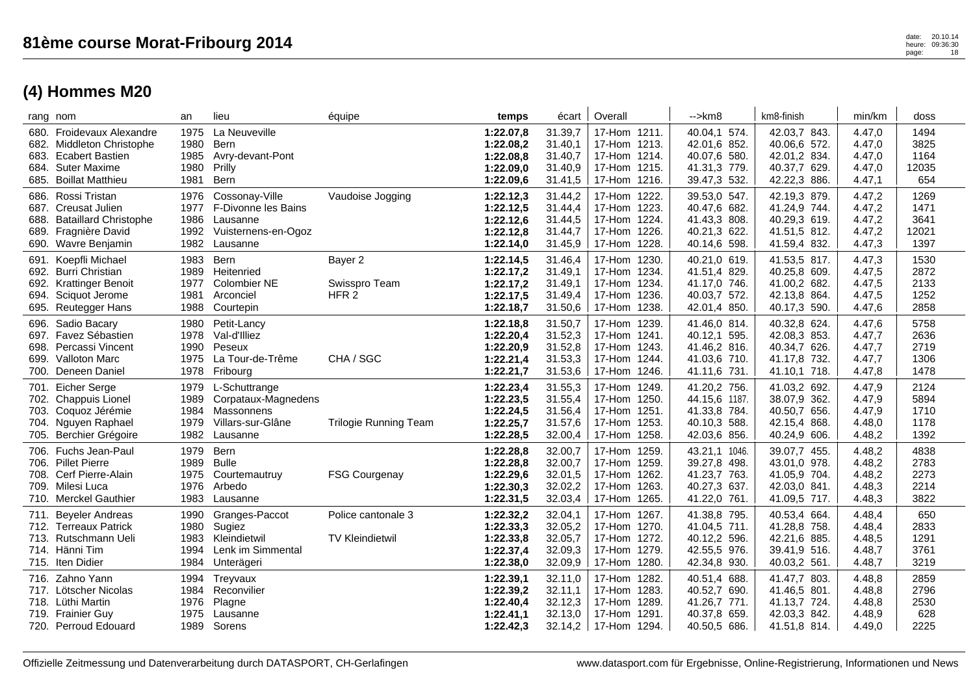|                      | rang nom                                                                                                                         | an                                   | lieu                                                                                       | équipe                                       | temps                                                         | écart                                               | Overall                                                                            | $\rightarrow$ km $\beta$                                                      | km8-finish                                                                      | min/km                                         | doss                                  |
|----------------------|----------------------------------------------------------------------------------------------------------------------------------|--------------------------------------|--------------------------------------------------------------------------------------------|----------------------------------------------|---------------------------------------------------------------|-----------------------------------------------------|------------------------------------------------------------------------------------|-------------------------------------------------------------------------------|---------------------------------------------------------------------------------|------------------------------------------------|---------------------------------------|
| 684.<br>685.         | 680. Froidevaux Alexandre<br>682. Middleton Christophe<br>683. Ecabert Bastien<br><b>Suter Maxime</b><br><b>Boillat Matthieu</b> | 1975<br>1980<br>1985<br>1980<br>1981 | La Neuveville<br>Bern<br>Avry-devant-Pont<br>Prilly<br>Bern                                |                                              | 1:22.07.8<br>1:22.08,2<br>1:22.08,8<br>1:22.09.0<br>1:22.09,6 | 31.39,7<br>31.40,1<br>31.40,7<br>31.40,9<br>31.41,5 | 17-Hom 1211.<br>17-Hom 1213.<br>17-Hom 1214.<br>17-Hom 1215.<br>17-Hom<br>1216.    | 40.04,1 574.<br>42.01,6 852.<br>40.07,6 580.<br>41.31,3 779.<br>39.47,3 532.  | 42.03,7 843.<br>40.06,6 572.<br>42.01,2 834.<br>40.37,7 629.<br>42.22,3 886.    | 4.47,0<br>4.47,0<br>4.47,0<br>4.47,0<br>4.47,1 | 1494<br>3825<br>1164<br>12035<br>654  |
| 688.                 | 686. Rossi Tristan<br>687. Creusat Julien<br><b>Bataillard Christophe</b><br>689. Fragnière David<br>690. Wavre Benjamin         | 1976<br>1977<br>1986<br>1992<br>1982 | Cossonay-Ville<br>F-Divonne les Bains<br>Lausanne<br>Vuisternens-en-Ogoz<br>Lausanne       | Vaudoise Jogging                             | 1:22.12,3<br>1:22.12,5<br>1:22.12,6<br>1:22.12,8<br>1:22.14,0 | 31.44,2<br>31.44,4<br>31.44,5<br>31.44,7<br>31.45,9 | 17-Hom 1222.<br>17-Hom 1223.<br>17-Hom 1224.<br>17-Hom 1226.<br>1228.<br>17-Hom    | 39.53,0 547.<br>40.47,6 682.<br>41.43,3 808.<br>40.21,3 622.<br>40.14,6 598.  | 42.19,3 879.<br>41.24,9 744.<br>40.29,3 619.<br>41.51,5 812.<br>41.59,4 832.    | 4.47,2<br>4.47,2<br>4.47,2<br>4.47,2<br>4.47,3 | 1269<br>1471<br>3641<br>12021<br>1397 |
| 691.<br>692.<br>694. | Koepfli Michael<br><b>Burri Christian</b><br>692. Krattinger Benoit<br>Sciquot Jerome<br>695. Reutegger Hans                     | 1983<br>1989<br>1977<br>1981<br>1988 | Bern<br>Heitenried<br><b>Colombier NE</b><br>Arconciel<br>Courtepin                        | Bayer 2<br>Swisspro Team<br>HFR <sub>2</sub> | 1:22.14,5<br>1:22.17,2<br>1:22.17,2<br>1:22.17,5<br>1:22.18,7 | 31.46,4<br>31.49,1<br>31.49,1<br>31.49,4<br>31.50,6 | 17-Hom 1230.<br>17-Hom 1234.<br>17-Hom 1234.<br>17-Hom 1236.<br>1238.<br>17-Hom    | 40.21,0 619.<br>41.51,4 829.<br>41.17,0 746.<br>40.03,7 572.<br>42.01,4 850.  | 41.53,5 817.<br>40.25,8 609.<br>41.00,2 682.<br>42.13,8 864.<br>40.17,3<br>590. | 4.47,3<br>4.47,5<br>4.47,5<br>4.47,5<br>4.47,6 | 1530<br>2872<br>2133<br>1252<br>2858  |
| 696.<br>699.         | Sadio Bacary<br>697. Favez Sébastien<br>698. Percassi Vincent<br><b>Valloton Marc</b><br>700. Deneen Daniel                      | 1980<br>1978<br>1990<br>1975<br>1978 | Petit-Lancy<br>Val-d'Illiez<br>Peseux<br>La Tour-de-Trême<br>Fribourg                      | CHA / SGC                                    | 1:22.18,8<br>1:22.20,4<br>1:22.20,9<br>1:22.21,4<br>1:22.21,7 | 31.50,7<br>31.52,3<br>31.52,8<br>31.53,3<br>31.53,6 | 17-Hom 1239.<br>17-Hom 1241.<br>17-Hom 1243.<br>17-Hom 1244.<br>17-Hom<br>1246.    | 41.46,0 814.<br>40.12,1 595.<br>41.46,2 816.<br>41.03,6 710.<br>41.11,6 731.  | 40.32,8 624.<br>42.08,3 853.<br>40.34,7 626.<br>41.17,8 732.<br>41.10,1 718.    | 4.47,6<br>4.47,7<br>4.47,7<br>4.47,7<br>4.47,8 | 5758<br>2636<br>2719<br>1306<br>1478  |
| 704.                 | 701. Eicher Serge<br>702. Chappuis Lionel<br>703. Coquoz Jérémie<br>Nguyen Raphael<br>705. Berchier Grégoire                     | 1979<br>1989<br>1984<br>1979<br>1982 | L-Schuttrange<br>Corpataux-Magnedens<br><b>Massonnens</b><br>Villars-sur-Glâne<br>Lausanne | <b>Trilogie Running Team</b>                 | 1:22.23,4<br>1:22.23,5<br>1:22.24,5<br>1:22.25,7<br>1:22.28,5 | 31.55,3<br>31.55,4<br>31.56,4<br>31.57,6<br>32.00,4 | 17-Hom 1249.<br>17-Hom 1250.<br>17-Hom 1251.<br>17-Hom 1253.<br>17-Hom 1258.       | 41.20,2 756.<br>44.15,6 1187.<br>41.33,8 784.<br>40.10,3 588.<br>42.03,6 856. | 41.03,2 692.<br>38.07,9 362.<br>40.50,7 656.<br>42.15,4 868.<br>40.24,9 606.    | 4.47,9<br>4.47,9<br>4.47,9<br>4.48,0<br>4.48,2 | 2124<br>5894<br>1710<br>1178<br>1392  |
| 706.                 | <b>Fuchs Jean-Paul</b><br>706. Pillet Pierre<br>708. Cerf Pierre-Alain<br>709. Milesi Luca<br>710. Merckel Gauthier              | 1979<br>1989<br>1975<br>1976<br>1983 | Bern<br><b>Bulle</b><br>Courtemautruy<br>Arbedo<br>Lausanne                                | <b>FSG Courgenay</b>                         | 1:22.28,8<br>1:22.28,8<br>1:22.29,6<br>1:22.30,3<br>1:22.31,5 | 32.00,7<br>32.00,7<br>32.01,5<br>32.02,2<br>32.03,4 | 17-Hom 1259.<br>17-Hom 1259.<br>17-Hom 1262.<br>1263.<br>17-Hom<br>17-Hom 1265.    | 43.21,1 1046.<br>39.27,8 498.<br>41.23,7 763.<br>40.27,3 637.<br>41.22,0 761. | 39.07,7 455.<br>43.01.0 978.<br>41.05,9 704.<br>42.03,0<br>841.<br>41.09,5 717. | 4.48,2<br>4.48,2<br>4.48,2<br>4.48,3<br>4.48,3 | 4838<br>2783<br>2273<br>2214<br>3822  |
| 711.                 | <b>Beyeler Andreas</b><br>712. Terreaux Patrick<br>713. Rutschmann Ueli<br>714. Hänni Tim<br>715. Iten Didier                    | 1990<br>1980<br>1983<br>1994<br>1984 | Granges-Paccot<br>Sugiez<br>Kleindietwil<br>Lenk im Simmental<br>Unterägeri                | Police cantonale 3<br><b>TV Kleindietwil</b> | 1:22.32,2<br>1:22.33,3<br>1:22.33,8<br>1:22.37,4<br>1:22.38,0 | 32.04,1<br>32.05,2<br>32.05,7<br>32.09,3<br>32.09,9 | 1267.<br>17-Hom<br>17-Hom 1270.<br>17-Hom 1272.<br>17-Hom 1279.<br>17-Hom 1280.    | 41.38,8 795.<br>41.04,5 711.<br>40.12,2 596.<br>42.55,5 976.<br>42.34,8 930.  | 40.53,4 664.<br>41.28,8 758.<br>42.21,6 885.<br>39.41,9<br>516.<br>40.03,2 561. | 4.48,4<br>4.48,4<br>4.48,5<br>4.48,7<br>4.48,7 | 650<br>2833<br>1291<br>3761<br>3219   |
| 716.<br>719.         | Zahno Yann<br>717. Lötscher Nicolas<br>718. Lüthi Martin<br><b>Frainier Guy</b><br>720. Perroud Edouard                          | 1994<br>1984<br>1976<br>1975<br>1989 | Treyvaux<br>Reconvilier<br>Plagne<br>Lausanne<br>Sorens                                    |                                              | 1:22.39,1<br>1:22.39.2<br>1:22.40,4<br>1:22.41,1<br>1:22.42,3 | 32.11,0<br>32.11,1<br>32.12,3<br>32.13,0<br>32.14,2 | 17-Hom<br>1282.<br>17-Hom 1283.<br>17-Hom 1289.<br>1291.<br>17-Hom<br>17-Hom 1294. | 40.51,4 688.<br>40.52,7 690.<br>41.26,7 771.<br>40.37,8 659.<br>40.50,5 686.  | 41.47,7 803.<br>41.46,5 801.<br>41.13,7 724.<br>42.03,3<br>842.<br>41.51,8 814. | 4.48,8<br>4.48,8<br>4.48,8<br>4.48,9<br>4.49,0 | 2859<br>2796<br>2530<br>628<br>2225   |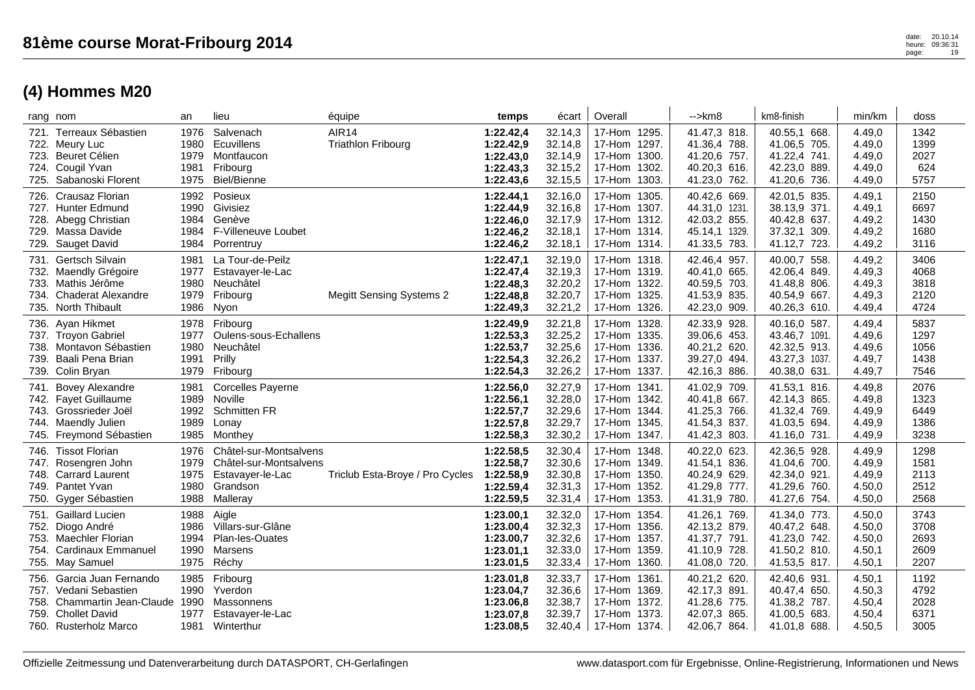| rang nom                         | an   | lieu                     | équipe                          | temps     | écart   | Overall      | $\rightarrow$ km $\beta$ | km8-finish      | min/km | doss |
|----------------------------------|------|--------------------------|---------------------------------|-----------|---------|--------------|--------------------------|-----------------|--------|------|
| 721. Terreaux Sébastien          | 1976 | Salvenach                | <b>AIR14</b>                    | 1:22.42,4 | 32.14,3 | 17-Hom 1295. | 41.47,3 818.             | 40.55,1 668.    | 4.49,0 | 1342 |
| 722. Meury Luc                   | 1980 | Ecuvillens               | <b>Triathlon Fribourg</b>       | 1:22.42,9 | 32.14,8 | 17-Hom 1297. | 41.36,4 788.             | 41.06,5 705.    | 4.49,0 | 1399 |
| 723. Beuret Célien               | 1979 | Montfaucon               |                                 | 1:22.43,0 | 32.14,9 | 17-Hom 1300. | 41.20,6 757.             | 41.22,4 741.    | 4.49,0 | 2027 |
| 724. Cougil Yvan                 | 1981 | Fribourg                 |                                 | 1:22.43,3 | 32.15,2 | 17-Hom 1302. | 40.20,3 616.             | 42.23,0 889.    | 4.49,0 | 624  |
| 725. Sabanoski Florent           | 1975 | Biel/Bienne              |                                 | 1:22.43,6 | 32.15,5 | 17-Hom 1303. | 41.23,0 762.             | 41.20,6 736.    | 4.49,0 | 5757 |
| 726. Crausaz Florian             | 1992 | Posieux                  |                                 | 1:22.44,1 | 32.16,0 | 17-Hom 1305. | 40.42,6 669.             | 42.01,5 835.    | 4.49,1 | 2150 |
| 727. Hunter Edmund               | 1990 | Givisiez                 |                                 | 1:22.44,9 | 32.16,8 | 17-Hom 1307. | 44.31,0 1231.            | 38.13,9 371.    | 4.49,1 | 6697 |
| 728. Abegg Christian             | 1984 | Genève                   |                                 | 1:22.46,0 | 32.17,9 | 17-Hom 1312. | 42.03,2 855.             | 40.42,8 637.    | 4.49,2 | 1430 |
| 729. Massa Davide                | 1984 | F-Villeneuve Loubet      |                                 | 1:22.46,2 | 32.18,1 | 17-Hom 1314. | 45.14,1 1329.            | 37.32,1 309.    | 4.49,2 | 1680 |
| 729. Sauget David                | 1984 | Porrentruy               |                                 | 1:22.46,2 | 32.18,1 | 17-Hom 1314. | 41.33,5 783.             | 41.12,7 723.    | 4.49,2 | 3116 |
| 731. Gertsch Silvain             | 1981 | La Tour-de-Peilz         |                                 | 1:22.47,1 | 32.19,0 | 17-Hom 1318. | 42.46,4 957.             | 40.00,7 558.    | 4.49,2 | 3406 |
| 732. Maendly Grégoire            | 1977 | Estavayer-le-Lac         |                                 | 1:22.47,4 | 32.19,3 | 17-Hom 1319. | 40.41,0 665.             | 42.06,4 849.    | 4.49,3 | 4068 |
| 733. Mathis Jérôme               | 1980 | Neuchâtel                |                                 | 1:22.48,3 | 32.20,2 | 17-Hom 1322. | 40.59,5 703.             | 41.48,8 806.    | 4.49,3 | 3818 |
| 734. Chaderat Alexandre          | 1979 | Fribourg                 | <b>Megitt Sensing Systems 2</b> | 1:22.48,8 | 32.20,7 | 17-Hom 1325. | 41.53,9 835.             | 40.54,9<br>667. | 4.49,3 | 2120 |
| 735. North Thibault              | 1986 | Nyon                     |                                 | 1:22.49,3 | 32.21,2 | 17-Hom 1326. | 42.23,0 909.             | 40.26,3 610.    | 4.49,4 | 4724 |
| 736. Ayan Hikmet                 | 1978 | Fribourg                 |                                 | 1:22.49,9 | 32.21,8 | 17-Hom 1328. | 42.33,9 928.             | 40.16,0 587.    | 4.49,4 | 5837 |
| 737. Troyon Gabriel              | 1977 | Oulens-sous-Echallens    |                                 | 1:22.53,3 | 32.25,2 | 17-Hom 1335. | 39.06,6 453.             | 43.46,7 1091.   | 4.49,6 | 1297 |
| 738. Montavon Sébastien          | 1980 | Neuchâtel                |                                 | 1:22.53,7 | 32.25,6 | 17-Hom 1336. | 40.21,2 620.             | 42.32,5 913.    | 4.49,6 | 1056 |
| 739. Baali Pena Brian            | 1991 | Prilly                   |                                 | 1:22.54,3 | 32.26,2 | 17-Hom 1337. | 39.27,0 494.             | 43.27,3 1037.   | 4.49,7 | 1438 |
| 739. Colin Bryan                 | 1979 | Fribourg                 |                                 | 1:22.54,3 | 32.26,2 | 17-Hom 1337. | 42.16,3 886.             | 40.38,0 631.    | 4.49,7 | 7546 |
| 741. Bovey Alexandre             | 1981 | <b>Corcelles Payerne</b> |                                 | 1:22.56,0 | 32.27,9 | 17-Hom 1341. | 41.02,9 709.             | 41.53,1 816.    | 4.49,8 | 2076 |
| 742. Fayet Guillaume             | 1989 | Noville                  |                                 | 1:22.56,1 | 32.28,0 | 17-Hom 1342. | 40.41,8 667.             | 42.14,3 865.    | 4.49,8 | 1323 |
| 743. Grossrieder Joël            | 1992 | Schmitten FR             |                                 | 1:22.57,7 | 32.29,6 | 17-Hom 1344. | 41.25,3 766.             | 41.32,4 769.    | 4.49,9 | 6449 |
| 744. Maendly Julien              | 1989 | Lonay                    |                                 | 1:22.57,8 | 32.29,7 | 17-Hom 1345. | 41.54,3 837.             | 41.03,5 694.    | 4.49,9 | 1386 |
| 745. Freymond Sébastien          | 1985 | Monthey                  |                                 | 1:22.58,3 | 32.30,2 | 17-Hom 1347. | 41.42,3 803.             | 41.16,0 731.    | 4.49,9 | 3238 |
| 746. Tissot Florian              | 1976 | Châtel-sur-Montsalvens   |                                 | 1:22.58,5 | 32.30,4 | 17-Hom 1348. | 40.22,0 623.             | 42.36,5 928.    | 4.49,9 | 1298 |
| 747. Rosengren John              | 1979 | Châtel-sur-Montsalvens   |                                 | 1:22.58,7 | 32.30,6 | 17-Hom 1349. | 41.54,1 836.             | 41.04,6 700.    | 4.49,9 | 1581 |
| 748. Carrard Laurent             | 1975 | Estavayer-le-Lac         | Triclub Esta-Broye / Pro Cycles | 1:22.58,9 | 32.30,8 | 17-Hom 1350. | 40.24,9 629.             | 42.34,0 921.    | 4.49,9 | 2113 |
| 749. Pantet Yvan                 | 1980 | Grandson                 |                                 | 1:22.59,4 | 32.31,3 | 17-Hom 1352. | 41.29,8 777.             | 41.29,6 760.    | 4.50,0 | 2512 |
| 750. Gyger Sébastien             | 1988 | Malleray                 |                                 | 1:22.59,5 | 32.31,4 | 17-Hom 1353. | 41.31,9 780.             | 41.27,6 754.    | 4.50,0 | 2568 |
| 751. Gaillard Lucien             | 1988 | Aigle                    |                                 | 1:23.00,1 | 32.32,0 | 17-Hom 1354. | 41.26,1 769.             | 41.34,0 773.    | 4.50,0 | 3743 |
| 752. Diogo André                 | 1986 | Villars-sur-Glâne        |                                 | 1:23.00,4 | 32.32,3 | 17-Hom 1356. | 42.13,2 879.             | 40.47,2 648.    | 4.50,0 | 3708 |
| 753. Maechler Florian            | 1994 | Plan-les-Ouates          |                                 | 1:23.00,7 | 32.32,6 | 17-Hom 1357. | 41.37,7 791.             | 41.23,0 742.    | 4.50,0 | 2693 |
| 754. Cardinaux Emmanuel          | 1990 | Marsens                  |                                 | 1:23.01,1 | 32.33,0 | 17-Hom 1359. | 41.10,9 728.             | 41.50,2 810.    | 4.50,1 | 2609 |
| 755. May Samuel                  | 1975 | Réchy                    |                                 | 1:23.01,5 | 32.33,4 | 17-Hom 1360. | 41.08,0 720.             | 41.53,5 817.    | 4.50,1 | 2207 |
| 756. Garcia Juan Fernando        | 1985 | Fribourg                 |                                 | 1:23.01,8 | 32.33,7 | 17-Hom 1361. | 40.21,2 620.             | 42.40,6 931.    | 4.50,1 | 1192 |
| 757. Vedani Sebastien            | 1990 | Yverdon                  |                                 | 1:23.04,7 | 32.36,6 | 17-Hom 1369. | 42.17,3 891.             | 40.47,4 650.    | 4.50,3 | 4792 |
| 758. Chammartin Jean-Claude 1990 |      | Massonnens               |                                 | 1:23.06,8 | 32.38,7 | 17-Hom 1372. | 41.28,6 775.             | 41.38,2 787.    | 4.50,4 | 2028 |
| 759. Chollet David               | 1977 | Estavayer-le-Lac         |                                 | 1:23.07,8 | 32.39,7 | 17-Hom 1373. | 42.07,3 865.             | 41.00,5 683.    | 4.50,4 | 6371 |
| 760. Rusterholz Marco            | 1981 | Winterthur               |                                 | 1:23.08,5 | 32.40,4 | 17-Hom 1374. | 42.06,7 864.             | 41.01,8 688.    | 4.50,5 | 3005 |
|                                  |      |                          |                                 |           |         |              |                          |                 |        |      |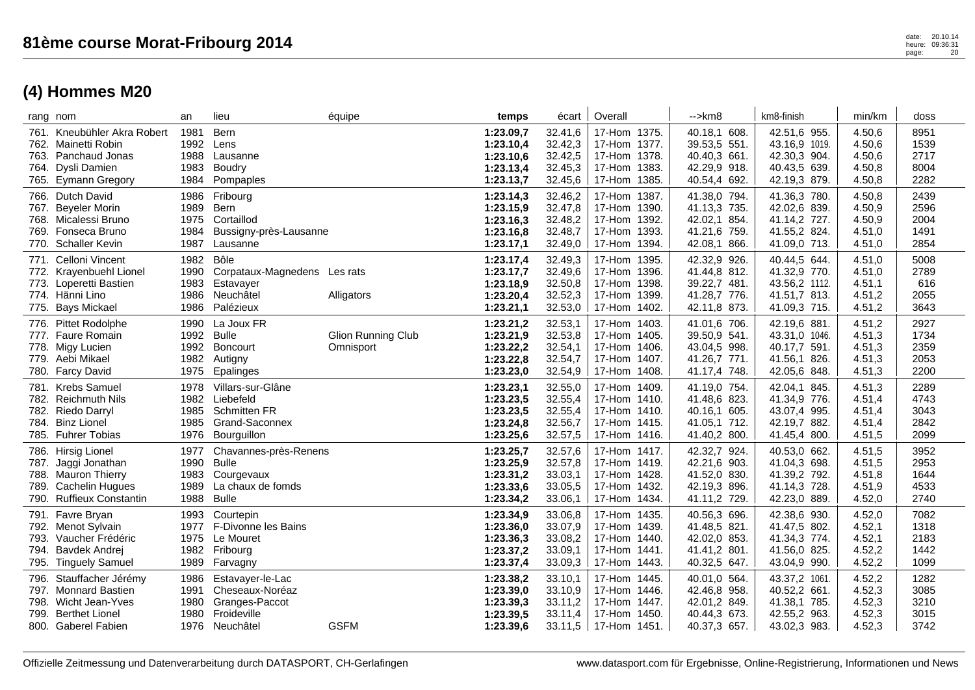|              | rang nom                                                                                                              | an                                   | lieu                                                                                          | équipe                                 | temps                                                         | écart                                               | Overall                                                                                  | $\rightarrow$ km8                                                                        | km8-finish                                                                       | min/km                                         | doss                                 |
|--------------|-----------------------------------------------------------------------------------------------------------------------|--------------------------------------|-----------------------------------------------------------------------------------------------|----------------------------------------|---------------------------------------------------------------|-----------------------------------------------------|------------------------------------------------------------------------------------------|------------------------------------------------------------------------------------------|----------------------------------------------------------------------------------|------------------------------------------------|--------------------------------------|
|              | 761. Kneubühler Akra Robert<br>762. Mainetti Robin<br>763. Panchaud Jonas<br>764. Dysli Damien<br>765. Eymann Gregory | 1981<br>1992<br>1988<br>1983<br>1984 | Bern<br>Lens<br>Lausanne<br>Boudry<br>Pompaples                                               |                                        | 1:23.09,7<br>1:23.10,4<br>1:23.10,6<br>1:23.13,4<br>1:23.13,7 | 32.41,6<br>32.42,3<br>32.42,5<br>32.45,3<br>32.45,6 | 17-Hom 1375.<br>17-Hom 1377.<br>17-Hom 1378.<br>17-Hom 1383.<br>17-Hom 1385.             | 40.18,1 608.<br>39.53,5 551.<br>40.40,3 661.<br>42.29,9<br>918.<br>40.54,4<br>692.       | 42.51,6 955.<br>43.16,9 1019.<br>42.30,3 904.<br>40.43,5 639.<br>42.19,3 879.    | 4.50,6<br>4.50,6<br>4.50,6<br>4.50,8<br>4.50,8 | 8951<br>1539<br>2717<br>8004<br>2282 |
| 766.<br>767. | Dutch David<br><b>Beyeler Morin</b><br>768. Micalessi Bruno<br>769. Fonseca Bruno<br>770. Schaller Kevin              | 1986<br>1989<br>1975<br>1984<br>1987 | Fribourg<br>Bern<br>Cortaillod<br>Bussigny-près-Lausanne<br>Lausanne                          |                                        | 1:23.14,3<br>1:23.15,9<br>1:23.16,3<br>1:23.16,8<br>1:23.17,1 | 32.46,2<br>32.47,8<br>32.48,2<br>32.48,7<br>32.49,0 | 17-Hom 1387.<br>17-Hom 1390.<br>17-Hom 1392.<br>17-Hom 1393.<br>17-Hom 1394.             | 41.38,0<br>794.<br>41.13,3<br>735.<br>42.02,1<br>854.<br>41.21,6 759.<br>42.08,1<br>866. | 41.36,3 780.<br>42.02,6 839.<br>41.14,2 727.<br>41.55,2 824.<br>41.09,0 713.     | 4.50,8<br>4.50,9<br>4.50,9<br>4.51,0<br>4.51,0 | 2439<br>2596<br>2004<br>1491<br>2854 |
| 773.<br>775. | 771. Celloni Vincent<br>772. Krayenbuehl Lionel<br>Loperetti Bastien<br>774. Hänni Lino<br><b>Bays Mickael</b>        | 1982<br>1990<br>1983<br>1986<br>1986 | Bôle<br>Corpataux-Magnedens Les rats<br>Estavayer<br>Neuchâtel<br>Palézieux                   | Alligators                             | 1:23.17,4<br>1:23.17,7<br>1:23.18,9<br>1:23.20,4<br>1:23.21,1 | 32.49,3<br>32.49,6<br>32.50,8<br>32.52,3<br>32.53,0 | 17-Hom 1395.<br>17-Hom 1396.<br>17-Hom 1398.<br>17-Hom 1399.<br>17-Hom 1402.             | 42.32,9<br>926.<br>41.44,8 812.<br>39.22,7 481.<br>41.28,7 776.<br>42.11,8<br>873.       | 40.44,5 644.<br>41.32,9 770.<br>43.56,2 1112.<br>41.51,7 813.<br>41.09,3 715.    | 4.51,0<br>4.51,0<br>4.51,1<br>4.51,2<br>4.51,2 | 5008<br>2789<br>616<br>2055<br>3643  |
|              | 776. Pittet Rodolphe<br>777. Faure Romain<br>778. Migy Lucien<br>779. Aebi Mikael<br>780. Farcy David                 | 1990<br>1992<br>1992<br>1982<br>1975 | La Joux FR<br><b>Bulle</b><br><b>Boncourt</b><br>Autigny<br>Epalinges                         | <b>Glion Running Club</b><br>Omnisport | 1:23.21,2<br>1:23.21,9<br>1:23.22,2<br>1:23.22,8<br>1:23.23,0 | 32.53,1<br>32.53,8<br>32.54,1<br>32.54,7<br>32.54,9 | 17-Hom 1403.<br>17-Hom 1405.<br>17-Hom 1406.<br>17-Hom 1407.<br>17-Hom 1408.             | 41.01.6<br>706.<br>39.50,9<br>541.<br>43.04,5<br>998.<br>41.26,7 771.<br>41.17,4 748.    | 42.19.6 881.<br>43.31,0 1046.<br>40.17,7<br>591.<br>41.56,1 826.<br>42.05,6 848. | 4.51,2<br>4.51,3<br>4.51,3<br>4.51,3<br>4.51,3 | 2927<br>1734<br>2359<br>2053<br>2200 |
| 784.         | 781. Krebs Samuel<br>782. Reichmuth Nils<br>782. Riedo Darryl<br><b>Binz Lionel</b><br>785. Fuhrer Tobias             | 1978<br>1982<br>1985<br>1985<br>1976 | Villars-sur-Glâne<br>Liebefeld<br><b>Schmitten FR</b><br><b>Grand-Saconnex</b><br>Bourguillon |                                        | 1:23.23,1<br>1:23.23,5<br>1:23.23,5<br>1:23.24,8<br>1:23.25,6 | 32.55,0<br>32.55,4<br>32.55,4<br>32.56,7<br>32.57,5 | 17-Hom 1409.<br>17-Hom 1410.<br>17-Hom 1410.<br>17-Hom 1415.<br>17-Hom 1416.             | 41.19,0 754.<br>41.48,6 823.<br>40.16,1 605.<br>41.05.1 712.<br>41.40,2<br>800.          | 42.04,1<br>845.<br>41.34,9 776.<br>43.07,4 995.<br>42.19,7 882.<br>41.45,4 800.  | 4.51,3<br>4.51,4<br>4.51,4<br>4.51,4<br>4.51,5 | 2289<br>4743<br>3043<br>2842<br>2099 |
|              | 786. Hirsig Lionel<br>787. Jaggi Jonathan<br>788. Mauron Thierry<br>789. Cachelin Hugues<br>790. Ruffieux Constantin  | 1977<br>1990<br>1983<br>1989<br>1988 | Chavannes-près-Renens<br><b>Bulle</b><br>Courgevaux<br>La chaux de fomds<br><b>Bulle</b>      |                                        | 1:23.25,7<br>1:23.25,9<br>1:23.31,2<br>1:23.33,6<br>1:23.34,2 | 32.57,6<br>32.57,8<br>33.03,1<br>33.05,5<br>33.06,1 | 17-Hom 1417.<br>17-Hom 1419.<br>17-Hom 1428.<br>17-Hom 1432.<br>17-Hom 1434.             | 42.32,7 924.<br>42.21,6 903.<br>41.52,0<br>830.<br>42.19,3<br>896.<br>41.11,2 729.       | 40.53,0 662.<br>41.04,3 698.<br>41.39,2 792.<br>41.14,3 728.<br>42.23,0 889.     | 4.51,5<br>4.51,5<br>4.51,8<br>4.51,9<br>4.52,0 | 3952<br>2953<br>1644<br>4533<br>2740 |
| 794.<br>795. | 791. Favre Bryan<br>792. Menot Sylvain<br>793. Vaucher Frédéric<br>Bavdek Andrej<br><b>Tinguely Samuel</b>            | 1993<br>1977<br>1975<br>1982<br>1989 | Courtepin<br>F-Divonne les Bains<br>Le Mouret<br>Fribourg<br>Farvagny                         |                                        | 1:23.34,9<br>1:23.36,0<br>1:23.36,3<br>1:23.37,2<br>1:23.37,4 | 33.06,8<br>33.07,9<br>33.08,2<br>33.09,1<br>33.09,3 | 17-Hom 1435.<br>17-Hom 1439.<br>17-Hom 1440.<br>17-Hom 1441.<br>17-Hom 1443.             | 40.56,3<br>696.<br>41.48,5 821.<br>42.02,0 853.<br>41.41,2 801.<br>40.32,5 647.          | 42.38,6 930.<br>41.47,5 802.<br>41.34,3 774.<br>41.56,0 825.<br>43.04,9 990.     | 4.52,0<br>4.52,1<br>4.52,1<br>4.52,2<br>4.52,2 | 7082<br>1318<br>2183<br>1442<br>1099 |
| 796.<br>799. | Stauffacher Jérémy<br>797. Monnard Bastien<br>798. Wicht Jean-Yves<br><b>Berthet Lionel</b><br>800. Gaberel Fabien    | 1986<br>1991<br>1980<br>1980<br>1976 | Estavayer-le-Lac<br>Cheseaux-Noréaz<br>Granges-Paccot<br>Froideville<br>Neuchâtel             | <b>GSFM</b>                            | 1:23.38,2<br>1:23.39,0<br>1:23.39,3<br>1:23.39,5<br>1:23.39,6 | 33.10,1<br>33.10,9<br>33.11,2<br>33.11,4            | 17-Hom 1445.<br>17-Hom 1446.<br>17-Hom 1447.<br>17-Hom 1450.<br>$33.11,5$   17-Hom 1451. | 40.01,0<br>564.<br>42.46,8 958.<br>42.01,2 849.<br>40.44,3 673.<br>40.37,3 657.          | 43.37,2 1061.<br>40.52,2 661.<br>41.38,1 785.<br>42.55,2 963.<br>43.02,3 983.    | 4.52,2<br>4.52,3<br>4.52,3<br>4.52,3<br>4.52,3 | 1282<br>3085<br>3210<br>3015<br>3742 |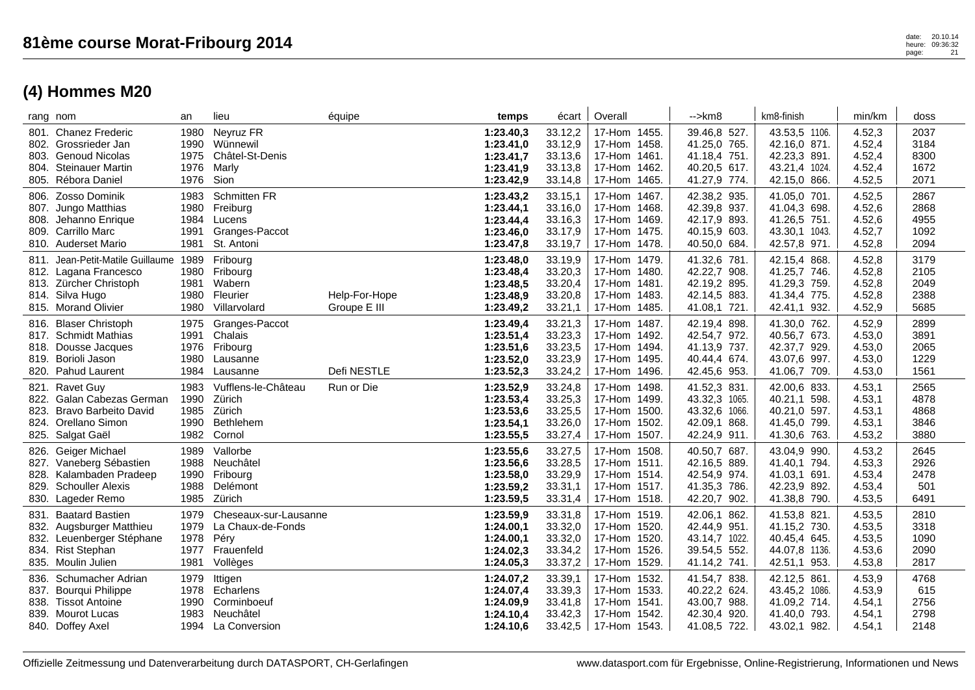|              | rang nom                                                                                                                           | an                                   | lieu                                                                         | équipe                        | temps                                                         | écart                                               | Overall                                                                         | -->km8                                                                         | km8-finish                                                                        | min/km                                         | doss                                 |
|--------------|------------------------------------------------------------------------------------------------------------------------------------|--------------------------------------|------------------------------------------------------------------------------|-------------------------------|---------------------------------------------------------------|-----------------------------------------------------|---------------------------------------------------------------------------------|--------------------------------------------------------------------------------|-----------------------------------------------------------------------------------|------------------------------------------------|--------------------------------------|
| 805.         | 801. Chanez Frederic<br>802. Grossrieder Jan<br>803. Genoud Nicolas<br>804. Steinauer Martin<br>Rébora Daniel                      | 1980<br>1990<br>1975<br>1976<br>1976 | Neyruz FR<br>Wünnewil<br>Châtel-St-Denis<br>Marly<br>Sion                    |                               | 1:23.40,3<br>1:23.41,0<br>1:23.41,7<br>1:23.41,9<br>1:23.42,9 | 33.12,2<br>33.12,9<br>33.13,6<br>33.13,8<br>33.14,8 | 17-Hom 1455.<br>17-Hom 1458.<br>17-Hom 1461.<br>17-Hom 1462.<br>17-Hom 1465.    | 39.46,8 527.<br>41.25,0 765.<br>41.18,4 751.<br>40.20,5 617.<br>41.27,9 774.   | 43.53,5 1106.<br>42.16,0 871.<br>42.23,3 891.<br>43.21,4 1024.<br>42.15,0<br>866. | 4.52,3<br>4.52,4<br>4.52,4<br>4.52,4<br>4.52,5 | 2037<br>3184<br>8300<br>1672<br>2071 |
|              | 806. Zosso Dominik<br>807. Jungo Matthias<br>808. Jehanno Enrique<br>809. Carrillo Marc<br>810. Auderset Mario                     | 1983<br>1980<br>1984<br>1991<br>1981 | <b>Schmitten FR</b><br>Freiburg<br>Lucens<br>Granges-Paccot<br>St. Antoni    |                               | 1:23.43,2<br>1:23.44,1<br>1:23.44,4<br>1:23.46,0<br>1:23.47,8 | 33.15,1<br>33.16,0<br>33.16,3<br>33.17,9<br>33.19,7 | 17-Hom 1467.<br>17-Hom 1468.<br>17-Hom 1469.<br>17-Hom 1475.<br>17-Hom 1478.    | 42.38,2 935.<br>42.39,8 937.<br>42.17,9 893.<br>40.15,9 603.<br>40.50,0 684.   | 41.05,0 701.<br>41.04,3 698.<br>41.26,5 751.<br>43.30,1 1043.<br>42.57,8 971.     | 4.52,5<br>4.52,6<br>4.52,6<br>4.52,7<br>4.52,8 | 2867<br>2868<br>4955<br>1092<br>2094 |
|              | 811. Jean-Petit-Matile Guillaume 1989<br>812. Lagana Francesco<br>813. Zürcher Christoph<br>814. Silva Hugo<br>815. Morand Olivier | 1980<br>1981<br>1980<br>1980         | Fribourg<br>Fribourg<br>Wabern<br>Fleurier<br>Villarvolard                   | Help-For-Hope<br>Groupe E III | 1:23.48,0<br>1:23.48,4<br>1:23.48,5<br>1:23.48,9<br>1:23.49,2 | 33.19,9<br>33.20,3<br>33.20,4<br>33.20,8<br>33.21,1 | 17-Hom 1479.<br>17-Hom 1480.<br>17-Hom 1481.<br>17-Hom 1483.<br>17-Hom 1485.    | 41.32,6 781.<br>42.22,7 908.<br>42.19,2 895.<br>42.14,5 883.<br>41.08,1 721.   | 42.15,4 868.<br>41.25,7 746.<br>41.29,3 759.<br>41.34,4 775.<br>42.41,1<br>932.   | 4.52,8<br>4.52,8<br>4.52,8<br>4.52,8<br>4.52,9 | 3179<br>2105<br>2049<br>2388<br>5685 |
| 816.<br>819. | <b>Blaser Christoph</b><br>817. Schmidt Mathias<br>818. Dousse Jacques<br>Borioli Jason<br>820. Pahud Laurent                      | 1975<br>1991<br>1976<br>1980<br>1984 | Granges-Paccot<br>Chalais<br>Fribourg<br>Lausanne<br>Lausanne                | Defi NESTLE                   | 1:23.49,4<br>1:23.51,4<br>1:23.51,6<br>1:23.52,0<br>1:23.52,3 | 33.21,3<br>33.23,3<br>33.23,5<br>33.23,9<br>33.24,2 | 17-Hom 1487.<br>17-Hom 1492.<br>17-Hom 1494.<br>17-Hom 1495.<br>17-Hom 1496.    | 42.19,4 898.<br>42.54,7 972.<br>41.13,9 737.<br>40.44,4 674.<br>42.45,6 953.   | 41.30,0 762.<br>40.56,7 673.<br>42.37,7 929.<br>43.07,6<br>997.<br>41.06,7 709.   | 4.52,9<br>4.53,0<br>4.53,0<br>4.53,0<br>4.53,0 | 2899<br>3891<br>2065<br>1229<br>1561 |
| 821.<br>823. | <b>Ravet Guy</b><br>822. Galan Cabezas German<br><b>Bravo Barbeito David</b><br>824. Orellano Simon<br>825. Salgat Gaël            | 1983<br>1990<br>1985<br>1990<br>1982 | Vufflens-le-Château<br>Zürich<br>Zürich<br>Bethlehem<br>Cornol               | Run or Die                    | 1:23.52,9<br>1:23.53,4<br>1:23.53,6<br>1:23.54,1<br>1:23.55,5 | 33.24,8<br>33.25,3<br>33.25,5<br>33.26,0<br>33.27,4 | 17-Hom 1498.<br>17-Hom 1499.<br>17-Hom 1500.<br>17-Hom 1502.<br>17-Hom 1507.    | 41.52,3 831.<br>43.32,3 1065.<br>43.32,6 1066.<br>42.09,1 868.<br>42.24,9 911. | 42.00,6 833.<br>40.21,1 598.<br>40.21,0 597.<br>41.45,0 799.<br>41.30,6 763.      | 4.53,1<br>4.53,1<br>4.53,1<br>4.53,1<br>4.53,2 | 2565<br>4878<br>4868<br>3846<br>3880 |
| 829.         | 826. Geiger Michael<br>827. Vaneberg Sébastien<br>828. Kalambaden Pradeep<br><b>Schouller Alexis</b><br>830. Lageder Remo          | 1989<br>1988<br>1990<br>1988<br>1985 | Vallorbe<br>Neuchâtel<br>Fribourg<br>Delémont<br>Zürich                      |                               | 1:23.55,6<br>1:23.56,6<br>1:23.58,0<br>1:23.59,2<br>1:23.59,5 | 33.27,5<br>33.28,5<br>33.29,9<br>33.31,1<br>33.31,4 | 17-Hom 1508.<br>17-Hom 1511.<br>17-Hom 1514.<br>17-Hom 1517.<br>17-Hom 1518.    | 40.50,7 687.<br>42.16,5 889.<br>42.54,9 974.<br>41.35,3 786.<br>42.20,7 902.   | 43.04,9 990.<br>41.40,1 794.<br>41.03,1 691.<br>42.23,9<br>892.<br>41.38,8 790.   | 4.53,2<br>4.53,3<br>4.53,4<br>4.53,4<br>4.53,5 | 2645<br>2926<br>2478<br>501<br>6491  |
| 831.<br>834. | <b>Baatard Bastien</b><br>832. Augsburger Matthieu<br>832. Leuenberger Stéphane<br><b>Rist Stephan</b><br>835. Moulin Julien       | 1979<br>1979<br>1978<br>1977<br>1981 | Cheseaux-sur-Lausanne<br>La Chaux-de-Fonds<br>Péry<br>Frauenfeld<br>Vollèges |                               | 1:23.59,9<br>1:24.00,1<br>1:24.00,1<br>1:24.02,3<br>1:24.05,3 | 33.31,8<br>33.32,0<br>33.32,0<br>33.34,2<br>33.37,2 | 17-Hom 1519.<br>17-Hom 1520.<br>17-Hom 1520.<br>17-Hom 1526.<br>17-Hom 1529.    | 42.06,1 862.<br>42.44,9 951.<br>43.14,7 1022.<br>39.54,5 552.<br>41.14,2 741.  | 41.53,8 821.<br>41.15,2 730.<br>40.45,4 645.<br>44.07,8 1136.<br>42.51,1 953.     | 4.53,5<br>4.53,5<br>4.53,5<br>4.53,6<br>4.53,8 | 2810<br>3318<br>1090<br>2090<br>2817 |
| 836.<br>839. | Schumacher Adrian<br>837. Bourqui Philippe<br>838. Tissot Antoine<br>Mourot Lucas<br>840. Doffey Axel                              | 1979<br>1978<br>1990<br>1983<br>1994 | Ittigen<br>Echarlens<br>Corminboeuf<br>Neuchâtel<br>La Conversion            |                               | 1:24.07,2<br>1:24.07,4<br>1:24.09,9<br>1:24.10,4<br>1:24.10.6 | 33.39,1<br>33.39,3<br>33.41,8<br>33.42,3<br>33.42,5 | 17-Hom 1532.<br>17-Hom 1533.<br>17-Hom 1541.<br>17-Hom<br>1542.<br>17-Hom 1543. | 41.54,7 838.<br>40.22,2 624.<br>43.00,7 988.<br>42.30,4 920.<br>41.08,5 722.   | 42.12,5 861.<br>43.45,2 1086.<br>41.09,2 714.<br>41.40,0<br>793.<br>43.02,1 982.  | 4.53,9<br>4.53,9<br>4.54,1<br>4.54,1<br>4.54,1 | 4768<br>615<br>2756<br>2798<br>2148  |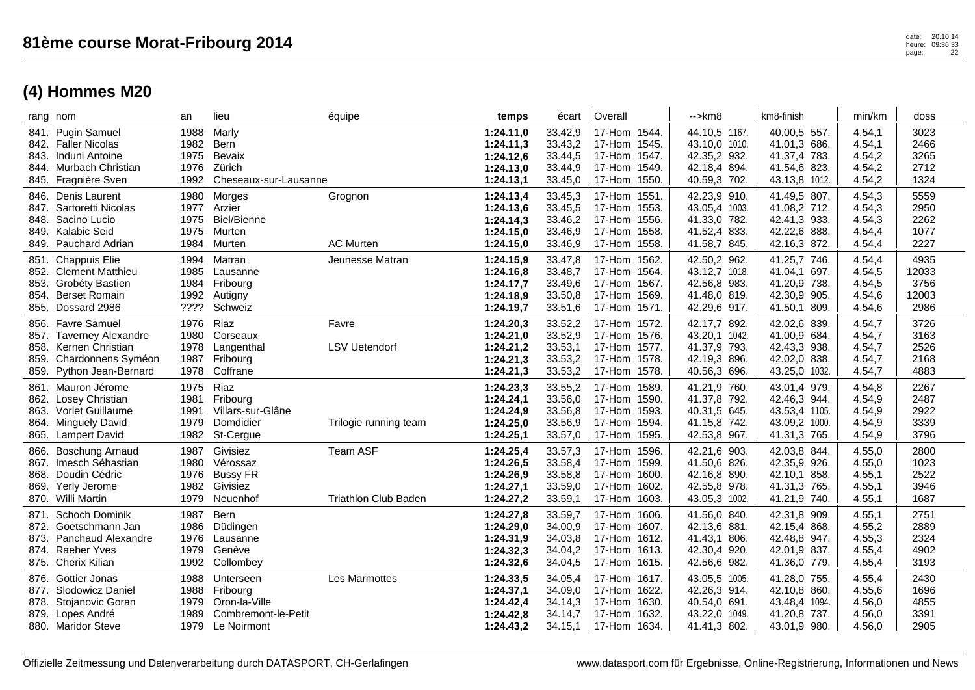| rang nom |                                                                                                                              | an                                   | lieu                                                                         | équipe                                         | temps                                                         | écart                                               | Overall                                                                                     | $\rightarrow$ km $\beta$                                                                  | km8-finish                                                                      | min/km                                         | doss                                   |
|----------|------------------------------------------------------------------------------------------------------------------------------|--------------------------------------|------------------------------------------------------------------------------|------------------------------------------------|---------------------------------------------------------------|-----------------------------------------------------|---------------------------------------------------------------------------------------------|-------------------------------------------------------------------------------------------|---------------------------------------------------------------------------------|------------------------------------------------|----------------------------------------|
|          | 841. Pugin Samuel<br>842. Faller Nicolas<br>843. Induni Antoine<br>844. Murbach Christian<br>845. Fragnière Sven             | 1988<br>1982<br>1975<br>1976<br>1992 | Marly<br>Bern<br><b>Bevaix</b><br>Zürich<br>Cheseaux-sur-Lausanne            |                                                | 1:24.11,0<br>1:24.11,3<br>1:24.12,6<br>1:24.13,0<br>1:24.13,1 | 33.42,9<br>33.43,2<br>33.44,5<br>33.44,9<br>33.45,0 | 17-Hom 1544.<br>17-Hom 1545.<br>17-Hom 1547.<br>17-Hom 1549.<br>17-Hom 1550.                | 44.10,5 1167.<br>43.10,0 1010.<br>42.35,2 932.<br>42.18,4<br>894.<br>40.59,3<br>702.      | 40.00,5 557.<br>41.01,3 686.<br>41.37,4 783.<br>41.54,6 823.<br>43.13,8 1012.   | 4.54,1<br>4.54,1<br>4.54,2<br>4.54,2<br>4.54,2 | 3023<br>2466<br>3265<br>2712<br>1324   |
|          | 846. Denis Laurent<br>847. Sartoretti Nicolas<br>848. Sacino Lucio<br>849. Kalabic Seid<br>849. Pauchard Adrian              | 1980<br>1977<br>1975<br>1975<br>1984 | Morges<br>Arzier<br>Biel/Bienne<br>Murten<br>Murten                          | Grognon<br><b>AC Murten</b>                    | 1:24.13,4<br>1:24.13,6<br>1:24.14,3<br>1:24.15,0<br>1:24.15,0 | 33.45,3<br>33.45,5<br>33.46,2<br>33.46,9<br>33.46,9 | 17-Hom 1551.<br>17-Hom 1553.<br>17-Hom 1556.<br>17-Hom 1558.<br>17-Hom 1558.                | 42.23,9<br>910.<br>43.05,4 1003.<br>41.33,0 782.<br>41.52,4 833.<br>41.58,7 845.          | 41.49,5 807.<br>41.08,2 712.<br>42.41,3 933.<br>42.22,6 888.<br>42.16,3 872.    | 4.54,3<br>4.54,3<br>4.54,3<br>4.54,4<br>4.54,4 | 5559<br>2950<br>2262<br>1077<br>2227   |
| 854.     | 851. Chappuis Elie<br>852. Clement Matthieu<br>853. Grobéty Bastien<br><b>Berset Romain</b><br>855. Dossard 2986             | 1994<br>1985<br>1984<br>1992<br>???? | Matran<br>Lausanne<br>Fribourg<br>Autigny<br>Schweiz                         | Jeunesse Matran                                | 1:24.15,9<br>1:24.16,8<br>1:24.17,7<br>1:24.18,9<br>1:24.19,7 | 33.47,8<br>33.48,7<br>33.49,6<br>33.50,8<br>33.51,6 | 17-Hom 1562.<br>17-Hom 1564.<br>17-Hom 1567.<br>17-Hom 1569.<br>17-Hom 1571.                | 42.50,2<br>962.<br>43.12,7 1018.<br>42.56,8<br>983.<br>41.48,0 819.<br>42.29,6<br>917.    | 41.25,7 746.<br>41.04,1 697.<br>41.20,9 738.<br>42.30,9 905.<br>41.50,1<br>809. | 4.54,4<br>4.54,5<br>4.54,5<br>4.54,6<br>4.54,6 | 4935<br>12033<br>3756<br>12003<br>2986 |
|          | 856. Favre Samuel<br>857. Taverney Alexandre<br>858. Kernen Christian<br>859. Chardonnens Syméon<br>859. Python Jean-Bernard | 1976<br>1980<br>1978<br>1987<br>1978 | Riaz<br>Corseaux<br>Langenthal<br>Fribourg<br>Coffrane                       | Favre<br><b>LSV Uetendorf</b>                  | 1:24.20,3<br>1:24.21,0<br>1:24.21,2<br>1:24.21,3<br>1:24.21,3 | 33.52,2<br>33.52,9<br>33.53,1<br>33.53,2<br>33.53,2 | 17-Hom 1572.<br>17-Hom 1576.<br>17-Hom 1577.<br>17-Hom 1578.<br>17-Hom 1578.                | 42.17,7<br>892.<br>43.20,1 1042.<br>41.37,9<br>793.<br>42.19,3 896.<br>40.56,3<br>696.    | 42.02,6 839.<br>41.00,9 684.<br>42.43.3 938.<br>42.02,0 838.<br>43.25,0 1032.   | 4.54,7<br>4.54,7<br>4.54,7<br>4.54,7<br>4.54,7 | 3726<br>3163<br>2526<br>2168<br>4883   |
| 861.     | Mauron Jérome<br>862. Losey Christian<br>863. Vorlet Guillaume<br>864. Minguely David<br>865. Lampert David                  | 1975<br>1981<br>1991<br>1979<br>1982 | Riaz<br>Fribourg<br>Villars-sur-Glâne<br>Domdidier<br>St-Cergue              | Trilogie running team                          | 1:24.23,3<br>1:24.24,1<br>1:24.24,9<br>1:24.25,0<br>1:24.25,1 | 33.55,2<br>33.56,0<br>33.56,8<br>33.56,9<br>33.57,0 | 17-Hom 1589.<br>17-Hom 1590.<br>17-Hom 1593.<br>17-Hom 1594.<br>17-Hom 1595.                | 41.21,9<br>760.<br>41.37,8 792.<br>40.31,5<br>645.<br>41.15,8 742.<br>42.53,8<br>967.     | 43.01,4 979.<br>42.46,3 944.<br>43.53,4 1105.<br>43.09,2 1000.<br>41.31,3 765.  | 4.54,8<br>4.54,9<br>4.54,9<br>4.54,9<br>4.54,9 | 2267<br>2487<br>2922<br>3339<br>3796   |
| 866.     | <b>Boschung Arnaud</b><br>867. Imesch Sébastian<br>868. Doudin Cédric<br>869. Yerly Jerome<br>870. Willi Martin              | 1987<br>1980<br>1976<br>1982<br>1979 | Givisiez<br>Vérossaz<br><b>Bussy FR</b><br>Givisiez<br>Neuenhof              | <b>Team ASF</b><br><b>Triathlon Club Baden</b> | 1:24.25,4<br>1:24.26,5<br>1:24.26,9<br>1:24.27,1<br>1:24.27,2 | 33.57,3<br>33.58,4<br>33.58,8<br>33.59,0<br>33.59,1 | 17-Hom 1596.<br>17-Hom 1599.<br>17-Hom 1600.<br>17-Hom 1602.<br>17-Hom 1603.                | 42.21,6<br>903.<br>41.50,6<br>826.<br>42.16,8<br>890.<br>42.55,8<br>978.<br>43.05,3 1002. | 42.03,8 844.<br>42.35,9 926.<br>42.10,1 858.<br>41.31,3 765.<br>41.21,9 740.    | 4.55,0<br>4.55,0<br>4.55,1<br>4.55,1<br>4.55,1 | 2800<br>1023<br>2522<br>3946<br>1687   |
| 873.     | 871. Schoch Dominik<br>872. Goetschmann Jan<br><b>Panchaud Alexandre</b><br>874. Raeber Yves<br>875. Cherix Kilian           | 1987<br>1986<br>1976<br>1979<br>1992 | Bern<br>Düdingen<br>Lausanne<br>Genève<br>Collombey                          |                                                | 1:24.27,8<br>1:24.29,0<br>1:24.31,9<br>1:24.32,3<br>1:24.32,6 | 33.59,7<br>34.00,9<br>34.03,8<br>34.04,2<br>34.04,5 | 17-Hom 1606.<br>17-Hom 1607.<br>17-Hom 1612.<br>17-Hom 1613.<br>17-Hom 1615.                | 41.56,0<br>840.<br>42.13,6 881.<br>41.43,1<br>806.<br>42.30,4<br>920.<br>42.56,6<br>982.  | 42.31,8 909.<br>42.15,4 868.<br>42.48,8 947.<br>42.01,9 837.<br>41.36,0 779.    | 4.55,1<br>4.55,2<br>4.55,3<br>4.55,4<br>4.55,4 | 2751<br>2889<br>2324<br>4902<br>3193   |
| 876.     | Gottier Jonas<br>877. Slodowicz Daniel<br>878. Stojanovic Goran<br>879. Lopes André<br>880. Maridor Steve                    | 1988<br>1988<br>1979<br>1989<br>1979 | Unterseen<br>Fribourg<br>Oron-la-Ville<br>Combremont-le-Petit<br>Le Noirmont | Les Marmottes                                  | 1:24.33,5<br>1:24.37,1<br>1:24.42,4<br>1:24.42,8<br>1:24.43,2 | 34.05,4<br>34.09,0<br>34.14,3<br>34.14,7            | 17-Hom 1617.<br>17-Hom 1622.<br>17-Hom 1630.<br>17-Hom<br>1632.<br>$34.15.1$   17-Hom 1634. | 43.05,5<br>1005.<br>42.26,3 914.<br>40.54,0<br>691.<br>43.22,0<br>1049.<br>41.41,3 802.   | 41.28,0 755.<br>42.10.8 860.<br>43.48,4 1094.<br>41.20,8 737.<br>43.01,9 980.   | 4.55,4<br>4.55,6<br>4.56,0<br>4.56,0<br>4.56,0 | 2430<br>1696<br>4855<br>3391<br>2905   |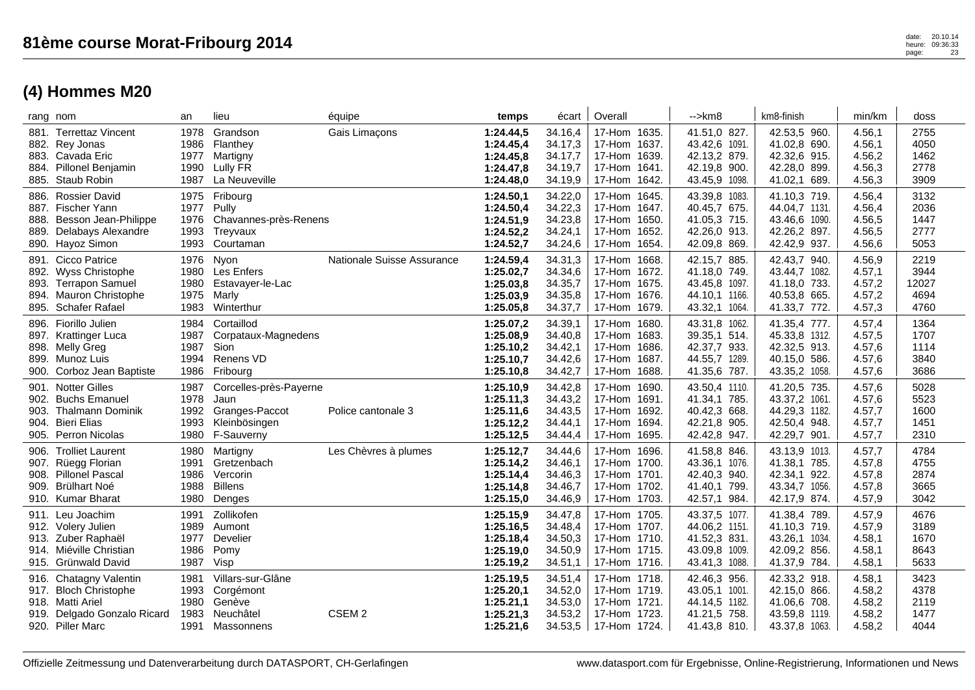| rang nom                                                                                                               | an                                   | lieu                                                                            | équipe                     | temps                                                         | écart                                               | Overall                                                                      | $\rightarrow$ km $\alpha$                                                        | km8-finish                                                                     | min/km                                         | doss                                  |
|------------------------------------------------------------------------------------------------------------------------|--------------------------------------|---------------------------------------------------------------------------------|----------------------------|---------------------------------------------------------------|-----------------------------------------------------|------------------------------------------------------------------------------|----------------------------------------------------------------------------------|--------------------------------------------------------------------------------|------------------------------------------------|---------------------------------------|
| 881. Terrettaz Vincent<br>882. Rey Jonas<br>883. Cavada Eric<br>884. Pillonel Benjamin<br>885. Staub Robin             | 1978<br>1986<br>1977<br>1990<br>1987 | Grandson<br>Flanthey<br>Martigny<br>Lully FR<br>La Neuveville                   | Gais Limaçons              | 1:24.44,5<br>1:24.45,4<br>1:24.45,8<br>1:24.47,8<br>1:24.48,0 | 34.16,4<br>34.17,3<br>34.17,7<br>34.19,7<br>34.19,9 | 17-Hom 1635.<br>17-Hom 1637.<br>17-Hom 1639.<br>17-Hom 1641.<br>17-Hom 1642. | 41.51,0 827.<br>43.42,6 1091.<br>42.13,2 879.<br>42.19,8 900.<br>43.45,9 1098.   | 42.53,5 960.<br>41.02,8 690.<br>42.32,6 915.<br>42.28,0 899.<br>41.02,1 689.   | 4.56,1<br>4.56,1<br>4.56,2<br>4.56,3<br>4.56,3 | 2755<br>4050<br>1462<br>2778<br>3909  |
| 886. Rossier David<br>887. Fischer Yann<br>888. Besson Jean-Philippe<br>889. Delabays Alexandre<br>890. Hayoz Simon    | 1975<br>1977<br>1976<br>1993<br>1993 | Fribourg<br>Pully<br>Chavannes-près-Renens<br>Treyvaux<br>Courtaman             |                            | 1:24.50,1<br>1:24.50,4<br>1:24.51,9<br>1:24.52,2<br>1:24.52,7 | 34.22,0<br>34.22,3<br>34.23,8<br>34.24,1<br>34.24,6 | 17-Hom 1645.<br>17-Hom 1647.<br>17-Hom 1650.<br>17-Hom 1652.<br>17-Hom 1654. | 43.39,8 1083.<br>40.45,7 675.<br>41.05,3 715.<br>42.26,0 913.<br>42.09,8 869.    | 41.10,3 719.<br>44.04,7 1131.<br>43.46,6 1090.<br>42.26,2 897.<br>42.42,9 937. | 4.56,4<br>4.56,4<br>4.56,5<br>4.56,5<br>4.56,6 | 3132<br>2036<br>1447<br>2777<br>5053  |
| 891. Cicco Patrice<br>892. Wyss Christophe<br>893. Terrapon Samuel<br>894. Mauron Christophe<br>895. Schafer Rafael    | 1976<br>1980<br>1980<br>1975<br>1983 | Nyon<br>Les Enfers<br>Estavayer-le-Lac<br>Marly<br>Winterthur                   | Nationale Suisse Assurance | 1:24.59,4<br>1:25.02,7<br>1:25.03,8<br>1:25.03,9<br>1:25.05,8 | 34.31,3<br>34.34,6<br>34.35,7<br>34.35,8<br>34.37,7 | 17-Hom 1668.<br>17-Hom 1672.<br>17-Hom 1675.<br>17-Hom 1676.<br>17-Hom 1679. | 42.15,7 885.<br>41.18,0 749.<br>43.45,8 1097.<br>44.10,1 1166.<br>43.32,1 1064.  | 42.43,7 940.<br>43.44,7 1082.<br>41.18,0 733.<br>40.53,8 665.<br>41.33,7 772.  | 4.56,9<br>4.57,1<br>4.57,2<br>4.57,2<br>4.57,3 | 2219<br>3944<br>12027<br>4694<br>4760 |
| 896. Fiorillo Julien<br>897. Krattinger Luca<br>898. Melly Greg<br>899. Munoz Luis<br>900. Corboz Jean Baptiste        | 1984<br>1987<br>1987<br>1994<br>1986 | Cortaillod<br>Corpataux-Magnedens<br>Sion<br>Renens VD<br>Fribourg              |                            | 1:25.07,2<br>1:25.08,9<br>1:25.10,2<br>1:25.10,7<br>1:25.10,8 | 34.39,1<br>34.40,8<br>34.42,1<br>34.42,6<br>34.42,7 | 17-Hom 1680.<br>17-Hom 1683.<br>17-Hom 1686.<br>17-Hom 1687.<br>17-Hom 1688. | 43.31,8 1062.<br>39.35,1 514.<br>42.37,7 933.<br>44.55,7 1289.<br>41.35,6 787.   | 41.35,4 777.<br>45.33,8 1312.<br>42.32,5 913.<br>40.15,0 586.<br>43.35,2 1058. | 4.57,4<br>4.57,5<br>4.57,6<br>4.57,6<br>4.57,6 | 1364<br>1707<br>1114<br>3840<br>3686  |
| 901. Notter Gilles<br>902. Buchs Emanuel<br>903. Thalmann Dominik<br>904. Bieri Elias<br>905. Perron Nicolas           | 1987<br>1978<br>1992<br>1993<br>1980 | Corcelles-près-Payerne<br>Jaun<br>Granges-Paccot<br>Kleinbösingen<br>F-Sauverny | Police cantonale 3         | 1:25.10,9<br>1:25.11,3<br>1:25.11,6<br>1:25.12,2<br>1:25.12,5 | 34.42,8<br>34.43,2<br>34.43,5<br>34.44,1<br>34.44,4 | 17-Hom 1690.<br>17-Hom 1691.<br>17-Hom 1692.<br>17-Hom 1694.<br>17-Hom 1695. | 43.50,4 1110.<br>41.34,1 785.<br>40.42,3 668.<br>42.21,8 905.<br>42.42,8 947.    | 41.20,5 735.<br>43.37,2 1061.<br>44.29,3 1182.<br>42.50,4 948.<br>42.29,7 901. | 4.57,6<br>4.57,6<br>4.57,7<br>4.57,7<br>4.57,7 | 5028<br>5523<br>1600<br>1451<br>2310  |
| 906. Trolliet Laurent<br>907. Rüegg Florian<br>908. Pillonel Pascal<br>909. Brülhart Noé<br>910. Kumar Bharat          | 1980<br>1991<br>1986<br>1988<br>1980 | Martigny<br>Gretzenbach<br>Vercorin<br><b>Billens</b><br>Denges                 | Les Chèvres à plumes       | 1:25.12,7<br>1:25.14,2<br>1:25.14,4<br>1:25.14,8<br>1:25.15,0 | 34.44,6<br>34.46,1<br>34.46,3<br>34.46,7<br>34.46,9 | 17-Hom 1696.<br>17-Hom 1700.<br>17-Hom 1701.<br>17-Hom 1702.<br>17-Hom 1703. | 41.58,8 846.<br>43.36,1 1076.<br>42.40,3 940.<br>41.40,1 799.<br>42.57,1 984.    | 43.13,9 1013.<br>41.38,1 785.<br>42.34,1 922.<br>43.34,7 1056.<br>42.17,9 874. | 4.57,7<br>4.57,8<br>4.57,8<br>4.57,8<br>4.57,9 | 4784<br>4755<br>2874<br>3665<br>3042  |
| 911. Leu Joachim<br>912. Volery Julien<br>913. Zuber Raphaël<br>914. Miéville Christian<br>915. Grünwald David         | 1991<br>1989<br>1977<br>1986<br>1987 | Zollikofen<br>Aumont<br>Develier<br>Pomy<br>Visp                                |                            | 1:25.15,9<br>1:25.16,5<br>1:25.18,4<br>1:25.19,0<br>1:25.19,2 | 34.47,8<br>34.48,4<br>34.50,3<br>34.50,9<br>34.51,1 | 17-Hom 1705.<br>17-Hom 1707.<br>17-Hom 1710.<br>17-Hom 1715.<br>17-Hom 1716. | 43.37,5 1077.<br>44.06,2 1151.<br>41.52,3 831.<br>43.09,8 1009.<br>43.41,3 1088. | 41.38,4 789.<br>41.10,3 719.<br>43.26,1 1034.<br>42.09,2 856.<br>41.37,9 784.  | 4.57,9<br>4.57,9<br>4.58,1<br>4.58,1<br>4.58,1 | 4676<br>3189<br>1670<br>8643<br>5633  |
| 916. Chatagny Valentin<br>917. Bloch Christophe<br>918. Matti Ariel<br>919. Delgado Gonzalo Ricard<br>920. Piller Marc | 1981<br>1993<br>1980<br>1983<br>1991 | Villars-sur-Glâne<br>Corgémont<br>Genève<br>Neuchâtel<br>Massonnens             | CSEM <sub>2</sub>          | 1:25.19,5<br>1:25.20,1<br>1:25.21,1<br>1:25.21,3<br>1:25.21,6 | 34.51,4<br>34.52,0<br>34.53,0<br>34.53,2<br>34.53,5 | 17-Hom 1718.<br>17-Hom 1719.<br>17-Hom 1721.<br>17-Hom 1723.<br>17-Hom 1724. | 42.46,3 956.<br>43.05,1 1001.<br>44.14,5 1182.<br>41.21,5 758.<br>41.43,8 810.   | 42.33,2 918.<br>42.15,0 866.<br>41.06,6 708.<br>43.59,8 1119.<br>43.37,8 1063. | 4.58,1<br>4.58,2<br>4.58,2<br>4.58,2<br>4.58,2 | 3423<br>4378<br>2119<br>1477<br>4044  |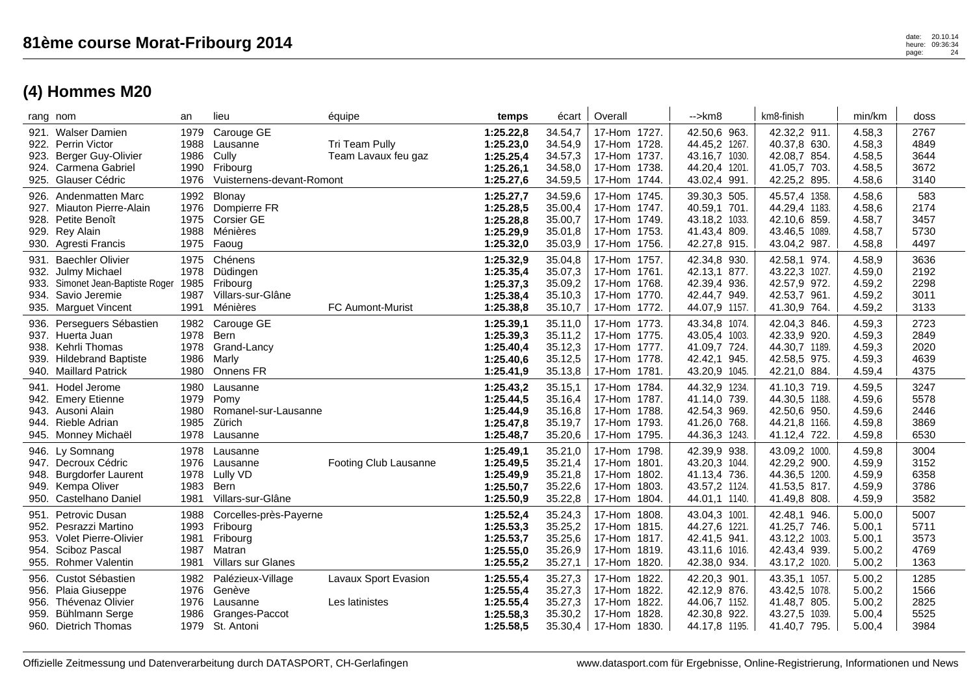| rang nom                        | an   | lieu                           | équipe              | temps     |         | écart   Overall                                            | -->km8        | km8-finish    | min/km   | doss |
|---------------------------------|------|--------------------------------|---------------------|-----------|---------|------------------------------------------------------------|---------------|---------------|----------|------|
| 921. Walser Damien              | 1979 | Carouge GE                     |                     | 1:25.22.8 | 34.54.7 | 17-Hom 1727.                                               | 42.50.6 963.  | 42.32.2 911.  | 4.58,3   | 2767 |
| 922. Perrin Victor              | 1988 | Lausanne                       | Tri Team Pully      | 1:25.23.0 | 34.54.9 | 17-Hom 1728.                                               | 44.45.2 1267. | 40.37.8 630.  | 4.58,3   | 4849 |
| 923. Berger Guy-Olivier         | 1986 | Cully                          | Team Lavaux feu gaz | 1:25.25.4 | 34.57.3 | 17-Hom 1737.                                               | 43.16,7 1030. | 42.08.7 854.  | 4.58,5   | 3644 |
| 924. Carmena Gabriel            |      | 1990 Fribourg                  |                     | 1:25.26.1 | 34.58,0 | 17-Hom 1738.                                               | 44.20,4 1201. | 41.05.7 703.  | 4.58,5   | 3672 |
| 925. Glauser Cédric             |      | 1976 Vuisternens-devant-Romont |                     | 1:25.27.6 | 34.59.5 | 17-Hom 1744.                                               | 43.02,4 991.  | 42.25.2 895.  | 4.58,6   | 3140 |
| 926. Andenmatten Marc           |      | 1992 Blonay                    |                     | 1:25.27.7 | 34.59,6 | 17-Hom 1745.                                               | 39.30,3 505.  | 45.57,4 1358. | 4.58,6   | 583  |
| 927. Miauton Pierre-Alain       | 1976 | Dompierre FR                   |                     | 1:25.28.5 | 35.00.4 | 17-Hom 1747.                                               | 40.59.1 701.  | 44.29.4 1183. | 4.58,6   | 2174 |
| 928. Petite Benoît              | 1975 | Corsier GE                     |                     | 1:25.28.8 | 35.00.7 | 17-Hom 1749.                                               | 43.18.2 1033. | 42.10.6 859.  | 4.58,7   | 3457 |
| 929. Rey Alain                  | 1988 | Ménières                       |                     | 1:25.29.9 | 35.01.8 | 17-Hom 1753.                                               | 41.43.4 809.  | 43.46.5 1089. | 4.58,7   | 5730 |
| 930. Agresti Francis            |      | 1975 Faoug                     |                     | 1:25.32.0 | 35.03.9 | 17-Hom 1756.                                               | 42.27,8 915.  | 43.04.2 987.  | 4.58,8   | 4497 |
| 931. Baechler Olivier           | 1975 | Chénens                        |                     | 1:25.32.9 | 35.04,8 | 17-Hom 1757.                                               | 42.34.8 930.  | 42.58,1 974.  | 4.58,9   | 3636 |
| 932. Julmy Michael              |      | 1978 Düdingen                  |                     | 1:25.35.4 | 35.07,3 | 17-Hom 1761.                                               | 42.13.1 877.  | 43.22.3 1027. | 4.59,0   | 2192 |
| 033 Cimonat Jaan-Rantieta Poger |      | 1085 Eribourg                  |                     | 1.25222   |         | $35.002 \pm 17.1$ $\mu$ $\mu$ $\mu$ $\tau$ $\beta$ $\beta$ | 12.301.036    | 12 57 Q Q 72  | 1. 50. 2 | ാാവു |

|      | 921. Walser Damien<br>922. Perrin Victor<br>923. Berger Guy-Olivier<br>924. Carmena Gabriel<br>925. Glauser Cédric            | 1979<br>1988<br>1986<br>1990<br>1976 | Carouge GE<br>Lausanne<br>Cully<br>Fribourg<br>Vuisternens-devant-Romont              | Tri Team Pully<br>Team Lavaux feu gaz  | 1:25.22,8<br>1:25.23,0<br>1:25.25,4<br>1:25.26,1<br>1:25.27,6 | 34.54,7<br>34.54,9<br>34.57,3<br>34.58,0<br>34.59,5 | 17-Hom 1727.<br>17-Hom 1728.<br>17-Hom 1737.<br>17-Hom 1738.<br>17-Hom 1744. | 42.50,6 963.<br>44.45,2 1267.<br>43.16,7 1030.<br>44.20,4 1201.<br>43.02,4 991. | 42.32,2 911.<br>40.37,8 630.<br>42.08,7 854.<br>41.05,7 703.<br>42.25,2 895.    | 4.58,3<br>4.58,3<br>4.58,5<br>4.58,5<br>4.58,6 | 2767<br>4849<br>3644<br>3672<br>3140 |
|------|-------------------------------------------------------------------------------------------------------------------------------|--------------------------------------|---------------------------------------------------------------------------------------|----------------------------------------|---------------------------------------------------------------|-----------------------------------------------------|------------------------------------------------------------------------------|---------------------------------------------------------------------------------|---------------------------------------------------------------------------------|------------------------------------------------|--------------------------------------|
|      | 926. Andenmatten Marc<br>927. Miauton Pierre-Alain<br>928. Petite Benoît<br>929. Rey Alain<br>930. Agresti Francis            | 1992<br>1976<br>1975<br>1988<br>1975 | Blonay<br>Dompierre FR<br><b>Corsier GE</b><br>Ménières<br>Faoug                      |                                        | 1:25.27,7<br>1:25.28,5<br>1:25.28,8<br>1:25.29,9<br>1:25.32,0 | 34.59,6<br>35.00,4<br>35.00,7<br>35.01,8<br>35.03,9 | 17-Hom 1745.<br>17-Hom 1747.<br>17-Hom 1749.<br>17-Hom 1753.<br>17-Hom 1756. | 39.30,3 505.<br>40.59,1 701.<br>43.18,2 1033.<br>41.43,4 809.<br>42.27,8 915.   | 45.57,4 1358.<br>44.29,4 1183.<br>42.10.6 859.<br>43.46,5 1089.<br>43.04,2 987. | 4.58,6<br>4.58,6<br>4.58,7<br>4.58,7<br>4.58,8 | 583<br>2174<br>3457<br>5730<br>4497  |
| 932. | 931. Baechler Olivier<br>Julmy Michael<br>933. Simonet Jean-Baptiste Roger 1985<br>934. Savio Jeremie<br>935. Marguet Vincent | 1975<br>1978<br>1987<br>1991         | Chénens<br>Düdingen<br>Fribourg<br>Villars-sur-Glâne<br>Ménières                      | FC Aumont-Murist                       | 1:25.32,9<br>1:25.35,4<br>1:25.37,3<br>1:25.38,4<br>1:25.38,8 | 35.04,8<br>35.07,3<br>35.09,2<br>35.10,3<br>35.10,7 | 17-Hom 1757.<br>17-Hom 1761.<br>17-Hom 1768.<br>17-Hom 1770.<br>17-Hom 1772. | 42.34,8 930.<br>42.13,1 877.<br>42.39,4 936.<br>42.44,7 949.<br>44.07,9 1157.   | 42.58,1 974.<br>43.22,3 1027.<br>42.57,9 972.<br>42.53,7 961.<br>41.30,9 764.   | 4.58,9<br>4.59,0<br>4.59,2<br>4.59,2<br>4.59,2 | 3636<br>2192<br>2298<br>3011<br>3133 |
|      | 936. Perseguers Sébastien<br>937. Huerta Juan<br>938. Kehrli Thomas<br>939. Hildebrand Baptiste<br>940. Maillard Patrick      | 1982<br>1978<br>1978<br>1986<br>1980 | Carouge GE<br>Bern<br>Grand-Lancy<br>Marly<br>Onnens FR                               |                                        | 1:25.39,1<br>1:25.39,3<br>1:25.40,4<br>1:25.40,6<br>1:25.41,9 | 35.11,0<br>35.11,2<br>35.12,3<br>35.12,5<br>35.13,8 | 17-Hom 1773.<br>17-Hom 1775.<br>17-Hom 1777.<br>17-Hom 1778.<br>17-Hom 1781. | 43.34,8 1074.<br>43.05,4 1003.<br>41.09,7 724.<br>42.42,1 945.<br>43.20,9 1045. | 42.04,3 846.<br>42.33,9 920.<br>44.30,7 1189.<br>42.58,5 975.<br>42.21,0 884.   | 4.59,3<br>4.59,3<br>4.59,3<br>4.59,3<br>4.59,4 | 2723<br>2849<br>2020<br>4639<br>4375 |
|      | 941. Hodel Jerome<br>942. Emery Etienne<br>943. Ausoni Alain<br>944. Rieble Adrian<br>945. Monney Michaël                     | 1980<br>1979<br>1980<br>1985<br>1978 | Lausanne<br>Pomy<br>Romanel-sur-Lausanne<br>Zürich<br>Lausanne                        |                                        | 1:25.43,2<br>1:25.44,5<br>1:25.44,9<br>1:25.47,8<br>1:25.48,7 | 35.15,1<br>35.16,4<br>35.16,8<br>35.19,7<br>35.20,6 | 17-Hom 1784.<br>17-Hom 1787.<br>17-Hom 1788.<br>17-Hom 1793.<br>17-Hom 1795. | 44.32,9 1234.<br>41.14,0 739.<br>42.54,3 969.<br>41.26,0 768.<br>44.36,3 1243.  | 41.10,3 719.<br>44.30,5 1188.<br>42.50,6 950.<br>44.21,8 1166.<br>41.12,4 722.  | 4.59,5<br>4.59,6<br>4.59,6<br>4.59,8<br>4.59,8 | 3247<br>5578<br>2446<br>3869<br>6530 |
|      | 946. Ly Somnang<br>947. Decroux Cédric<br>948. Burgdorfer Laurent<br>949. Kempa Oliver<br>950. Castelhano Daniel              | 1978<br>1976<br>1978<br>1983<br>1981 | Lausanne<br>Lausanne<br>Lully VD<br>Bern<br>Villars-sur-Glâne                         | Footing Club Lausanne                  | 1:25.49,1<br>1:25.49,5<br>1:25.49,9<br>1:25.50,7<br>1:25.50,9 | 35.21,0<br>35.21,4<br>35.21,8<br>35.22,6<br>35.22,8 | 17-Hom 1798.<br>17-Hom 1801.<br>17-Hom 1802.<br>17-Hom 1803.<br>17-Hom 1804. | 42.39,9 938.<br>43.20,3 1044.<br>41.13,4 736.<br>43.57,2 1124.<br>44.01,1 1140. | 43.09,2 1000.<br>42.29,2 900.<br>44.36,5 1200.<br>41.53,5 817.<br>41.49,8 808.  | 4.59,8<br>4.59,9<br>4.59,9<br>4.59,9<br>4.59,9 | 3004<br>3152<br>6358<br>3786<br>3582 |
|      | 951. Petrovic Dusan<br>952. Pesrazzi Martino<br>953. Volet Pierre-Olivier<br>954. Sciboz Pascal<br>955. Rohmer Valentin       | 1988<br>1993<br>1981<br>1987<br>1981 | Corcelles-près-Payerne<br>Fribourg<br>Fribourg<br>Matran<br><b>Villars sur Glanes</b> |                                        | 1:25.52,4<br>1:25.53,3<br>1:25.53,7<br>1:25.55,0<br>1:25.55,2 | 35.24,3<br>35.25,2<br>35.25,6<br>35.26,9<br>35.27,1 | 17-Hom 1808.<br>17-Hom 1815.<br>17-Hom 1817.<br>17-Hom 1819.<br>17-Hom 1820. | 43.04,3 1001.<br>44.27,6 1221.<br>42.41,5 941.<br>43.11,6 1016.<br>42.38,0 934. | 42.48,1 946.<br>41.25,7 746.<br>43.12,2 1003.<br>42.43,4 939.<br>43.17,2 1020.  | 5.00,0<br>5.00,1<br>5.00,1<br>5.00,2<br>5.00,2 | 5007<br>5711<br>3573<br>4769<br>1363 |
|      | 956. Custot Sébastien<br>956. Plaia Giuseppe<br>956. Thévenaz Olivier<br>959. Bühlmann Serge<br>960. Dietrich Thomas          | 1982<br>1976<br>1976<br>1986<br>1979 | Palézieux-Village<br>Genève<br>Lausanne<br>Granges-Paccot<br>St. Antoni               | Lavaux Sport Evasion<br>Les latinistes | 1:25.55,4<br>1:25.55,4<br>1:25.55,4<br>1:25.58,3<br>1:25.58,5 | 35.27,3<br>35.27,3<br>35.27,3<br>35.30,2<br>35.30,4 | 17-Hom 1822.<br>17-Hom 1822.<br>17-Hom 1822.<br>17-Hom 1828.<br>17-Hom 1830. | 42.20,3 901.<br>42.12,9 876.<br>44.06,7 1152.<br>42.30,8 922.<br>44.17,8 1195.  | 43.35,1 1057.<br>43.42,5 1078.<br>41.48,7 805.<br>43.27,5 1039.<br>41.40,7 795. | 5.00,2<br>5.00,2<br>5.00,2<br>5.00,4<br>5.00,4 | 1285<br>1566<br>2825<br>5525<br>3984 |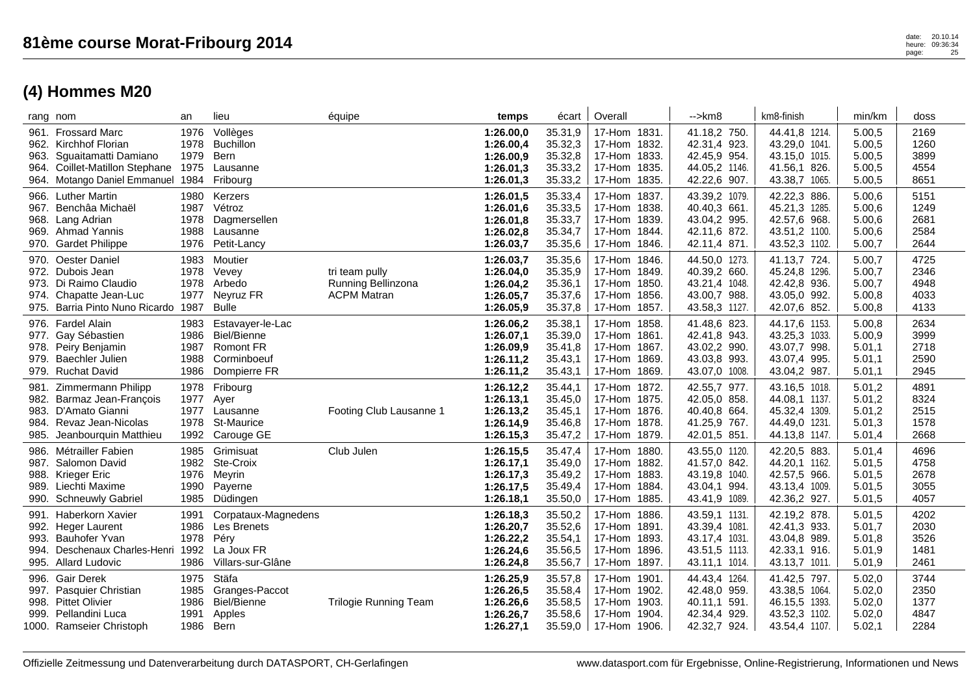|                      | rang nom                                                                                                                                        | an                                   | lieu                                                                                 | équipe                                                     | temps                                                         | écart                                               | Overall                                                                         | -->km8                                                                            | km8-finish                                                                           | min/km                                         | doss                                 |
|----------------------|-------------------------------------------------------------------------------------------------------------------------------------------------|--------------------------------------|--------------------------------------------------------------------------------------|------------------------------------------------------------|---------------------------------------------------------------|-----------------------------------------------------|---------------------------------------------------------------------------------|-----------------------------------------------------------------------------------|--------------------------------------------------------------------------------------|------------------------------------------------|--------------------------------------|
|                      | 961. Frossard Marc<br>962. Kirchhof Florian<br>963. Sguaitamatti Damiano<br>964. Coillet-Matillon Stephane<br>964. Motango Daniel Emmanuel 1984 | 1976<br>1978<br>1979<br>1975         | Vollèges<br><b>Buchillon</b><br>Bern<br>Lausanne<br>Fribourg                         |                                                            | 1:26.00,0<br>1:26.00,4<br>1:26.00,9<br>1:26.01,3<br>1:26.01,3 | 35.31,9<br>35.32,3<br>35.32,8<br>35.33,2<br>35.33,2 | 17-Hom 1831.<br>17-Hom 1832.<br>17-Hom 1833.<br>17-Hom 1835.<br>1835.<br>17-Hom | 41.18,2 750.<br>42.31,4 923.<br>42.45,9 954.<br>44.05,2 1146.<br>42.22,6 907.     | 44.41,8 1214.<br>43.29,0 1041.<br>43.15,0 1015.<br>41.56,1 826.<br>43.38,7 1065.     | 5.00,5<br>5.00,5<br>5.00,5<br>5.00,5<br>5.00,5 | 2169<br>1260<br>3899<br>4554<br>8651 |
| 967.                 | 966. Luther Martin<br>Benchâa Michaël<br>968. Lang Adrian<br>969. Ahmad Yannis<br>970. Gardet Philippe                                          | 1980<br>1987<br>1978<br>1988<br>1976 | Kerzers<br>Vétroz<br>Dagmersellen<br>Lausanne<br>Petit-Lancy                         |                                                            | 1:26.01,5<br>1:26.01,6<br>1:26.01,8<br>1:26.02,8<br>1:26.03,7 | 35.33,4<br>35.33,5<br>35.33,7<br>35.34,7<br>35.35,6 | 17-Hom 1837.<br>17-Hom 1838.<br>17-Hom 1839.<br>17-Hom 1844.<br>17-Hom<br>1846. | 43.39,2 1079.<br>40.40,3 661.<br>43.04,2 995.<br>42.11,6 872.<br>42.11,4 871.     | 42.22,3 886.<br>45.21,3 1285.<br>42.57,6 968.<br>43.51,2 1100.<br>43.52,3 1102.      | 5.00,6<br>5.00,6<br>5.00,6<br>5.00,6<br>5.00,7 | 5151<br>1249<br>2681<br>2584<br>2644 |
| 975.                 | 970. Oester Daniel<br>972. Dubois Jean<br>973. Di Raimo Claudio<br>974. Chapatte Jean-Luc<br>Barria Pinto Nuno Ricardo 1987                     | 1983<br>1978<br>1978<br>1977         | Moutier<br>Vevey<br>Arbedo<br>Neyruz FR<br><b>Bulle</b>                              | tri team pully<br>Running Bellinzona<br><b>ACPM Matran</b> | 1:26.03,7<br>1:26.04,0<br>1:26.04,2<br>1:26.05.7<br>1:26.05,9 | 35.35,6<br>35.35,9<br>35.36,1<br>35.37,6<br>35.37,8 | 17-Hom 1846.<br>17-Hom 1849.<br>17-Hom 1850.<br>17-Hom 1856.<br>1857.<br>17-Hom | 44.50,0 1273.<br>40.39,2 660.<br>43.21,4 1048.<br>43.00,7 988.<br>43.58,3 1127.   | 41.13,7 724.<br>45.24,8 1296.<br>42.42,8 936.<br>43.05,0 992.<br>42.07,6 852.        | 5.00.7<br>5.00,7<br>5.00,7<br>5.00,8<br>5.00,8 | 4725<br>2346<br>4948<br>4033<br>4133 |
| 979.                 | 976. Fardel Alain<br>977. Gay Sébastien<br>978. Peiry Benjamin<br><b>Baechler Julien</b><br>979. Ruchat David                                   | 1983<br>1986<br>1987<br>1988<br>1986 | Estavayer-le-Lac<br>Biel/Bienne<br><b>Romont FR</b><br>Corminboeuf<br>Dompierre FR   |                                                            | 1:26.06,2<br>1:26.07,1<br>1:26.09,9<br>1:26.11,2<br>1:26.11,2 | 35.38,1<br>35.39,0<br>35.41,8<br>35.43,1<br>35.43,1 | 17-Hom 1858.<br>17-Hom 1861.<br>17-Hom 1867.<br>17-Hom 1869.<br>1869.<br>17-Hom | 41.48,6 823.<br>42.41,8 943.<br>43.02,2 990.<br>43.03,8 993.<br>43.07,0 1008.     | 44.17,6 1153.<br>43.25,3 1033.<br>43.07,7<br>998.<br>43.07,4<br>995.<br>43.04,2 987. | 5.00,8<br>5.00,9<br>5.01,1<br>5.01,1<br>5.01,1 | 2634<br>3999<br>2718<br>2590<br>2945 |
| 981.<br>982.<br>985. | Zimmermann Philipp<br>Barmaz Jean-Francois<br>983. D'Amato Gianni<br>984. Revaz Jean-Nicolas<br>Jeanbourquin Matthieu                           | 1978<br>1977<br>1977<br>1978<br>1992 | Fribourg<br>Aver<br>Lausanne<br>St-Maurice<br>Carouge GE                             | Footing Club Lausanne 1                                    | 1:26.12,2<br>1:26.13,1<br>1:26.13,2<br>1:26.14,9<br>1:26.15,3 | 35.44,1<br>35.45,0<br>35.45,1<br>35.46,8<br>35.47,2 | 17-Hom 1872.<br>17-Hom 1875.<br>17-Hom 1876.<br>17-Hom 1878.<br>1879.<br>17-Hom | 42.55,7 977.<br>42.05,0 858.<br>40.40,8 664.<br>41.25,9 767.<br>42.01,5 851.      | 43.16,5 1018.<br>44.08,1 1137.<br>45.32,4 1309.<br>44.49,0 1231.<br>44.13,8 1147.    | 5.01,2<br>5.01,2<br>5.01,2<br>5.01,3<br>5.01,4 | 4891<br>8324<br>2515<br>1578<br>2668 |
| 986.                 | Métrailler Fabien<br>987. Salomon David<br>988. Krieger Eric<br>989. Liechti Maxime<br>990. Schneuwly Gabriel                                   | 1985<br>1982<br>1976<br>1990<br>1985 | Grimisuat<br>Ste-Croix<br>Meyrin<br>Payerne<br>Düdingen                              | Club Julen                                                 | 1:26.15,5<br>1:26.17,1<br>1:26.17,3<br>1:26.17,5<br>1:26.18,1 | 35.47,4<br>35.49,0<br>35.49,2<br>35.49,4<br>35.50,0 | 17-Hom 1880.<br>17-Hom 1882.<br>17-Hom 1883.<br>17-Hom 1884.<br>1885.<br>17-Hom | 43.55,0 1120.<br>41.57,0 842.<br>43.19,8 1040.<br>43.04,1 994.<br>43.41,9 1089.   | 42.20,5 883.<br>44.20,1 1162.<br>42.57,5<br>966.<br>43.13,4<br>1009.<br>42.36,2 927. | 5.01,4<br>5.01,5<br>5.01,5<br>5.01,5<br>5.01,5 | 4696<br>4758<br>2678<br>3055<br>4057 |
| 991.<br>993.<br>994. | <b>Haberkorn Xavier</b><br>992. Heger Laurent<br><b>Bauhofer Yvan</b><br>Deschenaux Charles-Henri 1992<br>995. Allard Ludovic                   | 1991<br>1986<br>1978<br>1986         | Corpataux-Magnedens<br><b>Les Brenets</b><br>Péry<br>La Joux FR<br>Villars-sur-Glâne |                                                            | 1:26.18,3<br>1:26.20,7<br>1:26.22,2<br>1:26.24,6<br>1:26.24,8 | 35.50,2<br>35.52.6<br>35.54,1<br>35.56,5<br>35.56,7 | 17-Hom 1886.<br>17-Hom 1891.<br>17-Hom 1893.<br>17-Hom 1896.<br>17-Hom 1897.    | 43.59,1 1131.<br>43.39.4 1081.<br>43.17,4 1031.<br>43.51,5 1113.<br>43.11,1 1014. | 42.19,2 878.<br>42.41,3 933.<br>43.04,8 989.<br>42.33,1<br>916.<br>43.13,7 1011.     | 5.01,5<br>5.01.7<br>5.01,8<br>5.01,9<br>5.01,9 | 4202<br>2030<br>3526<br>1481<br>2461 |
| 996.<br>998.<br>999. | <b>Gair Derek</b><br>997. Pasquier Christian<br><b>Pittet Olivier</b><br>Pellandini Luca<br>1000. Ramseier Christoph                            | 1975<br>1985<br>1986<br>1991<br>1986 | Stäfa<br>Granges-Paccot<br><b>Biel/Bienne</b><br>Apples<br>Bern                      | <b>Trilogie Running Team</b>                               | 1:26.25,9<br>1:26.26,5<br>1:26.26,6<br>1:26.26,7<br>1:26.27,1 | 35.57,8<br>35.58,4<br>35.58,5<br>35.58,6<br>35.59,0 | 17-Hom 1901.<br>17-Hom 1902.<br>17-Hom 1903.<br>1904.<br>17-Hom<br>17-Hom 1906. | 44.43,4 1264.<br>42.48,0 959.<br>40.11,1 591.<br>42.34,4 929.<br>42.32,7 924.     | 41.42,5 797.<br>43.38,5 1064.<br>46.15,5 1393.<br>43.52,3<br>1102.<br>43.54,4 1107.  | 5.02,0<br>5.02.0<br>5.02,0<br>5.02,0<br>5.02,1 | 3744<br>2350<br>1377<br>4847<br>2284 |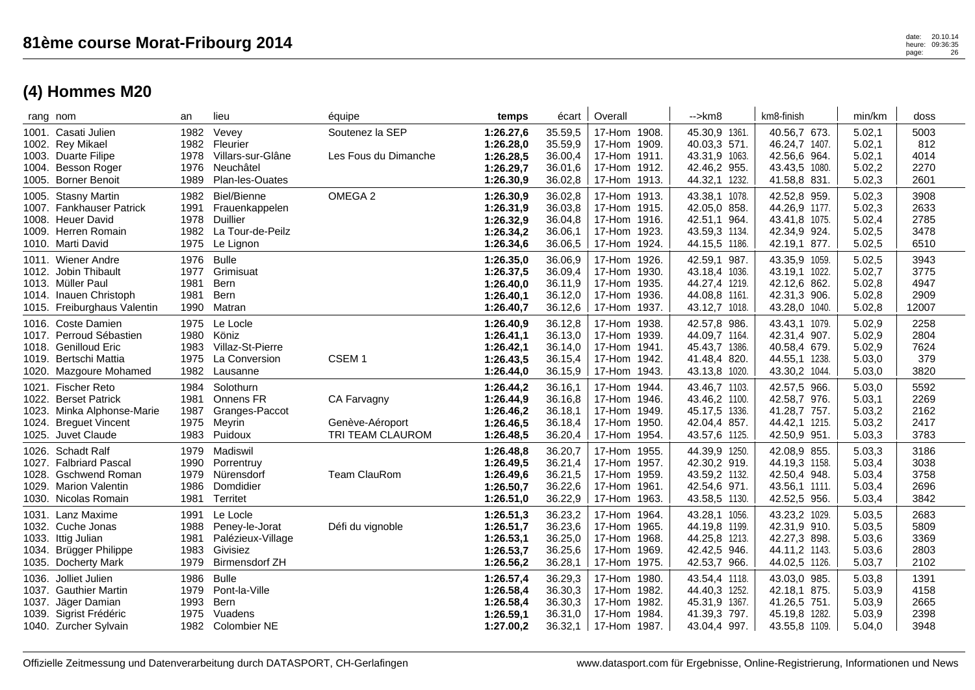| rang nom                |                                                                                                                           | an                                   | lieu                                                                                 | équipe                                             | temps                                                         | écart                                               | Overall                                                                            | $\rightarrow$ km $\beta$                                                         | km8-finish                                                                         | min/km                                         | doss                                  |
|-------------------------|---------------------------------------------------------------------------------------------------------------------------|--------------------------------------|--------------------------------------------------------------------------------------|----------------------------------------------------|---------------------------------------------------------------|-----------------------------------------------------|------------------------------------------------------------------------------------|----------------------------------------------------------------------------------|------------------------------------------------------------------------------------|------------------------------------------------|---------------------------------------|
| 1002.<br>1004.<br>1005. | 1001. Casati Julien<br><b>Rev Mikael</b><br>1003. Duarte Filipe<br><b>Besson Roger</b><br><b>Borner Benoit</b>            | 1982<br>1982<br>1978<br>1976<br>1989 | Vevey<br>Fleurier<br>Villars-sur-Glâne<br>Neuchâtel<br>Plan-les-Ouates               | Soutenez la SEP<br>Les Fous du Dimanche            | 1:26.27,6<br>1:26.28,0<br>1:26.28,5<br>1:26.29,7<br>1:26.30,9 | 35.59,5<br>35.59,9<br>36.00,4<br>36.01,6<br>36.02,8 | 17-Hom 1908.<br>17-Hom 1909.<br>17-Hom 1911.<br>17-Hom 1912.<br>17-Hom 1913.       | 45.30,9 1361.<br>40.03,3 571.<br>43.31,9 1063.<br>42.46,2 955.<br>44.32,1 1232.  | 40.56,7 673.<br>46.24,7 1407.<br>42.56,6 964.<br>43.43,5 1080.<br>41.58,8 831.     | 5.02,1<br>5.02,1<br>5.02,1<br>5.02,2<br>5.02,3 | 5003<br>812<br>4014<br>2270<br>2601   |
|                         | 1005. Stasny Martin<br>1007. Fankhauser Patrick<br>1008. Heuer David<br>1009. Herren Romain<br>1010. Marti David          | 1982<br>1991<br>1978<br>1982<br>1975 | Biel/Bienne<br>Frauenkappelen<br>Duillier<br>La Tour-de-Peilz<br>Le Lignon           | OMEGA 2                                            | 1:26.30,9<br>1:26.31,9<br>1:26.32,9<br>1:26.34,2<br>1:26.34,6 | 36.02,8<br>36.03,8<br>36.04,8<br>36.06,1<br>36.06,5 | 17-Hom 1913.<br>17-Hom 1915.<br>17-Hom 1916.<br>17-Hom 1923.<br>17-Hom 1924.       | 43.38,1 1078.<br>42.05,0 858.<br>42.51,1 964.<br>43.59,3 1134.<br>44.15,5 1186.  | 42.52,8 959.<br>44.26,9 1177.<br>43.41,8 1075.<br>42.34,9 924.<br>42.19,1 877.     | 5.02,3<br>5.02,3<br>5.02,4<br>5.02,5<br>5.02,5 | 3908<br>2633<br>2785<br>3478<br>6510  |
|                         | 1011. Wiener Andre<br>1012. Jobin Thibault<br>1013. Müller Paul<br>1014. Inauen Christoph<br>1015. Freiburghaus Valentin  | 1976<br>1977<br>1981<br>1981<br>1990 | <b>Bulle</b><br>Grimisuat<br>Bern<br><b>Bern</b><br>Matran                           |                                                    | 1:26.35,0<br>1:26.37,5<br>1:26.40,0<br>1:26.40,1<br>1:26.40,7 | 36.06,9<br>36.09,4<br>36.11,9<br>36.12,0<br>36.12,6 | 17-Hom 1926.<br>17-Hom 1930.<br>17-Hom 1935.<br>17-Hom 1936.<br>17-Hom 1937.       | 42.59,1 987.<br>43.18,4 1036.<br>44.27,4 1219.<br>44.08,8 1161.<br>43.12,7 1018. | 43.35,9 1059.<br>43.19,1 1022.<br>42.12,6 862.<br>42.31,3 906.<br>43.28,0 1040.    | 5.02,5<br>5.02,7<br>5.02,8<br>5.02,8<br>5.02,8 | 3943<br>3775<br>4947<br>2909<br>12007 |
| 1019.                   | 1016. Coste Damien<br>1017. Perroud Sébastien<br>1018. Genilloud Eric<br>Bertschi Mattia<br>1020. Mazgoure Mohamed        | 1975<br>1983<br>1975<br>1982         | Le Locle<br>1980 Köniz<br>Villaz-St-Pierre<br>La Conversion<br>Lausanne              | CSEM <sub>1</sub>                                  | 1:26.40,9<br>1:26.41,1<br>1:26.42,1<br>1:26.43,5<br>1:26.44,0 | 36.12,8<br>36.13,0<br>36.14,0<br>36.15,4<br>36.15,9 | 17-Hom 1938.<br>17-Hom 1939.<br>17-Hom 1941.<br>17-Hom 1942.<br>17-Hom 1943.       | 42.57,8 986.<br>44.09,7 1164.<br>45.43,7 1386.<br>41.48,4 820.<br>43.13,8 1020.  | 43.43,1 1079.<br>42.31,4 907.<br>40.58,4 679.<br>44.55,1<br>1238.<br>43.30,2 1044. | 5.02,9<br>5.02,9<br>5.02,9<br>5.03,0<br>5.03,0 | 2258<br>2804<br>7624<br>379<br>3820   |
| 1021.<br>1024.          | <b>Fischer Reto</b><br>1022. Berset Patrick<br>1023. Minka Alphonse-Marie<br><b>Breguet Vincent</b><br>1025. Juvet Claude | 1984<br>1981<br>1987<br>1975<br>1983 | Solothurn<br>Onnens FR<br>Granges-Paccot<br>Meyrin<br>Puidoux                        | CA Farvagny<br>Genève-Aéroport<br>TRI TEAM CLAUROM | 1:26.44,2<br>1:26.44,9<br>1:26.46,2<br>1:26.46.5<br>1:26.48,5 | 36.16,1<br>36.16,8<br>36.18,1<br>36.18,4<br>36.20,4 | 17-Hom 1944.<br>17-Hom 1946.<br>17-Hom 1949.<br>17-Hom 1950.<br>17-Hom 1954.       | 43.46,7 1103.<br>43.46,2 1100.<br>45.17,5 1336.<br>42.04,4 857.<br>43.57,6 1125. | 42.57,5 966.<br>42.58,7 976.<br>41.28,7 757.<br>44.42,1 1215.<br>42.50,9 951.      | 5.03,0<br>5.03,1<br>5.03,2<br>5.03,2<br>5.03,3 | 5592<br>2269<br>2162<br>2417<br>3783  |
| 1026.<br>1029.          | <b>Schadt Ralf</b><br>1027. Falbriard Pascal<br>1028. Gschwend Roman<br><b>Marion Valentin</b><br>1030. Nicolas Romain    | 1979<br>1990<br>1979<br>1986<br>1981 | Madiswil<br>Porrentruy<br>Nürensdorf<br>Domdidier<br>Territet                        | <b>Team ClauRom</b>                                | 1:26.48,8<br>1:26.49,5<br>1:26.49,6<br>1:26.50,7<br>1:26.51,0 | 36.20,7<br>36.21,4<br>36.21,5<br>36.22,6<br>36.22,9 | 17-Hom<br>1955.<br>17-Hom 1957.<br>17-Hom 1959.<br>17-Hom 1961.<br>17-Hom 1963.    | 44.39,9 1250.<br>42.30,2 919.<br>43.59,2 1132.<br>42.54,6 971.<br>43.58,5 1130.  | 42.08,9 855.<br>44.19,3 1158.<br>42.50,4 948.<br>43.56,1 1111.<br>42.52,5 956.     | 5.03,3<br>5.03,4<br>5.03,4<br>5.03,4<br>5.03,4 | 3186<br>3038<br>3758<br>2696<br>3842  |
| 1031.<br>1033.<br>1034. | Lanz Maxime<br>1032. Cuche Jonas<br>Ittig Julian<br>Brügger Philippe<br>1035. Docherty Mark                               | 1991<br>1988<br>1981<br>1983<br>1979 | Le Locle<br>Peney-le-Jorat<br>Palézieux-Village<br>Givisiez<br><b>Birmensdorf ZH</b> | Défi du vignoble                                   | 1:26.51,3<br>1:26.51,7<br>1:26.53,1<br>1:26.53,7<br>1:26.56,2 | 36.23,2<br>36.23,6<br>36.25,0<br>36.25,6<br>36.28,1 | 17-Hom<br>1964.<br>17-Hom 1965.<br>17-Hom 1968.<br>17-Hom 1969.<br>17-Hom 1975.    | 43.28,1 1056.<br>44.19,8 1199.<br>44.25,8 1213.<br>42.42,5 946.<br>42.53,7 966.  | 43.23,2 1029.<br>42.31,9 910.<br>42.27,3 898.<br>44.11,2 1143.<br>44.02,5 1126.    | 5.03,5<br>5.03,5<br>5.03,6<br>5.03,6<br>5.03,7 | 2683<br>5809<br>3369<br>2803<br>2102  |
| 1036.<br>1037.<br>1039. | Jolliet Julien<br>1037. Gauthier Martin<br>Jäger Damian<br>Sigrist Frédéric<br>1040. Zurcher Sylvain                      | 1986<br>1979<br>1993<br>1975<br>1982 | <b>Bulle</b><br>Pont-la-Ville<br>Bern<br>Vuadens<br>Colombier NE                     |                                                    | 1:26.57,4<br>1:26.58,4<br>1:26.58,4<br>1:26.59,1<br>1:27.00,2 | 36.29,3<br>36.30,3<br>36.30,3<br>36.31,0<br>36.32,1 | 17-Hom<br>1980.<br>17-Hom 1982.<br>17-Hom 1982.<br>17-Hom<br>1984.<br>17-Hom 1987. | 43.54,4 1118.<br>44.40,3 1252.<br>45.31,9 1367.<br>41.39,3 797.<br>43.04,4 997.  | 43.03,0 985.<br>42.18,1 875.<br>41.26,5 751.<br>45.19,8<br>1282.<br>43.55,8 1109.  | 5.03,8<br>5.03,9<br>5.03,9<br>5.03,9<br>5.04,0 | 1391<br>4158<br>2665<br>2398<br>3948  |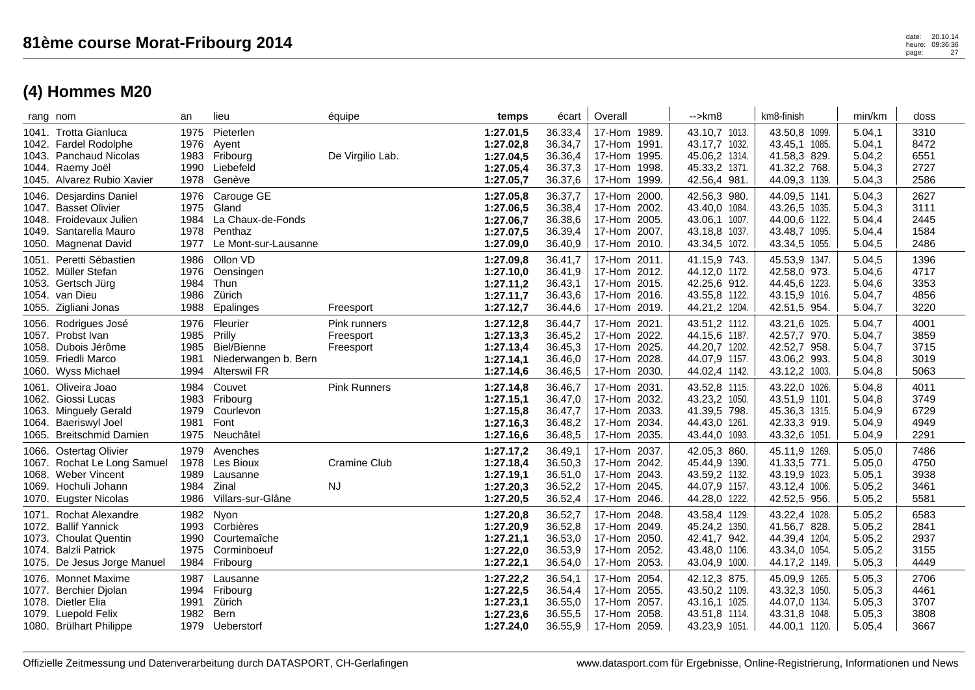| (4) NOINNIES IVIZU         |      |                      |                  |           |         |                 |                  |               |                |      |
|----------------------------|------|----------------------|------------------|-----------|---------|-----------------|------------------|---------------|----------------|------|
| rang nom                   | an   | lieu                 | équipe           | temps     |         | écart   Overall | -->km8           | km8-finish    | min/km         | doss |
| 1041. Trotta Gianluca      | 1975 | Pieterlen            |                  | 1:27.01.5 | 36.33,4 | 17-Hom 1989.    | 43.10.7 1013.    | 43.50.8 1099. | 5.04,1         | 3310 |
| 1042. Fardel Rodolphe      |      | 1976 Ayent           |                  | 1:27.02.8 | 36.34.7 | 17-Hom 1991.    | 43.17.7 1032.    | 43.45.1 1085. | 5.04,1         | 8472 |
| 1043. Panchaud Nicolas     |      | 1983 Fribourg        | De Virgilio Lab. | 1:27.04.5 | 36.36,4 | 17-Hom 1995.    | 45.06.2 1314.    | 41.58.3 829.  | 5.04,2         | 6551 |
| 1044. Raemy Joël           | 1990 | Liebefeld            |                  | 1:27.05.4 | 36.37.3 | 17-Hom 1998.    | 45.33.2 1371.    | 41.32.2 768.  | 5.04,3         | 2727 |
| 1045. Alvarez Rubio Xavier |      | 1978 Genève          |                  | 1:27.05.7 | 36.37,6 | 17-Hom 1999.    | 42.56,4 981.     | 44.09.3 1139. | 5.04,3         | 2586 |
| 1046. Desjardins Daniel    |      | 1976 Carouge GE      |                  | 1:27.05.8 | 36.37,7 | 17-Hom 2000.    | 42.56,3 980.     | 44.09.5 1141. | 5.04,3         | 2627 |
| 1047. Basset Olivier       |      | 1975 Gland           |                  | 1:27.06.5 | 36.38.4 | 17-Hom 2002.    | 43.40,0 1084.    | 43.26,5 1035. | 5.04,3         | 3111 |
| 1048. Froidevaux Julien    | 1984 | La Chaux-de-Fonds    |                  | 1:27.06.7 | 36.38.6 | 17-Hom 2005.    | 43.06.1<br>1007. | 44.00.6 1122. | 5.04,4         | 2445 |
| 1049. Santarella Mauro     | 1978 | Penthaz              |                  | 1:27.07.5 | 36.39.4 | 17-Hom 2007.    | 43.18.8 1037.    | 43.48.7 1095. | 5.04,4         | 1584 |
| 1050. Magnenat David       | 1977 | Le Mont-sur-Lausanne |                  | 1:27.09.0 | 36.40.9 | 17-Hom 2010.    | 43.34,5 1072.    | 43.34,5 1055. | 5.04,5         | 2486 |
| 1051. Peretti Sébastien    |      | 1986 Ollon VD        |                  | 1:27.09.8 | 36.41.7 | 17-Hom 2011.    | 41.15.9 743.     | 45.53.9 1347. | 5.04,5         | 1396 |
| 1052. Müller Stefan        |      | 1976 Oensingen       |                  | 1:27.10.0 | 36.41.9 | 17-Hom 2012.    | 44.12.0 1172.    | 42.58.0 973.  | 5.04,6         | 4717 |
| $\lambda$                  |      |                      |                  |           | 0011    | 17110015        | 10.05.010        | 11.150100     | <b>- ^ * ^</b> | 0000 |

| 1041. Trotta Gianluca<br>1042. Fardel Rodolphe<br>1043. Panchaud Nicolas<br>1044. Raemy Joël<br>1045. Alvarez Rubio Xavier     | 1975<br>1976<br>1983<br>1990         | Pieterlen<br>Ayent<br>Fribourg<br>Liebefeld<br>1978 Genève                            | De Virgilio Lab.                       | 1:27.01,5<br>1:27.02,8<br>1:27.04,5<br>1:27.05,4<br>1:27.05,7 | 36.33,4<br>36.34,7<br>36.36,4<br>36.37,3<br>36.37,6 | 17-Hom 1989.<br>17-Hom 1991.<br>17-Hom 1995.<br>17-Hom 1998.<br>17-Hom 1999. | 43.10,7 1013.<br>43.17,7 1032.<br>45.06,2 1314.<br>45.33,2 1371.<br>42.56,4 981.  | 43.50,8 1099.<br>43.45,1 1085.<br>41.58,3 829.<br>41.32,2 768.<br>44.09,3 1139.   | 5.04,1<br>5.04,1<br>5.04,2<br>5.04,3<br>5.04,3 | 3310<br>8472<br>6551<br>2727<br>2586 |
|--------------------------------------------------------------------------------------------------------------------------------|--------------------------------------|---------------------------------------------------------------------------------------|----------------------------------------|---------------------------------------------------------------|-----------------------------------------------------|------------------------------------------------------------------------------|-----------------------------------------------------------------------------------|-----------------------------------------------------------------------------------|------------------------------------------------|--------------------------------------|
| 1046. Desjardins Daniel<br>1047. Basset Olivier<br>1048. Froidevaux Julien<br>1049. Santarella Mauro<br>1050. Magnenat David   | 1984<br>1978<br>1977                 | 1976 Carouge GE<br>1975 Gland<br>La Chaux-de-Fonds<br>Penthaz<br>Le Mont-sur-Lausanne |                                        | 1:27.05,8<br>1:27.06,5<br>1:27.06,7<br>1:27.07,5<br>1:27.09,0 | 36.37,7<br>36.38,4<br>36.38,6<br>36.39,4<br>36.40,9 | 17-Hom 2000.<br>17-Hom 2002.<br>17-Hom 2005.<br>17-Hom 2007.<br>17-Hom 2010. | 42.56,3 980.<br>43.40,0 1084.<br>43.06,1 1007.<br>43.18,8 1037.<br>43.34,5 1072.  | 44.09,5 1141.<br>43.26,5 1035.<br>44.00,6 1122.<br>43.48,7 1095.<br>43.34,5 1055. | 5.04,3<br>5.04,3<br>5.04,4<br>5.04,4<br>5.04,5 | 2627<br>3111<br>2445<br>1584<br>2486 |
| 1051. Peretti Sébastien<br>1052. Müller Stefan<br>1053. Gertsch Jürg<br>1054. van Dieu<br>1055. Zigliani Jonas                 | 1986<br>1976<br>1984<br>1988         | Ollon VD<br>Oensingen<br>Thun<br>1986 Zürich<br>Epalinges                             | Freesport                              | 1:27.09,8<br>1:27.10,0<br>1:27.11,2<br>1:27.11,7<br>1:27.12,7 | 36.41,7<br>36.41,9<br>36.43,1<br>36.43,6<br>36.44,6 | 17-Hom 2011.<br>17-Hom 2012.<br>17-Hom 2015.<br>17-Hom 2016.<br>17-Hom 2019. | 41.15,9 743.<br>44.12,0 1172.<br>42.25,6 912.<br>43.55,8 1122.<br>44.21,2 1204.   | 45.53,9 1347.<br>42.58,0 973.<br>44.45,6 1223.<br>43.15,9 1016.<br>42.51,5 954.   | 5.04,5<br>5.04,6<br>5.04,6<br>5.04,7<br>5.04,7 | 1396<br>4717<br>3353<br>4856<br>3220 |
| 1056. Rodrigues José<br>1057. Probst Ivan<br>1058. Dubois Jérôme<br>1059. Friedli Marco<br>1060. Wyss Michael                  | 1976<br>1985<br>1985<br>1981<br>1994 | Fleurier<br>Prilly<br>Biel/Bienne<br>Niederwangen b. Bern<br><b>Alterswil FR</b>      | Pink runners<br>Freesport<br>Freesport | 1:27.12,8<br>1:27.13,3<br>1:27.13,4<br>1:27.14,1<br>1:27.14,6 | 36.44,7<br>36.45,2<br>36.45,3<br>36.46,0<br>36.46,5 | 17-Hom 2021.<br>17-Hom 2022.<br>17-Hom 2025.<br>17-Hom 2028.<br>17-Hom 2030. | 43.51,2 1112.<br>44.15,6 1187.<br>44.20,7 1202.<br>44.07,9 1157.<br>44.02,4 1142. | 43.21,6 1025.<br>42.57,7 970.<br>42.52,7 958.<br>43.06,2 993.<br>43.12,2 1003.    | 5.04,7<br>5.04,7<br>5.04,7<br>5.04,8<br>5.04,8 | 4001<br>3859<br>3715<br>3019<br>5063 |
| 1061. Oliveira Joao<br>1062. Giossi Lucas<br>1063. Minguely Gerald<br>1064. Baeriswyl Joel<br>1065. Breitschmid Damien         | 1984<br>1981                         | Couvet<br>1983 Fribourg<br>1979 Courlevon<br>Font<br>1975 Neuchâtel                   | <b>Pink Runners</b>                    | 1:27.14,8<br>1:27.15,1<br>1:27.15,8<br>1:27.16,3<br>1:27.16,6 | 36.46,7<br>36.47,0<br>36.47,7<br>36.48,2<br>36.48,5 | 17-Hom 2031.<br>17-Hom 2032.<br>17-Hom 2033.<br>17-Hom 2034.<br>17-Hom 2035. | 43.52,8 1115.<br>43.23,2 1050.<br>41.39,5 798.<br>44.43,0 1261.<br>43.44,0 1093.  | 43.22,0 1026.<br>43.51,9 1101.<br>45.36,3 1315.<br>42.33,3 919.<br>43.32,6 1051.  | 5.04,8<br>5.04,8<br>5.04,9<br>5.04,9<br>5.04,9 | 4011<br>3749<br>6729<br>4949<br>2291 |
| 1066. Ostertag Olivier<br>1067. Rochat Le Long Samuel<br>1068. Weber Vincent<br>1069. Hochuli Johann<br>1070. Eugster Nicolas  | 1979<br>1978<br>1989<br>1984<br>1986 | Avenches<br>Les Bioux<br>Lausanne<br>Zinal<br>Villars-sur-Glâne                       | <b>Cramine Club</b><br><b>NJ</b>       | 1:27.17,2<br>1:27.18,4<br>1:27.19,1<br>1:27.20,3<br>1:27.20,5 | 36.49,1<br>36.50,3<br>36.51,0<br>36.52,2<br>36.52,4 | 17-Hom 2037.<br>17-Hom 2042.<br>17-Hom 2043.<br>17-Hom 2045.<br>17-Hom 2046. | 42.05,3 860.<br>45.44,9 1390.<br>43.59,2 1132.<br>44.07,9 1157.<br>44.28,0 1222.  | 45.11,9 1269.<br>41.33,5 771.<br>43.19,9 1023.<br>43.12,4 1006.<br>42.52,5 956.   | 5.05,0<br>5.05,0<br>5.05,1<br>5.05,2<br>5.05,2 | 7486<br>4750<br>3938<br>3461<br>5581 |
| 1071. Rochat Alexandre<br>1072. Ballif Yannick<br>1073. Choulat Quentin<br>1074. Balzli Patrick<br>1075. De Jesus Jorge Manuel | 1982<br>1990<br>1975<br>1984         | Nyon<br>1993 Corbières<br>Courtemaîche<br>Corminboeuf<br>Fribourg                     |                                        | 1:27.20,8<br>1:27.20,9<br>1:27.21,1<br>1:27.22,0<br>1:27.22,1 | 36.52,7<br>36.52,8<br>36.53,0<br>36.53,9<br>36.54,0 | 17-Hom 2048.<br>17-Hom 2049.<br>17-Hom 2050.<br>17-Hom 2052.<br>17-Hom 2053. | 43.58,4 1129.<br>45.24,2 1350.<br>42.41,7 942.<br>43.48,0 1106.<br>43.04,9 1000.  | 43.22,4 1028.<br>41.56,7 828.<br>44.39,4 1204.<br>43.34,0 1054.<br>44.17,2 1149.  | 5.05,2<br>5.05,2<br>5.05,2<br>5.05,2<br>5.05,3 | 6583<br>2841<br>2937<br>3155<br>4449 |
| 1076. Monnet Maxime<br>1077. Berchier Djolan<br>1078. Dietler Elia<br>1079. Luepold Felix<br>1080. Brülhart Philippe           | 1987<br>1991<br>1982                 | Lausanne<br>1994 Fribourg<br>Zürich<br>Bern<br>1979 Ueberstorf                        |                                        | 1:27.22,2<br>1:27.22,5<br>1:27.23,1<br>1:27.23,6<br>1:27.24,0 | 36.54,1<br>36.54,4<br>36.55,0<br>36.55,5<br>36.55,9 | 17-Hom 2054.<br>17-Hom 2055.<br>17-Hom 2057.<br>17-Hom 2058.<br>17-Hom 2059. | 42.12,3 875.<br>43.50,2 1109.<br>43.16,1 1025.<br>43.51,8 1114.<br>43.23,9 1051.  | 45.09,9 1265.<br>43.32,3 1050.<br>44.07,0 1134.<br>43.31,8 1048.<br>44.00,1 1120. | 5.05,3<br>5.05,3<br>5.05,3<br>5.05,3<br>5.05,4 | 2706<br>4461<br>3707<br>3808<br>3667 |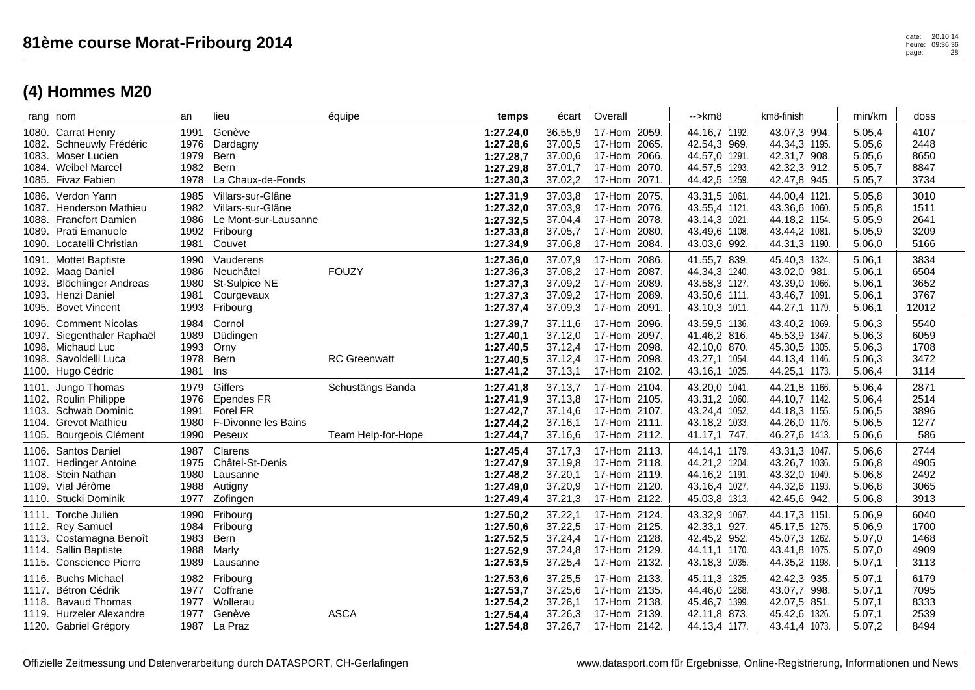| rang nom                                                                                                                                   | an                                   | lieu                                                                                 | équipe                                 | temps                                                         | écart                                               | Overall                                                                                | -->km8                                                                            | km8-finish                                                                          | min/km                                         | doss                                  |
|--------------------------------------------------------------------------------------------------------------------------------------------|--------------------------------------|--------------------------------------------------------------------------------------|----------------------------------------|---------------------------------------------------------------|-----------------------------------------------------|----------------------------------------------------------------------------------------|-----------------------------------------------------------------------------------|-------------------------------------------------------------------------------------|------------------------------------------------|---------------------------------------|
| 1080. Carrat Henry<br>Schneuwly Frédéric<br>1082.<br>1083. Moser Lucien<br>1084. Weibel Marcel<br>1085. Fivaz Fabien                       | 1991<br>1976<br>1979<br>1982<br>1978 | Genève<br>Dardagny<br><b>Bern</b><br>Bern<br>La Chaux-de-Fonds                       |                                        | 1:27.24,0<br>1:27.28,6<br>1:27.28,7<br>1:27.29,8<br>1:27.30,3 | 36.55,9<br>37.00,5<br>37.00,6<br>37.01,7<br>37.02,2 | 17-Hom 2059.<br>17-Hom 2065.<br>2066.<br>17-Hom<br>17-Hom<br>2070.<br>17-Hom 2071.     | 44.16,7 1192.<br>42.54,3 969.<br>44.57,0 1291.<br>44.57,5 1293.<br>44.42,5 1259.  | 43.07,3 994.<br>44.34,3 1195.<br>42.31,7 908.<br>42.32,3 912.<br>42.47,8 945.       | 5.05,4<br>5.05,6<br>5.05,6<br>5.05,7<br>5.05,7 | 4107<br>2448<br>8650<br>8847<br>3734  |
| 1086. Verdon Yann<br>1087. Henderson Mathieu<br>1088. Francfort Damien<br>1089. Prati Emanuele<br>1090. Locatelli Christian                | 1985<br>1982<br>1986<br>1992<br>1981 | Villars-sur-Glâne<br>Villars-sur-Glâne<br>Le Mont-sur-Lausanne<br>Fribourg<br>Couvet |                                        | 1:27.31,9<br>1:27.32,0<br>1:27.32,5<br>1:27.33,8<br>1:27.34,9 | 37.03,8<br>37.03,9<br>37.04,4<br>37.05,7<br>37.06,8 | 17-Hom 2075.<br>17-Hom 2076.<br>17-Hom 2078.<br>2080.<br>17-Hom<br>17-Hom 2084.        | 43.31,5 1061.<br>43.55,4 1121.<br>43.14,3 1021.<br>43.49,6 1108.<br>43.03,6 992.  | 44.00,4 1121.<br>43.36,6 1060.<br>44.18,2 1154.<br>43.44,2 1081.<br>44.31,3 1190.   | 5.05,8<br>5.05,8<br>5.05,9<br>5.05,9<br>5.06,0 | 3010<br>1511<br>2641<br>3209<br>5166  |
| 1091. Mottet Baptiste<br>1092. Maag Daniel<br>1093. Blöchlinger Andreas<br>1093. Henzi Daniel<br><b>Bovet Vincent</b><br>1095.             | 1990<br>1986<br>1980<br>1981<br>1993 | Vauderens<br>Neuchâtel<br>St-Sulpice NE<br>Courgevaux<br>Fribourg                    | <b>FOUZY</b>                           | 1:27.36,0<br>1:27.36,3<br>1:27.37,3<br>1:27.37,3<br>1:27.37,4 | 37.07,9<br>37.08,2<br>37.09,2<br>37.09,2<br>37.09,3 | 17-Hom 2086.<br>17-Hom 2087.<br>17-Hom 2089.<br>17-Hom 2089.<br>17-Hom 2091.           | 41.55,7 839.<br>44.34,3 1240.<br>43.58,3 1127.<br>43.50,6 1111.<br>43.10,3 1011.  | 45.40,3 1324.<br>43.02,0 981.<br>43.39,0 1066.<br>43.46,7 1091.<br>44.27,1 1179.    | 5.06,1<br>5.06,1<br>5.06,1<br>5.06,1<br>5.06,1 | 3834<br>6504<br>3652<br>3767<br>12012 |
| 1096. Comment Nicolas<br>1097. Siegenthaler Raphaël<br>1098. Michaud Luc<br>1098. Savoldelli Luca<br>1100. Hugo Cédric                     | 1984<br>1989<br>1993<br>1978<br>1981 | Cornol<br>Düdingen<br>Orny<br>Bern<br>Ins                                            | <b>RC</b> Greenwatt                    | 1:27.39,7<br>1:27.40,1<br>1:27.40,5<br>1:27.40,5<br>1:27.41,2 | 37.11,6<br>37.12,0<br>37.12,4<br>37.12,4<br>37.13,1 | 17-Hom 2096.<br>17-Hom 2097.<br>17-Hom 2098.<br>17-Hom<br>2098.<br>17-Hom 2102.        | 43.59,5 1136.<br>41.46,2 816.<br>42.10,0 870.<br>43.27,1 1054.<br>43.16,1 1025.   | 43.40,2 1069.<br>45.53,9 1347.<br>45.30,5 1305.<br>44.13,4 1146.<br>44.25,1 1173.   | 5.06,3<br>5.06,3<br>5.06,3<br>5.06,3<br>5.06,4 | 5540<br>6059<br>1708<br>3472<br>3114  |
| 1101. Jungo Thomas<br>1102. Roulin Philippe<br>1103. Schwab Dominic<br>1104. Grevot Mathieu<br>Bourgeois Clément<br>1105.                  | 1979<br>1976<br>1991<br>1980<br>1990 | Giffers<br>Ependes FR<br>Forel FR<br>F-Divonne les Bains<br>Peseux                   | Schüstängs Banda<br>Team Help-for-Hope | 1:27.41,8<br>1:27.41,9<br>1:27.42,7<br>1:27.44,2<br>1:27.44,7 | 37.13,7<br>37.13,8<br>37.14,6<br>37.16,1<br>37.16,6 | 17-Hom 2104.<br>17-Hom 2105.<br>17-Hom 2107.<br>17-Hom 2111.<br>17-Hom 2112.           | 43.20,0 1041.<br>43.31,2 1060.<br>43.24,4 1052.<br>43.18,2 1033.<br>41.17,1 747.  | 44.21,8 1166.<br>44.10,7 1142.<br>44.18,3 1155.<br>44.26,0 1176.<br>46.27,6 1413.   | 5.06,4<br>5.06,4<br>5.06,5<br>5.06,5<br>5.06,6 | 2871<br>2514<br>3896<br>1277<br>586   |
| Santos Daniel<br>1106.<br>1107. Hedinger Antoine<br>1108. Stein Nathan<br>1109. Vial Jérôme<br>1110. Stucki Dominik                        | 1987<br>1975<br>1980<br>1988<br>1977 | Clarens<br>Châtel-St-Denis<br>Lausanne<br>Autigny<br>Zofingen                        |                                        | 1:27.45,4<br>1:27.47,9<br>1:27.48,2<br>1:27.49,0<br>1:27.49,4 | 37.17,3<br>37.19,8<br>37.20,1<br>37.20,9<br>37.21,3 | 17-Hom 2113.<br>17-Hom 2118.<br>17-Hom 2119.<br>17-Hom 2120.<br>17-Hom 2122.           | 44.14,1 1179.<br>44.21,2 1204.<br>44.16,2 1191.<br>43.16,4 1027.<br>45.03,8 1313. | 43.31,3 1047.<br>43.26,7 1036.<br>43.32,0 1049.<br>44.32,6<br>1193.<br>42.45,6 942. | 5.06,6<br>5.06,8<br>5.06,8<br>5.06,8<br>5.06,8 | 2744<br>4905<br>2492<br>3065<br>3913  |
| 1111. Torche Julien<br>1112. Rey Samuel<br>1113. Costamagna Benoît<br>1114. Sallin Baptiste<br>1115. Conscience Pierre                     | 1990<br>1984<br>1983<br>1988<br>1989 | Fribourg<br>Fribourg<br>Bern<br>Marly<br>Lausanne                                    |                                        | 1:27.50,2<br>1:27.50,6<br>1:27.52,5<br>1:27.52,9<br>1:27.53,5 | 37.22,1<br>37.22,5<br>37.24,4<br>37.24,8<br>37.25,4 | 17-Hom 2124.<br>17-Hom 2125.<br>17-Hom 2128.<br>17-Hom 2129.<br>17-Hom 2132.           | 43.32,9 1067.<br>42.33,1 927.<br>42.45,2 952.<br>44.11,1 1170.<br>43.18,3 1035.   | 44.17,3 1151.<br>45.17,5 1275.<br>45.07,3 1262.<br>43.41,8 1075.<br>44.35,2 1198.   | 5.06,9<br>5.06,9<br>5.07,0<br>5.07,0<br>5.07,1 | 6040<br>1700<br>1468<br>4909<br>3113  |
| <b>Buchs Michael</b><br>1116.<br>1117. Bétron Cédrik<br><b>Bavaud Thomas</b><br>1118.<br>1119. Hurzeler Alexandre<br>1120. Gabriel Grégory | 1982<br>1977<br>1977<br>1977         | Fribourg<br>Coffrane<br>Wollerau<br>Genève<br>1987 La Praz                           | <b>ASCA</b>                            | 1:27.53,6<br>1:27.53,7<br>1:27.54,2<br>1:27.54,4<br>1:27.54,8 | 37.25,5<br>37.25,6<br>37.26,1<br>37.26,3            | 17-Hom 2133.<br>17-Hom 2135.<br>17-Hom 2138.<br>17-Hom 2139.<br>37.26,7   17-Hom 2142. | 45.11,3 1325.<br>44.46,0 1268.<br>45.46,7 1399.<br>42.11,8 873.<br>44.13,4 1177.  | 42.42,3 935.<br>43.07.7 998.<br>42.07,5 851.<br>45.42,6<br>1326.<br>43.41,4 1073.   | 5.07,1<br>5.07,1<br>5.07,1<br>5.07,1<br>5.07,2 | 6179<br>7095<br>8333<br>2539<br>8494  |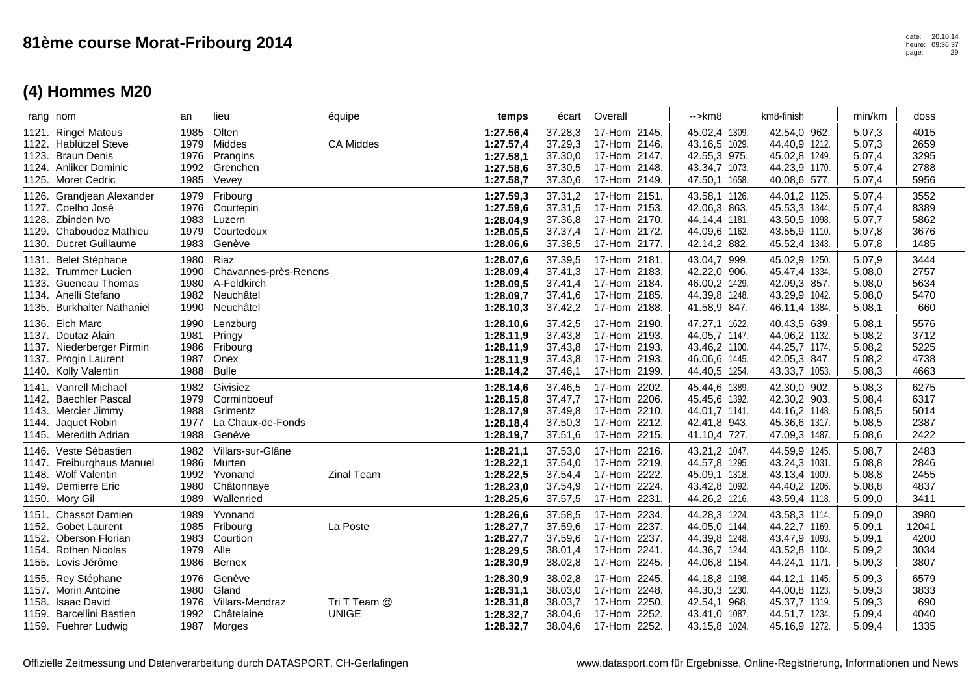| rang nom |                                                                                                                            | an                                   | lieu                                                                   | équipe                       | temps                                                         | écart                                               | Overall                                                                        | $\rightarrow$ km $8$                                                              | km8-finish                                                                        | min/km                                         | doss                                  |
|----------|----------------------------------------------------------------------------------------------------------------------------|--------------------------------------|------------------------------------------------------------------------|------------------------------|---------------------------------------------------------------|-----------------------------------------------------|--------------------------------------------------------------------------------|-----------------------------------------------------------------------------------|-----------------------------------------------------------------------------------|------------------------------------------------|---------------------------------------|
|          | 1121. Ringel Matous<br>1122. Hablützel Steve<br>1123. Braun Denis<br>1124. Anliker Dominic<br>1125. Moret Cedric           | 1985<br>1979<br>1976<br>1992<br>1985 | Olten<br>Middes<br>Prangins<br>Grenchen<br>Vevey                       | <b>CA Middes</b>             | 1:27.56,4<br>1:27.57,4<br>1:27.58,1<br>1:27.58,6<br>1:27.58,7 | 37.28,3<br>37.29,3<br>37.30,0<br>37.30,5<br>37.30,6 | 17-Hom 2145.<br>17-Hom 2146.<br>17-Hom 2147.<br>17-Hom 2148.<br>17-Hom 2149.   | 45.02,4 1309.<br>43.16,5 1029.<br>42.55,3 975.<br>43.34,7 1073.<br>47.50,1 1658.  | 42.54,0 962.<br>44.40,9 1212.<br>45.02,8 1249.<br>44.23,9 1170.<br>40.08,6 577.   | 5.07,3<br>5.07,3<br>5.07,4<br>5.07,4<br>5.07,4 | 4015<br>2659<br>3295<br>2788<br>5956  |
|          | 1126. Grandjean Alexander<br>1127. Coelho José<br>1128. Zbinden Ivo<br>1129. Chaboudez Mathieu<br>1130. Ducret Guillaume   | 1979<br>1976<br>1983<br>1979<br>1983 | Fribourg<br>Courtepin<br>Luzern<br>Courtedoux<br>Genève                |                              | 1:27.59,3<br>1:27.59,6<br>1:28.04,9<br>1:28.05,5<br>1:28.06,6 | 37.31,2<br>37.31,5<br>37.36,8<br>37.37,4<br>37.38,5 | 17-Hom 2151.<br>17-Hom 2153.<br>17-Hom 2170.<br>17-Hom 2172.<br>17-Hom 2177.   | 43.58,1 1126.<br>42.06,3 863.<br>44.14,4 1181.<br>44.09,6 1162.<br>42.14,2 882.   | 44.01,2 1125.<br>45.53,3 1344.<br>43.50,5 1098.<br>43.55,9 1110.<br>45.52,4 1343. | 5.07,4<br>5.07,4<br>5.07,7<br>5.07,8<br>5.07,8 | 3552<br>8389<br>5862<br>3676<br>1485  |
|          | 1131. Belet Stéphane<br>1132. Trummer Lucien<br>1133. Gueneau Thomas<br>1134. Anelli Stefano<br>1135. Burkhalter Nathaniel | 1980<br>1990<br>1980<br>1982<br>1990 | Riaz<br>Chavannes-près-Renens<br>A-Feldkirch<br>Neuchâtel<br>Neuchâtel |                              | 1:28.07,6<br>1:28.09,4<br>1:28.09,5<br>1:28.09,7<br>1:28.10,3 | 37.39,5<br>37.41,3<br>37.41,4<br>37.41,6<br>37.42,2 | 17-Hom 2181.<br>17-Hom 2183.<br>17-Hom 2184.<br>17-Hom 2185.<br>17-Hom 2188.   | 43.04,7 999.<br>42.22,0 906.<br>46.00,2 1429.<br>44.39,8 1248.<br>41.58,9 847.    | 45.02,9 1250.<br>45.47,4 1334.<br>42.09,3 857.<br>43.29,9 1042.<br>46.11,4 1384.  | 5.07,9<br>5.08,0<br>5.08,0<br>5.08,0<br>5.08,1 | 3444<br>2757<br>5634<br>5470<br>660   |
|          | 1136. Eich Marc<br>1137. Doutaz Alain<br>1137. Niederberger Pirmin<br>1137. Progin Laurent<br>1140. Kolly Valentin         | 1990<br>1981<br>1986<br>1987<br>1988 | Lenzburg<br>Pringy<br>Fribourg<br>Onex<br><b>Bulle</b>                 |                              | 1:28.10,6<br>1:28.11,9<br>1:28.11,9<br>1:28.11,9<br>1:28.14,2 | 37.42,5<br>37.43,8<br>37.43,8<br>37.43,8<br>37.46,1 | 17-Hom 2190.<br>17-Hom 2193.<br>17-Hom 2193.<br>17-Hom 2193.<br>17-Hom 2199.   | 47.27,1 1622.<br>44.05,7 1147.<br>43.46,2 1100.<br>46.06,6 1445.<br>44.40,5 1254. | 40.43,5 639.<br>44.06,2 1132.<br>44.25,7 1174.<br>42.05,3 847.<br>43.33,7 1053.   | 5.08,1<br>5.08,2<br>5.08,2<br>5.08,2<br>5.08,3 | 5576<br>3712<br>5225<br>4738<br>4663  |
|          | 1141. Vanrell Michael<br>1142. Baechler Pascal<br>1143. Mercier Jimmy<br>1144. Jaquet Robin<br>1145. Meredith Adrian       | 1982<br>1979<br>1988<br>1977<br>1988 | Givisiez<br>Corminboeuf<br>Grimentz<br>La Chaux-de-Fonds<br>Genève     |                              | 1:28.14,6<br>1:28.15,8<br>1:28.17,9<br>1:28.18,4<br>1:28.19,7 | 37.46,5<br>37.47,7<br>37.49,8<br>37.50,3<br>37.51,6 | 17-Hom 2202.<br>17-Hom 2206.<br>17-Hom 2210.<br>17-Hom 2212.<br>17-Hom 2215.   | 45.44,6 1389.<br>45.45,6 1392.<br>44.01,7 1141.<br>42.41,8 943.<br>41.10,4 727.   | 42.30,0 902.<br>42.30,2 903.<br>44.16,2 1148.<br>45.36,6 1317.<br>47.09,3 1487.   | 5.08,3<br>5.08,4<br>5.08,5<br>5.08,5<br>5.08,6 | 6275<br>6317<br>5014<br>2387<br>2422  |
|          | 1146. Veste Sébastien<br>1147. Freiburghaus Manuel<br>1148. Wolf Valentin<br>1149. Demierre Eric<br>1150. Mory Gil         | 1982<br>1986<br>1992<br>1980<br>1989 | Villars-sur-Glâne<br>Murten<br>Yvonand<br>Châtonnaye<br>Wallenried     | <b>Zinal Team</b>            | 1:28.21,1<br>1:28.22,1<br>1:28.22,5<br>1:28.23,0<br>1:28.25,6 | 37.53,0<br>37.54,0<br>37.54,4<br>37.54,9<br>37.57,5 | 17-Hom 2216.<br>17-Hom 2219.<br>17-Hom 2222.<br>17-Hom 2224.<br>17-Hom 2231.   | 43.21,2 1047.<br>44.57,8 1295.<br>45.09,1 1318.<br>43.42,8 1092.<br>44.26,2 1216. | 44.59,9 1245.<br>43.24,3 1031.<br>43.13,4 1009.<br>44.40,2 1206.<br>43.59,4 1118. | 5.08,7<br>5.08,8<br>5.08,8<br>5.08,8<br>5.09,0 | 2483<br>2846<br>2455<br>4837<br>3411  |
|          | 1151. Chassot Damien<br>1152. Gobet Laurent<br>1152. Oberson Florian<br>1154. Rothen Nicolas<br>1155. Lovis Jérôme         | 1989<br>1985<br>1983<br>1979<br>1986 | Yvonand<br>Fribourg<br>Courtion<br>Alle<br>Bernex                      | La Poste                     | 1:28.26,6<br>1:28.27,7<br>1:28.27,7<br>1:28.29,5<br>1:28.30,9 | 37.58,5<br>37.59,6<br>37.59,6<br>38.01,4<br>38.02,8 | 17-Hom 2234.<br>17-Hom 2237.<br>17-Hom 2237.<br>17-Hom 2241.<br>17-Hom 2245.   | 44.28,3 1224.<br>44.05,0 1144.<br>44.39,8 1248.<br>44.36,7 1244.<br>44.06,8 1154. | 43.58,3 1114.<br>44.22,7 1169.<br>43.47,9 1093.<br>43.52,8 1104.<br>44.24,1 1171. | 5.09,0<br>5.09,1<br>5.09,1<br>5.09,2<br>5.09,3 | 3980<br>12041<br>4200<br>3034<br>3807 |
|          | 1155. Rey Stéphane<br>1157. Morin Antoine<br>1158. Isaac David<br>1159. Barcellini Bastien<br>1159. Fuehrer Ludwig         | 1976<br>1980<br>1976<br>1992         | Genève<br>Gland<br>Villars-Mendraz<br>Châtelaine<br>1987 Morges        | Tri T Team @<br><b>UNIGE</b> | 1:28.30,9<br>1:28.31,1<br>1:28.31,8<br>1:28.32,7<br>1:28.32,7 | 38.02,8<br>38.03,0<br>38.03,7<br>38.04,6<br>38.04,6 | 17-Hom 2245.<br>17-Hom 2248.<br>17-Hom 2250.<br>17-Hom 2252.<br>  17-Hom 2252. | 44.18,8 1198.<br>44.30,3 1230.<br>42.54,1 968.<br>43.41,0 1087.<br>43.15,8 1024.  | 44.12,1 1145.<br>44.00,8 1123.<br>45.37,7 1319.<br>44.51,7 1234.<br>45.16,9 1272. | 5.09,3<br>5.09,3<br>5.09,3<br>5.09,4<br>5.09,4 | 6579<br>3833<br>690<br>4040<br>1335   |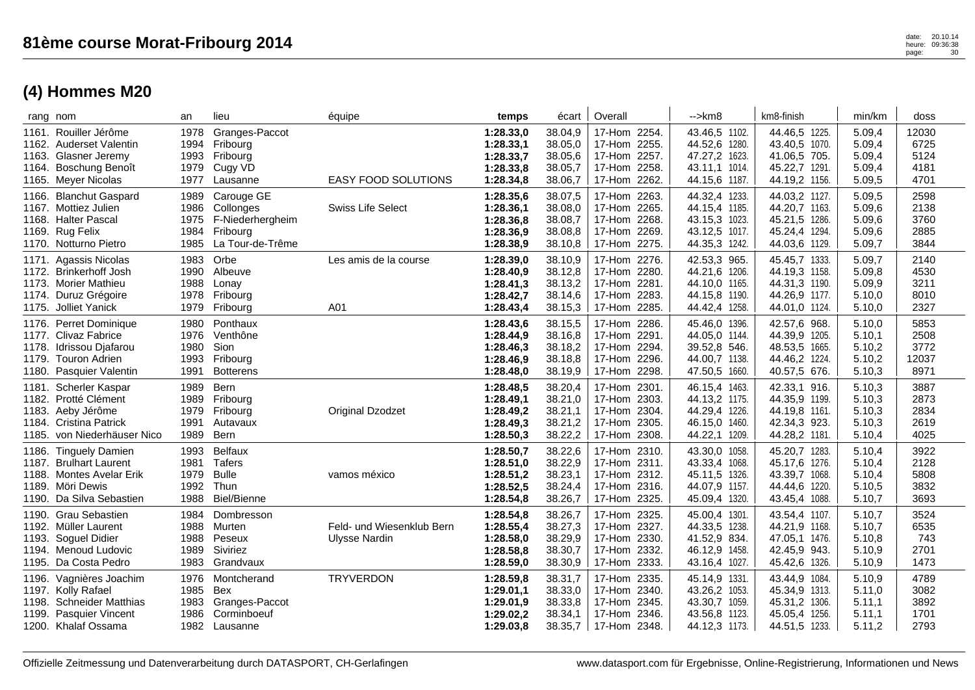|       | rang nom                                                                                                                    | an                                   | lieu                                                                        | équipe                                            | temps                                                         |                                                     | écart   Overall                                                                    | -->km8                                                                            | km8-finish                                                                           | min/km                                         | doss                                  |
|-------|-----------------------------------------------------------------------------------------------------------------------------|--------------------------------------|-----------------------------------------------------------------------------|---------------------------------------------------|---------------------------------------------------------------|-----------------------------------------------------|------------------------------------------------------------------------------------|-----------------------------------------------------------------------------------|--------------------------------------------------------------------------------------|------------------------------------------------|---------------------------------------|
|       | 1161. Rouiller Jérôme<br>1162. Auderset Valentin<br>1163. Glasner Jeremy<br>1164. Boschung Benoît<br>1165. Meyer Nicolas    | 1978<br>1994<br>1993<br>1979<br>1977 | Granges-Paccot<br>Fribourg<br>Fribourg<br>Cugy VD<br>Lausanne               | <b>EASY FOOD SOLUTIONS</b>                        | 1:28.33,0<br>1:28.33,1<br>1:28.33,7<br>1:28.33,8<br>1:28.34,8 | 38.04,9<br>38.05,0<br>38.05,6<br>38.05,7<br>38.06,7 | 17-Hom 2254.<br>17-Hom 2255.<br>17-Hom 2257.<br>17-Hom 2258.<br>2262.<br>17-Hom    | 43.46,5 1102.<br>44.52,6 1280.<br>47.27,2 1623.<br>43.11,1 1014.<br>44.15,6 1187. | 44.46,5 1225.<br>43.40,5 1070.<br>41.06,5 705.<br>45.22,7 1291.<br>44.19,2 1156.     | 5.09,4<br>5.09,4<br>5.09,4<br>5.09,4<br>5.09,5 | 12030<br>6725<br>5124<br>4181<br>4701 |
|       | 1166. Blanchut Gaspard<br>1167. Mottiez Julien<br>1168. Halter Pascal<br>1169. Rug Felix<br>1170. Notturno Pietro           | 1989<br>1986<br>1975<br>1984<br>1985 | Carouge GE<br>Collonges<br>F-Niederhergheim<br>Fribourg<br>La Tour-de-Trême | Swiss Life Select                                 | 1:28.35,6<br>1:28.36,1<br>1:28.36,8<br>1:28.36,9<br>1:28.38,9 | 38.07,5<br>38.08,0<br>38.08,7<br>38.08,8<br>38.10,8 | 17-Hom 2263.<br>2265.<br>17-Hom<br>17-Hom 2268.<br>17-Hom 2269.<br>17-Hom 2275.    | 44.32,4 1233.<br>44.15,4 1185.<br>43.15,3 1023.<br>43.12,5 1017.<br>44.35,3 1242. | 44.03,2 1127.<br>44.20,7 1163.<br>45.21,5 1286.<br>45.24,4 1294.<br>44.03,6 1129.    | 5.09,5<br>5.09,6<br>5.09,6<br>5.09,6<br>5.09,7 | 2598<br>2138<br>3760<br>2885<br>3844  |
|       | 1171. Agassis Nicolas<br>1172. Brinkerhoff Josh<br>1173. Morier Mathieu<br>1174. Duruz Grégoire<br>1175. Jolliet Yanick     | 1983<br>1990<br>1988<br>1978<br>1979 | Orbe<br>Albeuve<br>Lonay<br>Fribourg<br>Fribourg                            | Les amis de la course<br>A01                      | 1:28.39,0<br>1:28.40,9<br>1:28.41,3<br>1:28.42,7<br>1:28.43,4 | 38.10,9<br>38.12,8<br>38.13,2<br>38.14,6<br>38.15,3 | 17-Hom 2276.<br>2280.<br>17-Hom<br>17-Hom 2281.<br>17-Hom 2283.<br>17-Hom 2285.    | 42.53,3 965.<br>44.21,6 1206.<br>44.10,0 1165.<br>44.15,8 1190.<br>44.42,4 1258.  | 45.45,7 1333.<br>44.19,3 1158.<br>44.31,3 1190.<br>44.26,9 1177.<br>44.01,0 1124.    | 5.09,7<br>5.09,8<br>5.09,9<br>5.10,0<br>5.10,0 | 2140<br>4530<br>3211<br>8010<br>2327  |
|       | 1176. Perret Dominique<br>1177. Clivaz Fabrice<br>1178. Idrissou Diafarou<br>1179. Touron Adrien<br>1180. Pasquier Valentin | 1980<br>1976<br>1980<br>1993<br>1991 | Ponthaux<br>Venthône<br>Sion<br>Fribourg<br><b>Botterens</b>                |                                                   | 1:28.43,6<br>1:28.44,9<br>1:28.46,3<br>1:28.46,9<br>1:28.48,0 | 38.15,5<br>38.16,8<br>38.18,2<br>38.18,8<br>38.19,9 | 17-Hom 2286.<br>2291.<br>17-Hom<br>17-Hom 2294.<br>17-Hom 2296.<br>17-Hom 2298.    | 45.46,0 1396.<br>44.05,0 1144.<br>39.52,8 546.<br>44.00,7 1138.<br>47.50,5 1660.  | 42.57,6 968.<br>44.39,9 1205.<br>48.53,5 1665.<br>44.46,2 1224.<br>40.57,5 676.      | 5.10,0<br>5.10,1<br>5.10,2<br>5.10,2<br>5.10,3 | 5853<br>2508<br>3772<br>12037<br>8971 |
|       | 1181. Scherler Kaspar<br>1182. Protté Clément<br>1183. Aeby Jérôme<br>1184. Cristina Patrick<br>1185. von Niederhäuser Nico | 1989<br>1989<br>1979<br>1991<br>1989 | <b>Bern</b><br>Fribourg<br>Fribourg<br>Autavaux<br><b>Bern</b>              | <b>Original Dzodzet</b>                           | 1:28.48,5<br>1:28.49,1<br>1:28.49,2<br>1:28.49,3<br>1:28.50,3 | 38.20,4<br>38.21,0<br>38.21,1<br>38.21,2<br>38.22,2 | 17-Hom 2301.<br>2303.<br>17-Hom<br>17-Hom 2304.<br>17-Hom 2305.<br>17-Hom 2308.    | 46.15,4 1463.<br>44.13,2 1175.<br>44.29,4 1226.<br>46.15,0 1460.<br>44.22,1 1209. | 42.33,1 916.<br>44.35,9 1199.<br>44.19,8 1161.<br>42.34,3 923.<br>44.28,2 1181.      | 5.10,3<br>5.10,3<br>5.10,3<br>5.10,3<br>5.10,4 | 3887<br>2873<br>2834<br>2619<br>4025  |
|       | 1186. Tinguely Damien<br>1187. Brulhart Laurent<br>1188. Montes Avelar Erik<br>1189. Möri Dewis<br>1190. Da Silva Sebastien | 1993<br>1981<br>1979<br>1992<br>1988 | <b>Belfaux</b><br>Tafers<br><b>Bulle</b><br>Thun<br>Biel/Bienne             | vamos méxico                                      | 1:28.50,7<br>1:28.51,0<br>1:28.51,2<br>1:28.52,5<br>1:28.54,8 | 38.22,6<br>38.22,9<br>38.23,1<br>38.24,4<br>38.26,7 | 17-Hom 2310.<br>17-Hom 2311.<br>17-Hom 2312.<br>17-Hom 2316.<br>17-Hom 2325.       | 43.30,0 1058.<br>43.33,4 1068.<br>45.11,5 1326.<br>44.07,9 1157.<br>45.09,4 1320. | 45.20,7 1283.<br>45.17,6 1276.<br>43.39,7 1068.<br>44.44,6 1220.<br>43.45,4 1088.    | 5.10,4<br>5.10,4<br>5.10,4<br>5.10,5<br>5.10,7 | 3922<br>2128<br>5808<br>3832<br>3693  |
|       | 1190. Grau Sebastien<br>1192. Müller Laurent<br>1193. Soguel Didier<br>1194. Menoud Ludovic<br>1195. Da Costa Pedro         | 1984<br>1988<br>1988<br>1989<br>1983 | Dombresson<br>Murten<br>Peseux<br>Siviriez<br>Grandvaux                     | Feld- und Wiesenklub Bern<br><b>Ulysse Nardin</b> | 1:28.54,8<br>1:28.55,4<br>1:28.58,0<br>1:28.58,8<br>1:28.59,0 | 38.26,7<br>38.27,3<br>38.29,9<br>38.30,7<br>38.30,9 | 17-Hom 2325.<br>17-Hom 2327.<br>17-Hom 2330.<br>17-Hom 2332.<br>17-Hom 2333.       | 45.00,4 1301<br>44.33,5 1238.<br>41.52,9 834.<br>46.12,9 1458.<br>43.16,4 1027.   | 43.54,4 1107.<br>44.21,9 1168.<br>47.05,1 1476.<br>42.45,9 943.<br>45.42,6 1326.     | 5.10,7<br>5.10,7<br>5.10,8<br>5.10,9<br>5.10,9 | 3524<br>6535<br>743<br>2701<br>1473   |
| 1199. | 1196. Vagnières Joachim<br>1197. Kolly Rafael<br>1198. Schneider Matthias<br><b>Pasquier Vincent</b><br>1200. Khalaf Ossama | 1976<br>1985<br>1983<br>1986<br>1982 | Montcherand<br><b>Bex</b><br>Granges-Paccot<br>Corminboeuf<br>Lausanne      | <b>TRYVERDON</b>                                  | 1:28.59,8<br>1:29.01,1<br>1:29.01,9<br>1:29.02,2<br>1:29.03.8 | 38.31,7<br>38.33,0<br>38.33,8<br>38.34,1<br>38.35,7 | 2335.<br>17-Hom<br>17-Hom 2340.<br>17-Hom 2345.<br>2346.<br>17-Hom<br>17-Hom 2348. | 45.14,9 1331.<br>43.26,2 1053.<br>43.30,7 1059.<br>43.56,8 1123.<br>44.12,3 1173. | 43.44,9 1084.<br>45.34,9 1313.<br>45.31,2 1306.<br>45.05,4<br>1256.<br>44.51,5 1233. | 5.10,9<br>5.11,0<br>5.11,1<br>5.11,1<br>5.11,2 | 4789<br>3082<br>3892<br>1701<br>2793  |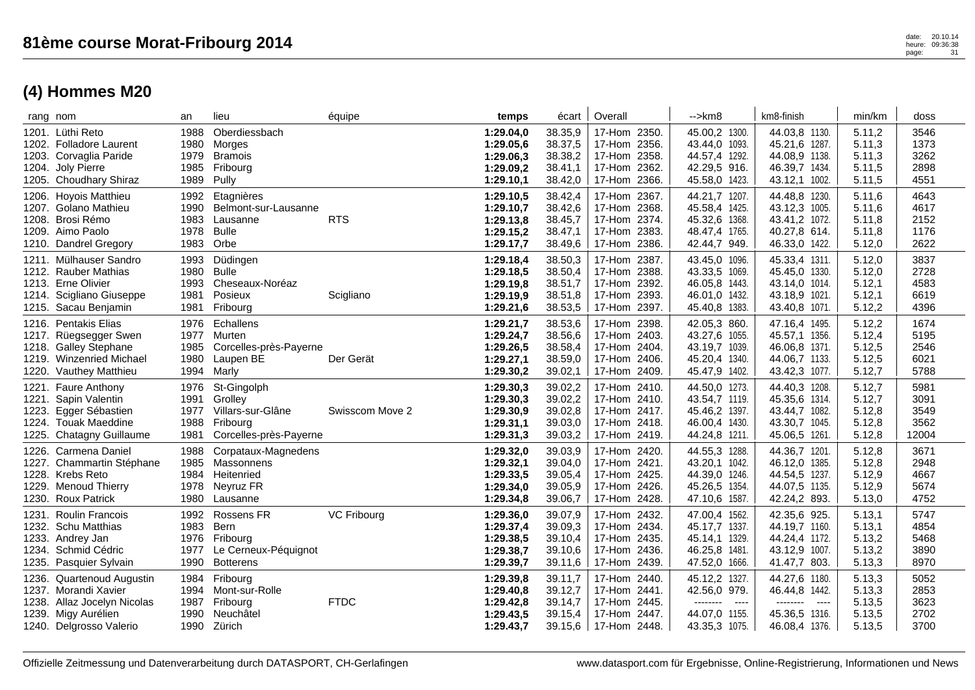|       | rang nom                                                                                                                     | an                                   | lieu                                                                              | équipe             | temps                                                         | écart                                               | Overall                                                                                      | -->km8                                                                               | km8-finish                                                                            | min/km                                         | doss                                  |
|-------|------------------------------------------------------------------------------------------------------------------------------|--------------------------------------|-----------------------------------------------------------------------------------|--------------------|---------------------------------------------------------------|-----------------------------------------------------|----------------------------------------------------------------------------------------------|--------------------------------------------------------------------------------------|---------------------------------------------------------------------------------------|------------------------------------------------|---------------------------------------|
|       | 1201. Lüthi Reto<br>1202. Folladore Laurent<br>1203. Corvaglia Paride<br>1204. Joly Pierre<br>1205. Choudhary Shiraz         | 1988<br>1980<br>1979<br>1985<br>1989 | Oberdiessbach<br>Morges<br><b>Bramois</b><br>Fribourg<br>Pully                    |                    | 1:29.04,0<br>1:29.05,6<br>1:29.06,3<br>1:29.09,2<br>1:29.10,1 | 38.35,9<br>38.37,5<br>38.38,2<br>38.41,1<br>38.42,0 | 17-Hom 2350.<br>17-Hom 2356.<br>17-Hom 2358.<br>17-Hom 2362.<br>2366.<br>17-Hom              | 45.00,2 1300.<br>43.44,0 1093.<br>44.57,4 1292.<br>42.29,5 916.<br>45.58,0 1423.     | 44.03,8 1130.<br>45.21,6 1287.<br>44.08,9 1138.<br>46.39,7 1434.<br>43.12,1<br>1002.  | 5.11,2<br>5.11,3<br>5.11,3<br>5.11,5<br>5.11,5 | 3546<br>1373<br>3262<br>2898<br>4551  |
|       | 1206. Hoyois Matthieu<br>1207. Golano Mathieu<br>1208. Brosi Rémo<br>1209. Aimo Paolo<br>1210. Dandrel Gregory               | 1992<br>1990<br>1983<br>1978<br>1983 | Etagnières<br>Belmont-sur-Lausanne<br>Lausanne<br><b>Bulle</b><br>Orbe            | <b>RTS</b>         | 1:29.10,5<br>1:29.10,7<br>1:29.13,8<br>1:29.15,2<br>1:29.17,7 | 38.42,4<br>38.42,6<br>38.45,7<br>38.47.1<br>38.49,6 | 17-Hom 2367.<br>17-Hom 2368.<br>17-Hom 2374.<br>17-Hom 2383.<br>17-Hom 2386.                 | 44.21,7 1207.<br>45.58,4 1425.<br>45.32,6 1368.<br>48.47,4 1765.<br>42.44,7 949.     | 44.48,8 1230.<br>43.12,3 1005.<br>43.41,2 1072.<br>40.27,8 614.<br>46.33,0 1422.      | 5.11,6<br>5.11,6<br>5.11,8<br>5.11,8<br>5.12,0 | 4643<br>4617<br>2152<br>1176<br>2622  |
|       | 1211. Mülhauser Sandro<br>1212. Rauber Mathias<br>1213. Erne Olivier<br>1214. Scigliano Giuseppe<br>1215. Sacau Benjamin     | 1993<br>1980<br>1993<br>1981<br>1981 | Düdingen<br><b>Bulle</b><br>Cheseaux-Noréaz<br>Posieux<br>Fribourg                | Scigliano          | 1:29.18,4<br>1:29.18,5<br>1:29.19,8<br>1:29.19,9<br>1:29.21,6 | 38.50,3<br>38.50,4<br>38.51,7<br>38.51,8<br>38.53,5 | 17-Hom 2387.<br>17-Hom 2388.<br>17-Hom 2392.<br>17-Hom 2393.<br>17-Hom 2397.                 | 43.45,0 1096.<br>43.33,5 1069.<br>46.05,8 1443.<br>46.01,0 1432.<br>45.40,8 1383.    | 45.33,4 1311.<br>45.45,0 1330.<br>43.14,0 1014.<br>43.18,9 1021.<br>43.40,8 1071.     | 5.12,0<br>5.12,0<br>5.12,1<br>5.12,1<br>5.12,2 | 3837<br>2728<br>4583<br>6619<br>4396  |
|       | 1216. Pentakis Elias<br>1217. Rüegsegger Swen<br>1218. Galley Stephane<br>1219. Winzenried Michael<br>1220. Vauthey Matthieu | 1976<br>1977<br>1985<br>1980<br>1994 | Echallens<br>Murten<br>Corcelles-près-Payerne<br>Laupen BE<br>Marly               | Der Gerät          | 1:29.21,7<br>1:29.24,7<br>1:29.26,5<br>1:29.27,1<br>1:29.30,2 | 38.53,6<br>38.56,6<br>38.58,4<br>38.59,0<br>39.02,1 | 17-Hom 2398.<br>17-Hom 2403.<br>17-Hom 2404.<br>17-Hom 2406.<br>17-Hom 2409.                 | 42.05,3 860.<br>43.27,6 1055.<br>43.19,7 1039.<br>45.20,4 1340.<br>45.47,9 1402.     | 47.16,4 1495.<br>45.57,1 1356.<br>46.06,8 1371.<br>44.06,7 1133.<br>43.42,3 1077.     | 5.12,2<br>5.12,4<br>5.12,5<br>5.12,5<br>5.12,7 | 1674<br>5195<br>2546<br>6021<br>5788  |
|       | 1221. Faure Anthony<br>1221. Sapin Valentin<br>1223. Egger Sébastien<br>1224. Touak Maeddine<br>1225. Chatagny Guillaume     | 1976<br>1991<br>1977<br>1988<br>1981 | St-Gingolph<br>Grolley<br>Villars-sur-Glâne<br>Fribourg<br>Corcelles-près-Payerne | Swisscom Move 2    | 1:29.30,3<br>1:29.30,3<br>1:29.30,9<br>1:29.31,1<br>1:29.31,3 | 39.02,2<br>39.02,2<br>39.02,8<br>39.03,0<br>39.03,2 | 17-Hom 2410.<br>17-Hom 2410.<br>17-Hom 2417.<br>17-Hom 2418.<br>17-Hom 2419.                 | 44.50,0 1273.<br>43.54.7 1119.<br>45.46,2 1397.<br>46.00,4 1430.<br>44.24,8 1211.    | 44.40,3 1208.<br>45.35,6 1314.<br>43.44,7 1082.<br>43.30,7 1045.<br>45.06,5 1261.     | 5.12,7<br>5.12,7<br>5.12,8<br>5.12,8<br>5.12,8 | 5981<br>3091<br>3549<br>3562<br>12004 |
|       | 1226. Carmena Daniel<br>1227. Chammartin Stéphane<br>1228. Krebs Reto<br>1229. Menoud Thierry<br>1230. Roux Patrick          | 1988<br>1985<br>1984<br>1978<br>1980 | Corpataux-Magnedens<br><b>Massonnens</b><br>Heitenried<br>Neyruz FR<br>Lausanne   |                    | 1:29.32,0<br>1:29.32,1<br>1:29.33,5<br>1:29.34,0<br>1:29.34,8 | 39.03,9<br>39.04,0<br>39.05,4<br>39.05,9<br>39.06,7 | 2420.<br>17-Hom<br>17-Hom 2421.<br>17-Hom 2425.<br>17-Hom<br>2426.<br>17-Hom 2428.           | 44.55,3 1288.<br>43.20,1 1042.<br>44.39,0 1246.<br>45.26,5 1354.<br>47.10,6 1587.    | 44.36,7 1201.<br>46.12,0 1385.<br>44.54,5 1237.<br>44.07,5 1135.<br>42.24,2 893.      | 5.12,8<br>5.12,8<br>5.12,9<br>5.12,9<br>5.13,0 | 3671<br>2948<br>4667<br>5674<br>4752  |
|       | 1231. Roulin Francois<br>1232. Schu Matthias<br>1233. Andrey Jan<br>1234. Schmid Cédric<br>1235. Pasquier Sylvain            | 1992<br>1983<br>1976<br>1977<br>1990 | Rossens FR<br><b>Bern</b><br>Fribourg<br>Le Cerneux-Péquignot<br><b>Botterens</b> | <b>VC Fribourg</b> | 1:29.36,0<br>1:29.37,4<br>1:29.38,5<br>1:29.38,7<br>1:29.39,7 | 39.07,9<br>39.09,3<br>39.10,4<br>39.10,6<br>39.11,6 | 2432.<br>17-Hom<br>17-Hom 2434.<br>17-Hom 2435.<br>17-Hom 2436.<br>17-Hom 2439.              | 47.00,4 1562.<br>45.17,7 1337.<br>45.14,1 1329.<br>46.25,8 1481.<br>47.52,0 1666.    | 42.35,6 925.<br>44.19,7 1160.<br>44.24,4 1172.<br>43.12,9 1007.<br>41.47,7 803.       | 5.13,1<br>5.13,1<br>5.13,2<br>5.13,2<br>5.13,3 | 5747<br>4854<br>5468<br>3890<br>8970  |
| 1238. | 1236. Quartenoud Augustin<br>1237. Morandi Xavier<br>Allaz Jocelyn Nicolas<br>1239. Migy Aurélien<br>1240. Delgrosso Valerio | 1984<br>1994<br>1987<br>1990<br>1990 | Friboura<br>Mont-sur-Rolle<br>Fribourg<br>Neuchâtel<br>Zürich                     | <b>FTDC</b>        | 1:29.39,8<br>1:29.40,8<br>1:29.42,8<br>1:29.43,5<br>1:29.43,7 | 39.11,7<br>39.12,7<br>39.14,7<br>39.15,4            | 2440.<br>17-Hom<br>17-Hom 2441.<br>17-Hom 2445.<br>2447.<br>17-Hom<br>39.15,6   17-Hom 2448. | 45.12,2 1327.<br>42.56,0 979.<br>--------<br>$---$<br>44.07,0 1155.<br>43.35,3 1075. | 44.27,6 1180.<br>46.44,8 1442.<br>--------<br>$---$<br>45.36,5 1316.<br>46.08,4 1376. | 5.13,3<br>5.13,3<br>5.13,5<br>5.13,5<br>5.13,5 | 5052<br>2853<br>3623<br>2702<br>3700  |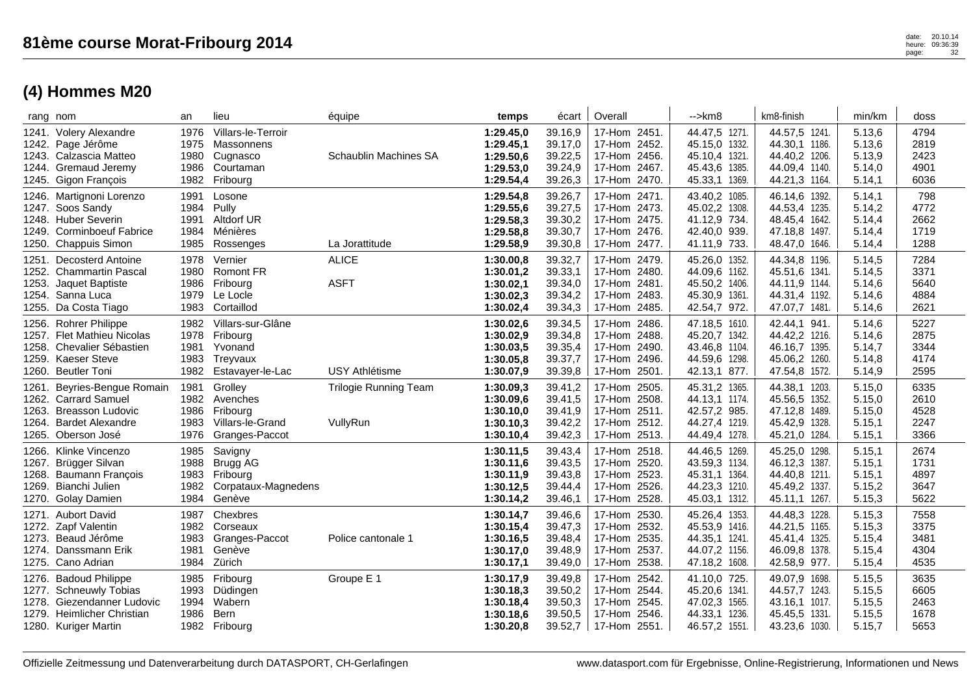|       | 1241. Volery Alexandre<br>1242. Page Jérôme<br>1243. Calzascia Matteo<br>1244. Gremaud Jeremy<br>1245. Gigon François               | 1976<br>1975<br>1980<br>1986<br>1982 | Villars-le-Terroir<br>Massonnens<br>Cugnasco<br>Courtaman<br>Fribourg    | Schaublin Machines SA                    | 1:29.45,0<br>1:29.45,1<br>1:29.50,6<br>1:29.53,0<br>1:29.54,4 | 39.16,9<br>39.17,0<br>39.22,5<br>39.24,9<br>39.26,3 | 17-Hom 2451.<br>17-Hom 2452.<br>17-Hom 2456.<br>17-Hom 2467.<br>17-Hom 2470.    | 44.47,5 1271.<br>45.15,0 1332.<br>45.10,4 1321.<br>45.43,6 1385.<br>45.33,1 1369. | 44.57,5 1241.<br>44.30,1 1186.<br>44.40,2 1206.<br>44.09,4 1140.<br>44.21,3 1164. | 5.13,6<br>5.13,6<br>5.13,9<br>5.14,0<br>5.14,1 | 4794<br>2819<br>2423<br>4901<br>6036 |
|-------|-------------------------------------------------------------------------------------------------------------------------------------|--------------------------------------|--------------------------------------------------------------------------|------------------------------------------|---------------------------------------------------------------|-----------------------------------------------------|---------------------------------------------------------------------------------|-----------------------------------------------------------------------------------|-----------------------------------------------------------------------------------|------------------------------------------------|--------------------------------------|
|       | 1246. Martignoni Lorenzo<br>1247. Soos Sandy<br>1248. Huber Severin<br>1249. Corminboeuf Fabrice<br>1250. Chappuis Simon            | 1991<br>1984<br>1991<br>1984<br>1985 | Losone<br>Pully<br><b>Altdorf UR</b><br>Ménières<br>Rossenges            | La Jorattitude                           | 1:29.54,8<br>1:29.55,6<br>1:29.58,3<br>1:29.58.8<br>1:29.58,9 | 39.26,7<br>39.27,5<br>39.30,2<br>39.30,7<br>39.30,8 | 17-Hom 2471.<br>17-Hom 2473.<br>2475.<br>17-Hom<br>17-Hom 2476.<br>17-Hom 2477. | 43.40,2 1085.<br>45.02,2 1308.<br>41.12,9 734.<br>42.40,0 939.<br>41.11,9 733.    | 46.14,6 1392.<br>44.53,4 1235.<br>48.45,4 1642.<br>47.18,8 1497.<br>48.47,0 1646. | 5.14,1<br>5.14,2<br>5.14,4<br>5.14,4<br>5.14,4 | 798<br>4772<br>2662<br>1719<br>1288  |
|       | 1251. Decosterd Antoine<br>1252. Chammartin Pascal<br>1253. Jaquet Baptiste<br>1254. Sanna Luca<br>1255. Da Costa Tiago             | 1978<br>1980<br>1986<br>1979<br>1983 | Vernier<br><b>Romont FR</b><br>Fribourg<br>Le Locle<br>Cortaillod        | <b>ALICE</b><br><b>ASFT</b>              | 1:30.00,8<br>1:30.01.2<br>1:30.02,1<br>1:30.02,3<br>1:30.02,4 | 39.32,7<br>39.33,1<br>39.34,0<br>39.34,2<br>39.34,3 | 17-Hom 2479.<br>17-Hom 2480.<br>17-Hom 2481.<br>17-Hom 2483.<br>17-Hom 2485.    | 45.26,0 1352.<br>44.09,6 1162.<br>45.50,2 1406.<br>45.30,9 1361.<br>42.54,7 972.  | 44.34,8 1196.<br>45.51,6 1341.<br>44.11,9 1144.<br>44.31,4 1192.<br>47.07,7 1481. | 5.14,5<br>5.14,5<br>5.14,6<br>5.14,6<br>5.14,6 | 7284<br>3371<br>5640<br>4884<br>2621 |
|       | 1256. Rohrer Philippe<br>1257. Flet Mathieu Nicolas<br>1258. Chevalier Sébastien<br>1259. Kaeser Steve<br>1260. Beutler Toni        | 1982<br>1978<br>1981<br>1983<br>1982 | Villars-sur-Glâne<br>Fribourg<br>Yvonand<br>Treyvaux<br>Estavayer-le-Lac | <b>USY Athlétisme</b>                    | 1:30.02,6<br>1:30.02,9<br>1:30.03,5<br>1:30.05.8<br>1:30.07,9 | 39.34,5<br>39.34,8<br>39.35,4<br>39.37,7<br>39.39,8 | 17-Hom 2486.<br>17-Hom 2488.<br>17-Hom 2490.<br>17-Hom 2496.<br>17-Hom 2501.    | 47.18,5 1610.<br>45.20,7 1342.<br>43.46,8 1104.<br>44.59,6 1298.<br>42.13,1 877.  | 42.44,1 941.<br>44.42,2 1216.<br>46.16,7 1395.<br>45.06,2 1260.<br>47.54,8 1572.  | 5.14,6<br>5.14,6<br>5.14,7<br>5.14,8<br>5.14,9 | 5227<br>2875<br>3344<br>4174<br>2595 |
| 1261. | Beyries-Bengue Romain<br>1262. Carrard Samuel<br>1263. Breasson Ludovic<br>1264. Bardet Alexandre<br>1265. Oberson José             | 1981<br>1982<br>1986<br>1983<br>1976 | Grolley<br>Avenches<br>Fribourg<br>Villars-le-Grand<br>Granges-Paccot    | <b>Trilogie Running Team</b><br>VullyRun | 1:30.09,3<br>1:30.09.6<br>1:30.10,0<br>1:30.10,3<br>1:30.10,4 | 39.41,2<br>39.41,5<br>39.41,9<br>39.42,2<br>39.42,3 | 17-Hom<br>2505.<br>17-Hom 2508.<br>17-Hom 2511.<br>17-Hom 2512.<br>17-Hom 2513. | 45.31,2 1365.<br>44.13,1 1174.<br>42.57,2 985.<br>44.27,4 1219.<br>44.49,4 1278.  | 44.38,1 1203.<br>45.56,5 1352.<br>47.12,8 1489.<br>45.42,9 1328.<br>45.21,0 1284. | 5.15,0<br>5.15,0<br>5.15,0<br>5.15,1<br>5.15,1 | 6335<br>2610<br>4528<br>2247<br>3366 |
|       | 1266. Klinke Vincenzo<br>1267. Brügger Silvan<br>1268. Baumann François<br>1269. Bianchi Julien<br>1270. Golay Damien               | 1985<br>1988<br>1983<br>1982<br>1984 | Savigny<br>Brugg AG<br>Fribourg<br>Corpataux-Magnedens<br>Genève         |                                          | 1:30.11,5<br>1:30.11,6<br>1:30.11,9<br>1:30.12,5<br>1:30.14,2 | 39.43,4<br>39.43,5<br>39.43,8<br>39.44,4<br>39.46,1 | 17-Hom 2518.<br>17-Hom 2520.<br>17-Hom 2523.<br>17-Hom 2526.<br>17-Hom 2528.    | 44.46,5 1269.<br>43.59,3 1134.<br>45.31,1 1364.<br>44.23,3 1210.<br>45.03,1 1312. | 45.25,0 1298.<br>46.12,3 1387.<br>44.40,8 1211.<br>45.49,2 1337.<br>45.11,1 1267. | 5.15,1<br>5.15,1<br>5.15,1<br>5.15,2<br>5.15,3 | 2674<br>1731<br>4897<br>3647<br>5622 |
|       | 1271. Aubort David<br>1272. Zapf Valentin<br>1273. Beaud Jérôme<br>1274. Danssmann Erik<br>1275. Cano Adrian                        | 1987<br>1982<br>1983<br>1981<br>1984 | Chexbres<br>Corseaux<br>Granges-Paccot<br>Genève<br>Zürich               | Police cantonale 1                       | 1:30.14,7<br>1:30.15,4<br>1:30.16,5<br>1:30.17,0<br>1:30.17,1 | 39.46,6<br>39.47,3<br>39.48,4<br>39.48,9<br>39.49,0 | 17-Hom 2530.<br>17-Hom 2532.<br>17-Hom 2535.<br>17-Hom 2537.<br>17-Hom 2538.    | 45.26,4 1353.<br>45.53,9 1416.<br>44.35,1 1241.<br>44.07,2 1156.<br>47.18,2 1608. | 44.48,3 1228.<br>44.21,5 1165.<br>45.41,4 1325.<br>46.09,8 1378.<br>42.58,9 977.  | 5.15,3<br>5.15,3<br>5.15,4<br>5.15,4<br>5.15,4 | 7558<br>3375<br>3481<br>4304<br>4535 |
|       | 1276. Badoud Philippe<br>1277. Schneuwly Tobias<br>1278. Giezendanner Ludovic<br>1279. Heimlicher Christian<br>1280. Kuriger Martin | 1985<br>1993<br>1994<br>1986<br>1982 | Fribourg<br>Düdingen<br>Wabern<br><b>Bern</b><br>Fribourg                | Groupe E 1                               | 1:30.17,9<br>1:30.18,3<br>1:30.18,4<br>1:30.18,6<br>1:30.20,8 | 39.49,8<br>39.50,2<br>39.50,3<br>39.50,5<br>39.52,7 | 17-Hom 2542.<br>2544.<br>17-Hom<br>17-Hom 2545.<br>17-Hom 2546.<br>17-Hom 2551. | 41.10,0 725.<br>45.20,6 1341.<br>47.02,3 1565.<br>44.33,1 1236.<br>46.57,2 1551.  | 49.07,9 1698.<br>44.57,7 1243.<br>43.16,1 1017.<br>45.45,5 1331.<br>43.23,6 1030. | 5.15,5<br>5.15,5<br>5.15,5<br>5.15,5<br>5.15,7 | 3635<br>6605<br>2463<br>1678<br>5653 |

rang nom an lieu équipe **temps** écart | Overall | -->km8 | km8-finish | min/km | doss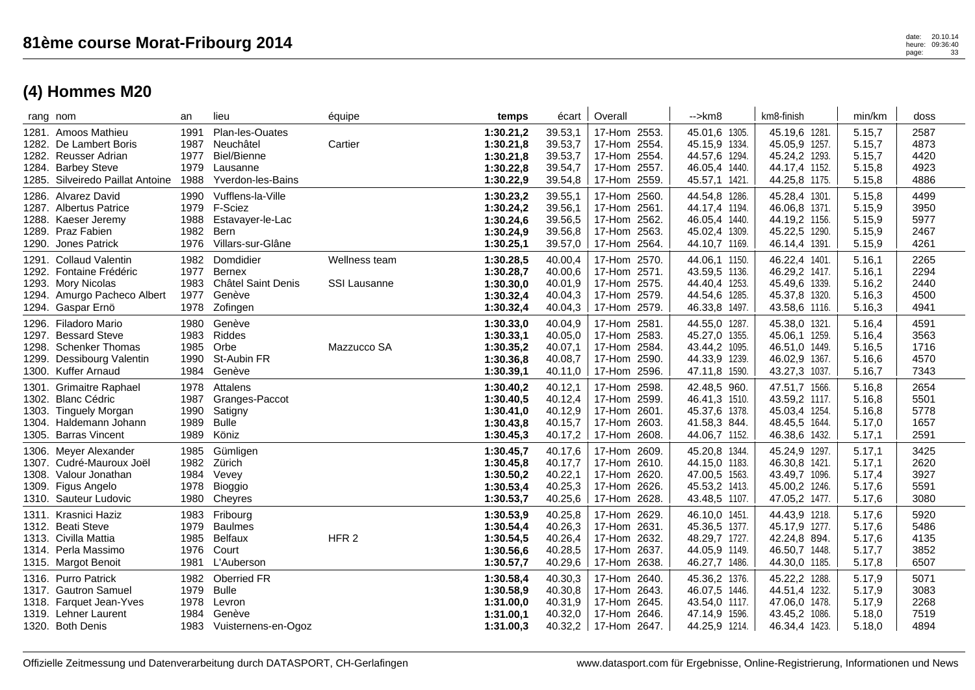| rang nom                                                                                                                        | an                                   | lieu                                                                          | équipe                               | temps                                                         | écart                                               | Overall                                                                                  | $\rightarrow$ km $\beta$                                                          | km8-finish                                                                           | min/km                                         | doss                                 |
|---------------------------------------------------------------------------------------------------------------------------------|--------------------------------------|-------------------------------------------------------------------------------|--------------------------------------|---------------------------------------------------------------|-----------------------------------------------------|------------------------------------------------------------------------------------------|-----------------------------------------------------------------------------------|--------------------------------------------------------------------------------------|------------------------------------------------|--------------------------------------|
| 1281. Amoos Mathieu<br>1282. De Lambert Boris<br>1282. Reusser Adrian<br>1284. Barbey Steve<br>1285. Silveiredo Paillat Antoine | 1991<br>1987<br>1977<br>1979<br>1988 | Plan-les-Ouates<br>Neuchâtel<br>Biel/Bienne<br>Lausanne<br>Yverdon-les-Bains  | Cartier                              | 1:30.21,2<br>1:30.21,8<br>1:30.21,8<br>1:30.22,8<br>1:30.22,9 | 39.53,1<br>39.53,7<br>39.53,7<br>39.54,7<br>39.54,8 | 17-Hom 2553.<br>17-Hom<br>2554.<br>17-Hom 2554.<br>2557.<br>17-Hom<br>17-Hom<br>2559.    | 45.01,6 1305.<br>45.15,9 1334.<br>44.57,6 1294.<br>46.05,4 1440.<br>45.57,1 1421. | 45.19,6 1281.<br>45.05,9 1257.<br>45.24,2 1293.<br>44.17,4 1152.<br>44.25,8 1175.    | 5.15,7<br>5.15,7<br>5.15,7<br>5.15,8<br>5.15,8 | 2587<br>4873<br>4420<br>4923<br>4886 |
| 1286. Alvarez David<br>1287. Albertus Patrice<br>1288. Kaeser Jeremy<br>1289. Praz Fabien<br>1290. Jones Patrick                | 1990<br>1979<br>1988<br>1982<br>1976 | Vufflens-la-Ville<br>F-Sciez<br>Estavayer-le-Lac<br>Bern<br>Villars-sur-Glâne |                                      | 1:30.23,2<br>1:30.24,2<br>1:30.24,6<br>1:30.24,9<br>1:30.25,1 | 39.55,1<br>39.56,1<br>39.56,5<br>39.56,8<br>39.57,0 | 17-Hom<br>2560.<br>17-Hom 2561.<br>17-Hom 2562.<br>2563.<br>17-Hom<br>17-Hom 2564.       | 44.54,8 1286.<br>44.17,4 1194.<br>46.05,4 1440.<br>45.02,4 1309.<br>44.10,7 1169. | 45.28,4 1301.<br>46.06,8 1371.<br>44.19,2 1156.<br>45.22,5<br>1290.<br>46.14,4 1391. | 5.15,8<br>5.15,9<br>5.15,9<br>5.15,9<br>5.15,9 | 4499<br>3950<br>5977<br>2467<br>4261 |
| 1291. Collaud Valentin<br>1292. Fontaine Frédéric<br>1293. Mory Nicolas<br>1294. Amurgo Pacheco Albert<br>1294. Gaspar Ernö     | 1982<br>1977<br>1983<br>1977<br>1978 | Domdidier<br>Bernex<br><b>Châtel Saint Denis</b><br>Genève<br>Zofingen        | Wellness team<br><b>SSI Lausanne</b> | 1:30.28,5<br>1:30.28,7<br>1:30.30,0<br>1:30.32,4<br>1:30.32,4 | 40.00,4<br>40.00,6<br>40.01,9<br>40.04,3<br>40.04,3 | 17-Hom<br>2570.<br>17-Hom 2571.<br>17-Hom 2575.<br>17-Hom<br>2579.<br>17-Hom 2579.       | 44.06,1 1150.<br>43.59,5 1136.<br>44.40,4 1253.<br>44.54,6 1285.<br>46.33,8 1497. | 46.22,4 1401.<br>46.29,2 1417.<br>45.49,6 1339.<br>45.37,8 1320.<br>43.58,6 1116.    | 5.16,1<br>5.16,1<br>5.16,2<br>5.16,3<br>5.16,3 | 2265<br>2294<br>2440<br>4500<br>4941 |
| 1296. Filadoro Mario<br>1297. Bessard Steve<br>1298. Schenker Thomas<br>1299. Dessibourg Valentin<br>1300. Kuffer Arnaud        | 1980<br>1983<br>1985<br>1990<br>1984 | Genève<br>Riddes<br>Orbe<br>St-Aubin FR<br>Genève                             | Mazzucco SA                          | 1:30.33,0<br>1:30.33,1<br>1:30.35,2<br>1:30.36,8<br>1:30.39,1 | 40.04,9<br>40.05,0<br>40.07,1<br>40.08,7<br>40.11,0 | 17-Hom<br>2581.<br>17-Hom 2583.<br>17-Hom 2584.<br>17-Hom<br>2590.<br>17-Hom 2596.       | 44.55,0 1287.<br>45.27,0 1355.<br>43.44,2 1095.<br>44.33,9 1239.<br>47.11,8 1590. | 45.38,0 1321.<br>45.06,1 1259.<br>46.51,0 1449.<br>46.02,9 1367.<br>43.27,3 1037.    | 5.16,4<br>5.16,4<br>5.16,5<br>5.16,6<br>5.16,7 | 4591<br>3563<br>1716<br>4570<br>7343 |
| 1301. Grimaitre Raphael<br>1302. Blanc Cédric<br>1303. Tinguely Morgan<br>1304. Haldemann Johann<br>1305. Barras Vincent        | 1978<br>1987<br>1990<br>1989<br>1989 | Attalens<br>Granges-Paccot<br>Satigny<br><b>Bulle</b><br>Köniz                |                                      | 1:30.40,2<br>1:30.40,5<br>1:30.41,0<br>1:30.43,8<br>1:30.45,3 | 40.12,1<br>40.12,4<br>40.12,9<br>40.15,7<br>40.17,2 | 17-Hom<br>2598.<br>17-Hom 2599.<br>17-Hom<br>2601.<br>17-Hom<br>2603.<br>17-Hom 2608.    | 42.48,5 960.<br>46.41,3 1510.<br>45.37,6 1378.<br>41.58,3 844.<br>44.06,7 1152.   | 47.51,7 1566.<br>43.59,2 1117.<br>45.03,4 1254.<br>48.45,5 1644.<br>46.38,6 1432.    | 5.16,8<br>5.16,8<br>5.16,8<br>5.17,0<br>5.17,1 | 2654<br>5501<br>5778<br>1657<br>2591 |
| 1306. Meyer Alexander<br>1307. Cudré-Mauroux Joël<br>1308. Valour Jonathan<br>1309. Figus Angelo<br>1310. Sauteur Ludovic       | 1985<br>1982<br>1984<br>1978<br>1980 | Gümligen<br>Zürich<br>Vevey<br>Bioggio<br>Cheyres                             |                                      | 1:30.45,7<br>1:30.45,8<br>1:30.50,2<br>1:30.53,4<br>1:30.53,7 | 40.17,6<br>40.17,7<br>40.22,1<br>40.25,3<br>40.25,6 | 17-Hom<br>2609.<br>17-Hom 2610.<br>17-Hom 2620.<br>17-Hom 2626.<br>17-Hom<br>2628.       | 45.20,8 1344.<br>44.15,0 1183.<br>47.00,5 1563.<br>45.53,2 1413.<br>43.48,5 1107. | 45.24,9 1297.<br>46.30,8 1421.<br>43.49,7 1096.<br>45.00,2 1246.<br>47.05,2 1477.    | 5.17,1<br>5.17,1<br>5.17,4<br>5.17,6<br>5.17,6 | 3425<br>2620<br>3927<br>5591<br>3080 |
| 1311. Krasnici Haziz<br>1312. Beati Steve<br>1313. Civilla Mattia<br>1314. Perla Massimo<br>1315. Margot Benoit                 | 1983<br>1979<br>1985<br>1976<br>1981 | Fribourg<br><b>Baulmes</b><br>Belfaux<br>Court<br>L'Auberson                  | HFR <sub>2</sub>                     | 1:30.53,9<br>1:30.54,4<br>1:30.54,5<br>1:30.56,6<br>1:30.57,7 | 40.25,8<br>40.26,3<br>40.26,4<br>40.28,5<br>40.29,6 | 17-Hom<br>2629.<br>2631.<br>17-Hom<br>17-Hom<br>2632.<br>17-Hom 2637.<br>17-Hom<br>2638. | 46.10,0 1451.<br>45.36,5 1377.<br>48.29,7 1727.<br>44.05,9 1149.<br>46.27,7 1486. | 44.43,9 1218.<br>45.17,9 1277.<br>42.24,8 894.<br>46.50,7 1448.<br>44.30,0 1185.     | 5.17,6<br>5.17,6<br>5.17,6<br>5.17,7<br>5.17,8 | 5920<br>5486<br>4135<br>3852<br>6507 |
| 1316. Purro Patrick<br>1317. Gautron Samuel<br>1318. Farquet Jean-Yves<br>1319. Lehner Laurent<br>1320. Both Denis              | 1982<br>1979<br>1978<br>1984<br>1983 | <b>Oberried FR</b><br><b>Bulle</b><br>Levron<br>Genève<br>Vuisternens-en-Ogoz |                                      | 1:30.58,4<br>1:30.58,9<br>1:31.00,0<br>1:31.00,1<br>1:31.00,3 | 40.30,3<br>40.30,8<br>40.31,9<br>40.32,0<br>40.32,2 | 17-Hom 2640.<br>2643.<br>17-Hom<br>17-Hom<br>2645.<br>2646.<br>17-Hom<br>17-Hom 2647.    | 45.36,2 1376.<br>46.07,5 1446.<br>43.54,0 1117.<br>47.14,9 1596.<br>44.25,9 1214. | 45.22,2 1288.<br>44.51,4 1232.<br>47.06.0 1478.<br>43.45,2<br>1086.<br>46.34,4 1423. | 5.17,9<br>5.17,9<br>5.17,9<br>5.18,0<br>5.18,0 | 5071<br>3083<br>2268<br>7519<br>4894 |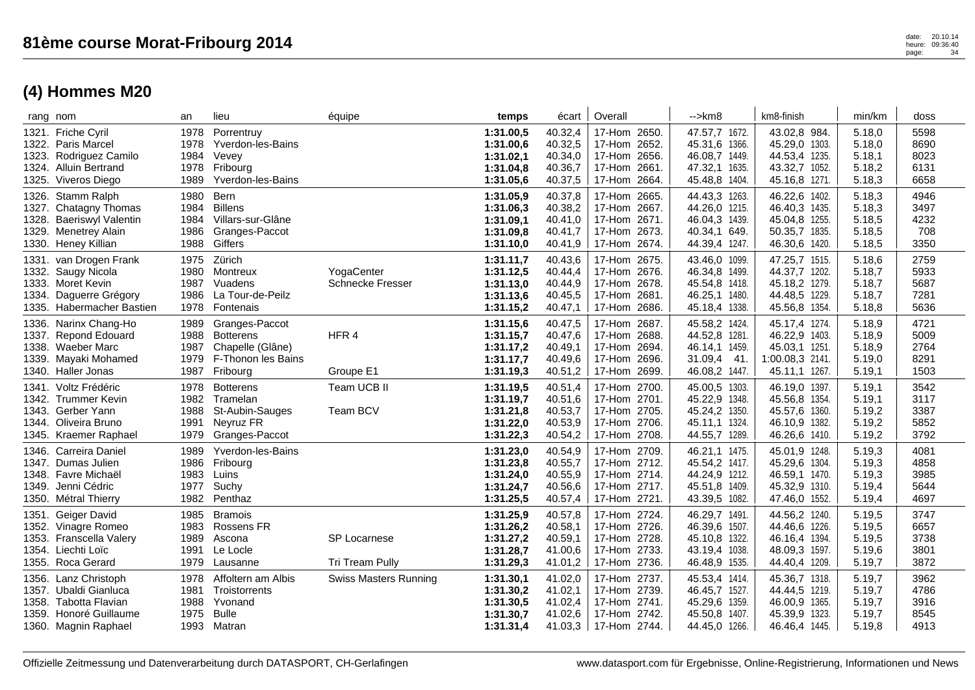|       | rang nom                                                                                                                 | an                                   | lieu                                                                                     | équipe                                | temps                                                         | écart                                               | Overall                                                                                | -->km8                                                                             | km8-finish                                                                          | min/km                                         | doss                                 |
|-------|--------------------------------------------------------------------------------------------------------------------------|--------------------------------------|------------------------------------------------------------------------------------------|---------------------------------------|---------------------------------------------------------------|-----------------------------------------------------|----------------------------------------------------------------------------------------|------------------------------------------------------------------------------------|-------------------------------------------------------------------------------------|------------------------------------------------|--------------------------------------|
|       | 1321. Friche Cyril<br>1322. Paris Marcel<br>1323. Rodriguez Camilo<br>1324. Alluin Bertrand<br>1325. Viveros Diego       | 1978<br>1978<br>1984<br>1978<br>1989 | Porrentruy<br>Yverdon-les-Bains<br>Vevey<br>Fribourg<br>Yverdon-les-Bains                |                                       | 1:31.00,5<br>1:31.00,6<br>1:31.02,1<br>1:31.04,8<br>1:31.05,6 | 40.32,4<br>40.32,5<br>40.34,0<br>40.36,7<br>40.37,5 | 17-Hom 2650.<br>17-Hom 2652.<br>17-Hom 2656.<br>17-Hom 2661.<br>17-Hom 2664.           | 47.57,7 1672.<br>45.31,6 1366.<br>46.08,7 1449.<br>47.32,1 1635.<br>45.48,8 1404.  | 43.02,8 984.<br>45.29,0 1303.<br>44.53,4 1235.<br>43.32,7 1052.<br>45.16,8 1271.    | 5.18,0<br>5.18,0<br>5.18,1<br>5.18,2<br>5.18,3 | 5598<br>8690<br>8023<br>6131<br>6658 |
| 1328. | 1326. Stamm Ralph<br>1327. Chatagny Thomas<br><b>Baeriswyl Valentin</b><br>1329. Menetrey Alain<br>1330. Heney Killian   | 1980<br>1984<br>1984<br>1986<br>1988 | Bern<br><b>Billens</b><br>Villars-sur-Glâne<br>Granges-Paccot<br>Giffers                 |                                       | 1:31.05,9<br>1:31.06,3<br>1:31.09,1<br>1:31.09,8<br>1:31.10,0 | 40.37,8<br>40.38,2<br>40.41,0<br>40.41,7<br>40.41,9 | 17-Hom 2665.<br>17-Hom 2667.<br>17-Hom 2671.<br>17-Hom 2673.<br>17-Hom 2674.           | 44.43,3 1263.<br>44.26,0 1215.<br>46.04,3 1439.<br>40.34,1 649.<br>44.39,4 1247.   | 46.22,6 1402.<br>46.40,3 1435.<br>45.04,8 1255.<br>50.35,7 1835.<br>46.30,6 1420.   | 5.18,3<br>5.18,3<br>5.18,5<br>5.18,5<br>5.18,5 | 4946<br>3497<br>4232<br>708<br>3350  |
|       | 1331. van Drogen Frank<br>1332. Saugy Nicola<br>1333. Moret Kevin<br>1334. Daguerre Grégory<br>1335. Habermacher Bastien | 1975<br>1980<br>1987<br>1986<br>1978 | Zürich<br>Montreux<br>Vuadens<br>La Tour-de-Peilz<br>Fontenais                           | YogaCenter<br><b>Schnecke Fresser</b> | 1:31.11,7<br>1:31.12,5<br>1:31.13,0<br>1:31.13,6<br>1:31.15,2 | 40.43,6<br>40.44,4<br>40.44,9<br>40.45,5<br>40.47,1 | 17-Hom 2675.<br>17-Hom 2676.<br>17-Hom 2678.<br>17-Hom 2681.<br>17-Hom 2686.           | 43.46,0 1099.<br>46.34,8 1499.<br>45.54,8 1418.<br>46.25,1 1480.<br>45.18,4 1338.  | 47.25,7 1515.<br>44.37,7 1202.<br>45.18,2 1279.<br>44.48,5 1229.<br>45.56,8 1354.   | 5.18,6<br>5.18,7<br>5.18,7<br>5.18,7<br>5.18,8 | 2759<br>5933<br>5687<br>7281<br>5636 |
| 1337. | 1336. Narinx Chang-Ho<br>Repond Edouard<br>1338. Waeber Marc<br>1339. Mayaki Mohamed<br>1340. Haller Jonas               | 1989<br>1988<br>1987<br>1979<br>1987 | Granges-Paccot<br><b>Botterens</b><br>Chapelle (Glâne)<br>F-Thonon les Bains<br>Fribourg | HFR 4<br>Groupe E1                    | 1:31.15,6<br>1:31.15,7<br>1:31.17,2<br>1:31.17,7<br>1:31.19,3 | 40.47,5<br>40.47,6<br>40.49,1<br>40.49,6<br>40.51,2 | 17-Hom 2687.<br>17-Hom 2688.<br>17-Hom 2694.<br>17-Hom 2696.<br>17-Hom 2699.           | 45.58,2 1424.<br>44.52,8 1281.<br>46.14,1 1459.<br>31.09,4<br>41.<br>46.08,2 1447. | 45.17,4 1274.<br>46.22,9 1403.<br>45.03,1 1251.<br>1:00.08,3 2141.<br>45.11,1 1267. | 5.18,9<br>5.18,9<br>5.18,9<br>5.19,0<br>5.19,1 | 4721<br>5009<br>2764<br>8291<br>1503 |
| 1341. | Voltz Frédéric<br>1342. Trummer Kevin<br>1343. Gerber Yann<br>1344. Oliveira Bruno<br>1345. Kraemer Raphael              | 1978<br>1982<br>1988<br>1991<br>1979 | <b>Botterens</b><br>Tramelan<br>St-Aubin-Sauges<br>Neyruz FR<br>Granges-Paccot           | Team UCB II<br>Team BCV               | 1:31.19,5<br>1:31.19,7<br>1:31.21,8<br>1:31.22,0<br>1:31.22,3 | 40.51,4<br>40.51,6<br>40.53,7<br>40.53,9<br>40.54,2 | 17-Hom 2700.<br>17-Hom 2701.<br>17-Hom 2705.<br>17-Hom 2706.<br>17-Hom 2708.           | 45.00,5 1303.<br>45.22,9 1348.<br>45.24,2 1350.<br>45.11,1 1324.<br>44.55,7 1289.  | 46.19,0 1397.<br>45.56,8 1354.<br>45.57,6 1360.<br>46.10,9 1382.<br>46.26,6 1410.   | 5.19,1<br>5.19,1<br>5.19,2<br>5.19,2<br>5.19,2 | 3542<br>3117<br>3387<br>5852<br>3792 |
|       | 1346. Carreira Daniel<br>1347. Dumas Julien<br>1348. Favre Michaël<br>1349. Jenni Cédric<br>1350. Métral Thierry         | 1989<br>1986<br>1983<br>1977<br>1982 | Yverdon-les-Bains<br>Fribourg<br>Luins<br>Suchy<br>Penthaz                               |                                       | 1:31.23,0<br>1:31.23,8<br>1:31.24,0<br>1:31.24,7<br>1:31.25,5 | 40.54,9<br>40.55,7<br>40.55,9<br>40.56,6<br>40.57,4 | 17-Hom 2709.<br>17-Hom 2712.<br>17-Hom 2714.<br>17-Hom 2717.<br>17-Hom 2721.           | 46.21,1 1475.<br>45.54,2 1417.<br>44.24,9 1212.<br>45.51,8 1409.<br>43.39,5 1082.  | 45.01,9 1248.<br>45.29,6 1304.<br>46.59,1 1470.<br>45.32,9 1310.<br>47.46,0 1552.   | 5.19,3<br>5.19,3<br>5.19,3<br>5.19,4<br>5.19,4 | 4081<br>4858<br>3985<br>5644<br>4697 |
| 1351. | Geiger David<br>1352. Vinagre Romeo<br>1353. Franscella Valery<br>1354. Liechti Loïc<br>1355. Roca Gerard                | 1985<br>1983<br>1989<br>1991<br>1979 | <b>Bramois</b><br>Rossens FR<br>Ascona<br>Le Locle<br>Lausanne                           | SP Locarnese<br>Tri Tream Pully       | 1:31.25,9<br>1:31.26,2<br>1:31.27,2<br>1:31.28,7<br>1:31.29,3 | 40.57,8<br>40.58,1<br>40.59,1<br>41.00,6<br>41.01,2 | 17-Hom 2724.<br>17-Hom 2726.<br>17-Hom 2728.<br>17-Hom 2733.<br>17-Hom 2736.           | 46.29,7 1491.<br>46.39,6 1507.<br>45.10,8 1322.<br>43.19,4 1038.<br>46.48,9 1535.  | 44.56,2 1240.<br>44.46,6 1226.<br>46.16,4 1394.<br>48.09,3 1597.<br>44.40,4 1209.   | 5.19,5<br>5.19,5<br>5.19,5<br>5.19,6<br>5.19,7 | 3747<br>6657<br>3738<br>3801<br>3872 |
|       | 1356. Lanz Christoph<br>1357. Ubaldi Gianluca<br>1358. Tabotta Flavian<br>1359. Honoré Guillaume<br>1360. Magnin Raphael | 1978<br>1981<br>1988<br>1975         | Affoltern am Albis<br>Troistorrents<br>Yvonand<br><b>Bulle</b><br>1993 Matran            | <b>Swiss Masters Running</b>          | 1:31.30,1<br>1:31.30,2<br>1:31.30,5<br>1:31.30,7<br>1:31.31,4 | 41.02,0<br>41.02,1<br>41.02,4<br>41.02,6            | 17-Hom 2737.<br>17-Hom 2739.<br>17-Hom 2741.<br>17-Hom 2742.<br>41.03,3   17-Hom 2744. | 45.53,4 1414.<br>46.45,7 1527.<br>45.29,6 1359.<br>45.50,8 1407.<br>44.45,0 1266.  | 45.36,7 1318.<br>44.44,5 1219.<br>46.00,9 1365.<br>45.39,9 1323.<br>46.46,4 1445.   | 5.19,7<br>5.19,7<br>5.19,7<br>5.19,7<br>5.19,8 | 3962<br>4786<br>3916<br>8545<br>4913 |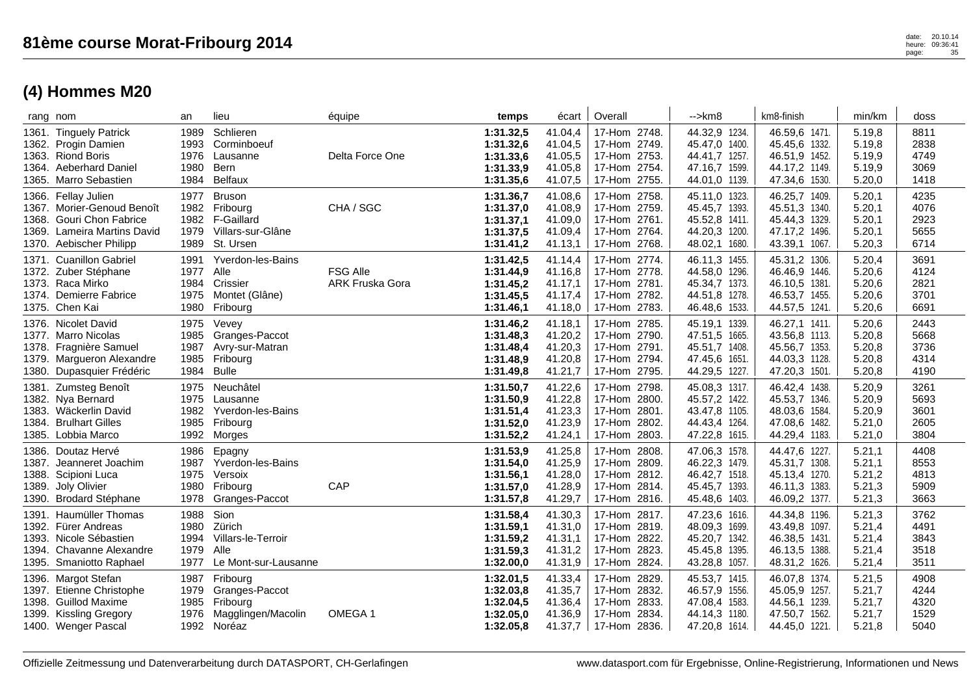| rang nom                                                                                                                                | an                                   | lieu                                                                        | équipe                                    | temps                                                         | écart                                               | Overall                                                                               | -->km8                                                                            | km8-finish                                                                           | min/km                                         | doss                                 |
|-----------------------------------------------------------------------------------------------------------------------------------------|--------------------------------------|-----------------------------------------------------------------------------|-------------------------------------------|---------------------------------------------------------------|-----------------------------------------------------|---------------------------------------------------------------------------------------|-----------------------------------------------------------------------------------|--------------------------------------------------------------------------------------|------------------------------------------------|--------------------------------------|
| 1361. Tinguely Patrick<br>1362. Progin Damien<br>1363. Riond Boris<br>1364. Aeberhard Daniel<br>1365. Marro Sebastien                   | 1989<br>1993<br>1976<br>1980<br>1984 | Schlieren<br>Corminboeuf<br>Lausanne<br>Bern<br><b>Belfaux</b>              | Delta Force One                           | 1:31.32,5<br>1:31.32,6<br>1:31.33,6<br>1:31.33,9<br>1:31.35,6 | 41.04,4<br>41.04,5<br>41.05,5<br>41.05,8<br>41.07,5 | 17-Hom 2748.<br>17-Hom 2749.<br>17-Hom 2753.<br>17-Hom 2754.<br>17-Hom 2755.          | 44.32,9 1234.<br>45.47,0 1400.<br>44.41,7 1257.<br>47.16,7 1599.<br>44.01,0 1139. | 46.59,6 1471.<br>45.45,6 1332.<br>46.51,9 1452.<br>44.17,2 1149.<br>47.34,6<br>1530. | 5.19,8<br>5.19,8<br>5.19,9<br>5.19,9<br>5.20,0 | 8811<br>2838<br>4749<br>3069<br>1418 |
| 1366. Fellay Julien<br>1367. Morier-Genoud Benoît<br>1368. Gouri Chon Fabrice<br>1369. Lameira Martins David<br>1370. Aebischer Philipp | 1977<br>1982<br>1982<br>1979<br>1989 | <b>Bruson</b><br>Fribourg<br>F-Gaillard<br>Villars-sur-Glâne<br>St. Ursen   | CHA / SGC                                 | 1:31.36,7<br>1:31.37,0<br>1:31.37,1<br>1:31.37,5<br>1:31.41,2 | 41.08,6<br>41.08,9<br>41.09,0<br>41.09,4<br>41.13,1 | 17-Hom 2758.<br>17-Hom 2759.<br>17-Hom 2761.<br>17-Hom 2764.<br>17-Hom 2768.          | 45.11,0 1323.<br>45.45,7 1393.<br>45.52,8 1411.<br>44.20,3 1200.<br>48.02,1 1680. | 46.25,7 1409.<br>45.51,3 1340.<br>45.44,3 1329.<br>47.17,2 1496.<br>43.39,1 1067.    | 5.20,1<br>5.20,1<br>5.20,1<br>5.20,1<br>5.20,3 | 4235<br>4076<br>2923<br>5655<br>6714 |
| 1371. Cuanillon Gabriel<br>1372. Zuber Stéphane<br>1373. Raca Mirko<br>1374. Demierre Fabrice<br>1375. Chen Kai                         | 1991<br>1977<br>1984<br>1975<br>1980 | Yverdon-les-Bains<br>Alle<br>Crissier<br>Montet (Glâne)<br>Fribourg         | <b>FSG Alle</b><br><b>ARK Fruska Gora</b> | 1:31.42,5<br>1:31.44,9<br>1:31.45,2<br>1:31.45,5<br>1:31.46,1 | 41.14,4<br>41.16,8<br>41.17,1<br>41.17,4<br>41.18,0 | 17-Hom 2774.<br>17-Hom 2778.<br>17-Hom 2781.<br>17-Hom 2782.<br>17-Hom 2783.          | 46.11,3 1455.<br>44.58,0 1296.<br>45.34,7 1373.<br>44.51,8 1278.<br>46.48,6 1533. | 45.31,2 1306.<br>46.46,9 1446.<br>46.10,5 1381.<br>46.53,7 1455.<br>44.57,5 1241.    | 5.20,4<br>5.20,6<br>5.20,6<br>5.20,6<br>5.20,6 | 3691<br>4124<br>2821<br>3701<br>6691 |
| 1376. Nicolet David<br>1377. Marro Nicolas<br>1378. Fragnière Samuel<br>1379. Margueron Alexandre<br>1380. Dupasquier Frédéric          | 1975<br>1985<br>1987<br>1985<br>1984 | Vevey<br>Granges-Paccot<br>Avry-sur-Matran<br>Fribourg<br><b>Bulle</b>      |                                           | 1:31.46,2<br>1:31.48,3<br>1:31.48,4<br>1:31.48,9<br>1:31.49,8 | 41.18,1<br>41.20,2<br>41.20,3<br>41.20,8<br>41.21,7 | 17-Hom 2785.<br>17-Hom 2790.<br>17-Hom 2791.<br>17-Hom 2794.<br>17-Hom 2795.          | 45.19,1 1339.<br>47.51,5 1665.<br>45.51,7 1408.<br>47.45,6 1651.<br>44.29,5 1227. | 46.27,1 1411.<br>43.56,8 1113.<br>45.56,7 1353.<br>44.03,3 1128.<br>47.20,3 1501.    | 5.20,6<br>5.20,8<br>5.20,8<br>5.20,8<br>5.20,8 | 2443<br>5668<br>3736<br>4314<br>4190 |
| 1381. Zumsteg Benoît<br>1382. Nya Bernard<br>1383. Wäckerlin David<br>1384. Brulhart Gilles<br>1385. Lobbia Marco                       | 1975<br>1975<br>1982<br>1985<br>1992 | Neuchâtel<br>Lausanne<br>Yverdon-les-Bains<br>Fribourg<br>Morges            |                                           | 1:31.50,7<br>1:31.50,9<br>1:31.51,4<br>1:31.52,0<br>1:31.52,2 | 41.22,6<br>41.22,8<br>41.23,3<br>41.23,9<br>41.24,1 | 17-Hom<br>2798.<br>17-Hom 2800.<br>17-Hom 2801.<br>17-Hom<br>2802.<br>17-Hom 2803.    | 45.08,3 1317.<br>45.57,2 1422.<br>43.47,8 1105.<br>44.43,4 1264.<br>47.22,8 1615. | 46.42,4 1438.<br>45.53,7 1346.<br>48.03,6 1584.<br>47.08,6 1482.<br>44.29,4 1183.    | 5.20,9<br>5.20,9<br>5.20,9<br>5.21,0<br>5.21,0 | 3261<br>5693<br>3601<br>2605<br>3804 |
| 1386. Doutaz Hervé<br>1387. Jeanneret Joachim<br>1388. Scipioni Luca<br>1389. Joly Olivier<br>1390. Brodard Stéphane                    | 1986<br>1987<br>1975<br>1980<br>1978 | Epagny<br>Yverdon-les-Bains<br>Versoix<br>Fribourg<br>Granges-Paccot        | CAP                                       | 1:31.53,9<br>1:31.54,0<br>1:31.56,1<br>1:31.57,0<br>1:31.57,8 | 41.25,8<br>41.25,9<br>41.28,0<br>41.28,9<br>41.29,7 | 17-Hom<br>2808.<br>17-Hom 2809.<br>17-Hom 2812.<br>17-Hom<br>2814.<br>17-Hom 2816.    | 47.06,3 1578.<br>46.22,3 1479.<br>46.42,7 1518.<br>45.45,7 1393.<br>45.48,6 1403. | 44.47,6 1227.<br>45.31,7 1308.<br>45.13,4 1270.<br>46.11,3 1383.<br>46.09,2 1377.    | 5.21,1<br>5.21,1<br>5.21,2<br>5.21,3<br>5.21,3 | 4408<br>8553<br>4813<br>5909<br>3663 |
| 1391. Haumüller Thomas<br>1392. Fürer Andreas<br>1393. Nicole Sébastien<br>1394. Chavanne Alexandre<br>1395. Smaniotto Raphael          | 1988<br>1980<br>1994<br>1979<br>1977 | Sion<br>Zürich<br>Villars-le-Terroir<br>Alle<br>Le Mont-sur-Lausanne        |                                           | 1:31.58,4<br>1:31.59,1<br>1:31.59,2<br>1:31.59,3<br>1:32.00,0 | 41.30,3<br>41.31,0<br>41.31,1<br>41.31,2<br>41.31,9 | 17-Hom<br>2817.<br>17-Hom 2819.<br>17-Hom 2822.<br>2823.<br>17-Hom<br>17-Hom 2824.    | 47.23,6 1616.<br>48.09,3 1699.<br>45.20,7 1342.<br>45.45,8 1395.<br>43.28,8 1057. | 44.34,8 1196.<br>43.49,8 1097.<br>46.38,5 1431.<br>46.13,5 1388.<br>48.31,2 1626.    | 5.21,3<br>5.21,4<br>5.21,4<br>5.21,4<br>5.21,4 | 3762<br>4491<br>3843<br>3518<br>3511 |
| 1396. Margot Stefan<br>1397. Etienne Christophe<br>1398. Guillod Maxime<br>1399. Kissling Gregory<br>1400. Wenger Pascal                | 1987<br>1979<br>1985<br>1976         | Fribourg<br>Granges-Paccot<br>Fribourg<br>Magglingen/Macolin<br>1992 Noréaz | OMEGA <sub>1</sub>                        | 1:32.01,5<br>1:32.03,8<br>1:32.04,5<br>1:32.05,0<br>1:32.05,8 | 41.33,4<br>41.35,7<br>41.36,4<br>41.36,9<br>41.37,7 | 17-Hom<br>2829.<br>17-Hom 2832.<br>17-Hom<br>2833.<br>17-Hom<br>2834.<br>17-Hom 2836. | 45.53,7 1415.<br>46.57,9 1556.<br>47.08,4 1583.<br>44.14,3 1180.<br>47.20,8 1614. | 46.07,8 1374.<br>45.05,9 1257.<br>44.56,1 1239.<br>47.50,7 1562.<br>44.45,0 1221.    | 5.21,5<br>5.21,7<br>5.21,7<br>5.21,7<br>5.21,8 | 4908<br>4244<br>4320<br>1529<br>5040 |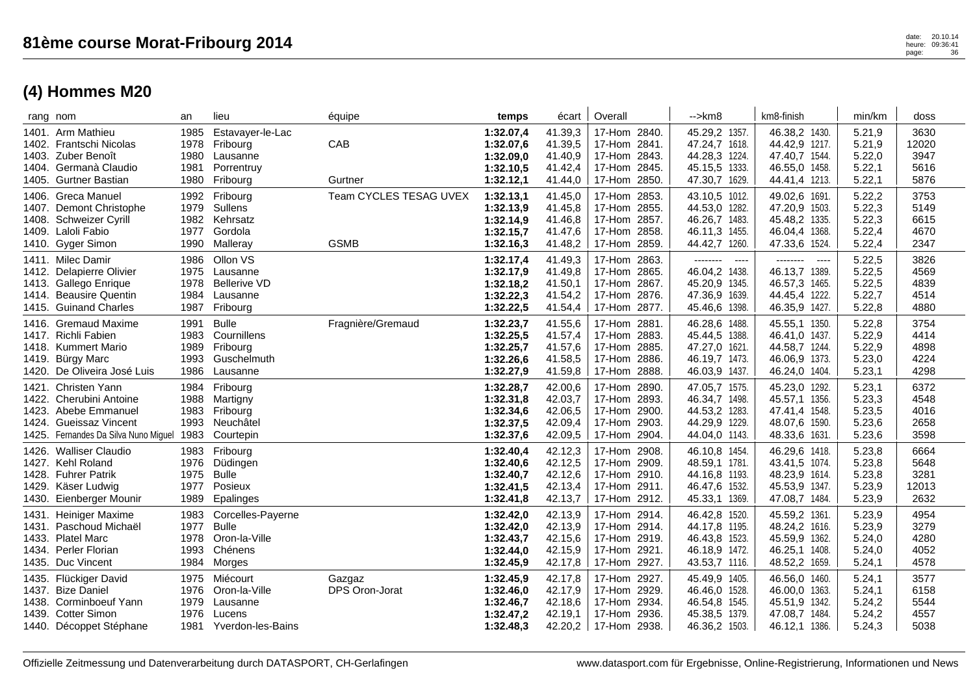| rang nom                                        | an           | lieu                 | équipe                 | temps                  | écart              | Overall                      | -->km8                         | km8-finish                     | min/km           | doss          |
|-------------------------------------------------|--------------|----------------------|------------------------|------------------------|--------------------|------------------------------|--------------------------------|--------------------------------|------------------|---------------|
| 1401. Arm Mathieu                               | 1985         | Estavayer-le-Lac     |                        | 1:32.07,4              | 41.39,3            | 17-Hom 2840.                 | 45.29,2 1357.                  | 46.38,2 1430.                  | 5.21,9           | 3630          |
| 1402. Frantschi Nicolas                         | 1978         | Fribourg             | CAB                    | 1:32.07,6              | 41.39,5            | 17-Hom 2841.                 | 47.24,7 1618.                  | 44.42,9 1217.                  | 5.21,9           | 12020         |
| 1403. Zuber Benoît                              | 1980         | Lausanne             |                        | 1:32.09,0              | 41.40,9            | 17-Hom 2843.                 | 44.28,3 1224.                  | 47.40,7 1544.                  | 5.22,0           | 3947          |
| 1404. Germanà Claudio                           | 1981         | Porrentruy           |                        | 1:32.10,5              | 41.42,4            | 17-Hom<br>2845.              | 45.15,5 1333.                  | 46.55,0 1458.                  | 5.22,1           | 5616          |
| 1405. Gurtner Bastian                           | 1980         | Fribourg             | Gurtner                | 1:32.12,1              | 41.44,0            | 17-Hom<br>2850.              | 47.30,7 1629.                  | 44.41,4 1213.                  | 5.22,1           | 5876          |
| 1406. Greca Manuel                              | 1992         | Fribourg             | Team CYCLES TESAG UVEX | 1:32.13,1              | 41.45,0            | 2853.<br>17-Hom              | 43.10,5 1012.                  | 49.02,6 1691                   | 5.22,2           | 3753          |
| 1407. Demont Christophe                         | 1979         | Sullens              |                        | 1:32.13,9              | 41.45,8            | 17-Hom<br>2855.              | 44.53,0 1282.                  | 47.20,9 1503.                  | 5.22,3           | 5149          |
| 1408. Schweizer Cyrill                          | 1982         | Kehrsatz             |                        | 1:32.14,9              | 41.46,8            | 17-Hom 2857.                 | 46.26,7 1483.                  | 45.48,2 1335.                  | 5.22,3           | 6615          |
| 1409. Laloli Fabio                              | 1977         | Gordola              |                        | 1:32.15,7              | 41.47,6            | 17-Hom 2858.                 | 46.11,3 1455.                  | 46.04,4 1368.                  | 5.22,4           | 4670          |
| 1410. Gyger Simon                               | 1990         | Malleray             | <b>GSMB</b>            | 1:32.16,3              | 41.48,2            | 2859.<br>17-Hom              | 44.42,7 1260.                  | 47.33,6 1524.                  | 5.22,4           | 2347          |
| 1411. Milec Damir                               | 1986         | Ollon VS             |                        | 1:32.17,4              | 41.49,3            | 17-Hom 2863.                 | --------<br>$---$              | --------<br>$---$              | 5.22,5           | 3826          |
| 1412. Delapierre Olivier                        | 1975         | Lausanne             |                        | 1:32.17,9              | 41.49,8            | 17-Hom<br>2865.              | 46.04,2 1438.                  | 46.13,7 1389.                  | 5.22,5           | 4569          |
| 1413. Gallego Enrique                           | 1978         | <b>Bellerive VD</b>  |                        | 1:32.18,2              | 41.50,1            | 17-Hom 2867.                 | 45.20,9 1345.                  | 46.57,3 1465.                  | 5.22,5           | 4839          |
| 1414. Beausire Quentin                          | 1984         | Lausanne             |                        | 1:32.22,3              | 41.54,2            | 17-Hom 2876.                 | 47.36,9 1639.                  | 44.45,4 1222.                  | 5.22,7           | 4514          |
| 1415. Guinand Charles                           | 1987         | Fribourg             |                        | 1:32.22,5              | 41.54,4            | 17-Hom 2877.                 | 45.46,6 1398.                  | 46.35,9 1427.                  | 5.22,8           | 4880          |
| 1416. Gremaud Maxime                            | 1991         | <b>Bulle</b>         | Fragnière/Gremaud      | 1:32.23,7              | 41.55,6            | 17-Hom 2881.                 | 46.28,6 1488.                  | 45.55,1 1350.                  | 5.22,8           | 3754          |
| 1417. Richli Fabien                             | 1983         | Cournillens          |                        | 1:32.25,5              | 41.57,4            | 2883.<br>17-Hom              | 45.44,5 1388.                  | 46.41,0 1437.                  | 5.22,9           | 4414          |
| 1418. Kummert Mario                             | 1989         | Fribourg             |                        | 1:32.25,7              | 41.57,6            | 2885.<br>17-Hom              | 47.27,0 1621                   | 44.58,7 1244.                  | 5.22,9           | 4898          |
| 1419. Bürgy Marc                                | 1993         | Guschelmuth          |                        | 1:32.26,6              | 41.58,5            | 17-Hom 2886.                 | 46.19,7 1473.                  | 46.06,9 1373.                  | 5.23,0           | 4224          |
| 1420. De Oliveira José Luis                     | 1986         | Lausanne             |                        | 1:32.27,9              | 41.59,8            | 17-Hom<br>2888.              | 46.03,9 1437.                  | 46.24,0 1404.                  | 5.23,1           | 4298          |
| 1421. Christen Yann                             |              | Fribourg             |                        |                        |                    | 17-Hom 2890.                 | 47.05,7 1575.                  | 45.23,0 1292.                  |                  | 6372          |
|                                                 | 1984         |                      |                        | 1:32.28,7              | 42.00,6            |                              |                                |                                | 5.23,1           |               |
| 1422. Cherubini Antoine<br>1423. Abebe Emmanuel | 1988<br>1983 | Martigny<br>Fribourg |                        | 1:32.31,8<br>1:32.34,6 | 42.03,7<br>42.06,5 | 17-Hom 2893.<br>17-Hom 2900. | 46.34,7 1498.<br>44.53,2 1283. | 45.57,1 1356.<br>47.41,4 1548. | 5.23,3<br>5.23,5 | 4548<br>4016  |
| 1424. Gueissaz Vincent                          | 1993         | Neuchâtel            |                        | 1:32.37,5              | 42.09,4            | 17-Hom 2903.                 | 44.29,9 1229.                  | 48.07,6 1590.                  | 5.23,6           | 2658          |
| 1425. Fernandes Da Silva Nuno Miguel 1983       |              | Courtepin            |                        | 1:32.37,6              | 42.09,5            | 17-Hom 2904.                 | 44.04,0 1143.                  | 48.33,6 1631.                  | 5.23,6           | 3598          |
|                                                 |              |                      |                        |                        |                    |                              |                                |                                |                  |               |
| 1426. Walliser Claudio                          | 1983         | Fribourg             |                        | 1:32.40,4              | 42.12,3            | 17-Hom 2908.                 | 46.10,8 1454.                  | 46.29,6 1418.                  | 5.23,8           | 6664<br>5648  |
| 1427. Kehl Roland                               | 1976         | Düdingen             |                        | 1:32.40,6              | 42.12,5            | 17-Hom 2909.                 | 48.59,1 1781.                  | 43.41,5 1074.                  | 5.23,8           |               |
| 1428. Fuhrer Patrik                             | 1975         | <b>Bulle</b>         |                        | 1:32.40,7              | 42.12,6            | 17-Hom 2910.                 | 44.16,8 1193.                  | 48.23,9 1614.                  | 5.23,8           | 3281          |
| 1429. Käser Ludwig                              | 1977<br>1989 | Posieux              |                        | 1:32.41,5<br>1:32.41,8 | 42.13,4<br>42.13,7 | 17-Hom 2911.<br>17-Hom 2912. | 46.47,6 1532.<br>45.33,1 1369. | 45.53,9 1347.<br>47.08,7 1484. | 5.23,9<br>5.23,9 | 12013<br>2632 |
| 1430. Eienberger Mounir                         |              | Epalinges            |                        |                        |                    |                              |                                |                                |                  |               |
| 1431. Heiniger Maxime                           | 1983         | Corcelles-Payerne    |                        | 1:32.42,0              | 42.13,9            | 17-Hom 2914.                 | 46.42,8 1520.                  | 45.59,2 1361                   | 5.23,9           | 4954          |
| 1431. Paschoud Michaël                          | 1977         | <b>Bulle</b>         |                        | 1:32.42,0              | 42.13,9            | 17-Hom 2914.                 | 44.17,8 1195.                  | 48.24,2 1616.                  | 5.23,9           | 3279          |
| 1433. Platel Marc                               | 1978         | Oron-la-Ville        |                        | 1:32.43,7              | 42.15,6            | 17-Hom 2919.                 | 46.43,8 1523.                  | 45.59,9 1362.                  | 5.24,0           | 4280          |
| 1434. Perler Florian                            | 1993         | Chénens              |                        | 1:32.44,0              | 42.15,9            | 17-Hom 2921.                 | 46.18,9 1472.                  | 46.25,1 1408.                  | 5.24,0           | 4052          |
| 1435. Duc Vincent                               | 1984         | Morges               |                        | 1:32.45,9              | 42.17,8            | 17-Hom 2927.                 | 43.53,7 1116.                  | 48.52,2 1659.                  | 5.24,1           | 4578          |
| 1435. Flückiger David                           | 1975         | Miécourt             | Gazgaz                 | 1:32.45,9              | 42.17,8            | 17-Hom 2927.                 | 45.49,9 1405.                  | 46.56,0 1460.                  | 5.24,1           | 3577          |
| 1437. Bize Daniel                               | 1976         | Oron-la-Ville        | DPS Oron-Jorat         | 1:32.46,0              | 42.17,9            | 17-Hom 2929.                 | 46.46,0 1528.                  | 46.00,0 1363.                  | 5.24,1           | 6158          |
| 1438. Corminboeuf Yann                          | 1979         | Lausanne             |                        | 1:32.46,7              | 42.18,6            | 17-Hom<br>2934.              | 46.54,8 1545.                  | 45.51,9 1342.                  | 5.24,2           | 5544          |
| 1439. Cotter Simon                              | 1976         | Lucens               |                        | 1:32.47,2              | 42.19,1            | 17-Hom<br>2936.              | 45.38,5 1379.                  | 47.08,7 1484.                  | 5.24,2           | 4557          |
| 1440. Décoppet Stéphane                         | 1981         | Yverdon-les-Bains    |                        | 1:32.48,3              | 42.20,2            | 17-Hom 2938.                 | 46.36,2 1503.                  | 46.12,1 1386.                  | 5.24,3           | 5038          |
|                                                 |              |                      |                        |                        |                    |                              |                                |                                |                  |               |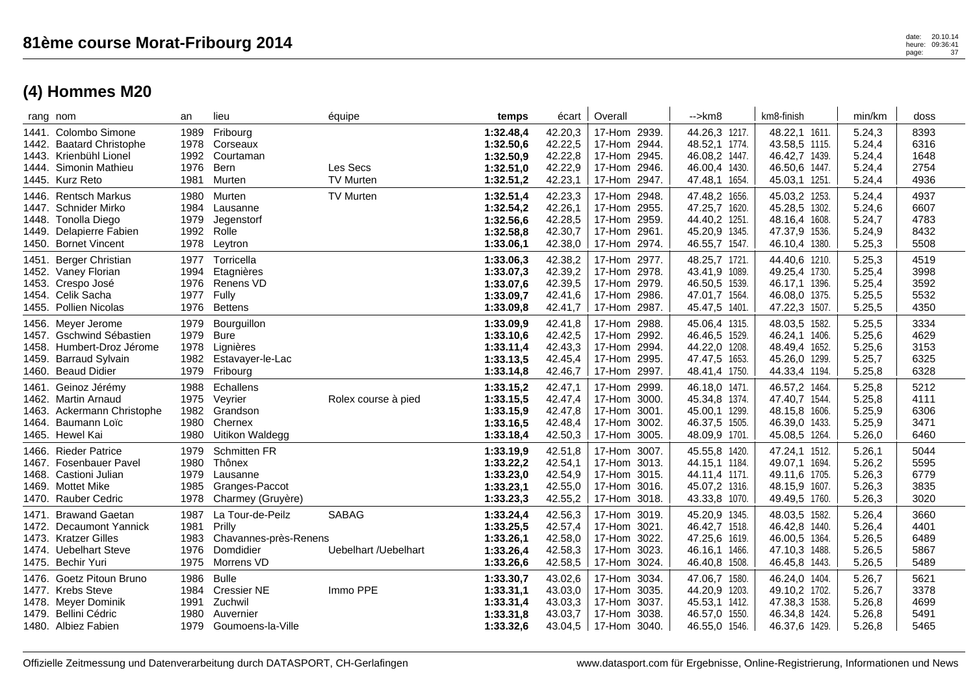| rang nom |                                                                                                                            | an                                   | lieu                                                                             | équipe                               | temps                                                         | écart                                               | Overall                                                                          | -->km8                                                                            | km8-finish                                                                        | min/km                                         | doss                                 |
|----------|----------------------------------------------------------------------------------------------------------------------------|--------------------------------------|----------------------------------------------------------------------------------|--------------------------------------|---------------------------------------------------------------|-----------------------------------------------------|----------------------------------------------------------------------------------|-----------------------------------------------------------------------------------|-----------------------------------------------------------------------------------|------------------------------------------------|--------------------------------------|
|          | 1441. Colombo Simone<br>1442. Baatard Christophe<br>1443. Krienbühl Lionel                                                 | 1989<br>1978<br>1992                 | Fribourg<br>Corseaux<br>Courtaman                                                |                                      | 1:32.48,4<br>1:32.50,6<br>1:32.50,9                           | 42.20,3<br>42.22,5<br>42.22,8                       | 17-Hom 2939.<br>17-Hom 2944.<br>17-Hom 2945.                                     | 44.26,3 1217.<br>48.52,1 1774.<br>46.08,2 1447.                                   | 48.22,1 1611.<br>43.58,5 1115.<br>46.42,7 1439.                                   | 5.24,3<br>5.24,4<br>5.24,4                     | 8393<br>6316<br>1648                 |
|          | 1444. Simonin Mathieu<br>1445. Kurz Reto                                                                                   | 1976<br>1981                         | Bern<br>Murten                                                                   | Les Secs<br>TV Murten                | 1:32.51,0<br>1:32.51,2                                        | 42.22,9<br>42.23,1                                  | 17-Hom 2946.<br>17-Hom 2947.                                                     | 46.00,4 1430.<br>47.48,1 1654.                                                    | 46.50,6 1447.<br>45.03,1 1251.                                                    | 5.24,4<br>5.24,4                               | 2754<br>4936                         |
|          | 1446. Rentsch Markus<br>1447. Schnider Mirko<br>1448. Tonolla Diego<br>1449. Delapierre Fabien<br>1450. Bornet Vincent     | 1980<br>1984<br>1979<br>1992<br>1978 | Murten<br>Lausanne<br>Jegenstorf<br>Rolle<br>Leytron                             | <b>TV Murten</b>                     | 1:32.51,4<br>1:32.54,2<br>1:32.56,6<br>1:32.58,8<br>1:33.06,1 | 42.23,3<br>42.26,1<br>42.28,5<br>42.30,7<br>42.38,0 | 17-Hom 2948.<br>17-Hom 2955.<br>17-Hom 2959.<br>17-Hom 2961.<br>17-Hom 2974.     | 47.48,2 1656.<br>47.25,7 1620.<br>44.40,2 1251.<br>45.20,9 1345.<br>46.55,7 1547. | 45.03,2 1253.<br>45.28,5 1302.<br>48.16,4 1608.<br>47.37,9 1536.<br>46.10,4 1380. | 5.24,4<br>5.24,6<br>5.24,7<br>5.24,9<br>5.25,3 | 4937<br>6607<br>4783<br>8432<br>5508 |
|          | 1451. Berger Christian<br>1452. Vaney Florian<br>1453. Crespo José<br>1454. Celik Sacha<br>1455. Pollien Nicolas           | 1977<br>1994<br>1976<br>1977<br>1976 | Torricella<br>Etagnières<br>Renens VD<br>Fully<br><b>Bettens</b>                 |                                      | 1:33.06,3<br>1:33.07,3<br>1:33.07,6<br>1:33.09,7<br>1:33.09,8 | 42.38,2<br>42.39,2<br>42.39,5<br>42.41,6<br>42.41,7 | 17-Hom 2977.<br>17-Hom 2978.<br>17-Hom 2979.<br>17-Hom 2986.<br>17-Hom 2987.     | 48.25,7 1721.<br>43.41,9 1089.<br>46.50,5 1539.<br>47.01,7 1564.<br>45.47,5 1401. | 44.40,6 1210.<br>49.25,4 1730.<br>46.17,1 1396.<br>46.08,0 1375.<br>47.22,3 1507. | 5.25,3<br>5.25,4<br>5.25,4<br>5.25,5<br>5.25,5 | 4519<br>3998<br>3592<br>5532<br>4350 |
|          | 1456. Meyer Jerome<br>1457. Gschwind Sébastien<br>1458. Humbert-Droz Jérome<br>1459. Barraud Sylvain<br>1460. Beaud Didier | 1979<br>1979<br>1978<br>1982<br>1979 | Bourguillon<br><b>Bure</b><br>Lignières<br>Estavayer-le-Lac<br>Fribourg          |                                      | 1:33.09,9<br>1:33.10,6<br>1:33.11,4<br>1:33.13,5<br>1:33.14,8 | 42.41,8<br>42.42,5<br>42.43,3<br>42.45,4<br>42.46,7 | 17-Hom 2988.<br>17-Hom 2992.<br>17-Hom 2994.<br>17-Hom 2995.<br>17-Hom 2997.     | 45.06,4 1315.<br>46.46,5 1529.<br>44.22,0 1208.<br>47.47,5 1653.<br>48.41,4 1750. | 48.03,5 1582.<br>46.24,1 1406.<br>48.49,4 1652.<br>45.26,0 1299.<br>44.33,4 1194. | 5.25,5<br>5.25,6<br>5.25,6<br>5.25,7<br>5.25,8 | 3334<br>4629<br>3153<br>6325<br>6328 |
|          | 1461. Geinoz Jérémy<br>1462. Martin Arnaud<br>1463. Ackermann Christophe<br>1464. Baumann Loïc<br>1465. Hewel Kai          | 1988<br>1975<br>1982<br>1980<br>1980 | Echallens<br>Veyrier<br>Grandson<br>Chernex<br>Uitikon Waldegg                   | Rolex course à pied                  | 1:33.15,2<br>1:33.15,5<br>1:33.15,9<br>1:33.16,5<br>1:33.18,4 | 42.47,1<br>42.47,4<br>42.47,8<br>42.48,4<br>42.50,3 | 17-Hom 2999.<br>17-Hom 3000.<br>17-Hom 3001.<br>17-Hom 3002.<br>17-Hom 3005.     | 46.18,0 1471.<br>45.34,8 1374.<br>45.00,1 1299.<br>46.37,5 1505.<br>48.09,9 1701. | 46.57,2 1464.<br>47.40,7 1544.<br>48.15,8 1606.<br>46.39,0 1433.<br>45.08,5 1264. | 5.25,8<br>5.25,8<br>5.25,9<br>5.25,9<br>5.26,0 | 5212<br>4111<br>6306<br>3471<br>6460 |
|          | 1466. Rieder Patrice<br>1467. Fosenbauer Pavel<br>1468. Castioni Julian<br>1469. Mottet Mike<br>1470. Rauber Cedric        | 1979<br>1980<br>1979<br>1985<br>1978 | <b>Schmitten FR</b><br>Thônex<br>Lausanne<br>Granges-Paccot<br>Charmey (Gruyère) |                                      | 1:33.19,9<br>1:33.22,2<br>1:33.23,0<br>1:33.23,1<br>1:33.23,3 | 42.51,8<br>42.54,1<br>42.54,9<br>42.55,0<br>42.55,2 | 17-Hom 3007.<br>17-Hom 3013.<br>17-Hom 3015.<br>17-Hom 3016.<br>17-Hom 3018.     | 45.55,8 1420.<br>44.15,1 1184.<br>44.11,4 1171.<br>45.07,2 1316.<br>43.33,8 1070. | 47.24,1 1512.<br>49.07,1 1694.<br>49.11,6 1705.<br>48.15,9 1607.<br>49.49,5 1760. | 5.26,1<br>5.26,2<br>5.26,3<br>5.26,3<br>5.26,3 | 5044<br>5595<br>6779<br>3835<br>3020 |
|          | 1471. Brawand Gaetan<br>1472. Decaumont Yannick<br>1473. Kratzer Gilles<br>1474. Uebelhart Steve<br>1475. Bechir Yuri      | 1987<br>1981<br>1983<br>1976<br>1975 | La Tour-de-Peilz<br>Prilly<br>Chavannes-près-Renens<br>Domdidier<br>Morrens VD   | <b>SABAG</b><br>Uebelhart /Uebelhart | 1:33.24,4<br>1:33.25,5<br>1:33.26,1<br>1:33.26,4<br>1:33.26,6 | 42.56,3<br>42.57,4<br>42.58,0<br>42.58,3<br>42.58,5 | 17-Hom 3019.<br>17-Hom 3021.<br>17-Hom 3022.<br>17-Hom 3023.<br>17-Hom 3024.     | 45.20,9 1345.<br>46.42,7 1518.<br>47.25,6 1619.<br>46.16,1 1466.<br>46.40,8 1508. | 48.03,5 1582.<br>46.42,8 1440.<br>46.00,5 1364.<br>47.10,3 1488.<br>46.45,8 1443. | 5.26,4<br>5.26,4<br>5.26,5<br>5.26,5<br>5.26,5 | 3660<br>4401<br>6489<br>5867<br>5489 |
|          | 1476. Goetz Pitoun Bruno<br>1477. Krebs Steve<br>1478. Meyer Dominik<br>1479. Bellini Cédric<br>1480. Albiez Fabien        | 1986<br>1984<br>1991<br>1980<br>1979 | <b>Bulle</b><br><b>Cressier NE</b><br>Zuchwil<br>Auvernier<br>Goumoens-la-Ville  | Immo PPE                             | 1:33.30,7<br>1:33.31,1<br>1:33.31,4<br>1:33.31,8<br>1:33.32,6 | 43.02,6<br>43.03,0<br>43.03,3<br>43.03,7<br>43.04,5 | 17-Hom 3034.<br>17-Hom 3035.<br>17-Hom 3037.<br>17-Hom 3038.<br>$  17-Hom 3040.$ | 47.06,7 1580.<br>44.20,9 1203.<br>45.53,1 1412.<br>46.57,0 1550.<br>46.55,0 1546. | 46.24,0 1404.<br>49.10,2 1702.<br>47.38,3 1538.<br>46.34,8 1424.<br>46.37,6 1429. | 5.26,7<br>5.26,7<br>5.26,8<br>5.26,8<br>5.26,8 | 5621<br>3378<br>4699<br>5491<br>5465 |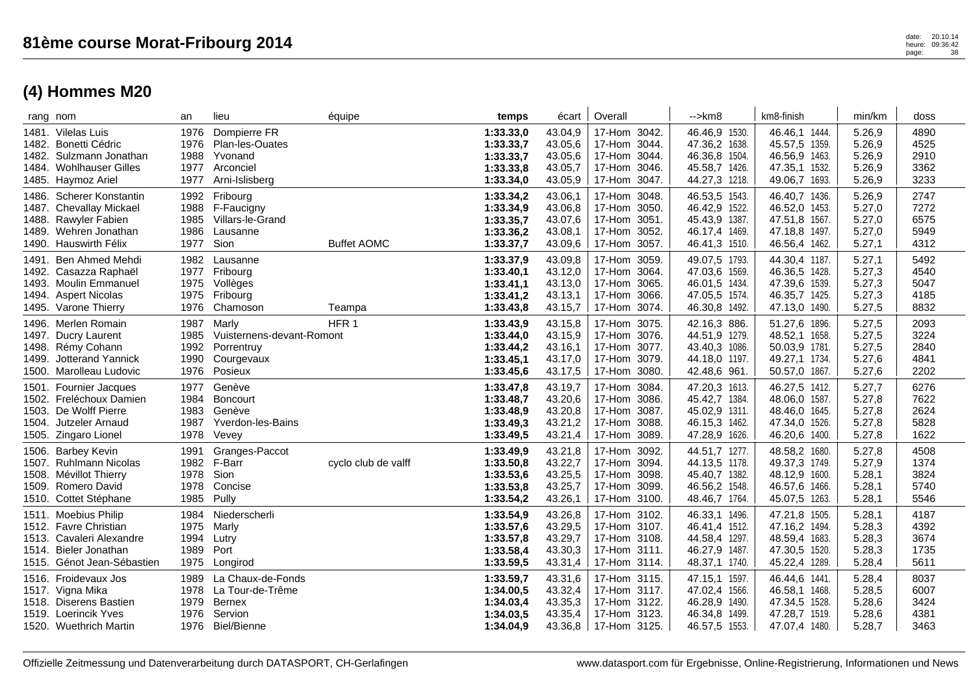| rang nom                                                                                                                                | an                                   | lieu                                                                           | équipe              | temps                                                         |                                                     | écart   Overall                                                                    | -->km8                                                                            | km8-finish                                                                        | min/km                                         | doss                                 |
|-----------------------------------------------------------------------------------------------------------------------------------------|--------------------------------------|--------------------------------------------------------------------------------|---------------------|---------------------------------------------------------------|-----------------------------------------------------|------------------------------------------------------------------------------------|-----------------------------------------------------------------------------------|-----------------------------------------------------------------------------------|------------------------------------------------|--------------------------------------|
| 1481. Vilelas Luis<br>Bonetti Cédric<br>1482.<br>1482. Sulzmann Jonathan<br>1484. Wohlhauser Gilles<br>1485. Haymoz Ariel               | 1976<br>1976<br>1988<br>1977<br>1977 | Dompierre FR<br>Plan-les-Ouates<br>Yvonand<br>Arconciel<br>Arni-Islisberg      |                     | 1:33.33,0<br>1:33.33,7<br>1:33.33,7<br>1:33.33,8<br>1:33.34,0 | 43.04,9<br>43.05,6<br>43.05,6<br>43.05,7<br>43.05,9 | 17-Hom 3042.<br>17-Hom 3044.<br>17-Hom 3044.<br>17-Hom 3046.<br>3047.<br>17-Hom    | 46.46,9 1530.<br>47.36,2 1638.<br>46.36,8 1504.<br>45.58,7 1426.<br>44.27,3 1218. | 46.46,1 1444.<br>45.57,5 1359.<br>46.56,9 1463.<br>47.35,1 1532.<br>49.06,7 1693. | 5.26,9<br>5.26,9<br>5.26,9<br>5.26,9<br>5.26,9 | 4890<br>4525<br>2910<br>3362<br>3233 |
| 1486. Scherer Konstantin<br>1487. Chevallay Mickael<br>1488. Rawyler Fabien<br>1489. Wehren Jonathan<br><b>Hauswirth Félix</b><br>1490. | 1992<br>1985<br>1986<br>1977         | Fribourg<br>1988 F-Faucigny<br>Villars-le-Grand<br>Lausanne<br>Sion            | <b>Buffet AOMC</b>  | 1:33.34,2<br>1:33.34,9<br>1:33.35,7<br>1:33.36,2<br>1:33.37,7 | 43.06,1<br>43.06,8<br>43.07,6<br>43.08,1<br>43.09,6 | 17-Hom 3048.<br>17-Hom 3050.<br>17-Hom 3051.<br>17-Hom 3052.<br>17-Hom 3057.       | 46.53,5 1543.<br>46.42,9 1522.<br>45.43,9 1387.<br>46.17,4 1469.<br>46.41,3 1510. | 46.40,7 1436.<br>46.52,0 1453.<br>47.51,8 1567.<br>47.18,8 1497.<br>46.56,4 1462. | 5.26,9<br>5.27,0<br>5.27,0<br>5.27,0<br>5.27,1 | 2747<br>7272<br>6575<br>5949<br>4312 |
| <b>Ben Ahmed Mehdi</b><br>1491.<br>1492. Casazza Raphaël<br>1493. Moulin Emmanuel<br>1494. Aspert Nicolas<br>1495. Varone Thierry       | 1982<br>1977<br>1975<br>1976         | Lausanne<br>Fribourg<br>1975 Vollèges<br>Fribourg<br>Chamoson                  | Teampa              | 1:33.37,9<br>1:33.40,1<br>1:33.41,1<br>1:33.41,2<br>1:33.43,8 | 43.09,8<br>43.12,0<br>43.13,0<br>43.13,1<br>43.15,7 | 17-Hom 3059.<br>3064.<br>17-Hom<br>17-Hom 3065.<br>17-Hom 3066.<br>3074.<br>17-Hom | 49.07,5 1793.<br>47.03,6 1569.<br>46.01,5 1434.<br>47.05,5 1574.<br>46.30,8 1492. | 44.30,4 1187.<br>46.36,5 1428.<br>47.39,6 1539.<br>46.35,7 1425.<br>47.13,0 1490. | 5.27,1<br>5.27,3<br>5.27,3<br>5.27,3<br>5.27,5 | 5492<br>4540<br>5047<br>4185<br>8832 |
| 1496. Merlen Romain<br>1497.<br>Ducry Laurent<br>1498. Rémy Cohann<br>1499.<br><b>Jotterand Yannick</b><br>1500. Marolleau Ludovic      | 1987<br>1985<br>1992<br>1990<br>1976 | Marly<br>Vuisternens-devant-Romont<br>Porrentruy<br>Courgevaux<br>Posieux      | HFR <sub>1</sub>    | 1:33.43,9<br>1:33.44,0<br>1:33.44,2<br>1:33.45,1<br>1:33.45,6 | 43.15,8<br>43.15,9<br>43.16,1<br>43.17,0<br>43.17,5 | 17-Hom 3075.<br>17-Hom 3076.<br>17-Hom 3077.<br>17-Hom 3079.<br>17-Hom 3080.       | 42.16,3 886.<br>44.51,9 1279.<br>43.40,3 1086.<br>44.18,0 1197.<br>42.48,6 961.   | 51.27,6 1896.<br>48.52,1 1658.<br>50.03,9 1781.<br>49.27,1 1734.<br>50.57,0 1867. | 5.27,5<br>5.27,5<br>5.27,5<br>5.27,6<br>5.27,6 | 2093<br>3224<br>2840<br>4841<br>2202 |
| Fournier Jacques<br>1501.<br>1502. Freléchoux Damien<br>1503. De Wolff Pierre<br>1504. Jutzeler Arnaud<br>1505. Zingaro Lionel          | 1977<br>1984<br>1983<br>1987<br>1978 | Genève<br>Boncourt<br>Genève<br>Yverdon-les-Bains<br>Vevey                     |                     | 1:33.47,8<br>1:33.48,7<br>1:33.48,9<br>1:33.49,3<br>1:33.49,5 | 43.19,7<br>43.20,6<br>43.20,8<br>43.21,2<br>43.21,4 | 17-Hom 3084.<br>3086.<br>17-Hom<br>17-Hom 3087.<br>17-Hom 3088.<br>17-Hom 3089.    | 47.20,3 1613.<br>45.42,7 1384.<br>45.02,9 1311.<br>46.15,3 1462.<br>47.28,9 1626. | 46.27,5 1412.<br>48.06,0 1587.<br>48.46,0 1645.<br>47.34,0 1526.<br>46.20,6 1400. | 5.27,7<br>5.27,8<br>5.27,8<br>5.27,8<br>5.27,8 | 6276<br>7622<br>2624<br>5828<br>1622 |
| 1506. Barbey Kevin<br>1507. Ruhlmann Nicolas<br>1508. Mévillot Thierry<br>1509. Romero David<br>1510. Cottet Stéphane                   | 1991<br>1978<br>1978<br>1985         | Granges-Paccot<br>1982 F-Barr<br>Sion<br>Concise<br>Pully                      | cyclo club de valff | 1:33.49,9<br>1:33.50,8<br>1:33.53,6<br>1:33.53,8<br>1:33.54,2 | 43.21,8<br>43.22,7<br>43.25,5<br>43.25,7<br>43.26,1 | 17-Hom 3092.<br>17-Hom 3094.<br>17-Hom 3098.<br>17-Hom 3099.<br>17-Hom 3100.       | 44.51,7 1277.<br>44.13,5 1178.<br>45.40,7 1382.<br>46.56,2 1548.<br>48.46,7 1764. | 48.58,2 1680.<br>49.37,3 1749.<br>48.12,9 1600.<br>46.57,6 1466.<br>45.07,5 1263. | 5.27,8<br>5.27,9<br>5.28,1<br>5.28,1<br>5.28,1 | 4508<br>1374<br>3824<br>5740<br>5546 |
| 1511. Moebius Philip<br>1512. Favre Christian<br>1513. Cavaleri Alexandre<br>Bieler Jonathan<br>1514.<br>1515. Génot Jean-Sébastien     | 1984<br>1975<br>1994<br>1989<br>1975 | Niederscherli<br>Marly<br>Lutry<br>Port<br>Longirod                            |                     | 1:33.54,9<br>1:33.57,6<br>1:33.57,8<br>1:33.58,4<br>1:33.59,5 | 43.26,8<br>43.29,5<br>43.29,7<br>43.30,3<br>43.31,4 | 17-Hom 3102.<br>17-Hom 3107.<br>17-Hom 3108.<br>17-Hom 3111.<br>17-Hom 3114.       | 46.33,1 1496.<br>46.41,4 1512.<br>44.58,4 1297.<br>46.27,9 1487.<br>48.37,1 1740. | 47.21,8 1505.<br>47.16,2 1494.<br>48.59,4 1683.<br>47.30,5 1520.<br>45.22,4 1289. | 5.28,1<br>5.28,3<br>5.28,3<br>5.28,3<br>5.28,4 | 4187<br>4392<br>3674<br>1735<br>5611 |
| 1516. Froidevaux Jos<br>1517. Vigna Mika<br>1518. Diserens Bastien<br>1519. Loerincik Yves<br>1520. Wuethrich Martin                    | 1989<br>1978<br>1979<br>1976         | La Chaux-de-Fonds<br>La Tour-de-Trême<br>Bernex<br>Servion<br>1976 Biel/Bienne |                     | 1:33.59,7<br>1:34.00,5<br>1:34.03,4<br>1:34.03,5<br>1:34.04,9 | 43.31,6<br>43.32,4<br>43.35,3<br>43.35,4<br>43.36,8 | 17-Hom 3115.<br>17-Hom 3117.<br>17-Hom 3122.<br>17-Hom 3123.<br>17-Hom 3125.       | 47.15,1 1597.<br>47.02,4 1566.<br>46.28,9 1490.<br>46.34,8 1499.<br>46.57,5 1553. | 46.44,6 1441.<br>46.58,1 1468.<br>47.34,5 1528.<br>47.28,7 1519.<br>47.07,4 1480. | 5.28,4<br>5.28,5<br>5.28,6<br>5.28,6<br>5.28,7 | 8037<br>6007<br>3424<br>4381<br>3463 |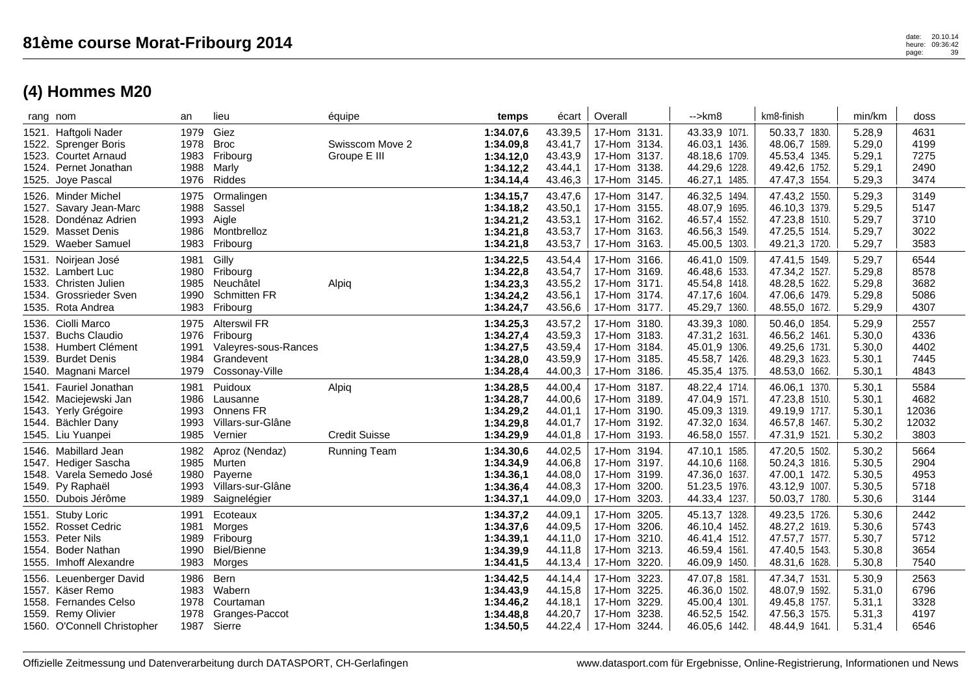| rang nom |                                                                                                                           | an                                   | lieu                                                                                    | équipe                          | temps                                                         | écart                                               | Overall                                                                           | -->km8                                                                            | km8-finish                                                                        | min/km                                         | doss                                   |
|----------|---------------------------------------------------------------------------------------------------------------------------|--------------------------------------|-----------------------------------------------------------------------------------------|---------------------------------|---------------------------------------------------------------|-----------------------------------------------------|-----------------------------------------------------------------------------------|-----------------------------------------------------------------------------------|-----------------------------------------------------------------------------------|------------------------------------------------|----------------------------------------|
|          | 1521. Haftgoli Nader<br>1522. Sprenger Boris<br>1523. Courtet Arnaud<br>1524. Pernet Jonathan<br>1525. Joye Pascal        | 1979<br>1978<br>1983<br>1988<br>1976 | Giez<br><b>Broc</b><br>Fribourg<br>Marly<br>Riddes                                      | Swisscom Move 2<br>Groupe E III | 1:34.07,6<br>1:34.09,8<br>1:34.12,0<br>1:34.12,2<br>1:34.14,4 | 43.39,5<br>43.41,7<br>43.43,9<br>43.44,1<br>43.46,3 | 17-Hom 3131.<br>17-Hom 3134.<br>17-Hom 3137.<br>17-Hom 3138.<br>17-Hom 3145.      | 43.33,9 1071.<br>46.03,1 1436.<br>48.18,6 1709.<br>44.29,6 1228.<br>46.27,1 1485. | 50.33,7 1830.<br>48.06,7 1589.<br>45.53,4 1345.<br>49.42,6 1752.<br>47.47,3 1554. | 5.28,9<br>5.29,0<br>5.29,1<br>5.29,1<br>5.29,3 | 4631<br>4199<br>7275<br>2490<br>3474   |
|          | 1526. Minder Michel<br>1527. Savary Jean-Marc<br>1528. Dondénaz Adrien<br>1529. Masset Denis<br>1529. Waeber Samuel       | 1975<br>1988<br>1993<br>1986<br>1983 | Ormalingen<br>Sassel<br>Aigle<br>Montbrelloz<br>Fribourg                                |                                 | 1:34.15,7<br>1:34.18,2<br>1:34.21,2<br>1:34.21,8<br>1:34.21,8 | 43.47,6<br>43.50,1<br>43.53,1<br>43.53,7<br>43.53,7 | 17-Hom 3147.<br>17-Hom 3155.<br>17-Hom 3162.<br>17-Hom 3163.<br>17-Hom 3163.      | 46.32,5 1494.<br>48.07,9 1695.<br>46.57,4 1552.<br>46.56,3 1549.<br>45.00,5 1303. | 47.43,2 1550.<br>46.10,3 1379.<br>47.23,8 1510.<br>47.25,5 1514.<br>49.21,3 1720. | 5.29,3<br>5.29,5<br>5.29,7<br>5.29,7<br>5.29,7 | 3149<br>5147<br>3710<br>3022<br>3583   |
|          | 1531. Noirjean José<br>1532. Lambert Luc<br>1533. Christen Julien<br>1534. Grossrieder Sven<br>1535. Rota Andrea          | 1981<br>1985<br>1990<br>1983         | Gilly<br>1980 Fribourg<br>Neuchâtel<br><b>Schmitten FR</b><br>Fribourg                  | Alpiq                           | 1:34.22,5<br>1:34.22,8<br>1:34.23,3<br>1:34.24,2<br>1:34.24,7 | 43.54,4<br>43.54,7<br>43.55,2<br>43.56,1<br>43.56,6 | 17-Hom 3166.<br>17-Hom 3169.<br>17-Hom 3171.<br>17-Hom 3174.<br>17-Hom 3177.      | 46.41,0 1509.<br>46.48,6 1533.<br>45.54,8 1418.<br>47.17,6 1604.<br>45.29,7 1360. | 47.41,5 1549.<br>47.34,2 1527.<br>48.28,5 1622.<br>47.06,6 1479.<br>48.55,0 1672. | 5.29,7<br>5.29,8<br>5.29,8<br>5.29,8<br>5.29,9 | 6544<br>8578<br>3682<br>5086<br>4307   |
|          | 1536. Ciolli Marco<br>1537. Buchs Claudio<br>1538. Humbert Clément<br>1539. Burdet Denis<br>1540. Magnani Marcel          | 1975<br>1976<br>1991<br>1984<br>1979 | <b>Alterswil FR</b><br>Fribourg<br>Valeyres-sous-Rances<br>Grandevent<br>Cossonay-Ville |                                 | 1:34.25,3<br>1:34.27,4<br>1:34.27,5<br>1:34.28,0<br>1:34.28,4 | 43.57,2<br>43.59,3<br>43.59,4<br>43.59,9<br>44.00,3 | 17-Hom 3180.<br>17-Hom 3183.<br>17-Hom 3184.<br>17-Hom 3185.<br>17-Hom 3186.      | 43.39,3 1080.<br>47.31,2 1631.<br>45.01,9 1306.<br>45.58,7 1426.<br>45.35,4 1375. | 50.46,0 1854.<br>46.56,2 1461.<br>49.25,6 1731.<br>48.29,3 1623.<br>48.53,0 1662. | 5.29,9<br>5.30,0<br>5.30,0<br>5.30,1<br>5.30,1 | 2557<br>4336<br>4402<br>7445<br>4843   |
|          | 1541. Fauriel Jonathan<br>1542. Maciejewski Jan<br>1543. Yerly Grégoire<br>1544. Bächler Dany<br>1545. Liu Yuanpei        | 1981<br>1986<br>1993<br>1993<br>1985 | Puidoux<br>Lausanne<br><b>Onnens FR</b><br>Villars-sur-Glâne<br>Vernier                 | Alpiq<br><b>Credit Suisse</b>   | 1:34.28,5<br>1:34.28,7<br>1:34.29,2<br>1:34.29,8<br>1:34.29,9 | 44.00,4<br>44.00,6<br>44.01,1<br>44.01,7<br>44.01,8 | 17-Hom 3187.<br>17-Hom 3189.<br>17-Hom 3190.<br>17-Hom 3192.<br>17-Hom 3193.      | 48.22,4 1714.<br>47.04,9 1571.<br>45.09,3 1319.<br>47.32,0 1634.<br>46.58,0 1557. | 46.06,1 1370.<br>47.23,8 1510.<br>49.19,9 1717.<br>46.57,8 1467.<br>47.31,9 1521. | 5.30,1<br>5.30,1<br>5.30,1<br>5.30,2<br>5.30,2 | 5584<br>4682<br>12036<br>12032<br>3803 |
|          | 1546. Mabillard Jean<br>1547. Hediger Sascha<br>1548. Varela Semedo José<br>1549. Py Raphaël<br>1550. Dubois Jérôme       | 1982<br>1985<br>1980<br>1993<br>1989 | Aproz (Nendaz)<br>Murten<br>Payerne<br>Villars-sur-Glâne<br>Saignelégier                | Running Team                    | 1:34.30,6<br>1:34.34,9<br>1:34.36,1<br>1:34.36,4<br>1:34.37,1 | 44.02,5<br>44.06,8<br>44.08,0<br>44.08,3<br>44.09,0 | 17-Hom 3194.<br>17-Hom 3197.<br>17-Hom 3199.<br>17-Hom 3200.<br>17-Hom 3203.      | 47.10,1 1585.<br>44.10,6 1168.<br>47.36,0 1637.<br>51.23,5 1976.<br>44.33,4 1237. | 47.20,5 1502.<br>50.24,3 1816.<br>47.00,1 1472.<br>43.12,9 1007.<br>50.03,7 1780. | 5.30,2<br>5.30,5<br>5.30,5<br>5.30,5<br>5.30,6 | 5664<br>2904<br>4953<br>5718<br>3144   |
|          | 1551. Stuby Loric<br>1552. Rosset Cedric<br>1553. Peter Nils<br>1554. Boder Nathan<br>1555. Imhoff Alexandre              | 1991<br>1981<br>1989<br>1990<br>1983 | Ecoteaux<br>Morges<br>Fribourg<br>Biel/Bienne<br>Morges                                 |                                 | 1:34.37,2<br>1:34.37,6<br>1:34.39,1<br>1:34.39,9<br>1:34.41,5 | 44.09,1<br>44.09,5<br>44.11,0<br>44.11,8<br>44.13,4 | 17-Hom 3205.<br>17-Hom 3206.<br>17-Hom 3210.<br>17-Hom 3213.<br>17-Hom 3220.      | 45.13,7 1328.<br>46.10,4 1452.<br>46.41,4 1512.<br>46.59,4 1561.<br>46.09,9 1450. | 49.23,5 1726.<br>48.27,2 1619.<br>47.57,7 1577.<br>47.40,5 1543.<br>48.31,6 1628. | 5.30,6<br>5.30,6<br>5.30,7<br>5.30,8<br>5.30,8 | 2442<br>5743<br>5712<br>3654<br>7540   |
|          | 1556. Leuenberger David<br>1557. Käser Remo<br>1558. Fernandes Celso<br>1559. Remy Olivier<br>1560. O'Connell Christopher | 1986<br>1983<br>1978<br>1978<br>1987 | <b>Bern</b><br>Wabern<br>Courtaman<br>Granges-Paccot<br>Sierre                          |                                 | 1:34.42,5<br>1:34.43,9<br>1:34.46,2<br>1:34.48,8<br>1:34.50,5 | 44.14,4<br>44.15,8<br>44.18,1<br>44.20,7<br>44.22,4 | 17-Hom 3223.<br>17-Hom 3225.<br>17-Hom 3229.<br>3238.<br>17-Hom<br>  17-Hom 3244. | 47.07,8 1581.<br>46.36,0 1502.<br>45.00,4 1301.<br>46.52,5 1542.<br>46.05,6 1442. | 47.34,7 1531.<br>48.07,9 1592.<br>49.45,8 1757.<br>47.56,3 1575.<br>48.44,9 1641. | 5.30,9<br>5.31,0<br>5.31,1<br>5.31,3<br>5.31,4 | 2563<br>6796<br>3328<br>4197<br>6546   |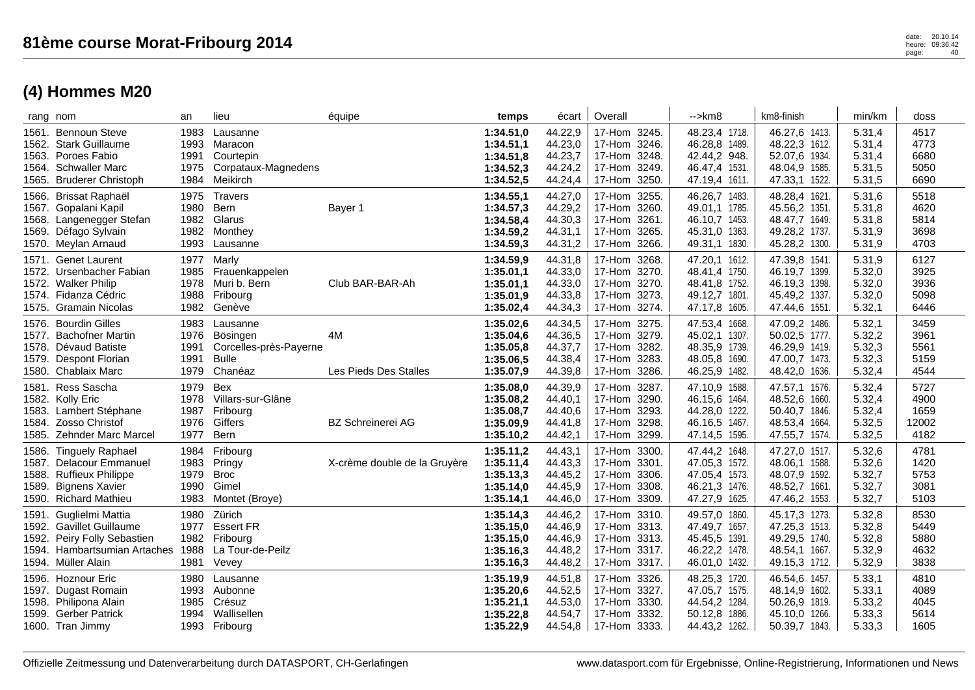| rang nom                                                                                                                                | an                                   | lieu                                                                      | équipe                       | temps                                                         | écart                                               | Overall                                                                                     | -->km8                                                                            | km8-finish                                                                        | min/km                                         | doss                                  |
|-----------------------------------------------------------------------------------------------------------------------------------------|--------------------------------------|---------------------------------------------------------------------------|------------------------------|---------------------------------------------------------------|-----------------------------------------------------|---------------------------------------------------------------------------------------------|-----------------------------------------------------------------------------------|-----------------------------------------------------------------------------------|------------------------------------------------|---------------------------------------|
| 1561. Bennoun Steve<br>1562. Stark Guillaume<br>1563. Poroes Fabio<br>1564. Schwaller Marc<br>1565. Bruderer Christoph                  | 1983<br>1993<br>1991<br>1975<br>1984 | Lausanne<br>Maracon<br>Courtepin<br>Corpataux-Magnedens<br>Meikirch       |                              | 1:34.51,0<br>1:34.51,1<br>1:34.51,8<br>1:34.52,3<br>1:34.52,5 | 44.22,9<br>44.23,0<br>44.23,7<br>44.24,2<br>44.24,4 | 17-Hom 3245.<br>17-Hom<br>3246.<br>17-Hom<br>3248.<br>3249.<br>17-Hom<br>17-Hom<br>3250.    | 48.23,4 1718.<br>46.28,8 1489.<br>42.44,2 948.<br>46.47,4 1531.<br>47.19,4 1611.  | 46.27,6 1413.<br>48.22,3 1612.<br>52.07,6 1934.<br>48.04,9 1585.<br>47.33,1 1522. | 5.31,4<br>5.31,4<br>5.31,4<br>5.31,5<br>5.31,5 | 4517<br>4773<br>6680<br>5050<br>6690  |
| 1566. Brissat Raphaël<br>1567. Gopalani Kapil<br>1568. Langenegger Stefan<br>1569. Défago Sylvain<br>1570. Meylan Arnaud                | 1975<br>1980<br>1982<br>1982<br>1993 | Travers<br>Bern<br>Glarus<br>Monthey<br>Lausanne                          | Bayer 1                      | 1:34.55,1<br>1:34.57,3<br>1:34.58,4<br>1:34.59,2<br>1:34.59,3 | 44.27,0<br>44.29,2<br>44.30,3<br>44.31,1<br>44.31,2 | 3255.<br>17-Hom<br>3260.<br>17-Hom<br>17-Hom<br>3261.<br>3265.<br>17-Hom<br>17-Hom<br>3266. | 46.26,7 1483.<br>49.01,1 1785.<br>46.10,7 1453.<br>45.31,0 1363.<br>49.31,1 1830. | 48.28,4 1621.<br>45.56,2 1351.<br>48.47,7 1649.<br>49.28,2 1737.<br>45.28,2 1300. | 5.31,6<br>5.31,8<br>5.31,8<br>5.31,9<br>5.31,9 | 5518<br>4620<br>5814<br>3698<br>4703  |
| 1571. Genet Laurent<br>1572. Ursenbacher Fabian<br>1572. Walker Philip<br>1574. Fidanza Cédric<br>1575. Gramain Nicolas                 | 1977<br>1985<br>1978<br>1988<br>1982 | Marly<br>Frauenkappelen<br>Muri b. Bern<br>Fribourg<br>Genève             | Club BAR-BAR-Ah              | 1:34.59,9<br>1:35.01,1<br>1:35.01,1<br>1:35.01,9<br>1:35.02,4 | 44.31,8<br>44.33,0<br>44.33,0<br>44.33,8<br>44.34,3 | 3268.<br>17-Hom<br>17-Hom 3270.<br>17-Hom<br>3270.<br>17-Hom<br>3273.<br>17-Hom<br>3274.    | 47.20,1 1612.<br>48.41,4 1750.<br>48.41,8 1752.<br>49.12,7 1801.<br>47.17,8 1605. | 47.39,8 1541.<br>46.19,7 1399.<br>46.19,3 1398.<br>45.49,2 1337.<br>47.44,6 1551. | 5.31,9<br>5.32,0<br>5.32,0<br>5.32,0<br>5.32,1 | 6127<br>3925<br>3936<br>5098<br>6446  |
| 1576. Bourdin Gilles<br>1577. Bachofner Martin<br>1578. Dévaud Batiste<br>1579. Despont Florian<br>1580. Chablaix Marc                  | 1983<br>1976<br>1991<br>1991<br>1979 | Lausanne<br>Bösingen<br>Corcelles-près-Payerne<br><b>Bulle</b><br>Chanéaz | 4M<br>Les Pieds Des Stalles  | 1:35.02,6<br>1:35.04,6<br>1:35.05,8<br>1:35.06,5<br>1:35.07,9 | 44.34,5<br>44.36,5<br>44.37,7<br>44.38,4<br>44.39,8 | 17-Hom<br>3275.<br>17-Hom 3279.<br>17-Hom<br>3282.<br>17-Hom<br>3283.<br>17-Hom<br>3286.    | 47.53,4 1668.<br>45.02,1 1307.<br>48.35,9 1739.<br>48.05,8 1690.<br>46.25,9 1482. | 47.09,2 1486.<br>50.02,5 1777.<br>46.29,9 1419.<br>47.00,7 1473.<br>48.42,0 1636. | 5.32,1<br>5.32,2<br>5.32,3<br>5.32,3<br>5.32,4 | 3459<br>3961<br>5561<br>5159<br>4544  |
| 1581. Ress Sascha<br>1582. Kolly Eric<br>1583. Lambert Stéphane<br>1584. Zosso Christof<br>1585. Zehnder Marc Marcel                    | 1979<br>1978<br>1987<br>1976<br>1977 | Bex<br>Villars-sur-Glâne<br>Fribourg<br>Giffers<br>Bern                   | <b>BZ Schreinerei AG</b>     | 1:35.08,0<br>1:35.08,2<br>1:35.08,7<br>1:35.09,9<br>1:35.10,2 | 44.39,9<br>44.40,1<br>44.40,6<br>44.41,8<br>44.42,1 | 17-Hom<br>3287.<br>17-Hom<br>3290.<br>3293.<br>17-Hom<br>17-Hom<br>3298.<br>17-Hom 3299.    | 47.10,9 1588.<br>46.15,6 1464.<br>44.28,0 1222.<br>46.16.5 1467.<br>47.14,5 1595. | 47.57,1 1576.<br>48.52,6 1660.<br>50.40,7 1846.<br>48.53,4 1664.<br>47.55,7 1574. | 5.32,4<br>5.32,4<br>5.32,4<br>5.32,5<br>5.32,5 | 5727<br>4900<br>1659<br>12002<br>4182 |
| 1586. Tinguely Raphael<br>1587. Delacour Emmanuel<br>1588. Ruffieux Philippe<br>1589. Bignens Xavier<br>1590. Richard Mathieu           | 1984<br>1983<br>1979<br>1990<br>1983 | Fribourg<br>Pringy<br><b>Broc</b><br>Gimel<br>Montet (Broye)              | X-crème double de la Gruyère | 1:35.11,2<br>1:35.11,4<br>1:35.13,3<br>1:35.14,0<br>1:35.14,1 | 44.43,1<br>44.43,3<br>44.45,2<br>44.45,9<br>44.46,0 | 17-Hom<br>3300.<br>17-Hom 3301.<br>17-Hom<br>3306.<br>17-Hom<br>3308.<br>17-Hom 3309.       | 47.44,2 1648.<br>47.05,3 1572.<br>47.05,4 1573.<br>46.21,3 1476.<br>47.27,9 1625. | 47.27,0 1517.<br>48.06,1 1588.<br>48.07,9 1592.<br>48.52,7 1661.<br>47.46,2 1553. | 5.32,6<br>5.32,6<br>5.32,7<br>5.32,7<br>5.32,7 | 4781<br>1420<br>5753<br>3081<br>5103  |
| 1591. Guglielmi Mattia<br>1592. Gavillet Guillaume<br>1592. Peiry Folly Sebastien<br>1594. Hambartsumian Artaches<br>1594. Müller Alain | 1980<br>1977<br>1982<br>1988<br>1981 | Zürich<br><b>Essert FR</b><br>Fribourg<br>La Tour-de-Peilz<br>Vevey       |                              | 1:35.14,3<br>1:35.15,0<br>1:35.15,0<br>1:35.16,3<br>1:35.16,3 | 44.46,2<br>44.46,9<br>44.46,9<br>44.48,2<br>44.48,2 | 17-Hom<br>3310.<br>17-Hom 3313.<br>17-Hom 3313.<br>17-Hom 3317.<br>17-Hom 3317.             | 49.57,0 1860.<br>47.49,7 1657.<br>45.45,5 1391.<br>46.22,2 1478.<br>46.01,0 1432. | 45.17,3 1273.<br>47.25,3 1513.<br>49.29,5 1740.<br>48.54,1 1667.<br>49.15,3 1712. | 5.32,8<br>5.32,8<br>5.32,8<br>5.32,9<br>5.32,9 | 8530<br>5449<br>5880<br>4632<br>3838  |
| 1596. Hoznour Eric<br>1597. Dugast Romain<br>1598. Philipona Alain<br>1599. Gerber Patrick<br>1600. Tran Jimmy                          | 1980<br>1993<br>1985<br>1994         | Lausanne<br>Aubonne<br>Crésuz<br>Wallisellen<br>1993 Fribourg             |                              | 1:35.19,9<br>1:35.20,6<br>1:35.21,1<br>1:35.22,8<br>1:35.22,9 | 44.51,8<br>44.52,5<br>44.53,0<br>44.54,7<br>44.54,8 | 17-Hom<br>3326.<br>3327.<br>17-Hom<br>3330.<br>17-Hom<br>17-Hom<br>3332.<br>17-Hom 3333.    | 48.25,3 1720.<br>47.05,7 1575.<br>44.54,2 1284.<br>50.12,8 1886.<br>44.43,2 1262. | 46.54,6 1457.<br>48.14,9 1602.<br>50.26,9 1819.<br>45.10,0 1266.<br>50.39,7 1843. | 5.33,1<br>5.33,1<br>5.33,2<br>5.33,3<br>5.33,3 | 4810<br>4089<br>4045<br>5614<br>1605  |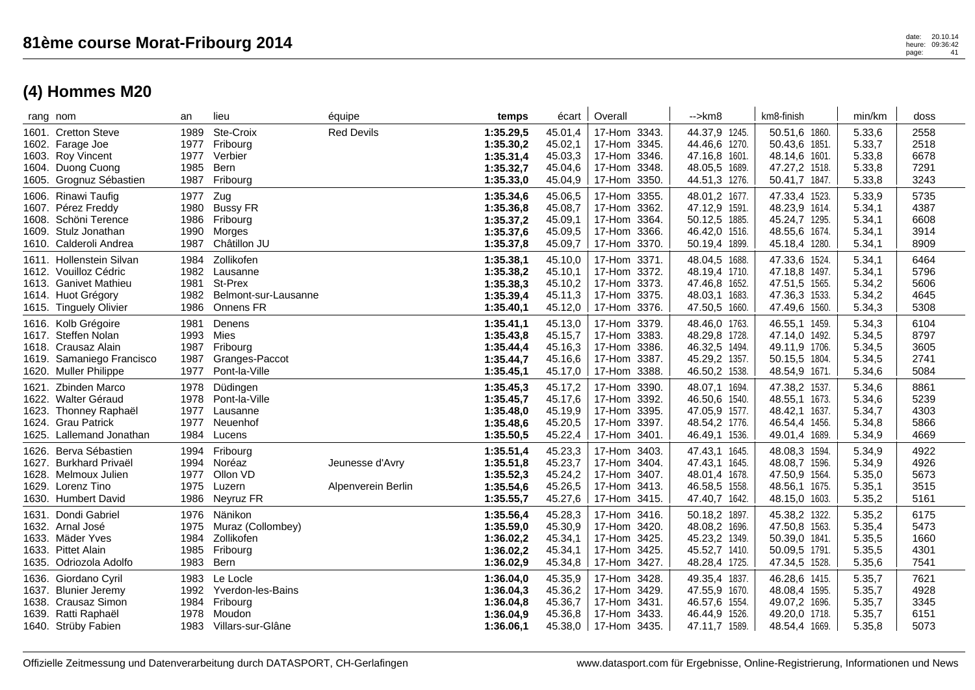|       | rang nom                                                                                                                   | an                                        | lieu                                                                                     | équipe                                | temps                                                         | écart                                               | Overall                                                                                         | -->km8                                                                            | km8-finish                                                                           | min/km                                         | doss                                 |
|-------|----------------------------------------------------------------------------------------------------------------------------|-------------------------------------------|------------------------------------------------------------------------------------------|---------------------------------------|---------------------------------------------------------------|-----------------------------------------------------|-------------------------------------------------------------------------------------------------|-----------------------------------------------------------------------------------|--------------------------------------------------------------------------------------|------------------------------------------------|--------------------------------------|
|       | 1601. Cretton Steve<br>1602. Farage Joe<br>1603. Roy Vincent<br>1604. Duong Cuong<br>1605. Grognuz Sébastien               | 1989<br>1977<br>1977<br>1985<br>1987      | Ste-Croix<br>Fribourg<br>Verbier<br>Bern<br>Fribourg                                     | <b>Red Devils</b>                     | 1:35.29,5<br>1:35.30,2<br>1:35.31,4<br>1:35.32,7<br>1:35.33,0 | 45.01,4<br>45.02,1<br>45.03,3<br>45.04,6<br>45.04,9 | 17-Hom 3343.<br>17-Hom 3345.<br>3346.<br>17-Hom<br>17-Hom<br>3348.<br>17-Hom<br>3350.           | 44.37,9 1245.<br>44.46,6 1270.<br>47.16,8 1601.<br>48.05,5 1689.<br>44.51,3 1276. | 50.51,6 1860.<br>50.43,6 1851.<br>48.14,6 1601.<br>47.27,2 1518.<br>50.41,7 1847.    | 5.33,6<br>5.33,7<br>5.33,8<br>5.33,8<br>5.33,8 | 2558<br>2518<br>6678<br>7291<br>3243 |
|       | 1606. Rinawi Taufig<br>1607. Pérez Freddy<br>1608. Schöni Terence<br>1609. Stulz Jonathan<br>1610. Calderoli Andrea        | 1977<br>1980<br>1986<br>1990<br>1987      | Zug<br><b>Bussy FR</b><br>Fribourg<br>Morges<br>Châtillon JU                             |                                       | 1:35.34,6<br>1:35.36,8<br>1:35.37,2<br>1:35.37,6<br>1:35.37,8 | 45.06,5<br>45.08,7<br>45.09,1<br>45.09,5<br>45.09,7 | 17-Hom<br>3355.<br>17-Hom<br>3362.<br>17-Hom<br>3364.<br>17-Hom<br>3366.<br>3370.<br>17-Hom     | 48.01,2 1677.<br>47.12,9 1591.<br>50.12,5 1885.<br>46.42,0 1516.<br>50.19,4 1899. | 47.33,4 1523.<br>48.23,9 1614.<br>45.24,7 1295.<br>48.55,6 1674.<br>45.18,4 1280.    | 5.33,9<br>5.34,1<br>5.34,1<br>5.34,1<br>5.34,1 | 5735<br>4387<br>6608<br>3914<br>8909 |
|       | 1611. Hollenstein Silvan<br>1612. Vouilloz Cédric<br>1613. Ganivet Mathieu<br>1614. Huot Grégory<br>1615. Tinguely Olivier | 1984<br>1982<br>1981<br>1982<br>1986      | Zollikofen<br>Lausanne<br><b>St-Prex</b><br>Belmont-sur-Lausanne<br>Onnens <sub>FR</sub> |                                       | 1:35.38,1<br>1:35.38,2<br>1:35.38,3<br>1:35.39,4<br>1:35.40,1 | 45.10,0<br>45.10,1<br>45.10,2<br>45.11,3<br>45.12,0 | 3371.<br>17-Hom<br>17-Hom 3372.<br>17-Hom 3373.<br>3375.<br>17-Hom<br>3376.<br>17-Hom           | 48.04,5 1688.<br>48.19,4 1710.<br>47.46,8 1652.<br>48.03,1 1683.<br>47.50,5 1660. | 47.33,6 1524.<br>47.18,8 1497.<br>47.51,5 1565.<br>47.36,3 1533.<br>47.49,6 1560.    | 5.34,1<br>5.34,1<br>5.34,2<br>5.34,2<br>5.34,3 | 6464<br>5796<br>5606<br>4645<br>5308 |
|       | 1616. Kolb Grégoire<br>1617. Steffen Nolan<br>1618. Crausaz Alain<br>1619. Samaniego Francisco<br>1620. Muller Philippe    | 1981<br>1993 Mies<br>1987<br>1987<br>1977 | Denens<br>Fribourg<br>Granges-Paccot<br>Pont-la-Ville                                    |                                       | 1:35.41,1<br>1:35.43,8<br>1:35.44,4<br>1:35.44,7<br>1:35.45,1 | 45.13,0<br>45.15,7<br>45.16,3<br>45.16,6<br>45.17,0 | 17-Hom<br>3379.<br>17-Hom<br>3383.<br>17-Hom<br>3386.<br>17-Hom<br>3387.<br>17-Hom<br>3388.     | 48.46,0 1763.<br>48.29,8 1728.<br>46.32,5 1494.<br>45.29,2 1357.<br>46.50,2 1538. | 46.55,1 1459.<br>47.14,0 1492.<br>49.11,9 1706.<br>50.15,5 1804.<br>48.54,9 1671.    | 5.34,3<br>5.34,5<br>5.34,5<br>5.34,5<br>5.34,6 | 6104<br>8797<br>3605<br>2741<br>5084 |
| 1621. | Zbinden Marco<br>1622. Walter Géraud<br>1623. Thonney Raphaël<br>1624. Grau Patrick<br>1625. Lallemand Jonathan            | 1978<br>1978<br>1977<br>1977<br>1984      | Düdingen<br>Pont-la-Ville<br>Lausanne<br>Neuenhof<br>Lucens                              |                                       | 1:35.45,3<br>1:35.45,7<br>1:35.48,0<br>1:35.48,6<br>1:35.50,5 | 45.17,2<br>45.17,6<br>45.19,9<br>45.20,5<br>45.22,4 | 17-Hom<br>3390.<br>17-Hom<br>3392.<br>3395.<br>17-Hom<br>17-Hom<br>3397.<br>17-Hom 3401.        | 48.07,1 1694.<br>46.50,6 1540.<br>47.05,9 1577.<br>48.54,2 1776.<br>46.49,1 1536. | 47.38,2 1537.<br>48.55,1 1673.<br>48.42,1 1637.<br>46.54,4 1456.<br>49.01,4 1689.    | 5.34,6<br>5.34,6<br>5.34,7<br>5.34,8<br>5.34,9 | 8861<br>5239<br>4303<br>5866<br>4669 |
| 1626. | Berva Sébastien<br>1627. Burkhard Privaël<br>1628. Melmoux Julien<br>1629. Lorenz Tino<br>1630. Humbert David              | 1994<br>1977<br>1975<br>1986              | Fribourg<br>1994 Noréaz<br>Ollon VD<br>Luzern<br>Neyruz FR                               | Jeunesse d'Avry<br>Alpenverein Berlin | 1:35.51,4<br>1:35.51,8<br>1:35.52,3<br>1:35.54,6<br>1:35.55,7 | 45.23,3<br>45.23,7<br>45.24,2<br>45.26,5<br>45.27,6 | 17-Hom<br>3403.<br>17-Hom 3404.<br>17-Hom 3407.<br>17-Hom<br>3413.<br>17-Hom 3415.              | 47.43,1 1645.<br>47.43,1 1645.<br>48.01,4 1678.<br>46.58,5 1558.<br>47.40,7 1642. | 48.08,3 1594.<br>48.08.7 1596.<br>47.50,9 1564.<br>48.56,1 1675.<br>48.15,0 1603.    | 5.34,9<br>5.34,9<br>5.35,0<br>5.35,1<br>5.35,2 | 4922<br>4926<br>5673<br>3515<br>5161 |
| 1631. | Dondi Gabriel<br>1632. Arnal José<br>1633. Mäder Yves<br>1633. Pittet Alain<br>1635. Odriozola Adolfo                      | 1976<br>1975<br>1984<br>1985<br>1983      | Nänikon<br>Muraz (Collombey)<br>Zollikofen<br>Fribourg<br>Bern                           |                                       | 1:35.56,4<br>1:35.59,0<br>1:36.02,2<br>1:36.02,2<br>1:36.02,9 | 45.28,3<br>45.30,9<br>45.34,1<br>45.34,1<br>45.34,8 | 17-Hom<br>3416.<br>17-Hom 3420.<br>17-Hom 3425.<br>17-Hom<br>3425.<br>17-Hom 3427.              | 50.18,2 1897.<br>48.08,2 1696.<br>45.23,2 1349.<br>45.52,7 1410.<br>48.28,4 1725. | 45.38,2 1322.<br>47.50,8 1563.<br>50.39,0 1841.<br>50.09,5 1791.<br>47.34,5 1528.    | 5.35,2<br>5.35,4<br>5.35,5<br>5.35,5<br>5.35,6 | 6175<br>5473<br>1660<br>4301<br>7541 |
|       | 1636. Giordano Cyril<br>1637. Blunier Jeremy<br>1638. Crausaz Simon<br>1639. Ratti Raphaël<br>1640. Strüby Fabien          | 1983<br>1992<br>1984<br>1978<br>1983      | Le Locle<br><b>Yverdon-les-Bains</b><br>Fribourg<br>Moudon<br>Villars-sur-Glâne          |                                       | 1:36.04,0<br>1:36.04,3<br>1:36.04,8<br>1:36.04,9<br>1:36.06.1 | 45.35,9<br>45.36,2<br>45.36,7<br>45.36,8            | 17-Hom<br>3428.<br>17-Hom 3429.<br>3431.<br>17-Hom<br>17-Hom<br>3433.<br>45.38,0   17-Hom 3435. | 49.35,4 1837.<br>47.55,9 1670.<br>46.57,6 1554.<br>46.44,9 1526.<br>47.11,7 1589. | 46.28,6 1415.<br>48.08,4 1595.<br>49.07,2 1696.<br>49.20,0<br>1718.<br>48.54,4 1669. | 5.35,7<br>5.35,7<br>5.35,7<br>5.35,7<br>5.35,8 | 7621<br>4928<br>3345<br>6151<br>5073 |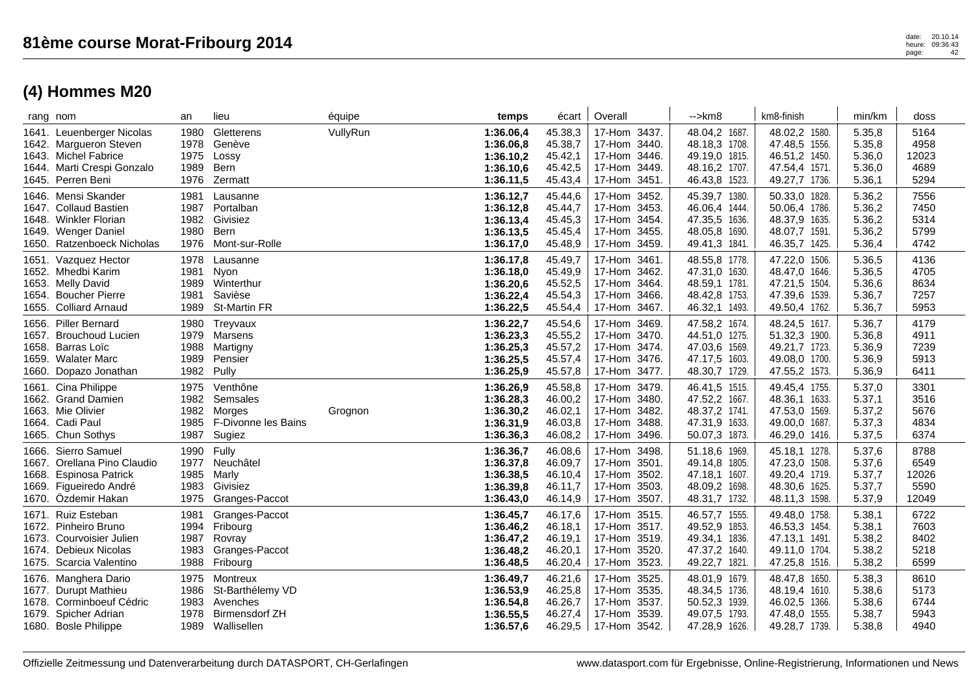| rang nom       |                                                                                                                                | an                                   | lieu                                                                                  | équipe   | temps                                                         |                                                     | écart   Overall                                                                    | -->km8                                                                            | km8-finish                                                                        | min/km                                         | doss                                   |
|----------------|--------------------------------------------------------------------------------------------------------------------------------|--------------------------------------|---------------------------------------------------------------------------------------|----------|---------------------------------------------------------------|-----------------------------------------------------|------------------------------------------------------------------------------------|-----------------------------------------------------------------------------------|-----------------------------------------------------------------------------------|------------------------------------------------|----------------------------------------|
|                | 1641. Leuenberger Nicolas<br>1642. Margueron Steven<br>1643. Michel Fabrice<br>1644. Marti Crespi Gonzalo<br>1645. Perren Beni | 1980<br>1978<br>1975<br>1989<br>1976 | Gletterens<br>Genève<br>Lossy<br>Bern<br>Zermatt                                      | VullyRun | 1:36.06,4<br>1:36.06,8<br>1:36.10,2<br>1:36.10,6<br>1:36.11,5 | 45.38,3<br>45.38,7<br>45.42,1<br>45.42,5<br>45.43,4 | 17-Hom 3437.<br>17-Hom 3440.<br>17-Hom 3446.<br>17-Hom 3449.<br>3451.<br>17-Hom    | 48.04,2 1687.<br>48.18,3 1708.<br>49.19,0 1815.<br>48.16,2 1707.<br>46.43,8 1523. | 48.02,2 1580.<br>47.48,5 1556.<br>46.51,2 1450.<br>47.54,4 1571.<br>49.27,7 1736. | 5.35,8<br>5.35,8<br>5.36,0<br>5.36,0<br>5.36,1 | 5164<br>4958<br>12023<br>4689<br>5294  |
|                | 1646. Mensi Skander<br>1647. Collaud Bastien<br>1648. Winkler Florian<br>1649. Wenger Daniel<br>1650. Ratzenboeck Nicholas     | 1981<br>1987<br>1982<br>1980<br>1976 | Lausanne<br>Portalban<br>Givisiez<br>Bern<br>Mont-sur-Rolle                           |          | 1:36.12,7<br>1:36.12,8<br>1:36.13,4<br>1:36.13,5<br>1:36.17,0 | 45.44,6<br>45.44,7<br>45.45,3<br>45.45,4<br>45.48,9 | 17-Hom 3452.<br>3453.<br>17-Hom<br>17-Hom 3454.<br>17-Hom 3455.<br>17-Hom 3459.    | 45.39,7 1380.<br>46.06,4 1444.<br>47.35,5 1636.<br>48.05,8 1690.<br>49.41,3 1841. | 50.33,0 1828.<br>50.06,4 1786.<br>48.37,9 1635.<br>48.07,7 1591.<br>46.35,7 1425. | 5.36,2<br>5.36,2<br>5.36,2<br>5.36,2<br>5.36,4 | 7556<br>7450<br>5314<br>5799<br>4742   |
|                | 1651. Vazquez Hector<br>1652. Mhedbi Karim<br>1653. Melly David<br>1654. Boucher Pierre<br>1655. Colliard Arnaud               | 1978<br>1981<br>1989<br>1981<br>1989 | Lausanne<br>Nyon<br>Winterthur<br>Savièse<br><b>St-Martin FR</b>                      |          | 1:36.17,8<br>1:36.18,0<br>1:36.20,6<br>1:36.22,4<br>1:36.22,5 | 45.49,7<br>45.49,9<br>45.52,5<br>45.54,3<br>45.54,4 | 17-Hom 3461.<br>3462.<br>17-Hom<br>17-Hom 3464.<br>17-Hom 3466.<br>17-Hom 3467.    | 48.55,8 1778.<br>47.31,0 1630.<br>48.59,1 1781.<br>48.42,8 1753.<br>46.32,1 1493. | 47.22,0 1506.<br>48.47,0 1646.<br>47.21,5 1504.<br>47.39,6 1539.<br>49.50,4 1762. | 5.36,5<br>5.36,5<br>5.36,6<br>5.36,7<br>5.36,7 | 4136<br>4705<br>8634<br>7257<br>5953   |
|                | 1656. Piller Bernard<br>1657. Brouchoud Lucien<br>1658. Barras Loïc<br>1659. Walater Marc<br>1660. Dopazo Jonathan             | 1980<br>1979<br>1988<br>1989<br>1982 | Treyvaux<br>Marsens<br>Martigny<br>Pensier<br>Pully                                   |          | 1:36.22,7<br>1:36.23,3<br>1:36.25,3<br>1:36.25,5<br>1:36.25,9 | 45.54,6<br>45.55,2<br>45.57,2<br>45.57,4<br>45.57,8 | 17-Hom 3469.<br>17-Hom 3470.<br>17-Hom 3474.<br>17-Hom 3476.<br>17-Hom 3477.       | 47.58,2 1674.<br>44.51,0 1275.<br>47.03,6 1569.<br>47.17,5 1603.<br>48.30,7 1729. | 48.24,5 1617.<br>51.32,3 1900.<br>49.21,7 1723.<br>49.08,0 1700.<br>47.55,2 1573. | 5.36,7<br>5.36,8<br>5.36,9<br>5.36,9<br>5.36,9 | 4179<br>4911<br>7239<br>5913<br>6411   |
|                | 1661. Cina Philippe<br>1662. Grand Damien<br>1663. Mie Olivier<br>1664. Cadi Paul<br>1665. Chun Sothys                         | 1975<br>1982<br>1982<br>1985<br>1987 | Venthône<br>Semsales<br>Morges<br>F-Divonne les Bains<br>Sugiez                       | Grognon  | 1:36.26,9<br>1:36.28,3<br>1:36.30,2<br>1:36.31,9<br>1:36.36,3 | 45.58,8<br>46.00,2<br>46.02,1<br>46.03,8<br>46.08,2 | 17-Hom 3479.<br>17-Hom 3480.<br>17-Hom 3482.<br>17-Hom 3488.<br>17-Hom 3496.       | 46.41,5 1515.<br>47.52,2 1667.<br>48.37,2 1741.<br>47.31,9 1633.<br>50.07,3 1873. | 49.45,4 1755.<br>48.36,1 1633.<br>47.53,0 1569.<br>49.00,0 1687.<br>46.29,0 1416. | 5.37,0<br>5.37,1<br>5.37,2<br>5.37,3<br>5.37,5 | 3301<br>3516<br>5676<br>4834<br>6374   |
| 1668.          | 1666. Sierro Samuel<br>1667. Orellana Pino Claudio<br>Espinosa Patrick<br>1669. Figueiredo André<br>1670. Özdemir Hakan        | 1990<br>1977<br>1985<br>1983<br>1975 | Fully<br>Neuchâtel<br>Marly<br>Givisiez<br>Granges-Paccot                             |          | 1:36.36,7<br>1:36.37,8<br>1:36.38,5<br>1:36.39,8<br>1:36.43,0 | 46.08,6<br>46.09,7<br>46.10,4<br>46.11,7<br>46.14,9 | 17-Hom 3498.<br>17-Hom 3501.<br>17-Hom 3502.<br>3503.<br>17-Hom<br>17-Hom 3507.    | 51.18,6 1969.<br>49.14,8 1805.<br>47.18,1 1607.<br>48.09,2 1698.<br>48.31,7 1732. | 45.18,1 1278.<br>47.23,0 1508.<br>49.20,4 1719.<br>48.30,6 1625.<br>48.11,3 1598. | 5.37,6<br>5.37,6<br>5.37,7<br>5.37,7<br>5.37,9 | 8788<br>6549<br>12026<br>5590<br>12049 |
| 1671.<br>1674. | Ruiz Esteban<br>1672. Pinheiro Bruno<br>1673. Courvoisier Julien<br><b>Debieux Nicolas</b><br>1675. Scarcia Valentino          | 1981<br>1987<br>1983<br>1988         | Granges-Paccot<br>1994 Fribourg<br>Rovray<br>Granges-Paccot<br>Fribourg               |          | 1:36.45,7<br>1:36.46,2<br>1:36.47,2<br>1:36.48,2<br>1:36.48,5 | 46.17,6<br>46.18,1<br>46.19,1<br>46.20,1<br>46.20,4 | 3515.<br>17-Hom<br>17-Hom 3517.<br>17-Hom 3519.<br>17-Hom 3520.<br>17-Hom 3523.    | 46.57,7 1555.<br>49.52,9 1853.<br>49.34,1 1836.<br>47.37,2 1640.<br>49.22,7 1821. | 49.48,0 1758.<br>46.53,3 1454.<br>47.13,1 1491.<br>49.11,0 1704.<br>47.25,8 1516. | 5.38,1<br>5.38,1<br>5.38,2<br>5.38,2<br>5.38,2 | 6722<br>7603<br>8402<br>5218<br>6599   |
| 1679.          | 1676. Manghera Dario<br>1677. Durupt Mathieu<br>1678. Corminboeuf Cédric<br>Spicher Adrian<br>1680. Bosle Philippe             | 1975<br>1986<br>1983<br>1978         | Montreux<br>St-Barthélemy VD<br>Avenches<br><b>Birmensdorf ZH</b><br>1989 Wallisellen |          | 1:36.49,7<br>1:36.53,9<br>1:36.54,8<br>1:36.55,5<br>1:36.57,6 | 46.21,6<br>46.25,8<br>46.26,7<br>46.27,4<br>46.29,5 | 3525.<br>17-Hom<br>17-Hom 3535.<br>17-Hom 3537.<br>17-Hom<br>3539.<br>17-Hom 3542. | 48.01,9 1679.<br>48.34,5 1736.<br>50.52,3 1939.<br>49.07,5 1793.<br>47.28,9 1626. | 48.47,8 1650.<br>48.19,4 1610.<br>46.02,5 1366.<br>47.48,0 1555.<br>49.28,7 1739. | 5.38,3<br>5.38,6<br>5.38,6<br>5.38,7<br>5.38,8 | 8610<br>5173<br>6744<br>5943<br>4940   |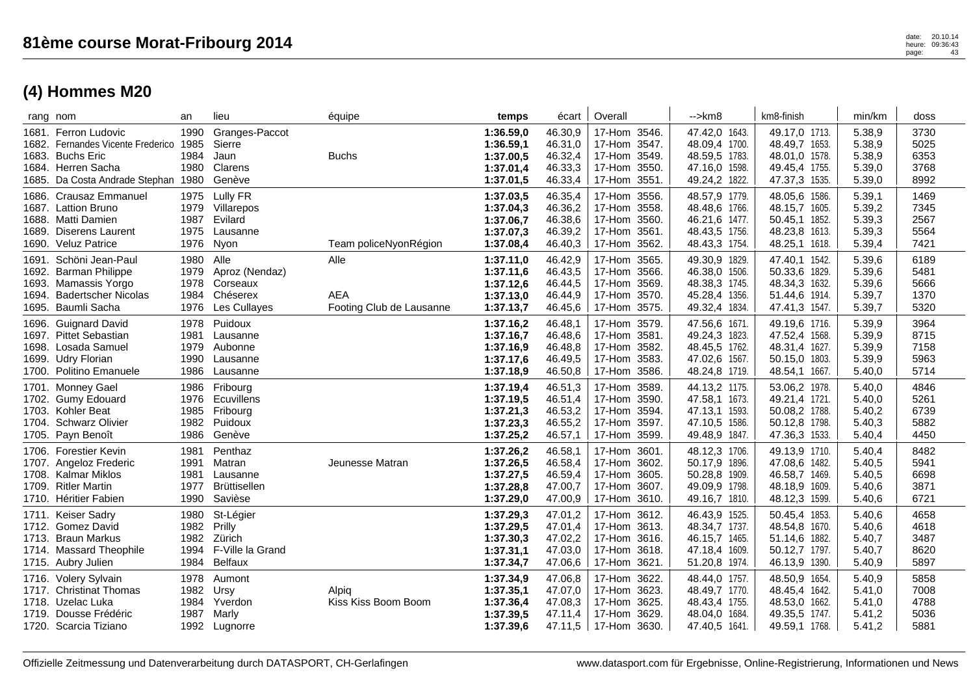| rang nom                                                                                                                   | an                                   | lieu                                                           | équipe                                  | temps                                                         | écart                                               | Overall                                                                            | -->km8                                                                            | km8-finish                                                                        | min/km                                         | doss                                 |
|----------------------------------------------------------------------------------------------------------------------------|--------------------------------------|----------------------------------------------------------------|-----------------------------------------|---------------------------------------------------------------|-----------------------------------------------------|------------------------------------------------------------------------------------|-----------------------------------------------------------------------------------|-----------------------------------------------------------------------------------|------------------------------------------------|--------------------------------------|
| 1681. Ferron Ludovic<br>1682. Fernandes Vicente Frederico<br>1683. Buchs Eric                                              | 1990<br>1985<br>1984                 | Granges-Paccot<br>Sierre<br>Jaun                               | <b>Buchs</b>                            | 1:36.59,0<br>1:36.59,1<br>1:37.00,5                           | 46.30,9<br>46.31,0<br>46.32,4                       | 17-Hom 3546.<br>17-Hom 3547.<br>17-Hom 3549.                                       | 47.42,0 1643.<br>48.09,4 1700.<br>48.59,5 1783.                                   | 49.17,0 1713.<br>48.49,7 1653.<br>48.01.0 1578.                                   | 5.38,9<br>5.38,9<br>5.38,9                     | 3730<br>5025<br>6353                 |
| 1684. Herren Sacha<br>1685. Da Costa Andrade Stephan 1980                                                                  | 1980                                 | Clarens<br>Genève                                              |                                         | 1:37.01,4<br>1:37.01,5                                        | 46.33,3<br>46.33,4                                  | 17-Hom 3550.<br>17-Hom 3551.                                                       | 47.16,0 1598.<br>49.24,2 1822.                                                    | 49.45,4 1755.<br>47.37,3 1535.                                                    | 5.39,0<br>5.39,0                               | 3768<br>8992                         |
| 1686. Crausaz Emmanuel<br>1687. Lattion Bruno<br>1688. Matti Damien<br>1689. Diserens Laurent<br>1690. Veluz Patrice       | 1975<br>1979<br>1987<br>1975<br>1976 | <b>Lully FR</b><br>Villarepos<br>Evilard<br>Lausanne<br>Nyon   | Team policeNyonRégion                   | 1:37.03,5<br>1:37.04,3<br>1:37.06,7<br>1:37.07,3<br>1:37.08,4 | 46.35,4<br>46.36,2<br>46.38,6<br>46.39,2<br>46.40,3 | 17-Hom 3556.<br>3558.<br>17-Hom<br>17-Hom 3560.<br>17-Hom 3561.<br>17-Hom 3562.    | 48.57,9 1779.<br>48.48,6 1766.<br>46.21,6 1477.<br>48.43,5 1756.<br>48.43,3 1754. | 48.05,6 1586.<br>48.15,7 1605.<br>50.45,1 1852.<br>48.23,8 1613.<br>48.25,1 1618. | 5.39,1<br>5.39,2<br>5.39,3<br>5.39,3<br>5.39,4 | 1469<br>7345<br>2567<br>5564<br>7421 |
| 1691. Schöni Jean-Paul<br>1692. Barman Philippe<br>1693. Mamassis Yorgo<br>1694. Badertscher Nicolas<br>1695. Baumli Sacha | 1980<br>1979<br>1978<br>1984<br>1976 | Alle<br>Aproz (Nendaz)<br>Corseaux<br>Chéserex<br>Les Cullayes | Alle<br>AEA<br>Footing Club de Lausanne | 1:37.11,0<br>1:37.11,6<br>1:37.12,6<br>1:37.13,0<br>1:37.13,7 | 46.42,9<br>46.43,5<br>46.44,5<br>46.44,9<br>46.45,6 | 17-Hom 3565.<br>17-Hom<br>3566.<br>17-Hom 3569.<br>17-Hom 3570.<br>17-Hom 3575.    | 49.30,9 1829.<br>46.38,0 1506.<br>48.38,3 1745.<br>45.28,4 1356.<br>49.32,4 1834. | 47.40,1 1542.<br>50.33,6 1829.<br>48.34,3 1632.<br>51.44,6 1914.<br>47.41,3 1547. | 5.39,6<br>5.39,6<br>5.39,6<br>5.39,7<br>5.39,7 | 6189<br>5481<br>5666<br>1370<br>5320 |
| 1696. Guignard David<br>1697. Pittet Sebastian<br>1698. Losada Samuel<br>1699. Udry Florian<br>1700. Politino Emanuele     | 1978<br>1981<br>1979<br>1990<br>1986 | Puidoux<br>Lausanne<br>Aubonne<br>Lausanne<br>Lausanne         |                                         | 1:37.16,2<br>1:37.16,7<br>1:37.16,9<br>1:37.17,6<br>1:37.18,9 | 46.48,1<br>46.48,6<br>46.48,8<br>46.49,5<br>46.50,8 | 17-Hom 3579.<br>17-Hom 3581.<br>17-Hom 3582.<br>17-Hom 3583.<br>17-Hom 3586.       | 47.56,6 1671<br>49.24,3 1823.<br>48.45,5 1762.<br>47.02,6 1567.<br>48.24,8 1719.  | 49.19,6 1716.<br>47.52,4 1568.<br>48.31,4 1627.<br>50.15,0 1803.<br>48.54,1 1667. | 5.39,9<br>5.39,9<br>5.39,9<br>5.39,9<br>5.40,0 | 3964<br>8715<br>7158<br>5963<br>5714 |
| 1701. Monney Gael<br>1702. Gumy Edouard<br>1703. Kohler Beat<br>1704. Schwarz Olivier<br>1705. Payn Benoît                 | 1986<br>1976<br>1985<br>1982<br>1986 | Fribourg<br>Ecuvillens<br>Fribourg<br>Puidoux<br>Genève        |                                         | 1:37.19,4<br>1:37.19,5<br>1:37.21,3<br>1:37.23,3<br>1:37.25,2 | 46.51,3<br>46.51,4<br>46.53,2<br>46.55,2<br>46.57,1 | 17-Hom 3589.<br>3590.<br>17-Hom<br>17-Hom 3594.<br>17-Hom 3597.<br>17-Hom 3599.    | 44.13,2 1175.<br>47.58,1 1673.<br>47.13,1 1593.<br>47.10,5 1586.<br>49.48,9 1847. | 53.06,2 1978.<br>49.21,4 1721.<br>50.08,2 1788.<br>50.12,8 1798.<br>47.36,3 1533. | 5.40,0<br>5.40,0<br>5.40,2<br>5.40,3<br>5.40,4 | 4846<br>5261<br>6739<br>5882<br>4450 |
| 1706. Forestier Kevin<br>1707. Angeloz Frederic<br>1708. Kalmar Miklos<br>1709. Ritler Martin<br>1710. Héritier Fabien     | 1981<br>1991<br>1981<br>1977<br>1990 | Penthaz<br>Matran<br>Lausanne<br>Brüttisellen<br>Savièse       | Jeunesse Matran                         | 1:37.26,2<br>1:37.26,5<br>1:37.27,5<br>1:37.28,8<br>1:37.29,0 | 46.58,1<br>46.58,4<br>46.59,4<br>47.00,7<br>47.00,9 | 17-Hom 3601.<br>3602.<br>17-Hom<br>17-Hom 3605.<br>17-Hom 3607.<br>17-Hom 3610.    | 48.12,3 1706.<br>50.17,9 1896.<br>50.28,8 1909.<br>49.09,9 1798.<br>49.16,7 1810. | 49.13,9 1710.<br>47.08,6 1482.<br>46.58,7 1469.<br>48.18,9 1609.<br>48.12,3 1599. | 5.40,4<br>5.40,5<br>5.40,5<br>5.40,6<br>5.40,6 | 8482<br>5941<br>6698<br>3871<br>6721 |
| 1711. Keiser Sadry<br>1712. Gomez David<br>1713. Braun Markus<br>1714. Massard Theophile<br>1715. Aubry Julien             | 1980<br>1982<br>1982<br>1994<br>1984 | St-Légier<br>Prilly<br>Zürich<br>F-Ville la Grand<br>Belfaux   |                                         | 1:37.29,3<br>1:37.29,5<br>1:37.30,3<br>1:37.31,1<br>1:37.34,7 | 47.01,2<br>47.01,4<br>47.02,2<br>47.03,0<br>47.06,6 | 17-Hom 3612.<br>17-Hom 3613.<br>17-Hom 3616.<br>17-Hom 3618.<br>17-Hom 3621.       | 46.43,9 1525.<br>48.34,7 1737.<br>46.15,7 1465.<br>47.18,4 1609.<br>51.20,8 1974. | 50.45,4 1853.<br>48.54,8 1670.<br>51.14,6 1882.<br>50.12,7 1797.<br>46.13,9 1390. | 5.40,6<br>5.40,6<br>5.40,7<br>5.40,7<br>5.40,9 | 4658<br>4618<br>3487<br>8620<br>5897 |
| 1716. Volery Sylvain<br>1717. Christinat Thomas<br>1718. Uzelac Luka<br>1719. Dousse Frédéric<br>1720. Scarcia Tiziano     | 1978<br>1982<br>1984<br>1987<br>1992 | Aumont<br>Ursy<br>Yverdon<br>Marly<br>Lugnorre                 | Alpiq<br>Kiss Kiss Boom Boom            | 1:37.34,9<br>1:37.35,1<br>1:37.36,4<br>1:37.39,5<br>1:37.39,6 | 47.06,8<br>47.07,0<br>47.08.3<br>47.11,4<br>47.11,5 | 17-Hom 3622.<br>3623.<br>17-Hom<br>17-Hom 3625.<br>17-Hom<br>3629.<br>17-Hom 3630. | 48.44,0 1757.<br>48.49,7 1770.<br>48.43,4 1755.<br>48.04,0 1684.<br>47.40,5 1641. | 48.50,9 1654.<br>48.45,4 1642.<br>48.53,0 1662.<br>49.35,5 1747.<br>49.59,1 1768. | 5.40,9<br>5.41,0<br>5.41,0<br>5.41,2<br>5.41,2 | 5858<br>7008<br>4788<br>5036<br>5881 |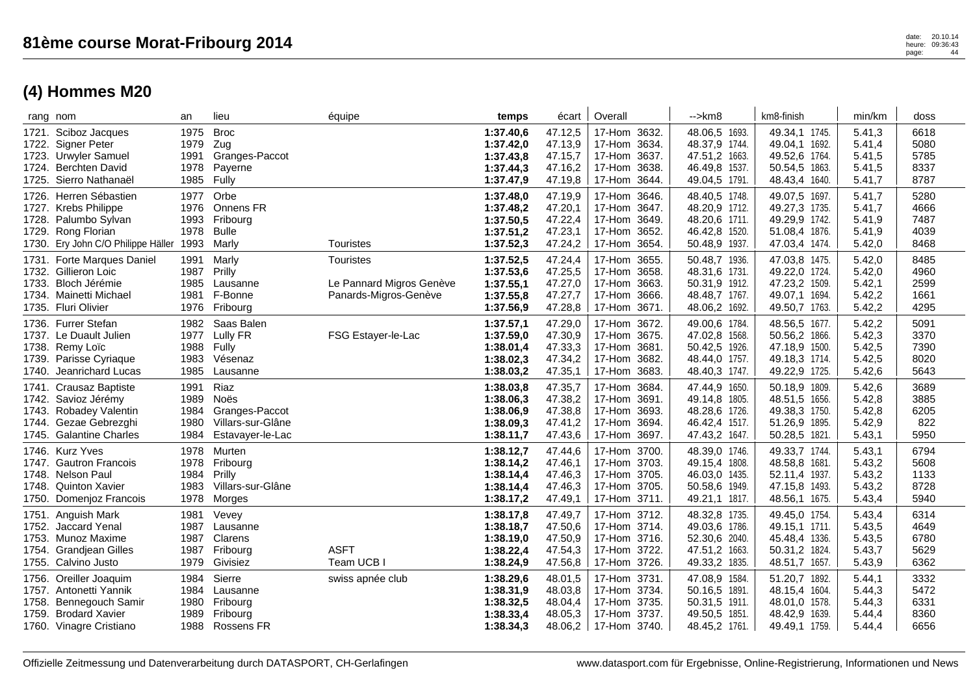| rang nom                                                                                                                           | an                                   | lieu                                                                    | équipe                                                         | temps                                                         |                                                     | écart   Overall                                                                   | -->km8                                                                            | km8-finish                                                                        | min/km                                         | doss                                 |
|------------------------------------------------------------------------------------------------------------------------------------|--------------------------------------|-------------------------------------------------------------------------|----------------------------------------------------------------|---------------------------------------------------------------|-----------------------------------------------------|-----------------------------------------------------------------------------------|-----------------------------------------------------------------------------------|-----------------------------------------------------------------------------------|------------------------------------------------|--------------------------------------|
| 1721. Sciboz Jacques<br>1722. Signer Peter<br>1723. Urwyler Samuel<br>1724. Berchten David<br>1725. Sierro Nathanaël               | 1975<br>1979<br>1991<br>1978<br>1985 | <b>Broc</b><br>Zug<br>Granges-Paccot<br>Payerne<br>Fully                |                                                                | 1:37.40,6<br>1:37.42,0<br>1:37.43,8<br>1:37.44,3<br>1:37.47,9 | 47.12,5<br>47.13,9<br>47.15,7<br>47.16,2<br>47.19,8 | 17-Hom 3632.<br>17-Hom 3634.<br>17-Hom 3637.<br>17-Hom 3638.<br>3644.<br>17-Hom   | 48.06,5 1693.<br>48.37,9 1744.<br>47.51,2 1663.<br>46.49,8 1537.<br>49.04,5 1791. | 49.34,1 1745.<br>49.04,1 1692.<br>49.52,6 1764.<br>50.54,5 1863.<br>48.43,4 1640. | 5.41,3<br>5.41,4<br>5.41,5<br>5.41,5<br>5.41,7 | 6618<br>5080<br>5785<br>8337<br>8787 |
| 1726. Herren Sébastien<br>1727. Krebs Philippe<br>1728. Palumbo Sylvan<br>1729. Rong Florian<br>1730. Ery John C/O Philippe Häller | 1977<br>1976<br>1993<br>1978<br>1993 | Orbe<br>Onnens <sub>FR</sub><br>Fribourg<br><b>Bulle</b><br>Marly       | Touristes                                                      | 1:37.48,0<br>1:37.48,2<br>1:37.50,5<br>1:37.51,2<br>1:37.52,3 | 47.19,9<br>47.20,1<br>47.22,4<br>47.23,1<br>47.24,2 | 17-Hom 3646.<br>3647.<br>17-Hom<br>17-Hom 3649.<br>17-Hom 3652.<br>17-Hom 3654.   | 48.40,5 1748.<br>48.20,9 1712.<br>48.20,6 1711.<br>46.42,8 1520.<br>50.48,9 1937. | 49.07,5 1697.<br>49.27,3 1735.<br>49.29,9 1742.<br>51.08,4 1876.<br>47.03,4 1474. | 5.41,7<br>5.41,7<br>5.41,9<br>5.41,9<br>5.42,0 | 5280<br>4666<br>7487<br>4039<br>8468 |
| 1731. Forte Marques Daniel<br>1732. Gillieron Loic<br>1733. Bloch Jérémie<br>1734. Mainetti Michael<br>1735. Fluri Olivier         | 1991<br>1987<br>1985<br>1981<br>1976 | Marly<br>Prilly<br>Lausanne<br>F-Bonne<br>Fribourg                      | Touristes<br>Le Pannard Migros Genève<br>Panards-Migros-Genève | 1:37.52,5<br>1:37.53,6<br>1:37.55,1<br>1:37.55,8<br>1:37.56,9 | 47.24,4<br>47.25,5<br>47.27,0<br>47.27,7<br>47.28,8 | 17-Hom 3655.<br>17-Hom 3658.<br>17-Hom 3663.<br>17-Hom 3666.<br>17-Hom 3671.      | 50.48,7 1936.<br>48.31,6 1731.<br>50.31,9 1912.<br>48.48,7 1767.<br>48.06,2 1692. | 47.03,8 1475.<br>49.22,0 1724.<br>47.23,2 1509.<br>49.07,1 1694.<br>49.50,7 1763. | 5.42,0<br>5.42,0<br>5.42,1<br>5.42,2<br>5.42,2 | 8485<br>4960<br>2599<br>1661<br>4295 |
| 1736. Furrer Stefan<br>1737. Le Duault Julien<br>1738. Remy Loïc<br>1739. Parisse Cyriaque<br>1740. Jeanrichard Lucas              | 1982<br>1977<br>1988<br>1983<br>1985 | Saas Balen<br>Lully FR<br>Fully<br>Vésenaz<br>Lausanne                  | FSG Estayer-le-Lac                                             | 1:37.57,1<br>1:37.59,0<br>1:38.01,4<br>1:38.02,3<br>1:38.03,2 | 47.29,0<br>47.30,9<br>47.33,3<br>47.34,2<br>47.35,1 | 17-Hom 3672.<br>17-Hom 3675.<br>17-Hom 3681.<br>17-Hom 3682.<br>17-Hom 3683.      | 49.00,6 1784.<br>47.02,8 1568.<br>50.42,5 1926.<br>48.44,0 1757.<br>48.40,3 1747. | 48.56,5 1677.<br>50.56,2 1866.<br>47.18,9 1500.<br>49.18,3 1714.<br>49.22,9 1725. | 5.42,2<br>5.42,3<br>5.42,5<br>5.42,5<br>5.42,6 | 5091<br>3370<br>7390<br>8020<br>5643 |
| 1741. Crausaz Baptiste<br>1742. Savioz Jérémy<br>1743. Robadey Valentin<br>1744. Gezae Gebrezghi<br>1745. Galantine Charles        | 1991<br>1989<br>1984<br>1980<br>1984 | Riaz<br>Noës<br>Granges-Paccot<br>Villars-sur-Glâne<br>Estavayer-le-Lac |                                                                | 1:38.03,8<br>1:38.06,3<br>1:38.06,9<br>1:38.09,3<br>1:38.11,7 | 47.35,7<br>47.38,2<br>47.38,8<br>47.41,2<br>47.43,6 | 17-Hom<br>3684.<br>17-Hom 3691.<br>17-Hom 3693.<br>17-Hom 3694.<br>17-Hom 3697.   | 47.44,9 1650.<br>49.14,8 1805.<br>48.28,6 1726.<br>46.42,4 1517.<br>47.43,2 1647. | 50.18,9 1809.<br>48.51,5 1656.<br>49.38,3 1750.<br>51.26,9 1895.<br>50.28,5 1821. | 5.42,6<br>5.42,8<br>5.42,8<br>5.42,9<br>5.43,1 | 3689<br>3885<br>6205<br>822<br>5950  |
| 1746. Kurz Yves<br>1747. Gautron Francois<br>1748. Nelson Paul<br>1748. Quinton Xavier<br>1750. Domenjoz Francois                  | 1978<br>1978<br>1984<br>1983<br>1978 | Murten<br>Fribourg<br>Prilly<br>Villars-sur-Glâne<br>Morges             |                                                                | 1:38.12,7<br>1:38.14,2<br>1:38.14,4<br>1:38.14,4<br>1:38.17,2 | 47.44,6<br>47.46,1<br>47.46,3<br>47.46,3<br>47.49,1 | 17-Hom 3700.<br>17-Hom 3703.<br>17-Hom 3705.<br>17-Hom 3705.<br>17-Hom 3711.      | 48.39,0 1746.<br>49.15,4 1808.<br>46.03,0 1435.<br>50.58,6 1949.<br>49.21,1 1817. | 49.33,7 1744.<br>48.58,8 1681.<br>52.11,4 1937.<br>47.15,8 1493.<br>48.56,1 1675. | 5.43,1<br>5.43,2<br>5.43,2<br>5.43,2<br>5.43,4 | 6794<br>5608<br>1133<br>8728<br>5940 |
| 1751. Anguish Mark<br>1752. Jaccard Yenal<br>1753. Munoz Maxime<br>1754. Grandjean Gilles<br>1755. Calvino Justo                   | 1981<br>1987<br>1987<br>1987<br>1979 | Vevey<br>Lausanne<br>Clarens<br>Fribourg<br>Givisiez                    | <b>ASFT</b><br>Team UCB I                                      | 1:38.17,8<br>1:38.18,7<br>1:38.19,0<br>1:38.22,4<br>1:38.24,9 | 47.49,7<br>47.50,6<br>47.50,9<br>47.54,3<br>47.56,8 | 17-Hom 3712.<br>17-Hom 3714.<br>17-Hom 3716.<br>17-Hom 3722.<br>17-Hom 3726.      | 48.32,8 1735.<br>49.03,6 1786.<br>52.30,6 2040.<br>47.51,2 1663.<br>49.33,2 1835. | 49.45,0 1754.<br>49.15,1 1711.<br>45.48,4 1336.<br>50.31,2 1824.<br>48.51,7 1657. | 5.43,4<br>5.43,5<br>5.43,5<br>5.43,7<br>5.43,9 | 6314<br>4649<br>6780<br>5629<br>6362 |
| 1756. Oreiller Joaquim<br>1757. Antonetti Yannik<br>1758. Bennegouch Samir<br>1759. Brodard Xavier<br>1760. Vinagre Cristiano      | 1984<br>1984<br>1980<br>1989<br>1988 | Sierre<br>Lausanne<br>Fribourg<br>Fribourg<br>Rossens FR                | swiss apnée club                                               | 1:38.29,6<br>1:38.31,9<br>1:38.32,5<br>1:38.33,4<br>1:38.34,3 | 48.01,5<br>48.03,8<br>48.04,4<br>48.05,3<br>48.06,2 | 17-Hom 3731.<br>17-Hom 3734.<br>17-Hom 3735.<br>3737.<br>17-Hom<br>  17-Hom 3740. | 47.08,9 1584.<br>50.16,5 1891.<br>50.31,5 1911.<br>49.50,5 1851.<br>48.45,2 1761. | 51.20,7 1892.<br>48.15,4 1604.<br>48.01,0 1578.<br>48.42,9 1639.<br>49.49,1 1759. | 5.44,1<br>5.44,3<br>5.44,3<br>5.44,4<br>5.44,4 | 3332<br>5472<br>6331<br>8360<br>6656 |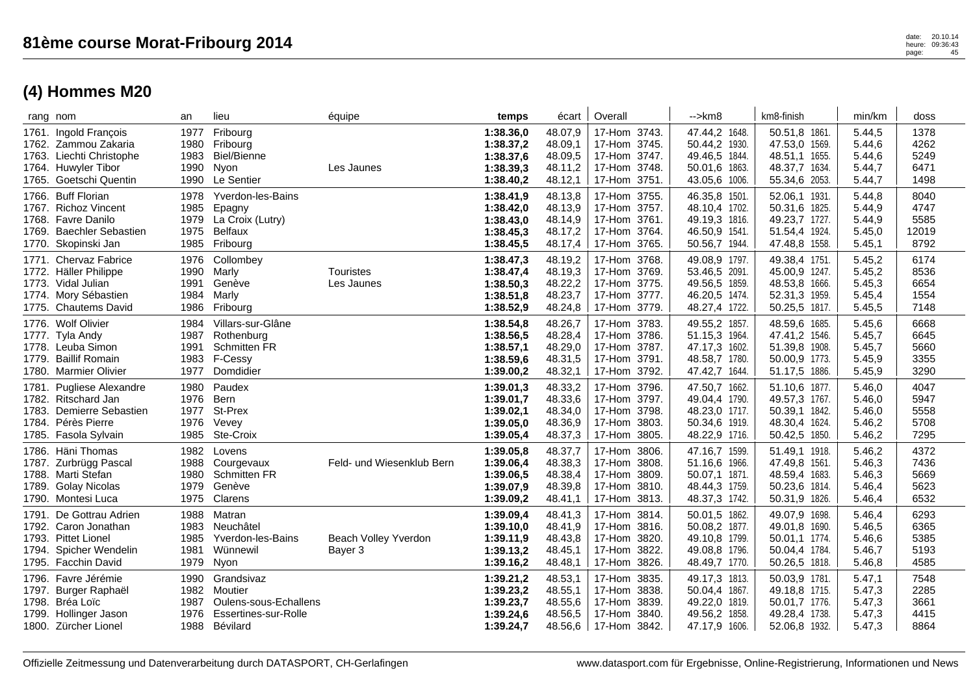| rang nom                                                                                                                      | an                                   | lieu                                                                                    | équipe                          | temps                                                         | écart                                               | Overall                                                                                         | -->km8                                                                            | km8-finish                                                                           | min/km                                         | doss                                  |
|-------------------------------------------------------------------------------------------------------------------------------|--------------------------------------|-----------------------------------------------------------------------------------------|---------------------------------|---------------------------------------------------------------|-----------------------------------------------------|-------------------------------------------------------------------------------------------------|-----------------------------------------------------------------------------------|--------------------------------------------------------------------------------------|------------------------------------------------|---------------------------------------|
| 1761. Ingold François<br>1762. Zammou Zakaria<br>1763. Liechti Christophe<br>1764. Huwyler Tibor<br>1765. Goetschi Quentin    | 1977<br>1980<br>1983<br>1990<br>1990 | Fribourg<br>Fribourg<br>Biel/Bienne<br>Nyon<br>Le Sentier                               | Les Jaunes                      | 1:38.36,0<br>1:38.37,2<br>1:38.37,6<br>1:38.39,3<br>1:38.40,2 | 48.07,9<br>48.09,1<br>48.09,5<br>48.11,2<br>48.12,1 | 17-Hom 3743.<br>17-Hom 3745.<br>17-Hom 3747.<br>17-Hom 3748.<br>17-Hom 3751.                    | 47.44,2 1648.<br>50.44,2 1930.<br>49.46,5 1844.<br>50.01,6 1863.<br>43.05,6 1006. | 50.51,8 1861.<br>47.53,0 1569.<br>48.51,1 1655.<br>48.37,7 1634.<br>55.34,6 2053.    | 5.44,5<br>5.44,6<br>5.44,6<br>5.44,7<br>5.44,7 | 1378<br>4262<br>5249<br>6471<br>1498  |
| 1766. Buff Florian<br>1767. Richoz Vincent<br>1768. Favre Danilo<br><b>Baechler Sebastien</b><br>1769.<br>1770. Skopinski Jan | 1978<br>1985<br>1979<br>1975<br>1985 | Yverdon-les-Bains<br>Epagny<br>La Croix (Lutry)<br><b>Belfaux</b><br>Fribourg           |                                 | 1:38.41,9<br>1:38.42,0<br>1:38.43,0<br>1:38.45,3<br>1:38.45,5 | 48.13,8<br>48.13,9<br>48.14,9<br>48.17,2<br>48.17,4 | 17-Hom 3755.<br>17-Hom 3757.<br>17-Hom 3761.<br>17-Hom<br>3764.<br>17-Hom 3765.                 | 46.35,8 1501.<br>48.10,4 1702.<br>49.19,3 1816.<br>46.50,9 1541.<br>50.56,7 1944. | 52.06,1 1931.<br>50.31,6 1825.<br>49.23,7 1727.<br>51.54,4<br>1924.<br>47.48,8 1558. | 5.44,8<br>5.44,9<br>5.44,9<br>5.45,0<br>5.45,1 | 8040<br>4747<br>5585<br>12019<br>8792 |
| 1771. Chervaz Fabrice<br>1772. Häller Philippe<br>1773. Vidal Julian<br>1774. Mory Sébastien<br>1775. Chautems David          | 1976<br>1990<br>1991<br>1984<br>1986 | Collombey<br>Marly<br>Genève<br>Marly<br>Fribourg                                       | Touristes<br>Les Jaunes         | 1:38.47,3<br>1:38.47,4<br>1:38.50,3<br>1:38.51,8<br>1:38.52,9 | 48.19,2<br>48.19,3<br>48.22,2<br>48.23,7<br>48.24,8 | 17-Hom 3768.<br>17-Hom 3769.<br>17-Hom 3775.<br>17-Hom 3777.<br>17-Hom 3779.                    | 49.08,9 1797.<br>53.46,5 2091.<br>49.56,5 1859.<br>46.20,5 1474.<br>48.27,4 1722. | 49.38,4 1751.<br>45.00,9 1247.<br>48.53,8 1666.<br>52.31,3 1959.<br>50.25,5 1817.    | 5.45,2<br>5.45,2<br>5.45,3<br>5.45,4<br>5.45,5 | 6174<br>8536<br>6654<br>1554<br>7148  |
| 1776. Wolf Olivier<br>1777. Tyla Andy<br>1778. Leuba Simon<br>1779. Baillif Romain<br>1780. Marmier Olivier                   | 1984<br>1987<br>1991<br>1983<br>1977 | Villars-sur-Glâne<br>Rothenburg<br>Schmitten FR<br>F-Cessy<br>Domdidier                 |                                 | 1:38.54,8<br>1:38.56,5<br>1:38.57,1<br>1:38.59,6<br>1:39.00,2 | 48.26,7<br>48.28,4<br>48.29,0<br>48.31,5<br>48.32,1 | 17-Hom 3783.<br>17-Hom 3786.<br>17-Hom 3787.<br>3791.<br>17-Hom<br>17-Hom 3792.                 | 49.55,2 1857.<br>51.15,3 1964.<br>47.17,3 1602.<br>48.58,7 1780.<br>47.42,7 1644. | 48.59,6 1685.<br>47.41,2 1546.<br>51.39,8 1908.<br>50.00,9 1773.<br>51.17,5 1886.    | 5.45,6<br>5.45,7<br>5.45,7<br>5.45,9<br>5.45,9 | 6668<br>6645<br>5660<br>3355<br>3290  |
| 1781. Pugliese Alexandre<br>1782. Ritschard Jan<br>1783. Demierre Sebastien<br>1784. Pérès Pierre<br>1785. Fasola Sylvain     | 1980<br>1976<br>1977<br>1976<br>1985 | Paudex<br>Bern<br>St-Prex<br>Vevey<br>Ste-Croix                                         |                                 | 1:39.01,3<br>1:39.01,7<br>1:39.02,1<br>1:39.05,0<br>1:39.05,4 | 48.33,2<br>48.33,6<br>48.34,0<br>48.36,9<br>48.37,3 | 17-Hom<br>3796.<br>17-Hom 3797.<br>17-Hom 3798.<br>17-Hom<br>3803.<br>17-Hom 3805.              | 47.50,7 1662.<br>49.04,4 1790.<br>48.23,0 1717.<br>50.34,6 1919.<br>48.22,9 1716. | 51.10,6 1877.<br>49.57,3 1767.<br>50.39,1 1842.<br>48.30,4 1624.<br>50.42,5 1850.    | 5.46,0<br>5.46,0<br>5.46,0<br>5.46,2<br>5.46,2 | 4047<br>5947<br>5558<br>5708<br>7295  |
| 1786. Häni Thomas<br>1787. Zurbrügg Pascal<br>1788. Marti Stefan<br>1789. Golay Nicolas<br>1790. Montesi Luca                 | 1982<br>1988<br>1980<br>1979<br>1975 | Lovens<br>Courgevaux<br><b>Schmitten FR</b><br>Genève<br>Clarens                        | Feld- und Wiesenklub Bern       | 1:39.05,8<br>1:39.06,4<br>1:39.06,5<br>1:39.07,9<br>1:39.09,2 | 48.37,7<br>48.38,3<br>48.38,4<br>48.39,8<br>48.41,1 | 17-Hom<br>3806.<br>17-Hom<br>3808.<br>17-Hom<br>3809.<br>3810.<br>17-Hom<br>17-Hom 3813.        | 47.16,7 1599.<br>51.16,6 1966.<br>50.07,1 1871.<br>48.44,3 1759.<br>48.37,3 1742. | 51.49,1 1918.<br>47.49,8 1561.<br>48.59,4 1683.<br>50.23,6<br>1814.<br>50.31,9 1826. | 5.46,2<br>5.46,3<br>5.46,3<br>5.46,4<br>5.46,4 | 4372<br>7436<br>5669<br>5623<br>6532  |
| De Gottrau Adrien<br>1791.<br>1792. Caron Jonathan<br>1793. Pittet Lionel<br>1794. Spicher Wendelin<br>1795. Facchin David    | 1988<br>1983<br>1985<br>1981<br>1979 | Matran<br>Neuchâtel<br>Yverdon-les-Bains<br>Wünnewil<br>Nyon                            | Beach Volley Yverdon<br>Bayer 3 | 1:39.09,4<br>1:39.10,0<br>1:39.11,9<br>1:39.13,2<br>1:39.16,2 | 48.41,3<br>48.41,9<br>48.43,8<br>48.45,1<br>48.48,1 | 17-Hom<br>3814.<br>17-Hom 3816.<br>17-Hom<br>3820.<br>17-Hom<br>3822.<br>17-Hom 3826.           | 50.01,5 1862.<br>50.08,2 1877.<br>49.10,8 1799.<br>49.08,8 1796.<br>48.49,7 1770. | 49.07,9 1698.<br>49.01,8 1690.<br>50.01,1 1774.<br>50.04,4 1784.<br>50.26,5 1818.    | 5.46.4<br>5.46,5<br>5.46,6<br>5.46,7<br>5.46,8 | 6293<br>6365<br>5385<br>5193<br>4585  |
| 1796. Favre Jérémie<br>1797. Burger Raphaël<br>1798. Bréa Loïc<br>1799. Hollinger Jason<br>1800. Zürcher Lionel               | 1990<br>1982<br>1987<br>1976         | Grandsivaz<br>Moutier<br>Oulens-sous-Echallens<br>Essertines-sur-Rolle<br>1988 Bévilard |                                 | 1:39.21,2<br>1:39.23,2<br>1:39.23,7<br>1:39.24,6<br>1:39.24,7 | 48.53,1<br>48.55,1<br>48.55,6<br>48.56,5            | 17-Hom<br>3835.<br>17-Hom 3838.<br>3839.<br>17-Hom<br>17-Hom<br>3840.<br>48.56,6   17-Hom 3842. | 49.17,3 1813.<br>50.04,4 1867.<br>49.22,0 1819.<br>49.56,2 1858.<br>47.17,9 1606. | 50.03,9 1781.<br>49.18,8 1715.<br>50.01,7 1776.<br>49.28,4<br>1738.<br>52.06,8 1932. | 5.47,1<br>5.47,3<br>5.47,3<br>5.47,3<br>5.47,3 | 7548<br>2285<br>3661<br>4415<br>8864  |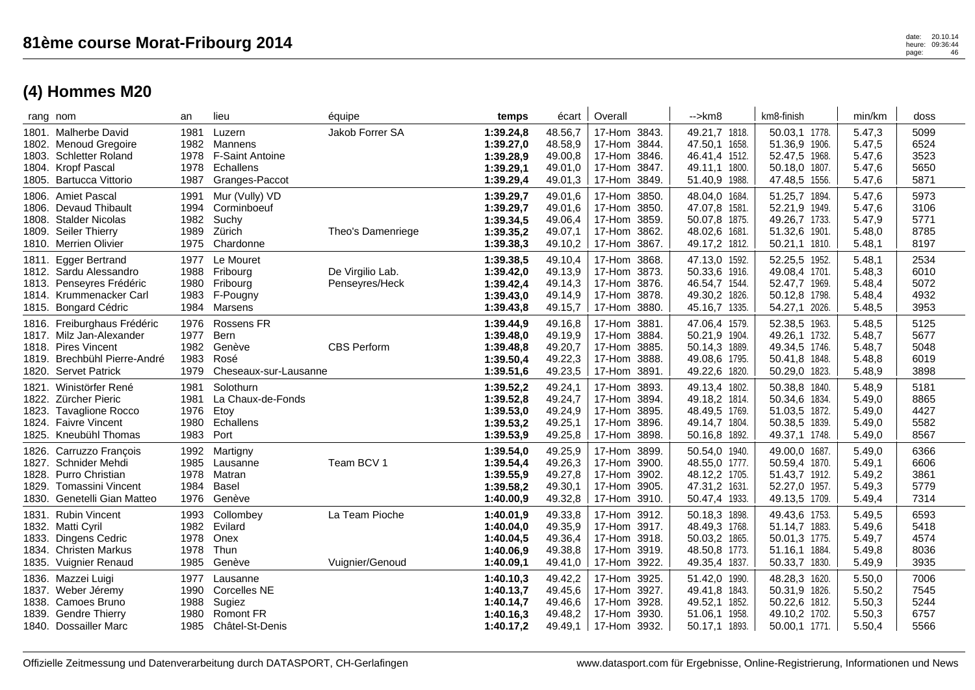|                                           | rang nom                                                                                                                               | an                                   | lieu                                                                             | équipe                             | temps                                                         | écart                                               | Overall                                                                                     | -->km8                                                                            | km8-finish                                                                                 | min/km                                         | doss                                 |
|-------------------------------------------|----------------------------------------------------------------------------------------------------------------------------------------|--------------------------------------|----------------------------------------------------------------------------------|------------------------------------|---------------------------------------------------------------|-----------------------------------------------------|---------------------------------------------------------------------------------------------|-----------------------------------------------------------------------------------|--------------------------------------------------------------------------------------------|------------------------------------------------|--------------------------------------|
| 1804.<br>1805.                            | 1801. Malherbe David<br>1802. Menoud Gregoire<br>1803. Schletter Roland<br><b>Kropf Pascal</b><br><b>Bartucca Vittorio</b>             | 1981<br>1982<br>1978<br>1978<br>1987 | Luzern<br>Mannens<br><b>F-Saint Antoine</b><br>Echallens<br>Granges-Paccot       | Jakob Forrer SA                    | 1:39.24,8<br>1:39.27,0<br>1:39.28,9<br>1:39.29,1<br>1:39.29,4 | 48.56,7<br>48.58,9<br>49.00,8<br>49.01,0<br>49.01,3 | 17-Hom 3843.<br>3844.<br>17-Hom<br>3846.<br>17-Hom<br>3847.<br>17-Hom<br>3849.<br>17-Hom    | 49.21,7 1818.<br>47.50,1 1658.<br>46.41,4 1512.<br>49.11,1 1800.<br>51.40,9 1988. | 50.03,1 1778.<br>51.36,9 1906.<br>52.47,5<br>1968.<br>50.18,0<br>1807.<br>47.48,5<br>1556. | 5.47,3<br>5.47,5<br>5.47,6<br>5.47,6<br>5.47,6 | 5099<br>6524<br>3523<br>5650<br>5871 |
| 1806.<br>1809.                            | <b>Amiet Pascal</b><br>1806. Devaud Thibault<br>1808. Stalder Nicolas<br>Seiler Thierry<br>1810. Merrien Olivier                       | 1991<br>1994<br>1982<br>1989<br>1975 | Mur (Vully) VD<br>Corminboeuf<br>Suchy<br>Zürich<br>Chardonne                    | Theo's Damenriege                  | 1:39.29,7<br>1:39.29,7<br>1:39.34,5<br>1:39.35,2<br>1:39.38,3 | 49.01,6<br>49.01,6<br>49.06,4<br>49.07,1<br>49.10,2 | 17-Hom<br>3850.<br>3850.<br>17-Hom<br>3859.<br>17-Hom<br>3862.<br>17-Hom<br>17-Hom<br>3867. | 48.04,0 1684.<br>47.07,8 1581.<br>50.07,8 1875.<br>48.02,6 1681.<br>49.17,2 1812. | 51.25,7 1894.<br>52.21,9<br>1949.<br>49.26,7 1733.<br>51.32,6<br>1901.<br>50.21,1 1810.    | 5.47,6<br>5.47,6<br>5.47,9<br>5.48,0<br>5.48,1 | 5973<br>3106<br>5771<br>8785<br>8197 |
| 1811.                                     | <b>Egger Bertrand</b><br>1812. Sardu Alessandro<br>1813. Penseyres Frédéric<br>1814. Krummenacker Carl<br>1815. Bongard Cédric         | 1977<br>1988<br>1980<br>1983<br>1984 | Le Mouret<br>Fribourg<br>Fribourg<br>F-Pougny<br>Marsens                         | De Virgilio Lab.<br>Penseyres/Heck | 1:39.38,5<br>1:39.42,0<br>1:39.42,4<br>1:39.43,0<br>1:39.43,8 | 49.10.4<br>49.13,9<br>49.14,3<br>49.14,9<br>49.15,7 | 17-Hom<br>3868.<br>17-Hom 3873.<br>3876.<br>17-Hom<br>3878.<br>17-Hom<br>17-Hom 3880.       | 47.13,0 1592.<br>50.33,6 1916.<br>46.54,7 1544.<br>49.30,2 1826.<br>45.16,7 1335. | 52.25,5 1952.<br>49.08,4 1701.<br>52.47,7 1969.<br>50.12,8<br>1798.<br>54.27,1<br>2026.    | 5.48,1<br>5.48.3<br>5.48,4<br>5.48,4<br>5.48,5 | 2534<br>6010<br>5072<br>4932<br>3953 |
|                                           | 1816. Freiburghaus Frédéric<br>1817. Milz Jan-Alexander<br>1818. Pires Vincent<br>1819. Brechbühl Pierre-André<br>1820. Servet Patrick | 1976<br>1977<br>1982<br>1983<br>1979 | Rossens FR<br><b>Bern</b><br>Genève<br>Rosé<br>Cheseaux-sur-Lausanne             | <b>CBS Perform</b>                 | 1:39.44,9<br>1:39.48,0<br>1:39.48,8<br>1:39.50,4<br>1:39.51,6 | 49.16.8<br>49.19,9<br>49.20,7<br>49.22,3<br>49.23,5 | 3881.<br>17-Hom<br>17-Hom 3884.<br>3885.<br>17-Hom<br>3888.<br>17-Hom<br>17-Hom 3891.       | 47.06.4 1579.<br>50.21,9 1904.<br>50.14,3 1889.<br>49.08,6 1795.<br>49.22,6 1820. | 52.38,5 1963.<br>49.26,1 1732.<br>49.34,5 1746.<br>50.41,8<br>1848.<br>50.29,0 1823.       | 5.48,5<br>5.48,7<br>5.48,7<br>5.48,8<br>5.48,9 | 5125<br>5677<br>5048<br>6019<br>3898 |
| 1821.<br>1823.                            | Winistörfer René<br>1822. Zürcher Pieric<br><b>Tavaglione Rocco</b><br>1824. Faivre Vincent<br>1825. Kneubühl Thomas                   | 1981<br>1981<br>1976<br>1980<br>1983 | Solothurn<br>La Chaux-de-Fonds<br>Etoy<br>Echallens<br>Port                      |                                    | 1:39.52,2<br>1:39.52,8<br>1:39.53,0<br>1:39.53,2<br>1:39.53,9 | 49.24,1<br>49.24,7<br>49.24,9<br>49.25,1<br>49.25,8 | 17-Hom<br>3893.<br>3894.<br>17-Hom<br>17-Hom<br>3895.<br>3896.<br>17-Hom<br>3898.<br>17-Hom | 49.13,4 1802.<br>49.18,2 1814.<br>48.49,5 1769.<br>49.14,7 1804.<br>50.16,8 1892. | 50.38,8<br>1840.<br>50.34,6 1834.<br>51.03,5 1872.<br>50.38,5 1839.<br>49.37,1 1748.       | 5.48,9<br>5.49,0<br>5.49,0<br>5.49,0<br>5.49,0 | 5181<br>8865<br>4427<br>5582<br>8567 |
| 1826.<br>1827.<br>1828.<br>1829.<br>1830. | Carruzzo François<br>Schnider Mehdi<br>Purro Christian<br>Tomassini Vincent<br>Genetelli Gian Matteo                                   | 1992<br>1985<br>1978<br>1984<br>1976 | Martigny<br>Lausanne<br>Matran<br><b>Basel</b><br>Genève                         | Team BCV 1                         | 1:39.54,0<br>1:39.54,4<br>1:39.55,9<br>1:39.58,2<br>1:40.00,9 | 49.25,9<br>49.26,3<br>49.27,8<br>49.30,1<br>49.32,8 | 17-Hom<br>3899.<br>3900.<br>17-Hom<br>3902.<br>17-Hom<br>17-Hom<br>3905.<br>3910.<br>17-Hom | 50.54,0 1940.<br>48.55,0 1777.<br>48.12,2 1705.<br>47.31,2 1631.<br>50.47,4 1933. | 49.00,0<br>1687.<br>50.59,4 1870.<br>51.43,7 1912.<br>52.27,0 1957.<br>49.13,5 1709.       | 5.49,0<br>5.49,1<br>5.49,2<br>5.49,3<br>5.49,4 | 6366<br>6606<br>3861<br>5779<br>7314 |
| 1831.<br>1833.<br>1834.                   | <b>Rubin Vincent</b><br>1832. Matti Cyril<br>Dingens Cedric<br><b>Christen Markus</b><br>1835. Vuignier Renaud                         | 1993<br>1982<br>1978<br>1978<br>1985 | Collombey<br>Evilard<br>Onex<br>Thun<br>Genève                                   | La Team Pioche<br>Vuignier/Genoud  | 1:40.01,9<br>1:40.04,0<br>1:40.04,5<br>1:40.06,9<br>1:40.09,1 | 49.33,8<br>49.35,9<br>49.36,4<br>49.38,8<br>49.41,0 | 3912.<br>17-Hom<br>17-Hom 3917.<br>17-Hom<br>3918.<br>17-Hom 3919.<br>3922.<br>17-Hom       | 50.18,3 1898.<br>48.49,3 1768.<br>50.03,2 1865.<br>48.50,8 1773.<br>49.35,4 1837. | 49.43,6 1753.<br>51.14,7 1883.<br>50.01,3 1775.<br>51.16,1 1884.<br>50.33,7 1830.          | 5.49,5<br>5.49,6<br>5.49,7<br>5.49,8<br>5.49,9 | 6593<br>5418<br>4574<br>8036<br>3935 |
| 1836.                                     | Mazzei Luigi<br>1837. Weber Jéremy<br>1838. Camoes Bruno<br>1839. Gendre Thierry<br>1840. Dossailler Marc                              | 1977<br>1990<br>1988<br>1980<br>1985 | Lausanne<br><b>Corcelles NE</b><br>Sugiez<br><b>Romont FR</b><br>Châtel-St-Denis |                                    | 1:40.10,3<br>1:40.13,7<br>1:40.14,7<br>1:40.16,3<br>1:40.17,2 | 49.42,2<br>49.45,6<br>49.46.6<br>49.48,2<br>49.49,1 | 3925.<br>17-Hom<br>3927.<br>17-Hom<br>3928.<br>17-Hom<br>3930.<br>17-Hom<br>17-Hom 3932.    | 51.42,0 1990.<br>49.41,8 1843.<br>49.52,1 1852.<br>51.06,1 1958.<br>50.17,1 1893. | 48.28,3<br>1620.<br>50.31,9 1826.<br>50.22,6 1812.<br>49.10,2 1702.<br>50.00,1 1771.       | 5.50,0<br>5.50,2<br>5.50,3<br>5.50,3<br>5.50,4 | 7006<br>7545<br>5244<br>6757<br>5566 |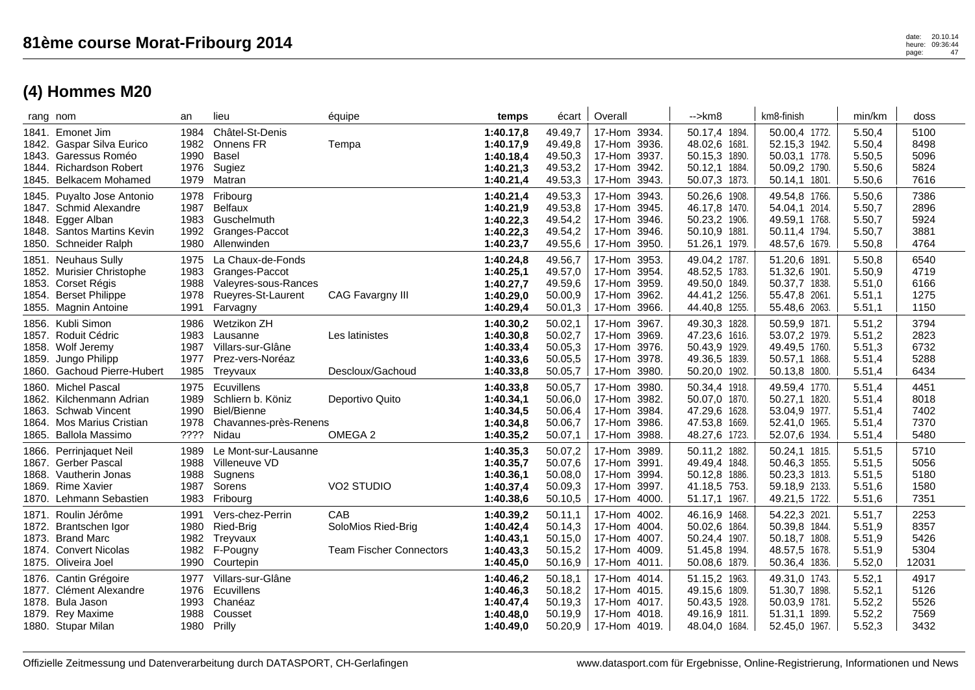| rang nom                |                                                                                                                                   | an                                   | lieu                                                                                          | équipe                                                      | temps                                                         | écart                                               | Overall                                                                                  | -->km8                                                                            | km8-finish                                                                           | min/km                                         | doss                                  |
|-------------------------|-----------------------------------------------------------------------------------------------------------------------------------|--------------------------------------|-----------------------------------------------------------------------------------------------|-------------------------------------------------------------|---------------------------------------------------------------|-----------------------------------------------------|------------------------------------------------------------------------------------------|-----------------------------------------------------------------------------------|--------------------------------------------------------------------------------------|------------------------------------------------|---------------------------------------|
| 1843.<br>1844.          | 1841. Emonet Jim<br>1842. Gaspar Silva Eurico<br>Garessus Roméo<br><b>Richardson Robert</b><br>1845. Belkacem Mohamed             | 1984<br>1982<br>1990<br>1976<br>1979 | Châtel-St-Denis<br>Onnens FR<br>Basel<br>Sugiez<br>Matran                                     | Tempa                                                       | 1:40.17,8<br>1:40.17,9<br>1:40.18,4<br>1:40.21,3<br>1:40.21,4 | 49.49,7<br>49.49,8<br>49.50,3<br>49.53,2<br>49.53,3 | 17-Hom 3934.<br>3936.<br>17-Hom<br>3937.<br>17-Hom<br>17-Hom 3942.<br>3943.<br>17-Hom    | 50.17,4 1894.<br>48.02,6 1681.<br>50.15,3 1890.<br>50.12,1 1884.<br>50.07,3 1873. | 50.00,4 1772.<br>52.15,3 1942.<br>50.03,1 1778.<br>50.09,2 1790.<br>50.14,1<br>1801. | 5.50,4<br>5.50,4<br>5.50,5<br>5.50,6<br>5.50,6 | 5100<br>8498<br>5096<br>5824<br>7616  |
| 1848.                   | 1845. Puyalto Jose Antonio<br>1847. Schmid Alexandre<br>1848. Egger Alban<br><b>Santos Martins Kevin</b><br>1850. Schneider Ralph | 1978<br>1987<br>1983<br>1992<br>1980 | Fribourg<br><b>Belfaux</b><br>Guschelmuth<br>Granges-Paccot<br>Allenwinden                    |                                                             | 1:40.21,4<br>1:40.21,9<br>1:40.22,3<br>1:40.22,3<br>1:40.23,7 | 49.53,3<br>49.53,8<br>49.54,2<br>49.54,2<br>49.55,6 | 17-Hom<br>3943.<br>3945.<br>17-Hom<br>3946.<br>17-Hom<br>3946.<br>17-Hom<br>17-Hom 3950. | 50.26,6 1908.<br>46.17,8 1470.<br>50.23,2 1906.<br>50.10,9 1881.<br>51.26,1 1979. | 49.54,8 1766.<br>54.04,1 2014.<br>49.59,1 1768.<br>50.11,4 1794.<br>48.57,6 1679.    | 5.50,6<br>5.50,7<br>5.50,7<br>5.50,7<br>5.50,8 | 7386<br>2896<br>5924<br>3881<br>4764  |
| 1853.<br>1855.          | 1851. Neuhaus Sully<br>1852. Murisier Christophe<br>Corset Régis<br>1854. Berset Philippe<br><b>Magnin Antoine</b>                | 1975<br>1983<br>1988<br>1978<br>1991 | La Chaux-de-Fonds<br>Granges-Paccot<br>Valeyres-sous-Rances<br>Rueyres-St-Laurent<br>Farvagny | CAG Favargny III                                            | 1:40.24,8<br>1:40.25,1<br>1:40.27,7<br>1:40.29,0<br>1:40.29,4 | 49.56,7<br>49.57,0<br>49.59,6<br>50.00,9<br>50.01,3 | 3953.<br>17-Hom<br>17-Hom 3954.<br>17-Hom<br>3959.<br>17-Hom<br>3962.<br>17-Hom 3966.    | 49.04,2 1787.<br>48.52,5 1783.<br>49.50,0 1849.<br>44.41,2 1256.<br>44.40,8 1255. | 51.20,6 1891.<br>51.32,6 1901.<br>50.37,7 1838.<br>55.47,8<br>2061.<br>55.48,6 2063. | 5.50,8<br>5.50,9<br>5.51,0<br>5.51,1<br>5.51,1 | 6540<br>4719<br>6166<br>1275<br>1150  |
| 1856.                   | Kubli Simon<br>1857. Roduit Cédric<br>1858. Wolf Jeremy<br>1859. Jungo Philipp<br>1860. Gachoud Pierre-Hubert                     | 1986<br>1983<br>1987<br>1977<br>1985 | Wetzikon ZH<br>Lausanne<br>Villars-sur-Glâne<br>Prez-vers-Noréaz<br>Treyvaux                  | Les latinistes<br>Descloux/Gachoud                          | 1:40.30,2<br>1:40.30,8<br>1:40.33,4<br>1:40.33,6<br>1:40.33,8 | 50.02,1<br>50.02,7<br>50.05,3<br>50.05,5<br>50.05,7 | 3967.<br>17-Hom<br>17-Hom 3969.<br>17-Hom 3976.<br>3978.<br>17-Hom<br>3980.<br>17-Hom    | 49.30,3 1828.<br>47.23,6 1616.<br>50.43,9 1929.<br>49.36,5 1839.<br>50.20,0 1902. | 50.59,9 1871.<br>53.07,2 1979.<br>49.49,5 1760.<br>50.57,1 1868.<br>50.13,8 1800.    | 5.51,2<br>5.51,2<br>5.51,3<br>5.51,4<br>5.51,4 | 3794<br>2823<br>6732<br>5288<br>6434  |
| 1863.                   | 1860. Michel Pascal<br>1862. Kilchenmann Adrian<br><b>Schwab Vincent</b><br>1864. Mos Marius Cristian<br>1865. Ballola Massimo    | 1975<br>1989<br>1990<br>1978<br>???? | Ecuvillens<br>Schliern b. Köniz<br><b>Biel/Bienne</b><br>Chavannes-près-Renens<br>Nidau       | Deportivo Quito<br>OMEGA 2                                  | 1:40.33,8<br>1:40.34,1<br>1:40.34,5<br>1:40.34,8<br>1:40.35,2 | 50.05,7<br>50.06,0<br>50.06,4<br>50.06,7<br>50.07,1 | 17-Hom<br>3980.<br>3982.<br>17-Hom<br>17-Hom 3984.<br>3986.<br>17-Hom<br>3988.<br>17-Hom | 50.34,4 1918.<br>50.07,0 1870.<br>47.29,6 1628.<br>47.53,8 1669.<br>48.27,6 1723. | 49.59,4 1770.<br>50.27,1 1820.<br>53.04,9 1977.<br>52.41,0 1965.<br>52.07,6<br>1934. | 5.51,4<br>5.51,4<br>5.51,4<br>5.51,4<br>5.51,4 | 4451<br>8018<br>7402<br>7370<br>5480  |
| 1868.                   | 1866. Perrinjaquet Neil<br>1867. Gerber Pascal<br>Vautherin Jonas<br>1869. Rime Xavier<br>1870. Lehmann Sebastien                 | 1989<br>1988<br>1988<br>1987<br>1983 | Le Mont-sur-Lausanne<br>Villeneuve VD<br>Sugnens<br>Sorens<br>Fribourg                        | <b>VO2 STUDIO</b>                                           | 1:40.35,3<br>1:40.35,7<br>1:40.36,1<br>1:40.37,4<br>1:40.38,6 | 50.07.2<br>50.07,6<br>50.08,0<br>50.09,3<br>50.10,5 | 17-Hom<br>3989.<br>3991.<br>17-Hom<br>3994.<br>17-Hom<br>17-Hom 3997.<br>17-Hom<br>4000. | 50.11,2 1882.<br>49.49,4 1848.<br>50.12,8 1886.<br>41.18,5 753.<br>51.17,1 1967.  | 50.24,1 1815.<br>50.46,3 1855.<br>50.23,3 1813.<br>59.18,9 2133.<br>49.21,5 1722.    | 5.51,5<br>5.51,5<br>5.51,5<br>5.51,6<br>5.51,6 | 5710<br>5056<br>5180<br>1580<br>7351  |
| 1871.<br>1872.<br>1873. | Roulin Jérôme<br>Brantschen Igor<br><b>Brand Marc</b><br>1874. Convert Nicolas<br>1875. Oliveira Joel                             | 1991<br>1980<br>1982<br>1982<br>1990 | Vers-chez-Perrin<br><b>Ried-Brig</b><br>Treyvaux<br>F-Pougny<br>Courtepin                     | CAB<br>SoloMios Ried-Brig<br><b>Team Fischer Connectors</b> | 1:40.39,2<br>1:40.42,4<br>1:40.43,1<br>1:40.43,3<br>1:40.45,0 | 50.11,1<br>50.14,3<br>50.15,0<br>50.15,2<br>50.16,9 | 17-Hom<br>4002.<br>17-Hom 4004.<br>17-Hom 4007.<br>17-Hom 4009.<br>17-Hom 4011.          | 46.16,9 1468.<br>50.02,6 1864.<br>50.24,4 1907.<br>51.45,8 1994.<br>50.08,6 1879. | 54.22,3 2021.<br>50.39,8 1844.<br>50.18,7 1808.<br>48.57,5 1678.<br>50.36,4 1836.    | 5.51,7<br>5.51,9<br>5.51,9<br>5.51,9<br>5.52,0 | 2253<br>8357<br>5426<br>5304<br>12031 |
| 1876.<br>1877.          | Cantin Grégoire<br>Clément Alexandre<br>1878. Bula Jason<br>1879. Rey Maxime<br>1880. Stupar Milan                                | 1977<br>1976<br>1993<br>1988<br>1980 | Villars-sur-Glâne<br>Ecuvillens<br>Chanéaz<br>Cousset<br>Prilly                               |                                                             | 1:40.46,2<br>1:40.46,3<br>1:40.47,4<br>1:40.48,0<br>1:40.49,0 | 50.18,1<br>50.18,2<br>50.19,3<br>50.19,9<br>50.20,9 | 17-Hom 4014.<br>17-Hom 4015.<br>17-Hom 4017.<br>17-Hom 4018.<br>17-Hom 4019.             | 51.15,2 1963.<br>49.15,6 1809.<br>50.43,5 1928.<br>49.16,9 1811.<br>48.04,0 1684. | 49.31,0 1743.<br>51.30,7 1898.<br>50.03,9 1781.<br>51.31,1<br>1899.<br>52.45,0 1967. | 5.52,1<br>5.52,1<br>5.52,2<br>5.52,2<br>5.52,3 | 4917<br>5126<br>5526<br>7569<br>3432  |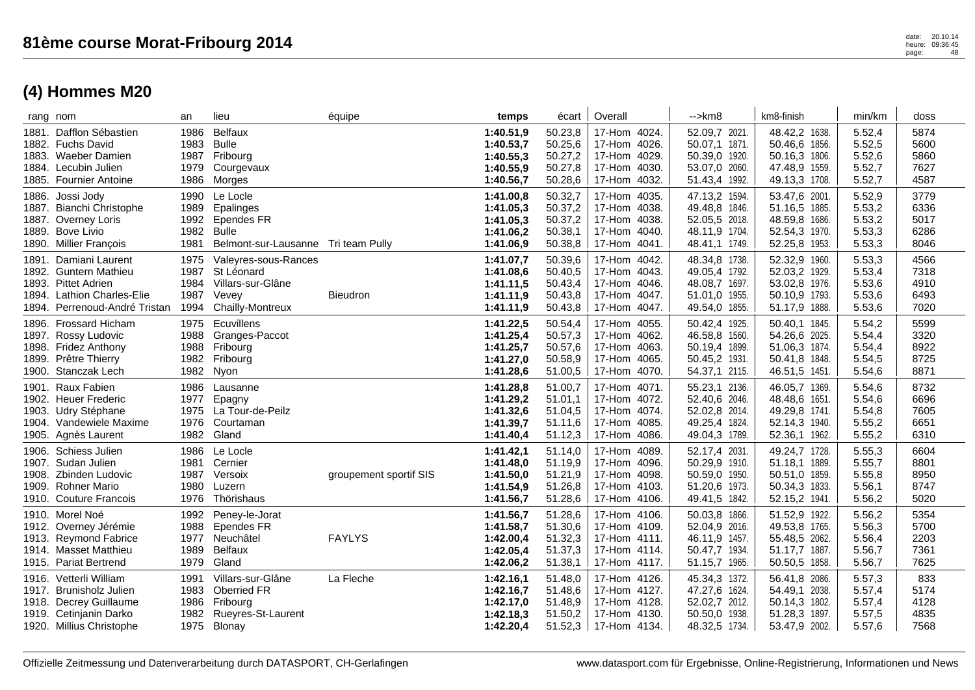|                | rang nom                                                                                                                          | an                                   | lieu                                                                                        | équipe                 | temps                                                         | écart                                               | Overall                                                                                  | -->km8                                                                            | km8-finish                                                                           | min/km                                         | doss                                 |
|----------------|-----------------------------------------------------------------------------------------------------------------------------------|--------------------------------------|---------------------------------------------------------------------------------------------|------------------------|---------------------------------------------------------------|-----------------------------------------------------|------------------------------------------------------------------------------------------|-----------------------------------------------------------------------------------|--------------------------------------------------------------------------------------|------------------------------------------------|--------------------------------------|
|                | 1881. Dafflon Sébastien<br>1882. Fuchs David<br>1883. Waeber Damien<br>1884. Lecubin Julien<br>1885. Fournier Antoine             | 1986<br>1983<br>1987<br>1979<br>1986 | Belfaux<br><b>Bulle</b><br>Fribourg<br>Courgevaux<br>Morges                                 |                        | 1:40.51,9<br>1:40.53,7<br>1:40.55,3<br>1:40.55,9<br>1:40.56,7 | 50.23,8<br>50.25,6<br>50.27,2<br>50.27,8<br>50.28,6 | 17-Hom 4024.<br>17-Hom<br>4026.<br>17-Hom<br>4029.<br>17-Hom<br>4030.<br>17-Hom<br>4032. | 52.09,7 2021<br>50.07,1 1871.<br>50.39,0 1920.<br>53.07,0 2060.<br>51.43,4 1992.  | 48.42,2 1638.<br>50.46,6 1856.<br>50.16,3 1806.<br>47.48,9 1559.<br>49.13,3 1708.    | 5.52,4<br>5.52,5<br>5.52,6<br>5.52,7<br>5.52,7 | 5874<br>5600<br>5860<br>7627<br>4587 |
| 1887.<br>1889. | 1886. Jossi Jody<br>Bianchi Christophe<br>1887. Overney Loris<br><b>Bove Livio</b><br>1890. Millier François                      | 1990<br>1989<br>1992<br>1982<br>1981 | Le Locle<br>Epalinges<br>Ependes FR<br><b>Bulle</b><br>Belmont-sur-Lausanne Tri team Pully  |                        | 1:41.00,8<br>1:41.05,3<br>1:41.05,3<br>1:41.06,2<br>1:41.06,9 | 50.32,7<br>50.37,2<br>50.37,2<br>50.38,1<br>50.38,8 | 17-Hom 4035.<br>4038.<br>17-Hom<br>4038<br>17-Hom<br>17-Hom<br>4040.<br>17-Hom<br>4041.  | 47.13,2 1594.<br>49.48,8 1846.<br>52.05,5 2018.<br>48.11,9 1704.<br>48.41,1 1749. | 53.47,6 2001.<br>51.16,5 1885.<br>48.59,8<br>1686.<br>52.54,3 1970.<br>52.25,8 1953. | 5.52,9<br>5.53,2<br>5.53,2<br>5.53,3<br>5.53,3 | 3779<br>6336<br>5017<br>6286<br>8046 |
| 1891.          | Damiani Laurent<br>1892. Guntern Mathieu<br>1893. Pittet Adrien<br>1894. Lathion Charles-Elie<br>1894. Perrenoud-André Tristan    | 1975<br>1987<br>1984<br>1987<br>1994 | Valeyres-sous-Rances<br>St Léonard<br>Villars-sur-Glâne<br>Vevey<br><b>Chailly-Montreux</b> | <b>Bieudron</b>        | 1:41.07,7<br>1:41.08,6<br>1:41.11,5<br>1:41.11.9<br>1:41.11,9 | 50.39,6<br>50.40,5<br>50.43,4<br>50.43,8<br>50.43,8 | 17-Hom 4042.<br>17-Hom 4043.<br>17-Hom 4046.<br>17-Hom 4047.<br>17-Hom 4047.             | 48.34,8 1738.<br>49.05,4 1792.<br>48.08,7 1697.<br>51.01,0 1955.<br>49.54,0 1855. | 52.32,9 1960.<br>52.03,2 1929.<br>53.02,8 1976.<br>50.10,9 1793.<br>51.17,9 1888.    | 5.53,3<br>5.53,4<br>5.53,6<br>5.53,6<br>5.53,6 | 4566<br>7318<br>4910<br>6493<br>7020 |
|                | 1896. Frossard Hicham<br>1897. Rossy Ludovic<br>1898. Fridez Anthony<br>1899. Prêtre Thierry<br>1900. Stanczak Lech               | 1975<br>1988<br>1988<br>1982<br>1982 | Ecuvillens<br>Granges-Paccot<br>Fribourg<br>Fribourg<br>Nyon                                |                        | 1:41.22,5<br>1:41.25,4<br>1:41.25,7<br>1:41.27,0<br>1:41.28,6 | 50.54,4<br>50.57,3<br>50.57,6<br>50.58,9<br>51.00,5 | 17-Hom 4055.<br>17-Hom 4062.<br>4063.<br>17-Hom<br>17-Hom<br>4065.<br>17-Hom 4070.       | 50.42,4 1925.<br>46.58,8 1560.<br>50.19,4 1899.<br>50.45,2 1931.<br>54.37,1 2115. | 50.40,1 1845.<br>54.26,6 2025.<br>51.06,3 1874.<br>50.41,8<br>1848.<br>46.51,5 1451. | 5.54,2<br>5.54,4<br>5.54,4<br>5.54,5<br>5.54,6 | 5599<br>3320<br>8922<br>8725<br>8871 |
| 1901.          | Raux Fabien<br>1902. Heuer Frederic<br>1903. Udry Stéphane<br>1904. Vandewiele Maxime<br>1905. Agnès Laurent                      | 1986<br>1977<br>1975<br>1976<br>1982 | Lausanne<br>Epagny<br>La Tour-de-Peilz<br>Courtaman<br>Gland                                |                        | 1:41.28,8<br>1:41.29,2<br>1:41.32,6<br>1:41.39,7<br>1:41.40,4 | 51.00,7<br>51.01,1<br>51.04,5<br>51.11,6<br>51.12,3 | 17-Hom<br>4071.<br>17-Hom 4072.<br>4074.<br>17-Hom<br>17-Hom<br>4085<br>17-Hom 4086.     | 55.23,1 2136.<br>52.40,6 2046.<br>52.02,8 2014.<br>49.25,4 1824.<br>49.04,3 1789. | 46.05,7 1369.<br>48.48,6 1651.<br>49.29,8 1741.<br>52.14,3<br>1940.<br>52.36,1 1962. | 5.54,6<br>5.54,6<br>5.54,8<br>5.55,2<br>5.55,2 | 8732<br>6696<br>7605<br>6651<br>6310 |
| 1909.          | 1906. Schiess Julien<br>1907. Sudan Julien<br>1908. Zbinden Ludovic<br><b>Rohner Mario</b><br>1910. Couture Francois              | 1986<br>1981<br>1987<br>1980<br>1976 | Le Locle<br>Cernier<br>Versoix<br>Luzern<br>Thörishaus                                      | groupement sportif SIS | 1:41.42,1<br>1:41.48,0<br>1:41.50,0<br>1:41.54,9<br>1:41.56,7 | 51.14,0<br>51.19,9<br>51.21,9<br>51.26,8<br>51.28,6 | 17-Hom<br>4089<br>17-Hom 4096.<br>17-Hom<br>4098.<br>17-Hom 4103.<br>17-Hom 4106.        | 52.17,4 2031.<br>50.29,9 1910.<br>50.59,0 1950.<br>51.20,6 1973.<br>49.41,5 1842. | 49.24,7 1728.<br>51.18,1 1889.<br>50.51,0 1859.<br>50.34,3<br>1833.<br>52.15,2 1941. | 5.55,3<br>5.55,7<br>5.55,8<br>5.56,1<br>5.56,2 | 6604<br>8801<br>8950<br>8747<br>5020 |
|                | 1910. Morel Noé<br>1912. Overney Jérémie<br>1913. Reymond Fabrice<br>1914. Masset Matthieu<br>1915. Pariat Bertrend               | 1992<br>1988<br>1977<br>1989<br>1979 | Peney-le-Jorat<br>Ependes FR<br>Neuchâtel<br><b>Belfaux</b><br>Gland                        | <b>FAYLYS</b>          | 1:41.56,7<br>1:41.58,7<br>1:42.00,4<br>1:42.05,4<br>1:42.06,2 | 51.28,6<br>51.30,6<br>51.32,3<br>51.37,3<br>51.38,1 | 17-Hom 4106.<br>17-Hom 4109.<br>17-Hom 4111.<br>17-Hom 4114.<br>17-Hom 4117.             | 50.03,8 1866.<br>52.04,9 2016.<br>46.11,9 1457.<br>50.47,7 1934.<br>51.15,7 1965. | 51.52,9 1922.<br>49.53,8 1765.<br>55.48,5 2062.<br>51.17,7<br>1887.<br>50.50,5 1858. | 5.56,2<br>5.56,3<br>5.56,4<br>5.56,7<br>5.56,7 | 5354<br>5700<br>2203<br>7361<br>7625 |
|                | 1916. Vetterli William<br>1917. Brunisholz Julien<br>1918. Decrey Guillaume<br>1919. Cetinianin Darko<br>1920. Millius Christophe | 1991<br>1983<br>1986<br>1982         | Villars-sur-Glâne<br><b>Oberried FR</b><br>Fribourg<br>Rueyres-St-Laurent<br>1975 Blonay    | La Fleche              | 1:42.16,1<br>1:42.16,7<br>1:42.17,0<br>1:42.18,3<br>1:42.20,4 | 51.48,0<br>51.48,6<br>51.48,9<br>51.50,2            | 17-Hom 4126.<br>17-Hom 4127.<br>17-Hom 4128.<br>17-Hom 4130.<br>$51.52,3$   17-Hom 4134. | 45.34,3 1372.<br>47.27,6 1624.<br>52.02,7 2012.<br>50.50,0 1938.<br>48.32,5 1734. | 56.41,8 2086.<br>54.49,1 2038.<br>50.14,3 1802.<br>51.28,3 1897.<br>53.47,9 2002.    | 5.57,3<br>5.57,4<br>5.57,4<br>5.57,5<br>5.57,6 | 833<br>5174<br>4128<br>4835<br>7568  |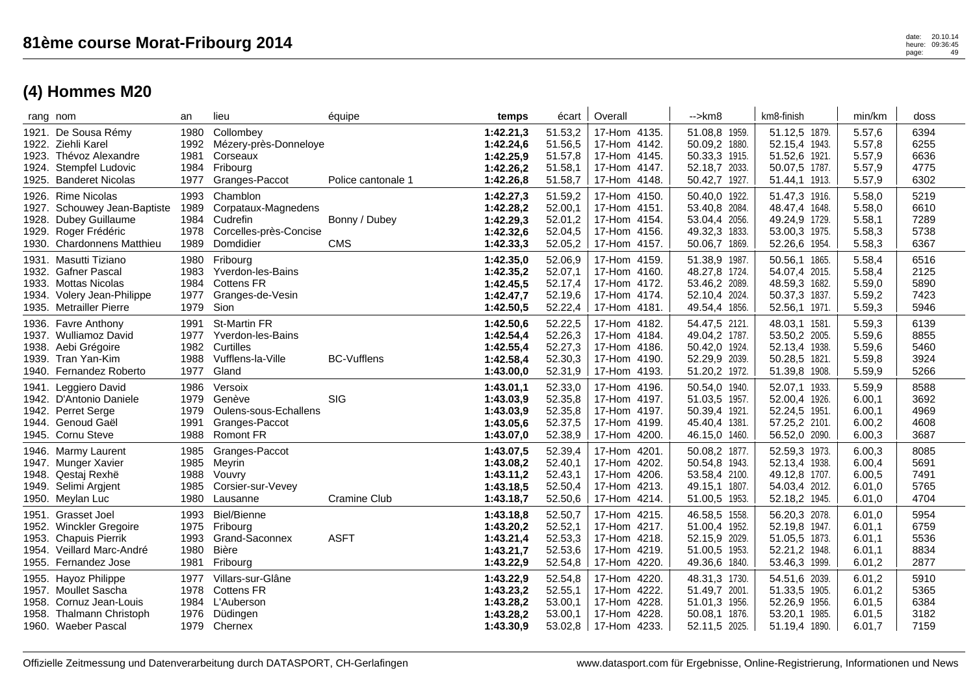|                         | rang nom                                                                                                             | an                                   | lieu                                                                                       | équipe                      | temps                                                         | écart                                               | Overall                                                                                  | -->km8                                                                            | km8-finish                                                                           | min/km                                         | doss                                 |
|-------------------------|----------------------------------------------------------------------------------------------------------------------|--------------------------------------|--------------------------------------------------------------------------------------------|-----------------------------|---------------------------------------------------------------|-----------------------------------------------------|------------------------------------------------------------------------------------------|-----------------------------------------------------------------------------------|--------------------------------------------------------------------------------------|------------------------------------------------|--------------------------------------|
| 1924.<br>1925.          | 1921. De Sousa Rémy<br>1922. Ziehli Karel<br>1923. Thévoz Alexandre<br>Stempfel Ludovic<br><b>Banderet Nicolas</b>   | 1980<br>1992<br>1981<br>1984<br>1977 | Collombey<br>Mézery-près-Donneloye<br>Corseaux<br>Fribourg<br>Granges-Paccot               | Police cantonale 1          | 1:42.21,3<br>1:42.24,6<br>1:42.25,9<br>1:42.26,2<br>1:42.26,8 | 51.53,2<br>51.56,5<br>51.57,8<br>51.58,1<br>51.58,7 | 17-Hom 4135.<br>17-Hom 4142.<br>17-Hom 4145.<br>17-Hom 4147.<br>17-Hom 4148.             | 51.08,8 1959.<br>50.09,2 1880.<br>50.33,3 1915.<br>52.18,7 2033.<br>50.42,7 1927. | 51.12,5 1879.<br>52.15,4 1943.<br>51.52,6 1921.<br>50.07,5 1787.<br>51.44,1 1913.    | 5.57,6<br>5.57,8<br>5.57,9<br>5.57,9<br>5.57,9 | 6394<br>6255<br>6636<br>4775<br>6302 |
| 1927.<br>1928.<br>1929. | 1926. Rime Nicolas<br>Schouwey Jean-Baptiste<br>Dubey Guillaume<br>Roger Frédéric<br>1930. Chardonnens Matthieu      | 1993<br>1989<br>1984<br>1978<br>1989 | Chamblon<br>Corpataux-Magnedens<br>Cudrefin<br>Corcelles-près-Concise<br>Domdidier         | Bonny / Dubey<br><b>CMS</b> | 1:42.27,3<br>1:42.28,2<br>1:42.29,3<br>1:42.32,6<br>1:42.33,3 | 51.59,2<br>52.00,1<br>52.01,2<br>52.04,5<br>52.05,2 | 17-Hom 4150.<br>17-Hom 4151.<br>17-Hom 4154.<br>17-Hom 4156.<br>17-Hom 4157.             | 50.40,0 1922.<br>53.40,8 2084.<br>53.04,4 2056.<br>49.32,3 1833.<br>50.06,7 1869. | 51.47,3 1916.<br>48.47,4 1648.<br>49.24,9 1729.<br>53.00,3 1975.<br>52.26,6 1954.    | 5.58,0<br>5.58,0<br>5.58,1<br>5.58,3<br>5.58,3 | 5219<br>6610<br>7289<br>5738<br>6367 |
| 1931.<br>1934.          | Masutti Tiziano<br>1932. Gafner Pascal<br>1933. Mottas Nicolas<br>Volery Jean-Philippe<br>1935. Metrailler Pierre    | 1980<br>1983<br>1984<br>1977<br>1979 | Fribourg<br>Yverdon-les-Bains<br><b>Cottens FR</b><br>Granges-de-Vesin<br>Sion             |                             | 1:42.35,0<br>1:42.35,2<br>1:42.45,5<br>1:42.47.7<br>1:42.50,5 | 52.06,9<br>52.07,1<br>52.17,4<br>52.19,6<br>52.22,4 | 17-Hom 4159.<br>17-Hom 4160.<br>17-Hom 4172.<br>17-Hom 4174.<br>17-Hom 4181.             | 51.38,9 1987.<br>48.27,8 1724.<br>53.46,2 2089.<br>52.10,4 2024.<br>49.54,4 1856. | 50.56,1 1865.<br>54.07,4 2015.<br>48.59,3 1682.<br>50.37,3 1837.<br>52.56,1 1971.    | 5.58,4<br>5.58,4<br>5.59,0<br>5.59,2<br>5.59,3 | 6516<br>2125<br>5890<br>7423<br>5946 |
|                         | 1936. Favre Anthony<br>1937. Wulliamoz David<br>1938. Aebi Grégoire<br>1939. Tran Yan-Kim<br>1940. Fernandez Roberto | 1991<br>1977<br>1982<br>1988<br>1977 | <b>St-Martin FR</b><br><b>Yverdon-les-Bains</b><br>Curtilles<br>Vufflens-la-Ville<br>Gland | <b>BC-Vufflens</b>          | 1:42.50,6<br>1:42.54,4<br>1:42.55,4<br>1:42.58,4<br>1:43.00,0 | 52.22,5<br>52.26,3<br>52.27,3<br>52.30,3<br>52.31,9 | 17-Hom 4182.<br>17-Hom 4184.<br>17-Hom 4186.<br>17-Hom 4190.<br>17-Hom 4193.             | 54.47,5 2121.<br>49.04,2 1787.<br>50.42,0 1924.<br>52.29,9 2039.<br>51.20,2 1972. | 48.03,1 1581.<br>53.50,2 2005.<br>52.13,4 1938.<br>50.28,5 1821.<br>51.39,8 1908.    | 5.59,3<br>5.59,6<br>5.59,6<br>5.59,8<br>5.59,9 | 6139<br>8855<br>5460<br>3924<br>5266 |
| 1941.                   | Leggiero David<br>1942. D'Antonio Daniele<br>1942. Perret Serge<br>1944. Genoud Gaël<br>1945. Cornu Steve            | 1986<br>1979<br>1979<br>1991<br>1988 | Versoix<br>Genève<br>Oulens-sous-Echallens<br>Granges-Paccot<br>Romont FR                  | SIG                         | 1:43.01.1<br>1:43.03,9<br>1:43.03,9<br>1:43.05,6<br>1:43.07,0 | 52.33,0<br>52.35,8<br>52.35,8<br>52.37,5<br>52.38,9 | 17-Hom 4196.<br>17-Hom 4197.<br>17-Hom 4197.<br>17-Hom 4199.<br>17-Hom 4200.             | 50.54,0 1940.<br>51.03,5 1957.<br>50.39,4 1921.<br>45.40,4 1381.<br>46.15,0 1460. | 52.07,1 1933.<br>52.00,4 1926.<br>52.24,5 1951.<br>57.25,2 2101.<br>56.52,0 2090.    | 5.59,9<br>6.00,1<br>6.00,1<br>6.00,2<br>6.00,3 | 8588<br>3692<br>4969<br>4608<br>3687 |
|                         | 1946. Marmy Laurent<br>1947. Munger Xavier<br>1948. Qestaj Rexhë<br>1949. Selimi Argjent<br>1950. Meylan Luc         | 1985<br>1985<br>1988<br>1985<br>1980 | Granges-Paccot<br>Meyrin<br>Vouvry<br>Corsier-sur-Vevey<br>Lausanne                        | Cramine Club                | 1:43.07,5<br>1:43.08.2<br>1:43.11,2<br>1:43.18,5<br>1:43.18,7 | 52.39,4<br>52.40,1<br>52.43,1<br>52.50,4<br>52.50,6 | 17-Hom<br>4201.<br>17-Hom 4202.<br>17-Hom<br>4206.<br>17-Hom<br>4213.<br>17-Hom 4214.    | 50.08,2 1877.<br>50.54,8 1943.<br>53.58,4 2100.<br>49.15,1 1807.<br>51.00,5 1953. | 52.59,3 1973.<br>52.13,4 1938.<br>49.12,8 1707.<br>54.03,4 2012.<br>52.18,2 1945.    | 6.00,3<br>6.00,4<br>6.00,5<br>6.01,0<br>6.01,0 | 8085<br>5691<br>7491<br>5765<br>4704 |
| 1951.<br>1954.          | Grasset Joel<br>1952. Winckler Gregoire<br>1953. Chapuis Pierrik<br>Veillard Marc-André<br>1955. Fernandez Jose      | 1993<br>1975<br>1993<br>1980<br>1981 | <b>Biel/Bienne</b><br>Fribourg<br>Grand-Saconnex<br>Bière<br>Fribourg                      | <b>ASFT</b>                 | 1:43.18,8<br>1:43.20,2<br>1:43.21,4<br>1:43.21,7<br>1:43.22,9 | 52.50,7<br>52.52,1<br>52.53,3<br>52.53,6<br>52.54,8 | 17-Hom<br>4215.<br>17-Hom 4217.<br>17-Hom 4218.<br>4219.<br>17-Hom<br>17-Hom 4220.       | 46.58,5 1558.<br>51.00,4 1952.<br>52.15,9 2029.<br>51.00,5 1953.<br>49.36,6 1840. | 56.20,3 2078.<br>52.19,8 1947.<br>51.05,5 1873.<br>52.21,2 1948.<br>53.46,3 1999.    | 6.01,0<br>6.01,1<br>6.01,1<br>6.01.1<br>6.01,2 | 5954<br>6759<br>5536<br>8834<br>2877 |
| 1955.                   | Hayoz Philippe<br>1957. Moullet Sascha<br>1958. Cornuz Jean-Louis<br>1958. Thalmann Christoph<br>1960. Waeber Pascal | 1977<br>1978<br>1984<br>1976<br>1979 | Villars-sur-Glâne<br><b>Cottens FR</b><br>L'Auberson<br>Düdingen<br>Chernex                |                             | 1:43.22,9<br>1:43.23,2<br>1:43.28,2<br>1:43.28,2<br>1:43.30,9 | 52.54,8<br>52.55,1<br>53.00,1<br>53.00,1<br>53.02,8 | 17-Hom<br>4220.<br>4222.<br>17-Hom<br>17-Hom<br>4228.<br>17-Hom<br>4228.<br>17-Hom 4233. | 48.31,3 1730.<br>51.49,7 2001.<br>51.01,3 1956.<br>50.08,1 1876.<br>52.11,5 2025. | 54.51,6 2039.<br>51.33,5 1905.<br>52.26,9 1956.<br>53.20,1<br>1985.<br>51.19,4 1890. | 6.01,2<br>6.01,2<br>6.01,5<br>6.01,5<br>6.01,7 | 5910<br>5365<br>6384<br>3182<br>7159 |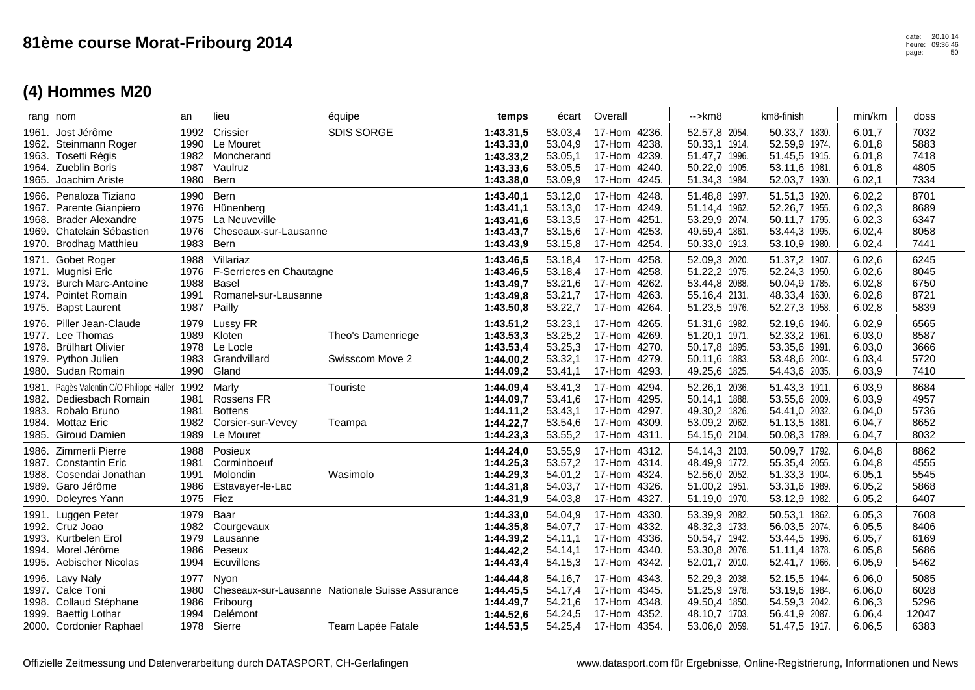| date:<br>81ème course Morat-Fribourg 2014<br>heure:<br>page: |                                                                                                                                       |                                      |                                                                                  |                                                  |                                                               |                                                     |                                                                              |                                                                                      |                                                                                   |                                                | 20.10.14<br>09:36:46<br>50           |
|--------------------------------------------------------------|---------------------------------------------------------------------------------------------------------------------------------------|--------------------------------------|----------------------------------------------------------------------------------|--------------------------------------------------|---------------------------------------------------------------|-----------------------------------------------------|------------------------------------------------------------------------------|--------------------------------------------------------------------------------------|-----------------------------------------------------------------------------------|------------------------------------------------|--------------------------------------|
|                                                              | (4) Hommes M20                                                                                                                        |                                      |                                                                                  |                                                  |                                                               |                                                     |                                                                              |                                                                                      |                                                                                   |                                                |                                      |
|                                                              | rang nom                                                                                                                              | an                                   | lieu                                                                             | équipe                                           | temps                                                         | écart                                               | Overall                                                                      | -->km8                                                                               | km8-finish                                                                        | min/km                                         | doss                                 |
|                                                              | 1961. Jost Jérôme<br>1962. Steinmann Roger<br>1963. Tosetti Régis<br>1964. Zueblin Boris<br>1965. Joachim Ariste                      | 1992<br>1990<br>1982<br>1987<br>1980 | Crissier<br>Le Mouret<br>Moncherand<br>Vaulruz<br>Bern                           | <b>SDIS SORGE</b>                                | 1:43.31,5<br>1:43.33,0<br>1:43.33,2<br>1:43.33,6<br>1:43.38,0 | 53.03,4<br>53.04,9<br>53.05,1<br>53.05,5<br>53.09,9 | 17-Hom 4236.<br>17-Hom 4238.<br>17-Hom 4239.<br>17-Hom 4240.<br>17-Hom 4245. | 52.57,8 2054.<br>50.33,1 1914.<br>51.47,7 1996.<br>50.22,0<br>1905.<br>51.34,3 1984. | 50.33,7 1830.<br>52.59,9 1974.<br>51.45,5 1915.<br>53.11,6 1981.<br>52.03,7 1930. | 6.01,7<br>6.01,8<br>6.01,8<br>6.01,8<br>6.02,1 | 7032<br>5883<br>7418<br>4805<br>7334 |
|                                                              | 1966. Penaloza Tiziano<br>1967. Parente Gianpiero<br>1968. Brader Alexandre<br>1969. Chatelain Sébastien<br>1970. Brodhag Matthieu    | 1990<br>1976<br>1975<br>1976<br>1983 | Bern<br>Hünenberg<br>La Neuveville<br>Cheseaux-sur-Lausanne<br>Bern              |                                                  | 1:43.40,1<br>1:43.41.1<br>1:43.41,6<br>1:43.43,7<br>1:43.43,9 | 53.12,0<br>53.13,0<br>53.13,5<br>53.15,6<br>53.15,8 | 17-Hom 4248.<br>17-Hom 4249.<br>17-Hom 4251.<br>17-Hom 4253.<br>17-Hom 4254. | 51.48,8<br>1997.<br>51.14,4 1962.<br>53.29,9 2074.<br>49.59,4 1861.<br>50.33,0 1913. | 51.51,3 1920.<br>52.26,7 1955.<br>50.11,7 1795.<br>53.44,3 1995.<br>53.10,9 1980. | 6.02,2<br>6.02,3<br>6.02,3<br>6.02,4<br>6.02,4 | 8701<br>8689<br>6347<br>8058<br>7441 |
|                                                              | 1971. Gobet Roger<br>1971.  Mugnisi Eric<br>1973. Burch Marc-Antoine<br>1974. Pointet Romain<br>1975. Bapst Laurent                   | 1988<br>1976<br>1988<br>1991<br>1987 | Villariaz<br>F-Serrieres en Chautagne<br>Basel<br>Romanel-sur-Lausanne<br>Pailly |                                                  | 1:43.46,5<br>1:43.46,5<br>1:43.49,7<br>1:43.49,8<br>1:43.50,8 | 53.18,4<br>53.18,4<br>53.21,6<br>53.21,7<br>53.22,7 | 17-Hom 4258.<br>17-Hom 4258.<br>17-Hom 4262.<br>17-Hom 4263.<br>17-Hom 4264. | 52.09,3 2020.<br>51.22,2 1975.<br>53.44,8 2088.<br>55.16,4 2131.<br>51.23,5 1976.    | 51.37,2 1907.<br>52.24,3 1950.<br>50.04,9 1785.<br>48.33,4 1630.<br>52.27,3 1958. | 6.02,6<br>6.02,6<br>6.02,8<br>6.02,8<br>6.02,8 | 6245<br>8045<br>6750<br>8721<br>5839 |
|                                                              | 1976. Piller Jean-Claude<br>1977. Lee Thomas<br>1978. Brülhart Olivier<br>1979. Python Julien<br>1980. Sudan Romain                   | 1979<br>1989<br>1978<br>1983<br>1990 | Lussy FR<br>Kloten<br>Le Locle<br>Grandvillard<br>Gland                          | Theo's Damenriege<br>Swisscom Move 2             | 1:43.51,2<br>1:43.53,3<br>1:43.53,4<br>1:44.00,2<br>1:44.09,2 | 53.23,1<br>53.25,2<br>53.25,3<br>53.32,1<br>53.41,1 | 17-Hom 4265.<br>17-Hom 4269.<br>17-Hom 4270.<br>17-Hom 4279.<br>17-Hom 4293. | 51.31,6 1982.<br>51.20,1 1971.<br>50.17,8 1895.<br>50.11,6 1883.<br>49.25,6 1825.    | 52.19,6 1946.<br>52.33,2 1961.<br>53.35,6 1991.<br>53.48,6 2004.<br>54.43,6 2035. | 6.02,9<br>6.03,0<br>6.03,0<br>6.03,4<br>6.03,9 | 6565<br>8587<br>3666<br>5720<br>7410 |
|                                                              | 1981. Pagès Valentin C/O Philippe Häller<br>1982. Dediesbach Romain<br>1983. Robalo Bruno<br>1984. Mottaz Eric<br>1985. Giroud Damien | 1992<br>1981<br>1981<br>1982<br>1989 | Marly<br>Rossens FR<br><b>Bottens</b><br>Corsier-sur-Vevey<br>Le Mouret          | Touriste<br>Teampa                               | 1:44.09.4<br>1:44.09,7<br>1:44.11,2<br>1:44.22,7<br>1:44.23,3 | 53.41,3<br>53.41,6<br>53.43,1<br>53.54,6<br>53.55,2 | 17-Hom 4294.<br>17-Hom 4295.<br>17-Hom 4297.<br>17-Hom 4309.<br>17-Hom 4311. | 52.26,1 2036.<br>50.14,1 1888.<br>49.30,2 1826.<br>53.09,2 2062.<br>54.15,0 2104.    | 51.43,3 1911.<br>53.55,6 2009.<br>54.41,0 2032.<br>51.13,5 1881.<br>50.08,3 1789. | 6.03,9<br>6.03,9<br>6.04,0<br>6.04,7<br>6.04,7 | 8684<br>4957<br>5736<br>8652<br>8032 |
|                                                              | 1986. Zimmerli Pierre<br>1987. Constantin Eric<br>1988. Cosendai Jonathan<br>1989. Garo Jérôme<br>1990. Doleyres Yann                 | 1988<br>1981<br>1991<br>1986<br>1975 | Posieux<br>Corminboeuf<br>Molondin<br>Estavayer-le-Lac<br>Fiez                   | Wasimolo                                         | 1:44.24,0<br>1:44.25,3<br>1:44.29,3<br>1:44.31,8<br>1:44.31,9 | 53.55,9<br>53.57,2<br>54.01,2<br>54.03,7<br>54.03,8 | 17-Hom 4312.<br>17-Hom 4314.<br>17-Hom 4324.<br>17-Hom 4326.<br>17-Hom 4327. | 54.14,3 2103.<br>48.49,9 1772.<br>52.56,0 2052.<br>51.00,2 1951.<br>51.19,0 1970.    | 50.09,7 1792.<br>55.35,4 2055.<br>51.33,3 1904.<br>53.31,6 1989.<br>53.12,9 1982. | 6.04.8<br>6.04,8<br>6.05,1<br>6.05,2<br>6.05,2 | 8862<br>4555<br>5545<br>5868<br>6407 |
|                                                              | 1991. Luggen Peter<br>1992. Cruz Joao<br>1993. Kurtbelen Erol<br>1994. Morel Jérôme<br>1995. Aebischer Nicolas                        | 1979<br>1982<br>1979<br>1986<br>1994 | Baar<br>Courgevaux<br>Lausanne<br>Peseux<br>Ecuvillens                           |                                                  | 1:44.33,0<br>1:44.35,8<br>1:44.39.2<br>1:44.42,2<br>1:44.43,4 | 54.04,9<br>54.07,7<br>54.11,1<br>54.14,1<br>54.15,3 | 17-Hom 4330.<br>17-Hom 4332.<br>17-Hom 4336.<br>17-Hom 4340.<br>17-Hom 4342. | 53.39,9 2082.<br>48.32,3 1733.<br>50.54,7 1942.<br>53.30,8 2076.<br>52.01,7 2010.    | 50.53,1 1862.<br>56.03,5 2074.<br>53.44,5 1996.<br>51.11,4 1878.<br>52.41,7 1966. | 6.05,3<br>6.05,5<br>6.05,7<br>6.05,8<br>6.05,9 | 7608<br>8406<br>6169<br>5686<br>5462 |
|                                                              | 1996. Lavy Naly<br>1997. Calce Toni<br>1998. Collaud Stéphane<br>1999. Baettig Lothar                                                 | 1977<br>1980<br>1986                 | Nyon<br>Friboura<br>1994 Delémont                                                | Cheseaux-sur-Lausanne Nationale Suisse Assurance | 1:44.44,8<br>1:44.45,5<br>1:44.49,7<br>1:44.52,6              | 54.16,7<br>54.17,4<br>54.21,6<br>54.24,5            | 17-Hom 4343.<br>17-Hom 4345.<br>17-Hom 4348.<br>17-Hom 4352.                 | 52.29,3 2038.<br>51.25,9 1978.<br>49.50,4 1850.<br>48.10,7 1703.                     | 52.15,5 1944.<br>53.19,6 1984.<br>54.59,3 2042.<br>56.41,9 2087.                  | 6.06,0<br>6.06,0<br>6.06,3<br>6.06,4           | 5085<br>6028<br>5296<br>12047        |

1999. Baettig Lothar 1994 Delémont 1:44.52,6 54.24,5 | 17-Hom 4352. 48.10,7 1703. 56.41,9 2087. 6.06,4 | 12047 2000. Cordonier Raphael 1978 Sierre Team Lapée Fatale **1:44.53,5** 54.25,4 17-Hom 4354. 53.06,0 2059. 51.47,5 1917. 6.06,5 6383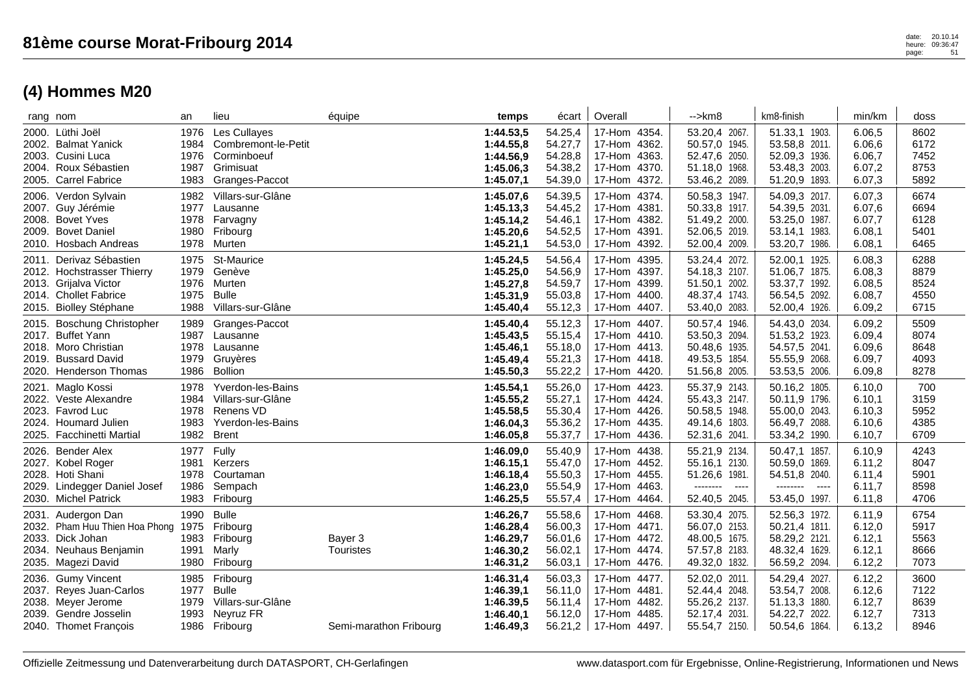|       | rang nom                                                                                                                               | an                                   | lieu                                                                                            | équipe                 | temps                                                         | écart                                               | Overall                                                                        | -->km8                                                                                   | km8-finish                                                                            | min/km                                         | doss                                 |
|-------|----------------------------------------------------------------------------------------------------------------------------------------|--------------------------------------|-------------------------------------------------------------------------------------------------|------------------------|---------------------------------------------------------------|-----------------------------------------------------|--------------------------------------------------------------------------------|------------------------------------------------------------------------------------------|---------------------------------------------------------------------------------------|------------------------------------------------|--------------------------------------|
|       | 2000. Lüthi Joël<br>2002. Balmat Yanick<br>2003. Cusini Luca<br>2004. Roux Sébastien<br>2005. Carrel Fabrice                           | 1976<br>1984<br>1976<br>1987<br>1983 | Les Cullayes<br>Combremont-le-Petit<br>Corminboeuf<br>Grimisuat<br>Granges-Paccot               |                        | 1:44.53,5<br>1:44.55,8<br>1:44.56,9<br>1:45.06,3<br>1:45.07,1 | 54.25,4<br>54.27,7<br>54.28,8<br>54.38,2<br>54.39,0 | 17-Hom 4354.<br>17-Hom 4362.<br>17-Hom 4363.<br>17-Hom 4370.<br>17-Hom 4372.   | 53.20,4 2067.<br>50.57,0 1945.<br>52.47,6 2050.<br>51.18,0 1968.<br>53.46,2 2089.        | 51.33,1 1903.<br>53.58,8 2011.<br>52.09,3 1936.<br>53.48,3 2003.<br>51.20,9<br>1893.  | 6.06,5<br>6.06,6<br>6.06,7<br>6.07,2<br>6.07,3 | 8602<br>6172<br>7452<br>8753<br>5892 |
| 2009. | 2006. Verdon Sylvain<br>2007. Guy Jérémie<br>2008. Bovet Yves<br><b>Bovet Daniel</b><br>2010. Hosbach Andreas                          | 1982<br>1977<br>1978<br>1980<br>1978 | Villars-sur-Glâne<br>Lausanne<br>Farvagny<br>Fribourg<br>Murten                                 |                        | 1:45.07,6<br>1:45.13,3<br>1:45.14,2<br>1:45.20,6<br>1:45.21,1 | 54.39,5<br>54.45,2<br>54.46,1<br>54.52,5<br>54.53,0 | 17-Hom 4374.<br>17-Hom 4381.<br>17-Hom 4382.<br>17-Hom 4391.<br>17-Hom 4392.   | 50.58,3 1947.<br>50.33,8 1917.<br>51.49,2 2000.<br>52.06,5 2019.<br>52.00,4 2009.        | 54.09,3 2017.<br>54.39,5 2031.<br>53.25,0 1987.<br>53.14,1 1983.<br>53.20,7 1986.     | 6.07,3<br>6.07,6<br>6.07,7<br>6.08,1<br>6.08,1 | 6674<br>6694<br>6128<br>5401<br>6465 |
| 2011. | Derivaz Sébastien<br>2012. Hochstrasser Thierry<br>2013. Grijalva Victor<br>2014. Chollet Fabrice<br>2015. Biolley Stéphane            | 1975<br>1979<br>1976<br>1975<br>1988 | <b>St-Maurice</b><br>Genève<br>Murten<br><b>Bulle</b><br>Villars-sur-Glâne                      |                        | 1:45.24,5<br>1:45.25,0<br>1:45.27,8<br>1:45.31,9<br>1:45.40,4 | 54.56,4<br>54.56,9<br>54.59,7<br>55.03,8<br>55.12,3 | 17-Hom 4395.<br>17-Hom 4397.<br>17-Hom 4399.<br>17-Hom 4400.<br>17-Hom 4407.   | 53.24,4 2072.<br>54.18,3 2107.<br>51.50,1 2002.<br>48.37,4 1743.<br>53.40,0 2083.        | 52.00,1 1925.<br>51.06,7 1875.<br>53.37,7 1992.<br>56.54,5 2092.<br>52.00,4 1926.     | 6.08,3<br>6.08,3<br>6.08,5<br>6.08,7<br>6.09,2 | 6288<br>8879<br>8524<br>4550<br>6715 |
| 2019. | 2015. Boschung Christopher<br>2017. Buffet Yann<br>2018. Moro Christian<br><b>Bussard David</b><br>2020. Henderson Thomas              | 1989<br>1987<br>1979<br>1986         | Granges-Paccot<br>Lausanne<br>1978 Lausanne<br>Gruyères<br><b>Bollion</b>                       |                        | 1:45.40,4<br>1:45.43,5<br>1:45.46,1<br>1:45.49,4<br>1:45.50,3 | 55.12,3<br>55.15,4<br>55.18,0<br>55.21,3<br>55.22,2 | 17-Hom 4407.<br>17-Hom 4410.<br>17-Hom 4413.<br>17-Hom 4418.<br>17-Hom 4420.   | 50.57,4 1946.<br>53.50,3 2094.<br>50.48,6 1935.<br>49.53,5 1854.<br>51.56,8 2005.        | 54.43,0 2034.<br>51.53,2 1923.<br>54.57,5 2041.<br>55.55,9 2068.<br>53.53,5 2006.     | 6.09,2<br>6.09,4<br>6.09,6<br>6.09,7<br>6.09,8 | 5509<br>8074<br>8648<br>4093<br>8278 |
|       | 2021. Maglo Kossi<br>2022. Veste Alexandre<br>2023. Favrod Luc<br>2024. Houmard Julien<br>2025. Facchinetti Martial                    | 1978<br>1984<br>1978<br>1983<br>1982 | <b>Yverdon-les-Bains</b><br>Villars-sur-Glâne<br>Renens VD<br>Yverdon-les-Bains<br><b>Brent</b> |                        | 1:45.54,1<br>1:45.55,2<br>1:45.58,5<br>1:46.04,3<br>1:46.05,8 | 55.26,0<br>55.27,1<br>55.30,4<br>55.36,2<br>55.37,7 | 17-Hom 4423.<br>17-Hom 4424.<br>17-Hom 4426.<br>17-Hom 4435.<br>17-Hom 4436.   | 55.37,9 2143.<br>55.43,3 2147.<br>50.58,5 1948.<br>49.14,6 1803.<br>52.31,6 2041.        | 50.16,2 1805.<br>50.11,9 1796.<br>55.00,0 2043.<br>56.49,7 2088.<br>53.34,2 1990.     | 6.10,0<br>6.10,1<br>6.10,3<br>6.10,6<br>6.10,7 | 700<br>3159<br>5952<br>4385<br>6709  |
|       | 2026. Bender Alex<br>2027. Kobel Roger<br>2028. Hoti Shani<br>2029. Lindegger Daniel Josef<br>2030. Michel Patrick                     | 1977<br>1981<br>1986<br>1983         | Fully<br>Kerzers<br>1978 Courtaman<br>Sempach<br>Fribourg                                       |                        | 1:46.09,0<br>1:46.15,1<br>1:46.18,4<br>1:46.23,0<br>1:46.25,5 | 55.40,9<br>55.47,0<br>55.50,3<br>55.54,9<br>55.57,4 | 17-Hom 4438.<br>17-Hom 4452.<br>17-Hom 4455.<br>17-Hom 4463.<br>17-Hom 4464.   | 55.21,9 2134.<br>55.16,1 2130.<br>51.26,6 1981.<br>--------<br>$\cdots$<br>52.40,5 2045. | 50.47,1 1857.<br>50.59,0 1869.<br>54.51,8 2040.<br>--------<br>$---$<br>53.45,0 1997. | 6.10,9<br>6.11,2<br>6.11,4<br>6.11,7<br>6.11,8 | 4243<br>8047<br>5901<br>8598<br>4706 |
|       | 2031. Audergon Dan<br>2032. Pham Huu Thien Hoa Phong 1975 Fribourg<br>2033. Dick Johan<br>2034. Neuhaus Benjamin<br>2035. Magezi David | 1990<br>1991<br>1980                 | <b>Bulle</b><br>1983 Fribourg<br>Marly<br>Fribourg                                              | Bayer 3<br>Touristes   | 1:46.26,7<br>1:46.28,4<br>1:46.29,7<br>1:46.30,2<br>1:46.31,2 | 55.58,6<br>56.00,3<br>56.01,6<br>56.02,1<br>56.03,1 | 17-Hom 4468.<br>17-Hom 4471.<br>17-Hom 4472.<br>17-Hom 4474.<br>17-Hom 4476.   | 53.30,4 2075.<br>56.07,0 2153.<br>48.00,5 1675.<br>57.57,8 2183.<br>49.32,0 1832.        | 52.56,3 1972.<br>50.21,4 1811.<br>58.29,2 2121.<br>48.32,4 1629.<br>56.59,2 2094.     | 6.11,9<br>6.12,0<br>6.12,1<br>6.12,1<br>6.12,2 | 6754<br>5917<br>5563<br>8666<br>7073 |
|       | 2036. Gumy Vincent<br>2037. Reyes Juan-Carlos<br>2038. Meyer Jerome<br>2039. Gendre Josselin<br>2040. Thomet François                  | 1985<br>1977<br>1979<br>1993         | Fribourg<br><b>Bulle</b><br>Villars-sur-Glâne<br>Neyruz FR<br>1986 Fribourg                     | Semi-marathon Fribourg | 1:46.31,4<br>1:46.39,1<br>1:46.39,5<br>1:46.40,1<br>1:46.49.3 | 56.03,3<br>56.11,0<br>56.11,4<br>56.12,0<br>56.21,2 | 17-Hom 4477.<br>17-Hom 4481.<br>17-Hom 4482.<br>17-Hom 4485.<br>  17-Hom 4497. | 52.02,0 2011.<br>52.44,4 2048.<br>55.26,2 2137.<br>52.17,4 2031.<br>55.54,7 2150.        | 54.29,4 2027.<br>53.54,7 2008.<br>51.13,3 1880.<br>54.22,7<br>2022.<br>50.54,6 1864.  | 6.12,2<br>6.12,6<br>6.12,7<br>6.12,7<br>6.13,2 | 3600<br>7122<br>8639<br>7313<br>8946 |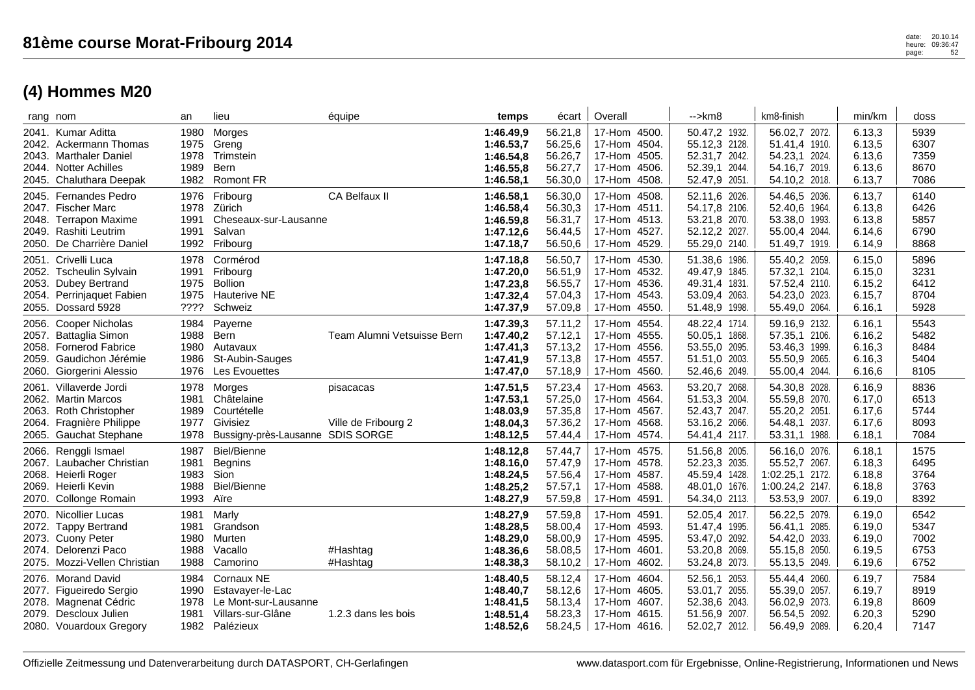| rang nom                |                                                                                                                                 | an                                   | lieu                                                                                          | équipe                           | temps                                                         | écart                                               | Overall                                                                                  | -->km8                                                                            | km8-finish                                                                              | min/km                                         | doss                                 |
|-------------------------|---------------------------------------------------------------------------------------------------------------------------------|--------------------------------------|-----------------------------------------------------------------------------------------------|----------------------------------|---------------------------------------------------------------|-----------------------------------------------------|------------------------------------------------------------------------------------------|-----------------------------------------------------------------------------------|-----------------------------------------------------------------------------------------|------------------------------------------------|--------------------------------------|
|                         | 2041. Kumar Aditta<br>2042. Ackermann Thomas<br>2043. Marthaler Daniel<br>2044. Notter Achilles<br>2045. Chaluthara Deepak      | 1980<br>1975<br>1978<br>1989<br>1982 | Morges<br>Greng<br>Trimstein<br>Bern<br><b>Romont FR</b>                                      |                                  | 1:46.49,9<br>1:46.53,7<br>1:46.54,8<br>1:46.55,8<br>1:46.58,1 | 56.21,8<br>56.25,6<br>56.26,7<br>56.27,7<br>56.30,0 | 17-Hom 4500.<br>4504.<br>17-Hom<br>4505<br>17-Hom<br>4506.<br>17-Hom<br>17-Hom<br>4508.  | 50.47,2 1932.<br>55.12,3 2128.<br>52.31,7 2042.<br>52.39,1 2044.<br>52.47,9 2051. | 56.02,7 2072.<br>51.41,4 1910.<br>54.23,1 2024.<br>54.16,7 2019.<br>54.10,2 2018.       | 6.13,3<br>6.13,5<br>6.13,6<br>6.13,6<br>6.13,7 | 5939<br>6307<br>7359<br>8670<br>7086 |
| 2048.<br>2049.<br>2050. | 2045. Fernandes Pedro<br>2047. Fischer Marc<br><b>Terrapon Maxime</b><br>Rashiti Leutrim<br>De Charrière Daniel                 | 1976<br>1978<br>1991<br>1991<br>1992 | Fribourg<br>Zürich<br>Cheseaux-sur-Lausanne<br>Salvan<br>Fribourg                             | CA Belfaux II                    | 1:46.58,1<br>1:46.58,4<br>1:46.59,8<br>1:47.12,6<br>1:47.18,7 | 56.30,0<br>56.30,3<br>56.31,7<br>56.44,5<br>56.50,6 | 17-Hom 4508.<br>17-Hom<br>4511.<br>4513.<br>17-Hom<br>17-Hom<br>4527.<br>4529.<br>17-Hom | 52.11,6 2026.<br>54.17,8 2106.<br>53.21,8 2070.<br>52.12,2 2027.<br>55.29,0 2140. | 54.46,5 2036.<br>52.40,6 1964.<br>53.38,0<br>1993.<br>55.00,4<br>2044.<br>51.49,7 1919. | 6.13,7<br>6.13,8<br>6.13,8<br>6.14,6<br>6.14,9 | 6140<br>6426<br>5857<br>6790<br>8868 |
| 2053.<br>2054.          | 2051. Crivelli Luca<br>2052. Tscheulin Sylvain<br><b>Dubey Bertrand</b><br>Perrinjaquet Fabien<br>2055. Dossard 5928            | 1978<br>1991<br>1975<br>1975<br>???? | Cormérod<br>Fribourg<br><b>Bollion</b><br><b>Hauterive NE</b><br>Schweiz                      |                                  | 1:47.18,8<br>1:47.20,0<br>1:47.23,8<br>1:47.32,4<br>1:47.37,9 | 56.50,7<br>56.51,9<br>56.55,7<br>57.04,3<br>57.09,8 | 17-Hom 4530.<br>17-Hom<br>4532.<br>4536.<br>17-Hom<br>17-Hom<br>4543.<br>17-Hom<br>4550. | 51.38,6 1986.<br>49.47,9 1845.<br>49.31,4 1831.<br>53.09,4 2063.<br>51.48,9 1998. | 55.40,2 2059.<br>57.32,1 2104.<br>57.52,4 2110.<br>54.23,0 2023.<br>55.49,0 2064.       | 6.15,0<br>6.15,0<br>6.15,2<br>6.15,7<br>6.16,1 | 5896<br>3231<br>6412<br>8704<br>5928 |
|                         | 2056. Cooper Nicholas<br>2057. Battaglia Simon<br>2058. Fornerod Fabrice<br>2059. Gaudichon Jérémie<br>2060. Giorgerini Alessio | 1984<br>1988<br>1980<br>1986<br>1976 | Payerne<br>Bern<br>Autavaux<br>St-Aubin-Sauges<br>Les Evouettes                               | Team Alumni Vetsuisse Bern       | 1:47.39,3<br>1:47.40,2<br>1:47.41,3<br>1:47.41,9<br>1:47.47,0 | 57.11,2<br>57.12,1<br>57.13,2<br>57.13,8<br>57.18,9 | 17-Hom 4554.<br>17-Hom 4555.<br>4556.<br>17-Hom<br>17-Hom<br>4557.<br>17-Hom<br>4560.    | 48.22,4 1714.<br>50.05.1 1868.<br>53.55,0 2095.<br>51.51,0 2003.<br>52.46,6 2049. | 59.16,9 2132.<br>57.35,1 2106.<br>53.46,3 1999.<br>55.50,9 2065.<br>55.00,4 2044.       | 6.16,1<br>6.16,2<br>6.16,3<br>6.16,3<br>6.16,6 | 5543<br>5482<br>8484<br>5404<br>8105 |
|                         | 2061. Villaverde Jordi<br>2062. Martin Marcos<br>2063. Roth Christopher<br>2064. Fragnière Philippe<br>2065. Gauchat Stephane   | 1978<br>1981<br>1989<br>1977<br>1978 | Morges<br>Châtelaine<br>Courtételle<br>Givisiez<br>Bussigny-près-Lausanne SDIS SORGE          | pisacacas<br>Ville de Fribourg 2 | 1:47.51,5<br>1:47.53,1<br>1:48.03,9<br>1:48.04,3<br>1:48.12,5 | 57.23,4<br>57.25,0<br>57.35,8<br>57.36,2<br>57.44,4 | 17-Hom<br>4563.<br>17-Hom<br>4564.<br>4567.<br>17-Hom<br>4568.<br>17-Hom<br>17-Hom 4574. | 53.20,7 2068.<br>51.53,3 2004.<br>52.43,7 2047.<br>53.16,2 2066.<br>54.41,4 2117. | 54.30,8 2028.<br>55.59,8 2070.<br>55.20,2 2051.<br>54.48,1<br>2037.<br>53.31,1 1988.    | 6.16,9<br>6.17,0<br>6.17,6<br>6.17,6<br>6.18,1 | 8836<br>6513<br>5744<br>8093<br>7084 |
|                         | 2066. Renggli Ismael<br>2067. Laubacher Christian<br>2068. Heierli Roger<br>2069. Heierli Kevin<br>2070. Collonge Romain        | 1987<br>1981<br>1983<br>1988<br>1993 | <b>Biel/Bienne</b><br><b>Begnins</b><br>Sion<br><b>Biel/Bienne</b><br>Aïre                    |                                  | 1:48.12,8<br>1:48.16,0<br>1:48.24,5<br>1:48.25,2<br>1:48.27,9 | 57.44,7<br>57.47,9<br>57.56,4<br>57.57,1<br>57.59,8 | 17-Hom<br>4575.<br>17-Hom 4578.<br>17-Hom<br>4587.<br>4588.<br>17-Hom<br>17-Hom 4591.    | 51.56,8 2005.<br>52.23,3 2035.<br>45.59,4 1428.<br>48.01,0 1676.<br>54.34,0 2113. | 56.16,0 2076.<br>55.52,7 2067.<br>1:02.25,1 2172.<br>1:00.24,2 2147.<br>53.53,9 2007.   | 6.18,1<br>6.18,3<br>6.18,8<br>6.18,8<br>6.19,0 | 1575<br>6495<br>3764<br>3763<br>8392 |
| 2070.<br>2074.          | Nicollier Lucas<br>2072. Tappy Bertrand<br>2073. Cuony Peter<br>Delorenzi Paco<br>2075. Mozzi-Vellen Christian                  | 1981<br>1981<br>1980<br>1988<br>1988 | Marly<br>Grandson<br>Murten<br>Vacallo<br>Camorino                                            | #Hashtag<br>#Hashtag             | 1:48.27,9<br>1:48.28,5<br>1:48.29,0<br>1:48.36,6<br>1:48.38,3 | 57.59,8<br>58.00,4<br>58.00,9<br>58.08,5<br>58.10,2 | 17-Hom<br>4591.<br>17-Hom 4593.<br>4595.<br>17-Hom<br>17-Hom<br>4601.<br>17-Hom<br>4602. | 52.05,4 2017.<br>51.47,4 1995.<br>53.47,0 2092.<br>53.20,8 2069.<br>53.24,8 2073. | 56.22,5 2079.<br>56.41,1 2085.<br>54.42,0 2033.<br>55.15,8<br>2050.<br>55.13,5 2049.    | 6.19,0<br>6.19,0<br>6.19,0<br>6.19,5<br>6.19,6 | 6542<br>5347<br>7002<br>6753<br>6752 |
| 2079.                   | 2076. Morand David<br>2077. Figueiredo Sergio<br>2078. Magnenat Cédric<br>Descloux Julien<br>2080. Vouardoux Gregory            | 1984<br>1990<br>1978<br>1981         | Cornaux NE<br>Estavayer-le-Lac<br>Le Mont-sur-Lausanne<br>Villars-sur-Glâne<br>1982 Palézieux | 1.2.3 dans les bois              | 1:48.40,5<br>1:48.40,7<br>1:48.41,5<br>1:48.51,4<br>1:48.52,6 | 58.12,4<br>58.12,6<br>58.13,4<br>58.23,3<br>58.24,5 | 17-Hom<br>4604.<br>17-Hom<br>4605.<br>4607.<br>17-Hom<br>17-Hom<br>4615.<br>17-Hom 4616. | 52.56,1 2053.<br>53.01,7 2055.<br>52.38,6 2043.<br>51.56,9 2007.<br>52.02,7 2012. | 55.44,4 2060.<br>55.39,0 2057.<br>56.02,9 2073.<br>56.54,5<br>2092.<br>56.49,9 2089.    | 6.19,7<br>6.19,7<br>6.19,8<br>6.20,3<br>6.20,4 | 7584<br>8919<br>8609<br>5290<br>7147 |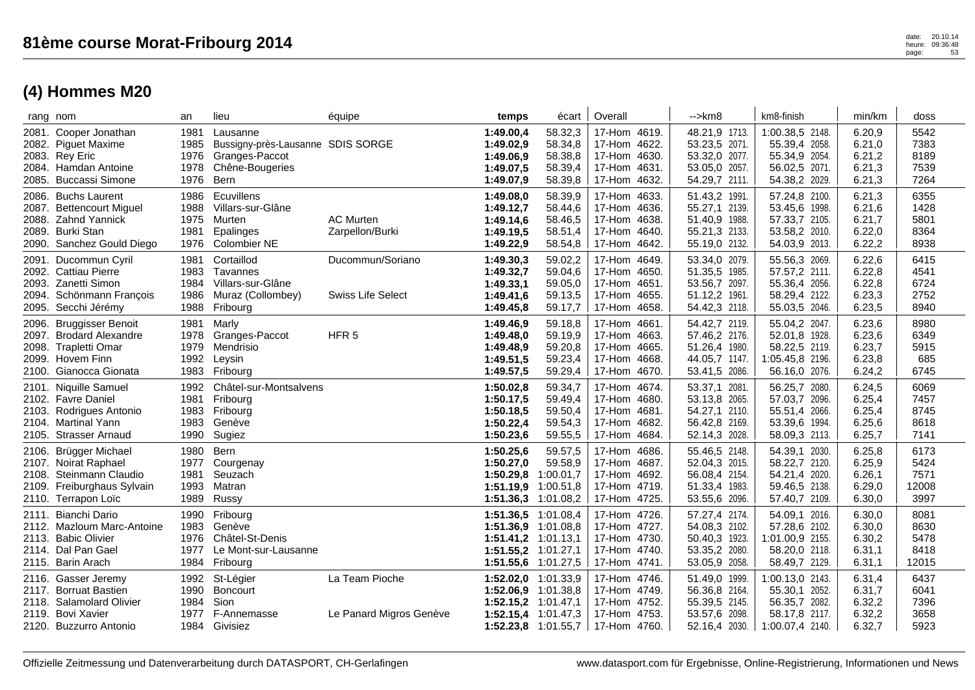| rang nom                                                                                                                          |                                               | an                                   | lieu                                                                                       | équipe                                       | temps                                                                                                           | écart                                               | Overall                                                                                            |                                  | -->km8                                                                            | km8-finish                                                                               | min/km                                         | doss                                  |
|-----------------------------------------------------------------------------------------------------------------------------------|-----------------------------------------------|--------------------------------------|--------------------------------------------------------------------------------------------|----------------------------------------------|-----------------------------------------------------------------------------------------------------------------|-----------------------------------------------------|----------------------------------------------------------------------------------------------------|----------------------------------|-----------------------------------------------------------------------------------|------------------------------------------------------------------------------------------|------------------------------------------------|---------------------------------------|
| 2081. Cooper Jonathan<br>2082. Piguet Maxime<br>2083. Rey Eric<br>2084. Hamdan Antoine<br>2085.                                   | <b>Buccassi Simone</b>                        | 1981<br>1985<br>1976<br>1978<br>1976 | Lausanne<br>Bussigny-près-Lausanne SDIS SORGE<br>Granges-Paccot<br>Chêne-Bougeries<br>Bern |                                              | 1:49.00,4<br>1:49.02,9<br>1:49.06,9<br>1:49.07,5<br>1:49.07,9                                                   | 58.32,3<br>58.34,8<br>58.38,8<br>58.39,4<br>58.39,8 | 17-Hom 4619.<br>17-Hom 4622.<br>17-Hom 4630.<br>17-Hom<br>17-Hom                                   | 4631.<br>4632.                   | 48.21,9 1713.<br>53.23,5 2071.<br>53.32,0 2077.<br>53.05,0 2057.<br>54.29,7 2111. | 1:00.38,5 2148.<br>55.39,4 2058.<br>55.34,9 2054.<br>56.02,5 2071.<br>54.38,2 2029.      | 6.20,9<br>6.21,0<br>6.21,2<br>6.21,3<br>6.21,3 | 5542<br>7383<br>8189<br>7539<br>7264  |
| 2086. Buchs Laurent<br>2087. Bettencourt Miguel<br>2088. Zahnd Yannick<br>2089. Burki Stan                                        | 2090. Sanchez Gould Diego                     | 1986<br>1988<br>1975<br>1981<br>1976 | Ecuvillens<br>Villars-sur-Glâne<br>Murten<br>Epalinges<br>Colombier NE                     | <b>AC Murten</b><br>Zarpellon/Burki          | 1:49.08,0<br>1:49.12,7<br>1:49.14,6<br>1:49.19,5<br>1:49.22,9                                                   | 58.39,9<br>58.44,6<br>58.46,5<br>58.51,4<br>58.54,8 | 17-Hom 4633.<br>17-Hom<br>17-Hom<br>17-Hom<br>17-Hom                                               | 4636.<br>4638.<br>4640.<br>4642. | 51.43,2 1991.<br>55.27,1 2139.<br>51.40,9 1988.<br>55.21,3 2133.<br>55.19,0 2132. | 57.24,8 2100.<br>53.45,6 1998.<br>57.33,7 2105.<br>53.58,2 2010.<br>54.03,9 2013.        | 6.21,3<br>6.21,6<br>6.21,7<br>6.22,0<br>6.22,2 | 6355<br>1428<br>5801<br>8364<br>8938  |
| 2091. Ducommun Cyril<br>2092. Cattiau Pierre<br>2093. Zanetti Simon<br>2095.                                                      | 2094. Schönmann François<br>Secchi Jérémy     | 1981<br>1983<br>1986<br>1988         | Cortaillod<br>Tavannes<br>1984 Villars-sur-Glâne<br>Muraz (Collombey)<br>Fribourg          | Ducommun/Soriano<br><b>Swiss Life Select</b> | 1:49.30,3<br>1:49.32,7<br>1:49.33,1<br>1:49.41,6<br>1:49.45,8                                                   | 59.02,2<br>59.04,6<br>59.05,0<br>59.13,5<br>59.17,7 | 17-Hom 4649.<br>17-Hom 4650.<br>17-Hom 4651.<br>17-Hom<br>17-Hom                                   | 4655.<br>4658.                   | 53.34,0 2079.<br>51.35,5 1985.<br>53.56,7 2097.<br>51.12,2 1961.<br>54.42,3 2118. | 55.56,3 2069.<br>57.57,2 2111.<br>55.36,4 2056.<br>58.29,4 2122.<br>55.03,5 2046.        | 6.22,6<br>6.22,8<br>6.22,8<br>6.23,3<br>6.23,5 | 6415<br>4541<br>6724<br>2752<br>8940  |
| 2096. Bruggisser Benoit<br>2097. Brodard Alexandre<br>2098. Trapletti Omar<br>2099. Hovem Finn<br>2100. Gianocca Gionata          |                                               | 1981<br>1978<br>1979<br>1992<br>1983 | Marly<br>Granges-Paccot<br>Mendrisio<br>Leysin<br>Fribourg                                 | HFR <sub>5</sub>                             | 1:49.46,9<br>1:49.48,0<br>1:49.48,9<br>1:49.51,5<br>1:49.57,5                                                   | 59.18,8<br>59.19,9<br>59.20,8<br>59.23,4<br>59.29,4 | 17-Hom 4661.<br>17-Hom 4663.<br>17-Hom<br>17-Hom<br>17-Hom                                         | 4665.<br>4668.<br>4670.          | 54.42,7 2119.<br>57.46,2 2176.<br>51.26,4 1980.<br>44.05,7 1147.<br>53.41,5 2086. | 55.04,2 2047.<br>52.01,8 1928.<br>58.22,5 2119.<br>1:05.45,8 2196.<br>56.16,0 2076.      | 6.23,6<br>6.23,6<br>6.23,7<br>6.23,8<br>6.24,2 | 8980<br>6349<br>5915<br>685<br>6745   |
| 2101. Niquille Samuel<br>2102. Favre Daniel<br>2103. Rodrigues Antonio<br>2104. Martinal Yann<br>2105. Strasser Arnaud            |                                               | 1992<br>1981<br>1983<br>1983<br>1990 | Châtel-sur-Montsalvens<br>Fribourg<br>Fribourg<br>Genève<br>Sugiez                         |                                              | 1:50.02,8<br>1:50.17,5<br>1:50.18.5<br>1:50.22,4<br>1:50.23,6                                                   | 59.34,7<br>59.49,4<br>59.50,4<br>59.54,3<br>59.55,5 | 17-Hom 4674.<br>17-Hom 4680.<br>17-Hom 4681.<br>17-Hom<br>17-Hom                                   | 4682.<br>4684.                   | 53.37,1 2081.<br>53.13,8 2065.<br>54.27,1 2110.<br>56.42,8 2169.<br>52.14,3 2028. | 56.25,7 2080.<br>57.03,7 2096.<br>55.51,4 2066.<br>53.39,6 1994.<br>58.09,3 2113.        | 6.24,5<br>6.25,4<br>6.25,4<br>6.25,6<br>6.25,7 | 6069<br>7457<br>8745<br>8618<br>7141  |
| 2106.<br>2107. Noirat Raphael<br>2108. Steinmann Claudio<br>2110. Terrapon Loïc                                                   | Brügger Michael<br>2109. Freiburghaus Sylvain | 1980<br>1977<br>1981<br>1993<br>1989 | Bern<br>Courgenay<br>Seuzach<br>Matran<br>Russy                                            |                                              | 1:50.25,6<br>1:50.27,0<br>1:50.29,8<br>1:51.19.9<br>$1:51.36,3$ $1:01.08,2$                                     | 59.57,5<br>59.58,9<br>1:00.01,7<br>1:00.51,8        | 17-Hom<br>17-Hom 4687.<br>17-Hom 4692.<br>17-Hom 4719.<br>17-Hom 4725.                             | 4686.                            | 55.46,5 2148.<br>52.04,3 2015.<br>56.08,4 2154.<br>51.33,4 1983.<br>53.55,6 2096. | 54.39,1 2030.<br>58.22,7 2120.<br>54.21,4 2020.<br>59.46,5 2138.<br>57.40,7 2109.        | 6.25,8<br>6.25,9<br>6.26,1<br>6.29,0<br>6.30,0 | 6173<br>5424<br>7571<br>12008<br>3997 |
| 2111.<br>2113. Babic Olivier<br>2114. Dal Pan Gael<br>2115. Barin Arach                                                           | Bianchi Dario<br>2112. Mazloum Marc-Antoine   | 1990<br>1983<br>1976<br>1977         | Fribourg<br>Genève<br>Châtel-St-Denis<br>Le Mont-sur-Lausanne<br>1984 Fribourg             |                                              | 1:51.36,5 1:01.08,4<br>1:51.36.9 1:01.08.8<br>1:51.41,2 1:01.13,1<br>1:51.55,2 1:01.27,1<br>1:51.55,6 1:01.27,5 |                                                     | 17-Hom 4726.<br>17-Hom 4727.<br>17-Hom 4730.<br>17-Hom 4740.<br>17-Hom 4741.                       |                                  | 57.27,4 2174.<br>54.08,3 2102.<br>50.40,3 1923.<br>53.35,2 2080.<br>53.05,9 2058. | 54.09,1 2016.<br>57.28,6 2102.<br>1:01.00,9 2155.<br>58.20,0 2118.<br>58.49,7 2129.      | 6.30,0<br>6.30,0<br>6.30,2<br>6.31,1<br>6.31,1 | 8081<br>8630<br>5478<br>8418<br>12015 |
| 2116. Gasser Jeremy<br>2117. Borruat Bastien<br>2118. Salamolard Olivier<br><b>Bovi Xavier</b><br>2119.<br>2120. Buzzurro Antonio |                                               | 1992<br>1990<br>1984<br>1977         | St-Légier<br><b>Boncourt</b><br>Sion<br>F-Annemasse<br>1984 Givisiez                       | La Team Pioche<br>Le Panard Migros Genève    | 1:52.02.0 1:01.33.9<br>1:52.06,9 1:01.38,8<br>1:52.15,2 1:01.47,1<br>1:52.15,4 1:01.47,3                        |                                                     | 17-Hom 4746.<br>17-Hom 4749.<br>17-Hom 4752.<br>17-Hom 4753.<br>1:52.23,8 1:01.55,7   17-Hom 4760. |                                  | 51.49,0 1999.<br>56.36,8 2164.<br>55.39,5 2145.<br>53.57,6 2098.<br>52.16,4 2030. | 1:00.13,0 2143.<br>55.30,1 2052.<br>56.35,7 2082.<br>58.17,8<br>2117.<br>1:00.07,4 2140. | 6.31,4<br>6.31.7<br>6.32,2<br>6.32,2<br>6.32,7 | 6437<br>6041<br>7396<br>3658<br>5923  |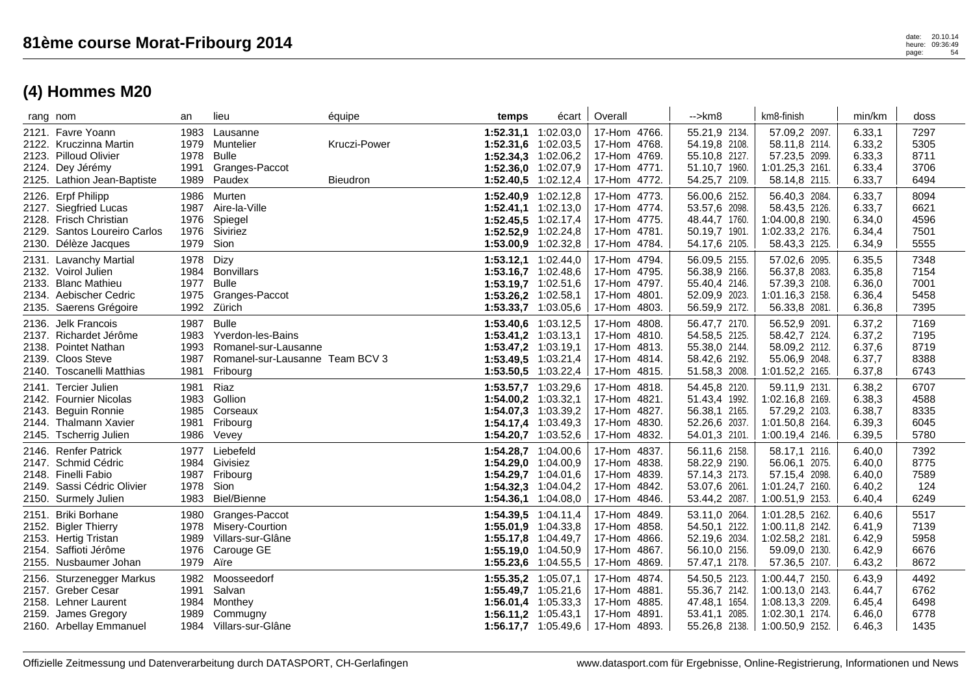| date:  | 20.10.14 |
|--------|----------|
| heure: | 09:36:49 |
| page:  | 54       |

| rang nom                                                                                                                      | an                                   | lieu                                                                                                     | équipe                                 | temps                                                                                                           | écart                 | Overall                                                                                            | -->km8                                                                            | km8-finish                                                                                  | min/km                                         | doss                                 |
|-------------------------------------------------------------------------------------------------------------------------------|--------------------------------------|----------------------------------------------------------------------------------------------------------|----------------------------------------|-----------------------------------------------------------------------------------------------------------------|-----------------------|----------------------------------------------------------------------------------------------------|-----------------------------------------------------------------------------------|---------------------------------------------------------------------------------------------|------------------------------------------------|--------------------------------------|
| 2121. Favre Yoann<br>2122. Kruczinna Martin<br>2123. Pilloud Olivier<br>2124. Dey Jérémy<br>2125. Lathion Jean-Baptiste       | 1983<br>1979<br>1978<br>1991<br>1989 | Lausanne<br>Muntelier<br>Bulle<br>Granges-Paccot<br>Paudex                                               | <b>Kruczi-Power</b><br><b>Bieudron</b> | 1:52.31,1 1:02.03,0<br>1:52.31,6 1:02.03,5<br>1:52.34,3 1:02.06,2<br>1:52.36,0 1:02.07,9                        | 1:52.40,5 1:02.12,4   | 17-Hom 4766.<br>17-Hom 4768.<br>17-Hom 4769.<br>17-Hom 4771.<br>17-Hom 4772.                       | 55.21,9 2134.<br>54.19.8 2108.<br>55.10,8 2127.<br>51.10,7 1960.<br>54.25,7 2109. | 57.09,2 2097.<br>58.11,8 2114.<br>57.23,5 2099.<br>1:01.25,3 2161.<br>58.14,8 2115.         | 6.33,1<br>6.33,2<br>6.33,3<br>6.33,4<br>6.33,7 | 7297<br>5305<br>8711<br>3706<br>6494 |
| 2126. Erpf Philipp<br>2127. Siegfried Lucas<br>2128. Frisch Christian<br>2129. Santos Loureiro Carlos<br>2130. Délèze Jacques | 1986<br>1987<br>1976<br>1976<br>1979 | Murten<br>Aire-la-Ville<br>Spiegel<br>Siviriez<br>Sion                                                   |                                        | 1:52.40,9 1:02.12,8<br>1:52.41,1 1:02.13,0<br>1:52.45,5 1:02.17,4<br>1:52.52,9 1:02.24,8<br>1:53.00,9 1:02.32,8 |                       | 17-Hom 4773.<br>17-Hom 4774.<br>17-Hom 4775.<br>17-Hom 4781.<br>17-Hom 4784.                       | 56.00,6 2152.<br>53.57,6 2098.<br>48.44,7 1760.<br>50.19,7 1901.<br>54.17,6 2105. | 56.40,3 2084.<br>58.43,5 2126.<br>1:04.00,8 2190.<br>1:02.33,2 2176.<br>58.43,3 2125.       | 6.33,7<br>6.33,7<br>6.34,0<br>6.34,4<br>6.34,9 | 8094<br>6621<br>4596<br>7501<br>5555 |
| 2131. Lavanchy Martial<br>2132. Voirol Julien<br>2133. Blanc Mathieu<br>2134. Aebischer Cedric<br>2135. Saerens Grégoire      | 1978<br>1984<br>1977<br>1975<br>1992 | Dizy<br><b>Bonvillars</b><br><b>Bulle</b><br>Granges-Paccot<br>Zürich                                    |                                        | 1:53.12,1 1:02.44,0<br>1:53.16,7 1:02.48,6<br>1:53.19,7 1:02.51,6<br>1:53.26,2 1:02.58,1                        | 1:53.33,7 1:03.05,6   | 17-Hom 4794.<br>17-Hom 4795.<br>17-Hom 4797.<br>17-Hom 4801.<br>17-Hom 4803.                       | 56.09,5 2155.<br>56.38,9 2166.<br>55.40,4 2146.<br>52.09,9 2023.<br>56.59,9 2172. | 57.02,6 2095.<br>56.37,8 2083.<br>57.39,3 2108.<br>1:01.16,3 2158.<br>56.33,8 2081.         | 6.35,5<br>6.35,8<br>6.36,0<br>6.36,4<br>6.36,8 | 7348<br>7154<br>7001<br>5458<br>7395 |
| 2136. Jelk Francois<br>2137. Richardet Jérôme<br>2138. Pointet Nathan<br>2139. Cloos Steve<br>2140. Toscanelli Matthias       | 1987<br>1983<br>1993<br>1987<br>1981 | <b>Bulle</b><br>Yverdon-les-Bains<br>Romanel-sur-Lausanne<br>Romanel-sur-Lausanne Team BCV 3<br>Fribourg |                                        | 1:53.40,6 1:03.12,5<br>1:53.41,2 1:03.13,1<br>1:53.47,2 1:03.19,1<br>1:53.49,5 1:03.21,4                        | 1:53.50,5 1:03.22,4   | 17-Hom 4808.<br>17-Hom 4810.<br>17-Hom 4813.<br>17-Hom 4814.<br>17-Hom 4815.                       | 56.47,7 2170.<br>54.58,5 2125.<br>55.38,0 2144.<br>58.42,6 2192.<br>51.58,3 2008. | 56.52,9 2091.<br>58.42,7 2124.<br>58.09,2 2112.<br>55.06,9 2048.<br>1:01.52,2 2165.         | 6.37,2<br>6.37,2<br>6.37,6<br>6.37,7<br>6.37,8 | 7169<br>7195<br>8719<br>8388<br>6743 |
| 2141. Tercier Julien<br>2142. Fournier Nicolas<br>2143. Beguin Ronnie<br>2144. Thalmann Xavier<br>2145. Tscherrig Julien      | 1981<br>1981<br>1986                 | Riaz<br>1983 Gollion<br>1985 Corseaux<br>Fribourg<br>Vevey                                               |                                        | 1:53.57,7 1:03.29,6<br>1:54.00,2 1:03.32,1<br>1:54.07,3 1:03.39,2<br>1:54.17,4 1:03.49,3<br>1:54.20,7 1:03.52,6 |                       | 17-Hom 4818.<br>17-Hom 4821.<br>17-Hom 4827.<br>17-Hom 4830.<br>17-Hom 4832.                       | 54.45,8 2120.<br>51.43,4 1992.<br>56.38,1 2165.<br>52.26,6 2037.<br>54.01,3 2101. | 59.11,9 2131.<br>1:02.16,8 2169.<br>57.29,2 2103.<br>1:01.50,8 2164.<br>1:00.19,4 2146.     | 6.38,2<br>6.38,3<br>6.38,7<br>6.39,3<br>6.39,5 | 6707<br>4588<br>8335<br>6045<br>5780 |
| 2146. Renfer Patrick<br>2147. Schmid Cédric<br>2148. Finelli Fabio<br>2149. Sassi Cédric Olivier<br>2150. Surmely Julien      | 1977<br>1978<br>1983                 | Liebefeld<br>1984 Givisiez<br>1987 Fribourg<br>Sion<br><b>Biel/Bienne</b>                                |                                        | 1:54.28,7 1:04.00,6<br>1:54.29,0 1:04.00,9<br>1:54.29,7 1:04.01,6<br>$1:54.32,3$ $1:04.04,2$                    | $1:54.36,1$ 1:04.08,0 | 17-Hom 4837.<br>17-Hom 4838.<br>17-Hom 4839.<br>17-Hom 4842.<br>17-Hom 4846.                       | 56.11,6 2158.<br>58.22,9 2190.<br>57.14,3 2173.<br>53.07,6 2061.<br>53.44,2 2087. | 58.17,1 2116.<br>56.06,1 2075.<br>57.15,4 2098.<br>1:01.24,7 2160.<br>1:00.51,9 2153.       | 6.40,0<br>6.40,0<br>6.40,0<br>6.40,2<br>6.40,4 | 7392<br>8775<br>7589<br>124<br>6249  |
| 2151. Briki Borhane<br>2152. Bigler Thierry<br>2153. Hertig Tristan<br>2154. Saffioti Jérôme<br>2155. Nusbaumer Johan         | 1980<br>1978<br>1989<br>1976<br>1979 | Granges-Paccot<br>Misery-Courtion<br>Villars-sur-Glâne<br>Carouge GE<br>Aïre                             |                                        | 1:54.39,5 1:04.11,4<br>1:55.01,9 1:04.33,8<br>1:55.17,8 1:04.49,7<br>1:55.19,0 1:04.50,9                        | 1:55.23,6 1:04.55,5   | 17-Hom 4849.<br>17-Hom 4858.<br>17-Hom 4866.<br>17-Hom 4867.<br>17-Hom 4869.                       | 53.11,0 2064.<br>54.50,1 2122.<br>52.19,6 2034.<br>56.10,0 2156.<br>57.47,1 2178. | 1:01.28,5 2162.<br>1:00.11,8 2142.<br>1:02.58,2 2181.<br>59.09,0 2130.<br>57.36,5 2107.     | 6.40,6<br>6.41,9<br>6.42,9<br>6.42,9<br>6.43,2 | 5517<br>7139<br>5958<br>6676<br>8672 |
| 2156. Sturzenegger Markus<br>2157. Greber Cesar<br>2158. Lehner Laurent<br>2159. James Gregory<br>2160. Arbellay Emmanuel     | 1982<br>1991<br>1984<br>1989         | Moosseedorf<br>Salvan<br>Monthey<br>Commugny<br>1984 Villars-sur-Glâne                                   |                                        | 1:55.35,2 1:05.07,1<br>1:55.49,7 1:05.21,6<br>1:56.01,4 1:05.33,3<br>1:56.11,2 1:05.43,1                        |                       | 17-Hom 4874.<br>17-Hom 4881.<br>17-Hom 4885.<br>17-Hom 4891.<br>1:56.17,7 1:05.49,6   17-Hom 4893. | 54.50,5 2123.<br>55.36,7 2142.<br>47.48,1 1654.<br>53.41,1 2085.<br>55.26,8 2138. | 1:00.44.7 2150.<br>1:00.13,0 2143.<br>1:08.13,3 2209.<br>1:02.30,1 2174.<br>1:00.50,9 2152. | 6.43,9<br>6.44,7<br>6.45,4<br>6.46,0<br>6.46,3 | 4492<br>6762<br>6498<br>6778<br>1435 |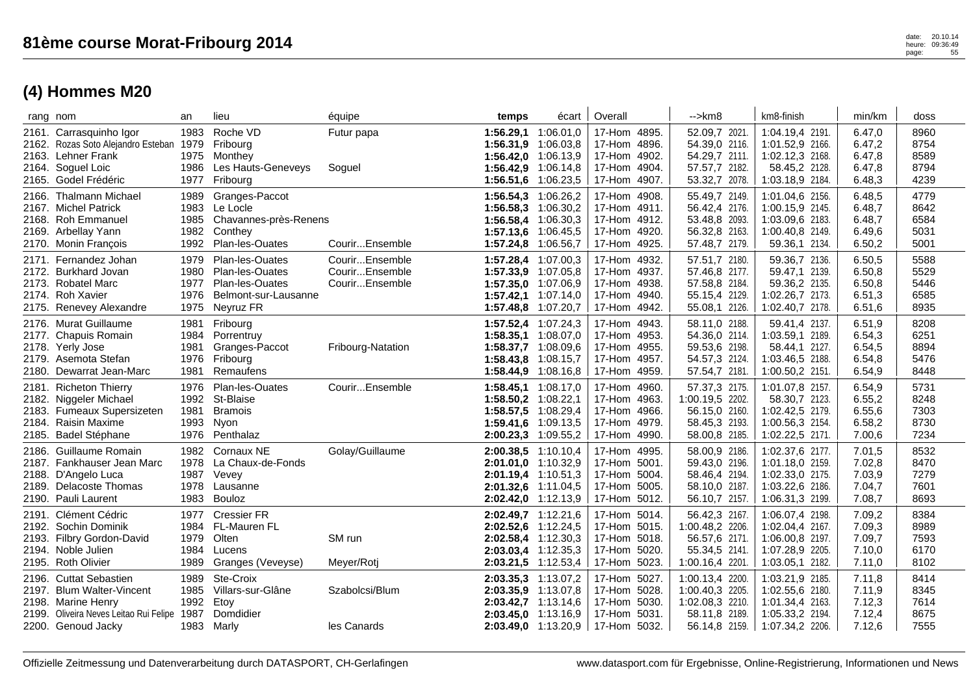| rang nom |                                                                                                                                           | an                                   | lieu                                                                                       | équipe                                             | temps                                                                                                           | écart     | Overall                                                                                                   | $\rightarrow$ km $\alpha$                                                               | km8-finish                                                                                  | min/km                                         | doss                                 |
|----------|-------------------------------------------------------------------------------------------------------------------------------------------|--------------------------------------|--------------------------------------------------------------------------------------------|----------------------------------------------------|-----------------------------------------------------------------------------------------------------------------|-----------|-----------------------------------------------------------------------------------------------------------|-----------------------------------------------------------------------------------------|---------------------------------------------------------------------------------------------|------------------------------------------------|--------------------------------------|
|          | 2161. Carrasquinho Igor<br>2162. Rozas Soto Alejandro Esteban<br>2163. Lehner Frank                                                       | 1983<br>1979<br>1975                 | Roche VD<br>Fribourg<br>Monthey                                                            | Futur papa                                         | 1:56.29.1<br>1:56.31,9 1:06.03,8<br>1:56.42.0 1:06.13.9                                                         | 1:06.01,0 | 17-Hom 4895.<br>17-Hom 4896.<br>17-Hom 4902.                                                              | 52.09,7 2021<br>54.39,0 2116.<br>54.29,7 2111.                                          | 1:04.19,4 2191.<br>1:01.52,9 2166.<br>1:02.12,3 2168.                                       | 6.47,0<br>6.47,2<br>6.47,8                     | 8960<br>8754<br>8589                 |
|          | 2164. Soguel Loic<br>2165. Godel Frédéric                                                                                                 | 1986<br>1977                         | Les Hauts-Geneveys<br>Fribourg                                                             | Soguel                                             | 1:56.42,9 1:06.14,8<br>1:56.51,6                                                                                | 1:06.23,5 | 17-Hom 4904.<br>17-Hom 4907.                                                                              | 57.57,7 2182.<br>53.32,7 2078.                                                          | 58.45,2 2128.<br>1:03.18,9 2184.                                                            | 6.47,8<br>6.48,3                               | 8794<br>4239                         |
|          | 2166. Thalmann Michael<br>2167. Michel Patrick<br>2168. Roh Emmanuel<br>2169. Arbellay Yann<br>2170. Monin François                       | 1989<br>1983<br>1985<br>1982<br>1992 | Granges-Paccot<br>Le Locle<br>Chavannes-près-Renens<br>Conthey<br>Plan-les-Ouates          | CourirEnsemble                                     | 1:56.54,3 1:06.26,2<br>1:56.58,3 1:06.30,2<br>1:56.58,4 1:06.30,3<br>1:57.13,6 1:06.45,5<br>1:57.24,8           | 1:06.56,7 | 17-Hom 4908.<br>17-Hom 4911.<br>17-Hom 4912.<br>17-Hom 4920.<br>17-Hom 4925.                              | 55.49,7 2149.<br>56.42,4 2176.<br>53.48,8 2093.<br>56.32,8 2163.<br>57.48,7 2179.       | 1:01.04,6 2156.<br>1:00.15,9 2145.<br>1:03.09,6 2183.<br>1:00.40,8 2149.<br>59.36,1 2134.   | 6.48,5<br>6.48,7<br>6.48,7<br>6.49,6<br>6.50,2 | 4779<br>8642<br>6584<br>5031<br>5001 |
| 2172.    | 2171. Fernandez Johan<br><b>Burkhard Jovan</b><br>2173. Robatel Marc<br>2174. Roh Xavier<br>2175. Renevey Alexandre                       | 1979<br>1980<br>1977<br>1976<br>1975 | Plan-les-Ouates<br>Plan-les-Ouates<br>Plan-les-Ouates<br>Belmont-sur-Lausanne<br>Neyruz FR | CourirEnsemble<br>CourirEnsemble<br>CourirEnsemble | 1:57.28,4 1:07.00,3<br>1:57.33,9 1:07.05,8<br>1:57.35,0 1:07.06,9<br>1:57.42,1 1:07.14,0<br>1:57.48,8 1:07.20,7 |           | 17-Hom 4932.<br>17-Hom 4937.<br>17-Hom 4938.<br>17-Hom 4940.<br>17-Hom 4942.                              | 57.51,7 2180.<br>57.46,8 2177.<br>57.58,8 2184.<br>55.15,4 2129.<br>55.08,1 2126.       | 59.36,7 2136.<br>59.47,1 2139.<br>59.36,2 2135.<br>1:02.26,7 2173.<br>1:02.40,7 2178.       | 6.50,5<br>6.50,8<br>6.50,8<br>6.51,3<br>6.51,6 | 5588<br>5529<br>5446<br>6585<br>8935 |
|          | 2176. Murat Guillaume<br>2177. Chapuis Romain<br>2178. Yerly Jose<br>2179. Asemota Stefan<br>2180. Dewarrat Jean-Marc                     | 1981<br>1984<br>1981<br>1976<br>1981 | Fribourg<br>Porrentruy<br>Granges-Paccot<br>Fribourg<br>Remaufens                          | Fribourg-Natation                                  | 1:57.52,4 1:07.24,3<br>1:58.35,1 1:08.07,0<br>1:58.37,7 1:08.09,6<br>1:58.43,8 1:08.15,7<br>1:58.44,9 1:08.16,8 |           | 17-Hom 4943.<br>17-Hom 4953.<br>17-Hom 4955.<br>17-Hom 4957.<br>17-Hom 4959.                              | 58.11,0 2188.<br>54.36,0 2114.<br>59.53,6 2198.<br>54.57,3 2124.<br>57.54,7 2181.       | 59.41,4 2137.<br>1:03.59,1 2189.<br>58.44,1 2127.<br>1:03.46,5 2188.<br>1:00.50,2 2151.     | 6.51,9<br>6.54,3<br>6.54,5<br>6.54,8<br>6.54,9 | 8208<br>6251<br>8894<br>5476<br>8448 |
|          | 2181. Richeton Thierry<br>2182. Niggeler Michael<br>2183. Fumeaux Supersizeten<br>2184. Raisin Maxime<br>2185. Badel Stéphane             | 1976<br>1992<br>1981<br>1993<br>1976 | Plan-les-Ouates<br>St-Blaise<br><b>Bramois</b><br>Nyon<br>Penthalaz                        | CourirEnsemble                                     | 1:58.45,1 1:08.17,0<br>1:58.50,2 1:08.22,1<br>1:58.57,5 1:08.29,4<br>1:59.41,6 1:09.13,5<br>2:00.23,3           | 1:09.55,2 | 17-Hom 4960.<br>17-Hom 4963.<br>17-Hom 4966.<br>17-Hom 4979.<br>17-Hom 4990.                              | 57.37,3 2175.<br>1:00.19,5 2202.<br>56.15,0 2160.<br>58.45,3 2193.<br>58.00,8 2185.     | 1:01.07,8 2157.<br>58.30,7 2123.<br>1:02.42,5 2179.<br>1:00.56,3 2154.<br>1:02.22,5 2171.   | 6.54,9<br>6.55,2<br>6.55,6<br>6.58,2<br>7.00,6 | 5731<br>8248<br>7303<br>8730<br>7234 |
|          | 2186. Guillaume Romain<br>2187. Fankhauser Jean Marc<br>2188. D'Angelo Luca<br>2189. Delacoste Thomas<br>2190. Pauli Laurent              | 1982<br>1978<br>1987<br>1978<br>1983 | Cornaux NE<br>La Chaux-de-Fonds<br>Vevey<br>Lausanne<br>Bouloz                             | Golay/Guillaume                                    | 2:00.38,5 1:10.10,4<br>2:01.01,0 1:10.32,9<br>2:01.19,4 1:10.51,3<br>2:01.32,6 1:11.04,5<br>2:02.42,0 1:12.13,9 |           | 17-Hom 4995.<br>17-Hom 5001.<br>17-Hom 5004.<br>17-Hom 5005.<br>17-Hom 5012.                              | 58.00,9 2186.<br>59.43,0 2196.<br>58.46,4 2194.<br>58.10,0 2187.<br>56.10,7 2157.       | 1:02.37,6 2177.<br>1:01.18,0 2159.<br>1:02.33,0 2175.<br>1:03.22,6 2186.<br>1:06.31,3 2199. | 7.01,5<br>7.02,8<br>7.03,9<br>7.04,7<br>7.08,7 | 8532<br>8470<br>7279<br>7601<br>8693 |
|          | 2191. Clément Cédric<br>2192. Sochin Dominik<br>2193. Filbry Gordon-David<br>2194. Noble Julien<br>2195. Roth Olivier                     | 1977<br>1984<br>1979<br>1984<br>1989 | <b>Cressier FR</b><br>FL-Mauren FL<br>Olten<br>Lucens<br>Granges (Veveyse)                 | SM run<br>Meyer/Rotj                               | 2:02.49,7 1:12.21,6<br>2:02.52,6 1:12.24,5<br>2:02.58,4 1:12.30,3<br>2:03.03,4 1:12.35,3<br>2:03.21,5 1:12.53,4 |           | 17-Hom 5014.<br>17-Hom 5015.<br>17-Hom 5018.<br>17-Hom 5020.<br>17-Hom 5023.                              | 56.42,3 2167.<br>1:00.48,2 2206.<br>56.57,6 2171.<br>55.34,5 2141.<br>1:00.16,4 2201.   | 1:06.07,4 2198.<br>1:02.04,4 2167.<br>1:06.00,8 2197.<br>1:07.28,9 2205.<br>1:03.05,1 2182. | 7.09,2<br>7.09,3<br>7.09,7<br>7.10,0<br>7.11,0 | 8384<br>8989<br>7593<br>6170<br>8102 |
|          | 2196. Cuttat Sebastien<br>2197. Blum Walter-Vincent<br>2198. Marine Henry<br>2199. Oliveira Neves Leitao Rui Felipe<br>2200. Genoud Jacky | 1989<br>1985<br>1992<br>1987<br>1983 | Ste-Croix<br>Villars-sur-Glâne<br>Etov<br>Domdidier<br>Marly                               | Szabolcsi/Blum<br>les Canards                      | 2:03.35,3 1:13.07,2<br>2:03.35.9 1:13.07.8<br>2:03.42,7 1:13.14,6<br>2:03.45,0 1:13.16,9                        |           | 17-Hom 5027.<br>17-Hom 5028.<br>17-Hom 5030.<br>17-Hom 5031.<br><b>2:03.49,0</b> 1:13.20,9   17-Hom 5032. | 1:00.13,4 2200.<br>1:00.40,3 2205.<br>1:02.08,3 2210.<br>58.11,8 2189.<br>56.14,8 2159. | 1:03.21,9 2185.<br>1:02.55,6 2180.<br>1:01.34,4 2163.<br>1:05.33,2 2194.<br>1:07.34,2 2206. | 7.11,8<br>7.11,9<br>7.12,3<br>7.12,4<br>7.12,6 | 8414<br>8345<br>7614<br>8675<br>7555 |
|          |                                                                                                                                           |                                      |                                                                                            |                                                    |                                                                                                                 |           |                                                                                                           |                                                                                         |                                                                                             |                                                |                                      |